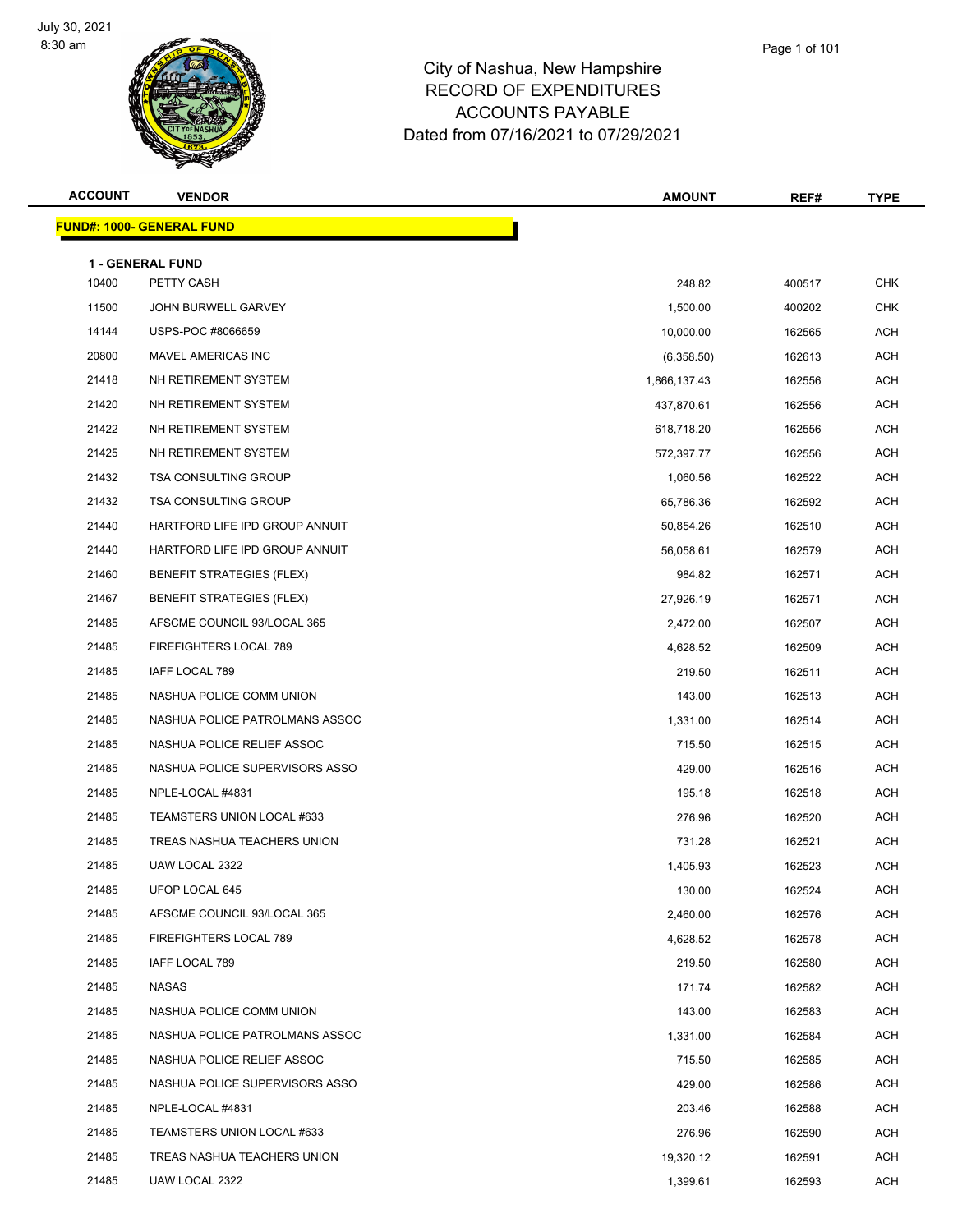

Page 1 of 101

| <b>ACCOUNT</b> | <b>VENDOR</b>                    | <b>AMOUNT</b> | REF#   | <b>TYPE</b> |
|----------------|----------------------------------|---------------|--------|-------------|
|                | <b>FUND#: 1000- GENERAL FUND</b> |               |        |             |
|                | <b>1 - GENERAL FUND</b>          |               |        |             |
| 10400          | PETTY CASH                       | 248.82        | 400517 | <b>CHK</b>  |
| 11500          | JOHN BURWELL GARVEY              | 1,500.00      | 400202 | <b>CHK</b>  |
| 14144          | USPS-POC #8066659                | 10,000.00     | 162565 | ACH         |
| 20800          | MAVEL AMERICAS INC               | (6,358.50)    | 162613 | <b>ACH</b>  |
| 21418          | NH RETIREMENT SYSTEM             | 1,866,137.43  | 162556 | ACH         |
| 21420          | NH RETIREMENT SYSTEM             | 437,870.61    | 162556 | <b>ACH</b>  |
| 21422          | NH RETIREMENT SYSTEM             | 618,718.20    | 162556 | ACH         |
| 21425          | NH RETIREMENT SYSTEM             | 572,397.77    | 162556 | ACH         |
| 21432          | <b>TSA CONSULTING GROUP</b>      | 1,060.56      | 162522 | <b>ACH</b>  |
| 21432          | <b>TSA CONSULTING GROUP</b>      | 65,786.36     | 162592 | ACH         |
| 21440          | HARTFORD LIFE IPD GROUP ANNUIT   | 50,854.26     | 162510 | <b>ACH</b>  |
| 21440          | HARTFORD LIFE IPD GROUP ANNUIT   | 56,058.61     | 162579 | <b>ACH</b>  |
| 21460          | <b>BENEFIT STRATEGIES (FLEX)</b> | 984.82        | 162571 | ACH         |
| 21467          | <b>BENEFIT STRATEGIES (FLEX)</b> | 27,926.19     | 162571 | <b>ACH</b>  |
| 21485          | AFSCME COUNCIL 93/LOCAL 365      | 2,472.00      | 162507 | ACH         |
| 21485          | FIREFIGHTERS LOCAL 789           | 4,628.52      | 162509 | <b>ACH</b>  |
| 21485          | IAFF LOCAL 789                   | 219.50        | 162511 | <b>ACH</b>  |
| 21485          | NASHUA POLICE COMM UNION         | 143.00        | 162513 | ACH         |
| 21485          | NASHUA POLICE PATROLMANS ASSOC   | 1,331.00      | 162514 | <b>ACH</b>  |
| 21485          | NASHUA POLICE RELIEF ASSOC       | 715.50        | 162515 | ACH         |
| 21485          | NASHUA POLICE SUPERVISORS ASSO   | 429.00        | 162516 | <b>ACH</b>  |
| 21485          | NPLE-LOCAL #4831                 | 195.18        | 162518 | <b>ACH</b>  |
| 21485          | TEAMSTERS UNION LOCAL #633       | 276.96        | 162520 | ACH         |
| 21485          | TREAS NASHUA TEACHERS UNION      | 731.28        | 162521 | ACH         |
| 21485          | UAW LOCAL 2322                   | 1,405.93      | 162523 | ACH         |
| 21485          | UFOP LOCAL 645                   | 130.00        | 162524 | <b>ACH</b>  |
| 21485          | AFSCME COUNCIL 93/LOCAL 365      | 2,460.00      | 162576 | <b>ACH</b>  |
| 21485          | FIREFIGHTERS LOCAL 789           | 4,628.52      | 162578 | ACH         |
| 21485          | IAFF LOCAL 789                   | 219.50        | 162580 | ACH         |
| 21485          | NASAS                            | 171.74        | 162582 | ACH         |
| 21485          | NASHUA POLICE COMM UNION         | 143.00        | 162583 | ACH         |
| 21485          | NASHUA POLICE PATROLMANS ASSOC   | 1,331.00      | 162584 | ACH         |
| 21485          | NASHUA POLICE RELIEF ASSOC       | 715.50        | 162585 | <b>ACH</b>  |

 NASHUA POLICE SUPERVISORS ASSO 429.00 162586 ACH NPLE-LOCAL #4831 203.46 162588 ACH 21485 TEAMSTERS UNION LOCAL #633 276.96 276.96 276.96 162590 ACH TREAS NASHUA TEACHERS UNION 19,320.12 162591 ACH 21485 UAW LOCAL 2322 20 21485 UAW LOCAL 2322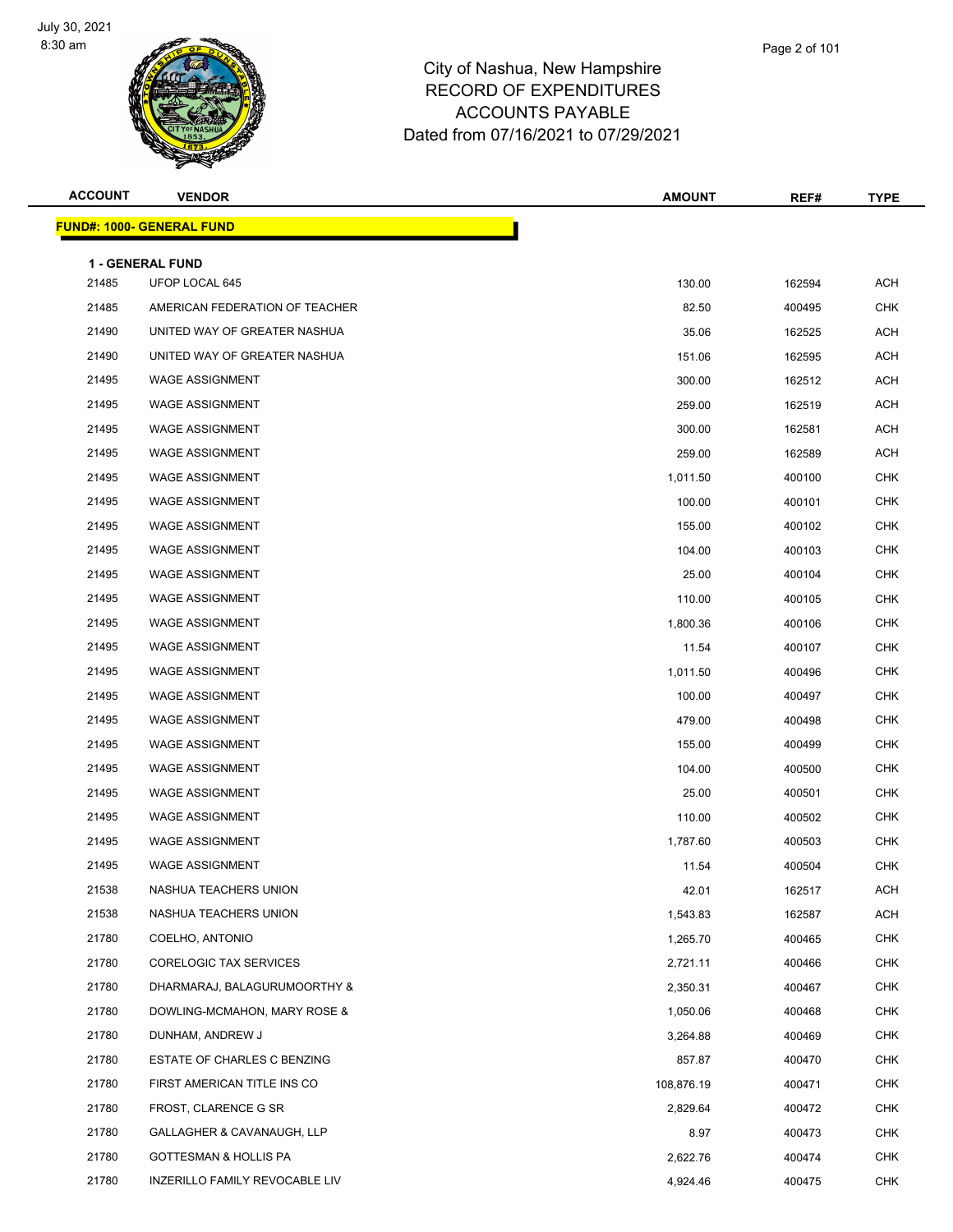

| Page 2 of 101 |  |
|---------------|--|
|               |  |

| <b>ACCOUNT</b> | <b>VENDOR</b>                             | <b>AMOUNT</b> | REF#   | <b>TYPE</b> |
|----------------|-------------------------------------------|---------------|--------|-------------|
|                | <b>FUND#: 1000- GENERAL FUND</b>          |               |        |             |
|                |                                           |               |        |             |
| 21485          | <b>1 - GENERAL FUND</b><br>UFOP LOCAL 645 | 130.00        | 162594 | <b>ACH</b>  |
| 21485          | AMERICAN FEDERATION OF TEACHER            | 82.50         | 400495 | <b>CHK</b>  |
| 21490          | UNITED WAY OF GREATER NASHUA              | 35.06         | 162525 | ACH         |
| 21490          | UNITED WAY OF GREATER NASHUA              | 151.06        | 162595 | <b>ACH</b>  |
| 21495          | <b>WAGE ASSIGNMENT</b>                    | 300.00        | 162512 | <b>ACH</b>  |
| 21495          | <b>WAGE ASSIGNMENT</b>                    | 259.00        | 162519 | <b>ACH</b>  |
| 21495          | <b>WAGE ASSIGNMENT</b>                    | 300.00        | 162581 | <b>ACH</b>  |
| 21495          | <b>WAGE ASSIGNMENT</b>                    | 259.00        | 162589 | <b>ACH</b>  |
| 21495          | <b>WAGE ASSIGNMENT</b>                    | 1,011.50      | 400100 | <b>CHK</b>  |
| 21495          | <b>WAGE ASSIGNMENT</b>                    | 100.00        | 400101 | <b>CHK</b>  |
| 21495          | <b>WAGE ASSIGNMENT</b>                    | 155.00        | 400102 | <b>CHK</b>  |
| 21495          | <b>WAGE ASSIGNMENT</b>                    | 104.00        | 400103 | <b>CHK</b>  |
| 21495          | <b>WAGE ASSIGNMENT</b>                    | 25.00         | 400104 | <b>CHK</b>  |
| 21495          | <b>WAGE ASSIGNMENT</b>                    | 110.00        | 400105 | <b>CHK</b>  |
| 21495          | <b>WAGE ASSIGNMENT</b>                    | 1,800.36      | 400106 | <b>CHK</b>  |
| 21495          | <b>WAGE ASSIGNMENT</b>                    | 11.54         | 400107 | <b>CHK</b>  |
| 21495          | <b>WAGE ASSIGNMENT</b>                    | 1,011.50      | 400496 | <b>CHK</b>  |
| 21495          | <b>WAGE ASSIGNMENT</b>                    | 100.00        | 400497 | <b>CHK</b>  |
| 21495          | <b>WAGE ASSIGNMENT</b>                    | 479.00        | 400498 | <b>CHK</b>  |
| 21495          | <b>WAGE ASSIGNMENT</b>                    | 155.00        | 400499 | <b>CHK</b>  |
| 21495          | <b>WAGE ASSIGNMENT</b>                    | 104.00        | 400500 | <b>CHK</b>  |
| 21495          | <b>WAGE ASSIGNMENT</b>                    | 25.00         | 400501 | <b>CHK</b>  |
| 21495          | <b>WAGE ASSIGNMENT</b>                    | 110.00        | 400502 | <b>CHK</b>  |
| 21495          | <b>WAGE ASSIGNMENT</b>                    | 1,787.60      | 400503 | <b>CHK</b>  |
| 21495          | <b>WAGE ASSIGNMENT</b>                    | 11.54         | 400504 | <b>CHK</b>  |
| 21538          | NASHUA TEACHERS UNION                     | 42.01         | 162517 | <b>ACH</b>  |
| 21538          | NASHUA TEACHERS UNION                     | 1,543.83      | 162587 | ACH         |
| 21780          | COELHO, ANTONIO                           | 1,265.70      | 400465 | <b>CHK</b>  |
| 21780          | CORELOGIC TAX SERVICES                    | 2,721.11      | 400466 | <b>CHK</b>  |
| 21780          | DHARMARAJ, BALAGURUMOORTHY &              | 2,350.31      | 400467 | <b>CHK</b>  |
| 21780          | DOWLING-MCMAHON, MARY ROSE &              | 1,050.06      | 400468 | <b>CHK</b>  |
| 21780          | DUNHAM, ANDREW J                          | 3,264.88      | 400469 | <b>CHK</b>  |
| 21780          | ESTATE OF CHARLES C BENZING               | 857.87        | 400470 | <b>CHK</b>  |
| 21780          | FIRST AMERICAN TITLE INS CO               | 108,876.19    | 400471 | <b>CHK</b>  |
| 21780          | FROST, CLARENCE G SR                      | 2,829.64      | 400472 | <b>CHK</b>  |
| 21780          | GALLAGHER & CAVANAUGH, LLP                | 8.97          | 400473 | <b>CHK</b>  |
| 21780          | <b>GOTTESMAN &amp; HOLLIS PA</b>          | 2,622.76      | 400474 | <b>CHK</b>  |
| 21780          | INZERILLO FAMILY REVOCABLE LIV            | 4,924.46      | 400475 | <b>CHK</b>  |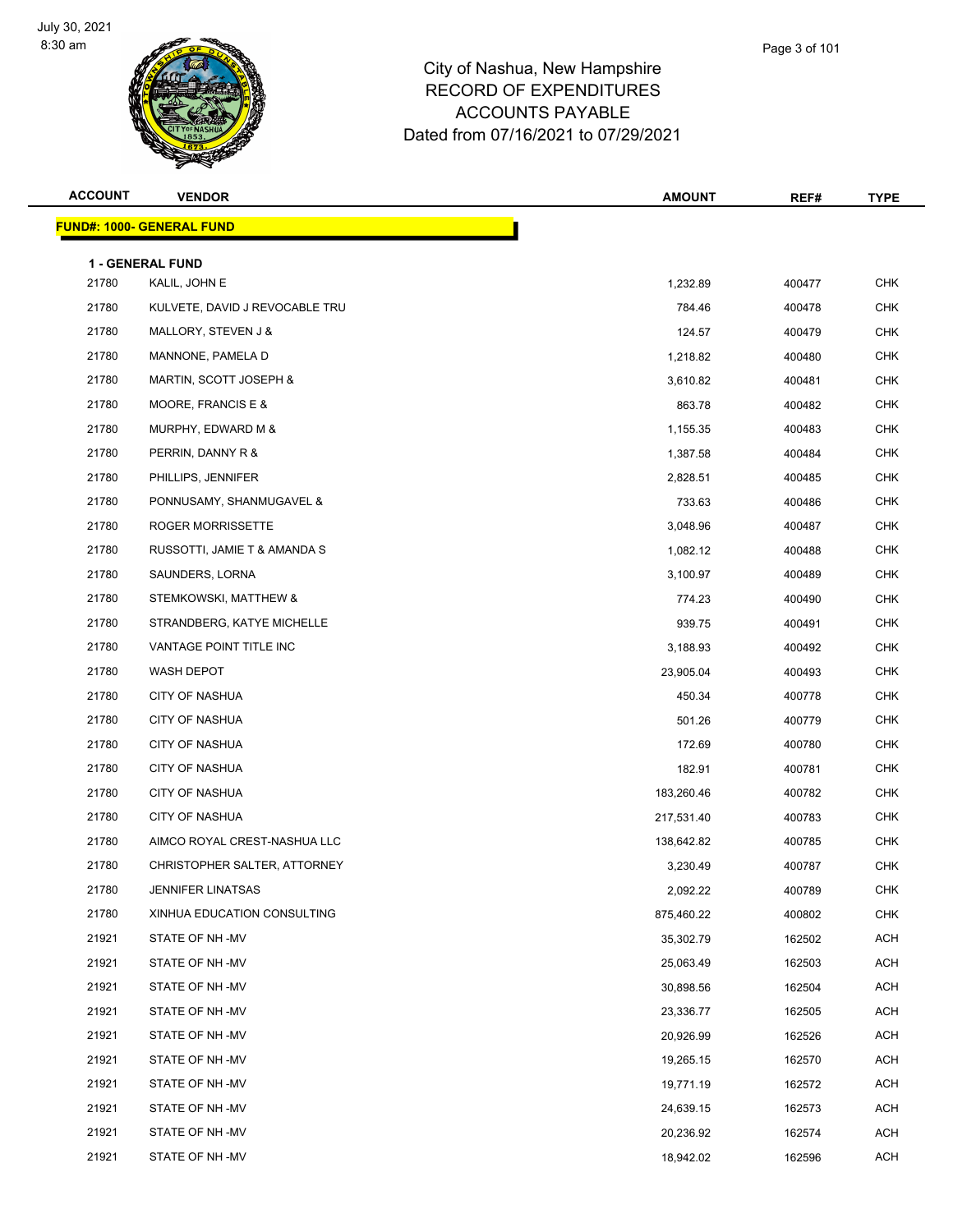

**FUND#: 1000- GENERAL FUND**

#### City of Nashua, New Hampshire RECORD OF EXPENDITURES ACCOUNTS PAYABLE Dated from 07/16/2021 to 07/29/2021

|                |                                  | <b>ACCOUNTS PAYABLE</b><br>Dated from 07/16/2021 to 07/29/2021 |        |             |
|----------------|----------------------------------|----------------------------------------------------------------|--------|-------------|
| <b>ACCOUNT</b> | <b>VENDOR</b>                    | <b>AMOUNT</b>                                                  | REF#   | <b>TYPE</b> |
|                | <u> IND#: 1000- GENERAL FUND</u> |                                                                |        |             |
|                | <b>1 - GENERAL FUND</b>          |                                                                |        |             |
| 21780          | KALIL, JOHN E                    | 1,232.89                                                       | 400477 | <b>CHK</b>  |
| 21780          | KULVETE, DAVID J REVOCABLE TRU   | 784.46                                                         | 400478 | <b>CHK</b>  |
| 21780          | MALLORY, STEVEN J &              | 124.57                                                         | 400479 | <b>CHK</b>  |
| 21780          | MANNONE, PAMELA D                | 1,218.82                                                       | 400480 | <b>CHK</b>  |
| 21780          | MARTIN, SCOTT JOSEPH &           | 3,610.82                                                       | 400481 | <b>CHK</b>  |
| 21780          | MOORE, FRANCIS E &               | 863.78                                                         | 400482 | <b>CHK</b>  |
|                |                                  |                                                                |        |             |

| 21780 | MANNONE, PAMELA D            | 1,218.82   | 400480 | <b>CHK</b> |
|-------|------------------------------|------------|--------|------------|
| 21780 | MARTIN, SCOTT JOSEPH &       | 3,610.82   | 400481 | <b>CHK</b> |
| 21780 | MOORE, FRANCIS E &           | 863.78     | 400482 | CHK        |
| 21780 | MURPHY, EDWARD M &           | 1,155.35   | 400483 | <b>CHK</b> |
| 21780 | PERRIN, DANNY R &            | 1,387.58   | 400484 | CHK        |
| 21780 | PHILLIPS, JENNIFER           | 2,828.51   | 400485 | <b>CHK</b> |
| 21780 | PONNUSAMY, SHANMUGAVEL &     | 733.63     | 400486 | <b>CHK</b> |
| 21780 | ROGER MORRISSETTE            | 3,048.96   | 400487 | <b>CHK</b> |
| 21780 | RUSSOTTI, JAMIE T & AMANDA S | 1,082.12   | 400488 | <b>CHK</b> |
| 21780 | SAUNDERS, LORNA              | 3,100.97   | 400489 | CHK        |
| 21780 | STEMKOWSKI, MATTHEW &        | 774.23     | 400490 | <b>CHK</b> |
| 21780 | STRANDBERG, KATYE MICHELLE   | 939.75     | 400491 | CHK        |
| 21780 | VANTAGE POINT TITLE INC      | 3,188.93   | 400492 | <b>CHK</b> |
| 21780 | WASH DEPOT                   | 23,905.04  | 400493 | <b>CHK</b> |
| 21780 | <b>CITY OF NASHUA</b>        | 450.34     | 400778 | <b>CHK</b> |
| 21780 | <b>CITY OF NASHUA</b>        | 501.26     | 400779 | <b>CHK</b> |
| 21780 | <b>CITY OF NASHUA</b>        | 172.69     | 400780 | CHK        |
| 21780 | <b>CITY OF NASHUA</b>        | 182.91     | 400781 | <b>CHK</b> |
| 21780 | CITY OF NASHUA               | 183,260.46 | 400782 | <b>CHK</b> |
| 21780 | <b>CITY OF NASHUA</b>        | 217,531.40 | 400783 | <b>CHK</b> |
| 21780 | AIMCO ROYAL CREST-NASHUA LLC | 138,642.82 | 400785 | <b>CHK</b> |
| 21780 | CHRISTOPHER SALTER, ATTORNEY | 3,230.49   | 400787 | <b>CHK</b> |
| 21780 | <b>JENNIFER LINATSAS</b>     | 2,092.22   | 400789 | <b>CHK</b> |
| 21780 | XINHUA EDUCATION CONSULTING  | 875,460.22 | 400802 | <b>CHK</b> |
| 21921 | STATE OF NH-MV               | 35,302.79  | 162502 | <b>ACH</b> |
| 21921 | STATE OF NH-MV               | 25,063.49  | 162503 | <b>ACH</b> |
| 21921 | STATE OF NH-MV               | 30,898.56  | 162504 | <b>ACH</b> |
| 21921 | STATE OF NH-MV               | 23,336.77  | 162505 | <b>ACH</b> |
| 21921 | STATE OF NH-MV               | 20,926.99  | 162526 | <b>ACH</b> |
| 21921 | STATE OF NH-MV               | 19,265.15  | 162570 | <b>ACH</b> |
| 21921 | STATE OF NH-MV               | 19,771.19  | 162572 | <b>ACH</b> |
| 21921 | STATE OF NH -MV              | 24,639.15  | 162573 | <b>ACH</b> |
| 21921 | STATE OF NH-MV               | 20,236.92  | 162574 | <b>ACH</b> |

STATE OF NH -MV 18,942.02 162596 ACH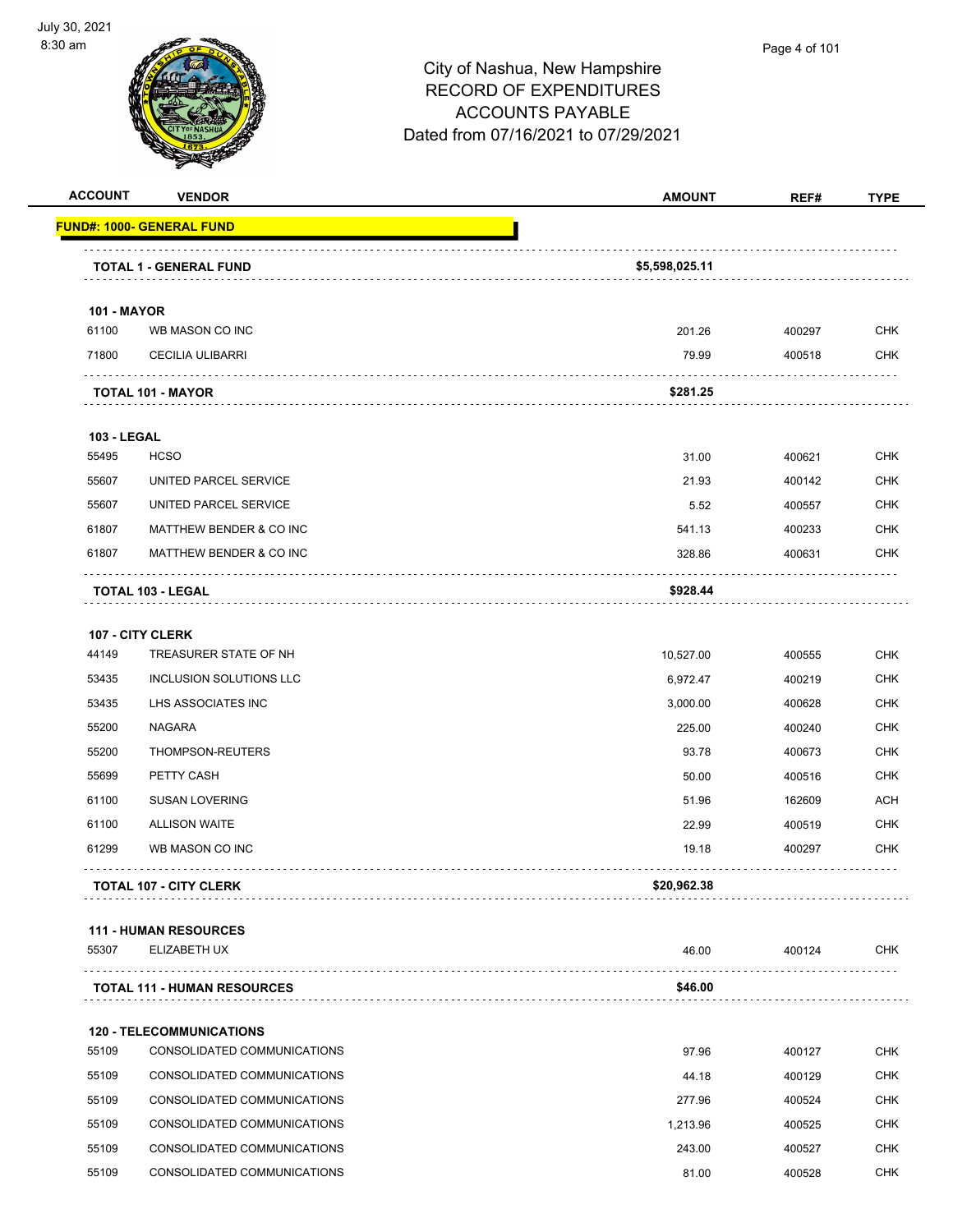

| <u> FUND#: 1000- GENERAL FUND</u><br>TOTAL 1 - GENERAL FUND<br><b>101 - MAYOR</b><br>WB MASON CO INC<br><b>CECILIA ULIBARRI</b><br><b>TOTAL 101 - MAYOR</b><br><b>103 - LEGAL</b><br><b>HCSO</b> | \$5,598,025.11<br>201.26<br>79.99<br>\$281.25                                                                                                                                                                          | 400297<br>400518                                        | <b>CHK</b><br><b>CHK</b>                                 |
|--------------------------------------------------------------------------------------------------------------------------------------------------------------------------------------------------|------------------------------------------------------------------------------------------------------------------------------------------------------------------------------------------------------------------------|---------------------------------------------------------|----------------------------------------------------------|
|                                                                                                                                                                                                  |                                                                                                                                                                                                                        |                                                         |                                                          |
|                                                                                                                                                                                                  |                                                                                                                                                                                                                        |                                                         |                                                          |
|                                                                                                                                                                                                  |                                                                                                                                                                                                                        |                                                         |                                                          |
|                                                                                                                                                                                                  |                                                                                                                                                                                                                        |                                                         |                                                          |
|                                                                                                                                                                                                  |                                                                                                                                                                                                                        |                                                         |                                                          |
|                                                                                                                                                                                                  |                                                                                                                                                                                                                        |                                                         |                                                          |
|                                                                                                                                                                                                  |                                                                                                                                                                                                                        |                                                         |                                                          |
|                                                                                                                                                                                                  |                                                                                                                                                                                                                        |                                                         |                                                          |
|                                                                                                                                                                                                  | 31.00                                                                                                                                                                                                                  | 400621                                                  | <b>CHK</b>                                               |
| UNITED PARCEL SERVICE                                                                                                                                                                            | 21.93                                                                                                                                                                                                                  | 400142                                                  | <b>CHK</b>                                               |
| UNITED PARCEL SERVICE                                                                                                                                                                            | 5.52                                                                                                                                                                                                                   | 400557                                                  | <b>CHK</b>                                               |
| MATTHEW BENDER & CO INC                                                                                                                                                                          | 541.13                                                                                                                                                                                                                 | 400233                                                  | <b>CHK</b>                                               |
| MATTHEW BENDER & CO INC                                                                                                                                                                          | 328.86                                                                                                                                                                                                                 | 400631                                                  | <b>CHK</b>                                               |
| TOTAL 103 - LEGAL                                                                                                                                                                                | \$928.44                                                                                                                                                                                                               |                                                         |                                                          |
| 107 - CITY CLERK                                                                                                                                                                                 |                                                                                                                                                                                                                        |                                                         |                                                          |
| TREASURER STATE OF NH                                                                                                                                                                            | 10,527.00                                                                                                                                                                                                              | 400555                                                  | <b>CHK</b>                                               |
| INCLUSION SOLUTIONS LLC                                                                                                                                                                          | 6,972.47                                                                                                                                                                                                               | 400219                                                  | <b>CHK</b>                                               |
| LHS ASSOCIATES INC                                                                                                                                                                               | 3,000.00                                                                                                                                                                                                               | 400628                                                  | <b>CHK</b>                                               |
| <b>NAGARA</b>                                                                                                                                                                                    | 225.00                                                                                                                                                                                                                 | 400240                                                  | <b>CHK</b>                                               |
| THOMPSON-REUTERS                                                                                                                                                                                 | 93.78                                                                                                                                                                                                                  | 400673                                                  | <b>CHK</b>                                               |
| PETTY CASH                                                                                                                                                                                       | 50.00                                                                                                                                                                                                                  | 400516                                                  | <b>CHK</b>                                               |
| <b>SUSAN LOVERING</b>                                                                                                                                                                            | 51.96                                                                                                                                                                                                                  | 162609                                                  | <b>ACH</b>                                               |
| <b>ALLISON WAITE</b>                                                                                                                                                                             | 22.99                                                                                                                                                                                                                  | 400519                                                  | <b>CHK</b>                                               |
| WB MASON CO INC                                                                                                                                                                                  | 19.18                                                                                                                                                                                                                  | 400297                                                  | CHK                                                      |
| <b>TOTAL 107 - CITY CLERK</b>                                                                                                                                                                    | \$20,962.38                                                                                                                                                                                                            |                                                         |                                                          |
|                                                                                                                                                                                                  |                                                                                                                                                                                                                        |                                                         |                                                          |
| ELIZABETH UX                                                                                                                                                                                     | 46.00                                                                                                                                                                                                                  | 400124                                                  | <b>CHK</b>                                               |
| <b>TOTAL 111 - HUMAN RESOURCES</b>                                                                                                                                                               | \$46.00                                                                                                                                                                                                                |                                                         |                                                          |
|                                                                                                                                                                                                  |                                                                                                                                                                                                                        |                                                         |                                                          |
| <b>120 - TELECOMMUNICATIONS</b>                                                                                                                                                                  |                                                                                                                                                                                                                        |                                                         | <b>CHK</b>                                               |
|                                                                                                                                                                                                  |                                                                                                                                                                                                                        |                                                         | <b>CHK</b>                                               |
|                                                                                                                                                                                                  |                                                                                                                                                                                                                        |                                                         | <b>CHK</b>                                               |
|                                                                                                                                                                                                  |                                                                                                                                                                                                                        |                                                         | <b>CHK</b>                                               |
|                                                                                                                                                                                                  |                                                                                                                                                                                                                        |                                                         | <b>CHK</b>                                               |
|                                                                                                                                                                                                  |                                                                                                                                                                                                                        |                                                         | <b>CHK</b>                                               |
|                                                                                                                                                                                                  | <b>111 - HUMAN RESOURCES</b><br>CONSOLIDATED COMMUNICATIONS<br>CONSOLIDATED COMMUNICATIONS<br>CONSOLIDATED COMMUNICATIONS<br>CONSOLIDATED COMMUNICATIONS<br>CONSOLIDATED COMMUNICATIONS<br>CONSOLIDATED COMMUNICATIONS | 97.96<br>44.18<br>277.96<br>1,213.96<br>243.00<br>81.00 | 400127<br>400129<br>400524<br>400525<br>400527<br>400528 |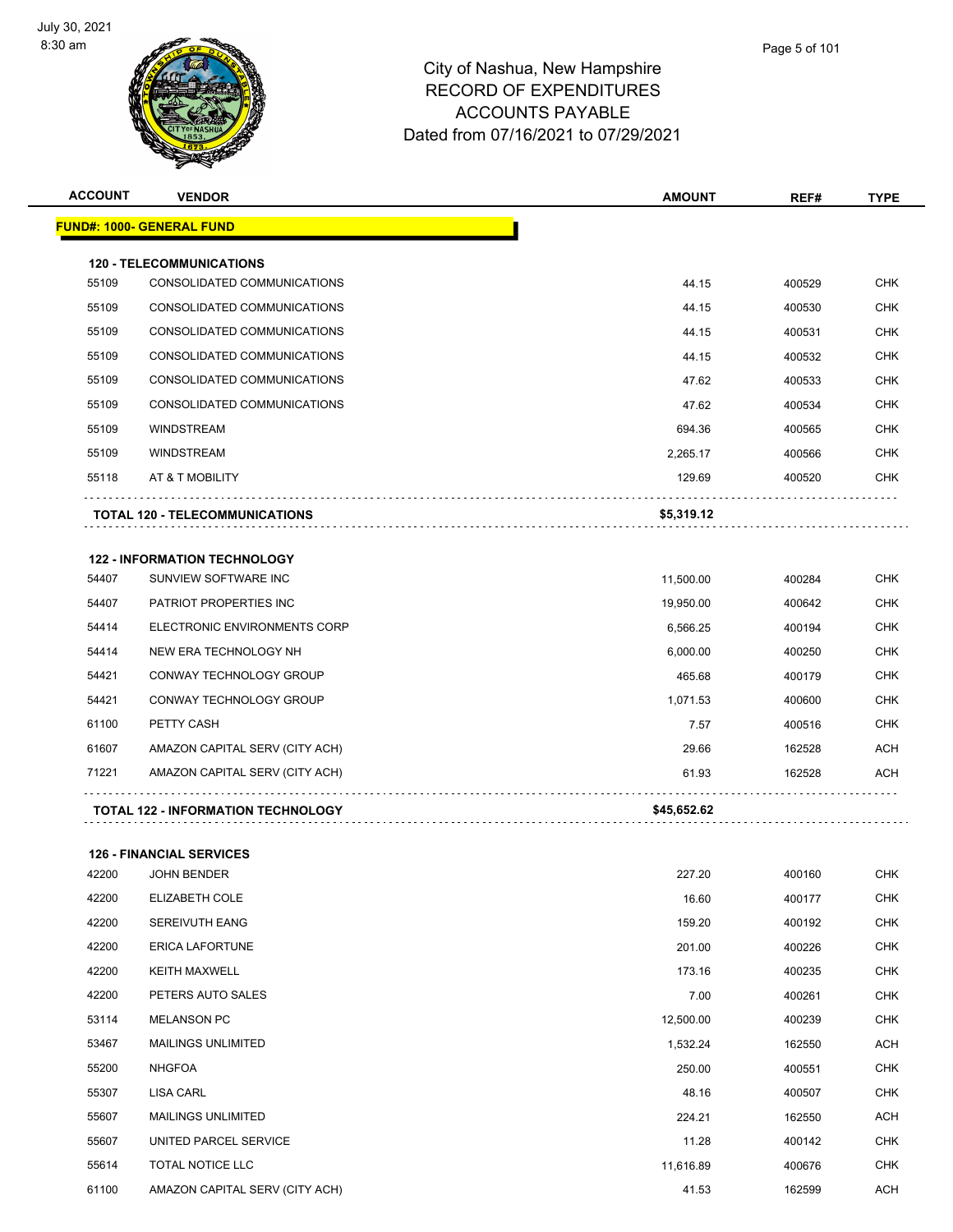

| <b>ACCOUNT</b> | <b>VENDOR</b>                             | <b>AMOUNT</b>                                                                                                                                                                                                                                                                                                                                                                                                                                                                                                                                                                                                                                                                                                                                                                                     | REF#   | TYPE       |
|----------------|-------------------------------------------|---------------------------------------------------------------------------------------------------------------------------------------------------------------------------------------------------------------------------------------------------------------------------------------------------------------------------------------------------------------------------------------------------------------------------------------------------------------------------------------------------------------------------------------------------------------------------------------------------------------------------------------------------------------------------------------------------------------------------------------------------------------------------------------------------|--------|------------|
|                | <u> FUND#: 1000- GENERAL FUND</u>         |                                                                                                                                                                                                                                                                                                                                                                                                                                                                                                                                                                                                                                                                                                                                                                                                   |        |            |
|                | <b>120 - TELECOMMUNICATIONS</b>           | <b>CHK</b><br>44.15<br>400529<br>44.15<br><b>CHK</b><br>400530<br><b>CHK</b><br>44.15<br>400531<br>44.15<br>400532<br><b>CHK</b><br><b>CHK</b><br>47.62<br>400533<br><b>CHK</b><br>47.62<br>400534<br><b>CHK</b><br>694.36<br>400565<br><b>CHK</b><br>2,265.17<br>400566<br>129.69<br>400520<br><b>CHK</b><br>\$5,319.12<br><b>CHK</b><br>400284<br>11,500.00<br><b>CHK</b><br>400642<br>19,950.00<br><b>CHK</b><br>6,566.25<br>400194<br><b>CHK</b><br>6,000.00<br>400250<br>465.68<br>400179<br><b>CHK</b><br><b>CHK</b><br>1,071.53<br>400600<br>7.57<br><b>CHK</b><br>400516<br><b>ACH</b><br>29.66<br>162528<br><b>ACH</b><br>61.93<br>162528<br>\$45,652.62<br>227.20<br>400160<br><b>CHK</b><br><b>CHK</b><br>16.60<br>400177<br>CHK<br>159.20<br>400192<br><b>CHK</b><br>201.00<br>400226 |        |            |
| 55109          | CONSOLIDATED COMMUNICATIONS               |                                                                                                                                                                                                                                                                                                                                                                                                                                                                                                                                                                                                                                                                                                                                                                                                   |        |            |
| 55109          | CONSOLIDATED COMMUNICATIONS               |                                                                                                                                                                                                                                                                                                                                                                                                                                                                                                                                                                                                                                                                                                                                                                                                   |        |            |
| 55109          | CONSOLIDATED COMMUNICATIONS               |                                                                                                                                                                                                                                                                                                                                                                                                                                                                                                                                                                                                                                                                                                                                                                                                   |        |            |
| 55109          | CONSOLIDATED COMMUNICATIONS               |                                                                                                                                                                                                                                                                                                                                                                                                                                                                                                                                                                                                                                                                                                                                                                                                   |        |            |
| 55109          | CONSOLIDATED COMMUNICATIONS               |                                                                                                                                                                                                                                                                                                                                                                                                                                                                                                                                                                                                                                                                                                                                                                                                   |        |            |
| 55109          | CONSOLIDATED COMMUNICATIONS               |                                                                                                                                                                                                                                                                                                                                                                                                                                                                                                                                                                                                                                                                                                                                                                                                   |        |            |
| 55109          | <b>WINDSTREAM</b>                         |                                                                                                                                                                                                                                                                                                                                                                                                                                                                                                                                                                                                                                                                                                                                                                                                   |        |            |
| 55109          | <b>WINDSTREAM</b>                         |                                                                                                                                                                                                                                                                                                                                                                                                                                                                                                                                                                                                                                                                                                                                                                                                   |        |            |
| 55118          | AT & T MOBILITY                           |                                                                                                                                                                                                                                                                                                                                                                                                                                                                                                                                                                                                                                                                                                                                                                                                   |        |            |
|                | <b>TOTAL 120 - TELECOMMUNICATIONS</b>     |                                                                                                                                                                                                                                                                                                                                                                                                                                                                                                                                                                                                                                                                                                                                                                                                   |        |            |
|                | <b>122 - INFORMATION TECHNOLOGY</b>       |                                                                                                                                                                                                                                                                                                                                                                                                                                                                                                                                                                                                                                                                                                                                                                                                   |        |            |
| 54407          | SUNVIEW SOFTWARE INC                      |                                                                                                                                                                                                                                                                                                                                                                                                                                                                                                                                                                                                                                                                                                                                                                                                   |        |            |
| 54407          | PATRIOT PROPERTIES INC                    |                                                                                                                                                                                                                                                                                                                                                                                                                                                                                                                                                                                                                                                                                                                                                                                                   |        |            |
| 54414          | ELECTRONIC ENVIRONMENTS CORP              |                                                                                                                                                                                                                                                                                                                                                                                                                                                                                                                                                                                                                                                                                                                                                                                                   |        |            |
| 54414          | NEW ERA TECHNOLOGY NH                     |                                                                                                                                                                                                                                                                                                                                                                                                                                                                                                                                                                                                                                                                                                                                                                                                   |        |            |
| 54421          | CONWAY TECHNOLOGY GROUP                   |                                                                                                                                                                                                                                                                                                                                                                                                                                                                                                                                                                                                                                                                                                                                                                                                   |        |            |
| 54421          | CONWAY TECHNOLOGY GROUP                   |                                                                                                                                                                                                                                                                                                                                                                                                                                                                                                                                                                                                                                                                                                                                                                                                   |        |            |
| 61100          | PETTY CASH                                |                                                                                                                                                                                                                                                                                                                                                                                                                                                                                                                                                                                                                                                                                                                                                                                                   |        |            |
| 61607          | AMAZON CAPITAL SERV (CITY ACH)            |                                                                                                                                                                                                                                                                                                                                                                                                                                                                                                                                                                                                                                                                                                                                                                                                   |        |            |
| 71221          | AMAZON CAPITAL SERV (CITY ACH)            |                                                                                                                                                                                                                                                                                                                                                                                                                                                                                                                                                                                                                                                                                                                                                                                                   |        |            |
|                | <b>TOTAL 122 - INFORMATION TECHNOLOGY</b> |                                                                                                                                                                                                                                                                                                                                                                                                                                                                                                                                                                                                                                                                                                                                                                                                   |        |            |
|                | <b>126 - FINANCIAL SERVICES</b>           |                                                                                                                                                                                                                                                                                                                                                                                                                                                                                                                                                                                                                                                                                                                                                                                                   |        |            |
| 42200          | <b>JOHN BENDER</b>                        |                                                                                                                                                                                                                                                                                                                                                                                                                                                                                                                                                                                                                                                                                                                                                                                                   |        |            |
| 42200          | ELIZABETH COLE                            |                                                                                                                                                                                                                                                                                                                                                                                                                                                                                                                                                                                                                                                                                                                                                                                                   |        |            |
| 42200          | SEREIVUTH EANG                            |                                                                                                                                                                                                                                                                                                                                                                                                                                                                                                                                                                                                                                                                                                                                                                                                   |        |            |
| 42200          | <b>ERICA LAFORTUNE</b>                    |                                                                                                                                                                                                                                                                                                                                                                                                                                                                                                                                                                                                                                                                                                                                                                                                   |        |            |
| 42200          | <b>KEITH MAXWELL</b>                      | 173.16                                                                                                                                                                                                                                                                                                                                                                                                                                                                                                                                                                                                                                                                                                                                                                                            | 400235 | <b>CHK</b> |
| 42200          | PETERS AUTO SALES                         | 7.00                                                                                                                                                                                                                                                                                                                                                                                                                                                                                                                                                                                                                                                                                                                                                                                              | 400261 | <b>CHK</b> |
| 53114          | <b>MELANSON PC</b>                        | 12,500.00                                                                                                                                                                                                                                                                                                                                                                                                                                                                                                                                                                                                                                                                                                                                                                                         | 400239 | <b>CHK</b> |
| 53467          | <b>MAILINGS UNLIMITED</b>                 | 1,532.24                                                                                                                                                                                                                                                                                                                                                                                                                                                                                                                                                                                                                                                                                                                                                                                          | 162550 | <b>ACH</b> |
| 55200          | <b>NHGFOA</b>                             | 250.00                                                                                                                                                                                                                                                                                                                                                                                                                                                                                                                                                                                                                                                                                                                                                                                            | 400551 | <b>CHK</b> |
| 55307          | LISA CARL                                 | 48.16                                                                                                                                                                                                                                                                                                                                                                                                                                                                                                                                                                                                                                                                                                                                                                                             | 400507 | <b>CHK</b> |
| 55607          | MAILINGS UNLIMITED                        | 224.21                                                                                                                                                                                                                                                                                                                                                                                                                                                                                                                                                                                                                                                                                                                                                                                            | 162550 | <b>ACH</b> |
| 55607          | UNITED PARCEL SERVICE                     | 11.28                                                                                                                                                                                                                                                                                                                                                                                                                                                                                                                                                                                                                                                                                                                                                                                             | 400142 | <b>CHK</b> |
| 55614          | TOTAL NOTICE LLC                          | 11,616.89                                                                                                                                                                                                                                                                                                                                                                                                                                                                                                                                                                                                                                                                                                                                                                                         | 400676 | <b>CHK</b> |
| 61100          | AMAZON CAPITAL SERV (CITY ACH)            | 41.53                                                                                                                                                                                                                                                                                                                                                                                                                                                                                                                                                                                                                                                                                                                                                                                             | 162599 | ACH        |

Page 5 of 101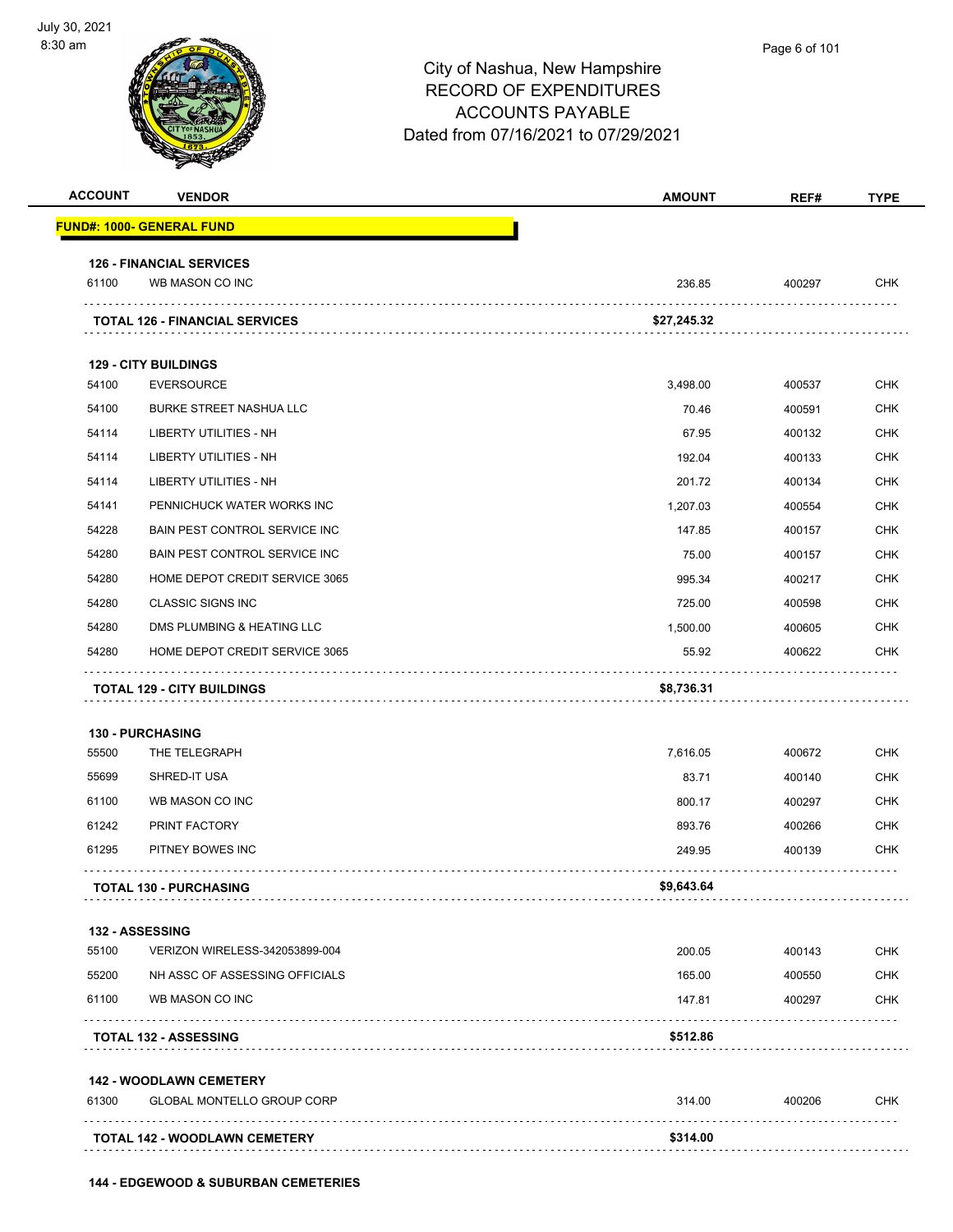

|                | <b>VENDOR</b>                                            | <b>AMOUNT</b>   | REF#             | <b>TYPE</b>                                                                                                  |
|----------------|----------------------------------------------------------|-----------------|------------------|--------------------------------------------------------------------------------------------------------------|
|                | <b>FUND#: 1000- GENERAL FUND</b>                         |                 |                  |                                                                                                              |
|                | <b>126 - FINANCIAL SERVICES</b>                          |                 |                  |                                                                                                              |
| 61100          | WB MASON CO INC                                          | 236.85          | 400297           | CHK                                                                                                          |
|                | <b>TOTAL 126 - FINANCIAL SERVICES</b>                    | \$27,245.32     |                  |                                                                                                              |
|                |                                                          |                 |                  |                                                                                                              |
| 54100          | <b>129 - CITY BUILDINGS</b><br><b>EVERSOURCE</b>         |                 |                  | <b>CHK</b>                                                                                                   |
| 54100          |                                                          | 3,498.00        | 400537           | CHK                                                                                                          |
| 54114          | <b>BURKE STREET NASHUA LLC</b><br>LIBERTY UTILITIES - NH | 70.46<br>67.95  | 400591<br>400132 | <b>CHK</b>                                                                                                   |
| 54114          | <b>LIBERTY UTILITIES - NH</b>                            | 192.04          | 400133           | <b>CHK</b>                                                                                                   |
| 54114          | LIBERTY UTILITIES - NH                                   | 201.72          | 400134           | CHK                                                                                                          |
| 54141          | PENNICHUCK WATER WORKS INC                               | 1,207.03        | 400554           | <b>CHK</b>                                                                                                   |
| 54228          | <b>BAIN PEST CONTROL SERVICE INC.</b>                    |                 |                  | <b>CHK</b>                                                                                                   |
| 54280          | BAIN PEST CONTROL SERVICE INC                            | 147.85<br>75.00 | 400157<br>400157 | <b>CHK</b>                                                                                                   |
| 54280          | HOME DEPOT CREDIT SERVICE 3065                           | 995.34          |                  | <b>CHK</b>                                                                                                   |
| 54280          | <b>CLASSIC SIGNS INC</b>                                 | 725.00          | 400217<br>400598 | <b>CHK</b>                                                                                                   |
| 54280          | DMS PLUMBING & HEATING LLC                               | 1,500.00        | 400605           | <b>CHK</b>                                                                                                   |
| 54280          | HOME DEPOT CREDIT SERVICE 3065                           | 55.92           | 400622           | CHK                                                                                                          |
|                |                                                          |                 |                  |                                                                                                              |
|                | <b>TOTAL 129 - CITY BUILDINGS</b>                        | \$8,736.31      |                  |                                                                                                              |
|                | <b>130 - PURCHASING</b>                                  |                 |                  |                                                                                                              |
| 55500          | THE TELEGRAPH                                            | 7,616.05        | 400672           |                                                                                                              |
|                | SHRED-IT USA                                             | 83.71           | 400140           |                                                                                                              |
| 55699<br>61100 | WB MASON CO INC                                          | 800.17          | 400297           |                                                                                                              |
|                | PRINT FACTORY                                            | 893.76          | 400266           |                                                                                                              |
| 61242<br>61295 | PITNEY BOWES INC                                         | 249.95          | 400139           |                                                                                                              |
|                | <b>TOTAL 130 - PURCHASING</b>                            | \$9,643.64      |                  |                                                                                                              |
|                | 132 - ASSESSING                                          |                 |                  |                                                                                                              |
| 55100          | VERIZON WIRELESS-342053899-004                           | 200.05          | 400143           |                                                                                                              |
|                | NH ASSC OF ASSESSING OFFICIALS                           | 165.00          | 400550           |                                                                                                              |
|                | WB MASON CO INC                                          | 147.81          | 400297           |                                                                                                              |
| 55200<br>61100 | .<br><b>TOTAL 132 - ASSESSING</b>                        | \$512.86        |                  |                                                                                                              |
|                | <b>142 - WOODLAWN CEMETERY</b>                           |                 |                  |                                                                                                              |
| 61300          | <b>GLOBAL MONTELLO GROUP CORP</b>                        | 314.00          | 400206           | <b>CHK</b><br><b>CHK</b><br>CHK<br><b>CHK</b><br><b>CHK</b><br><b>CHK</b><br><b>CHK</b><br>CHK<br><b>CHK</b> |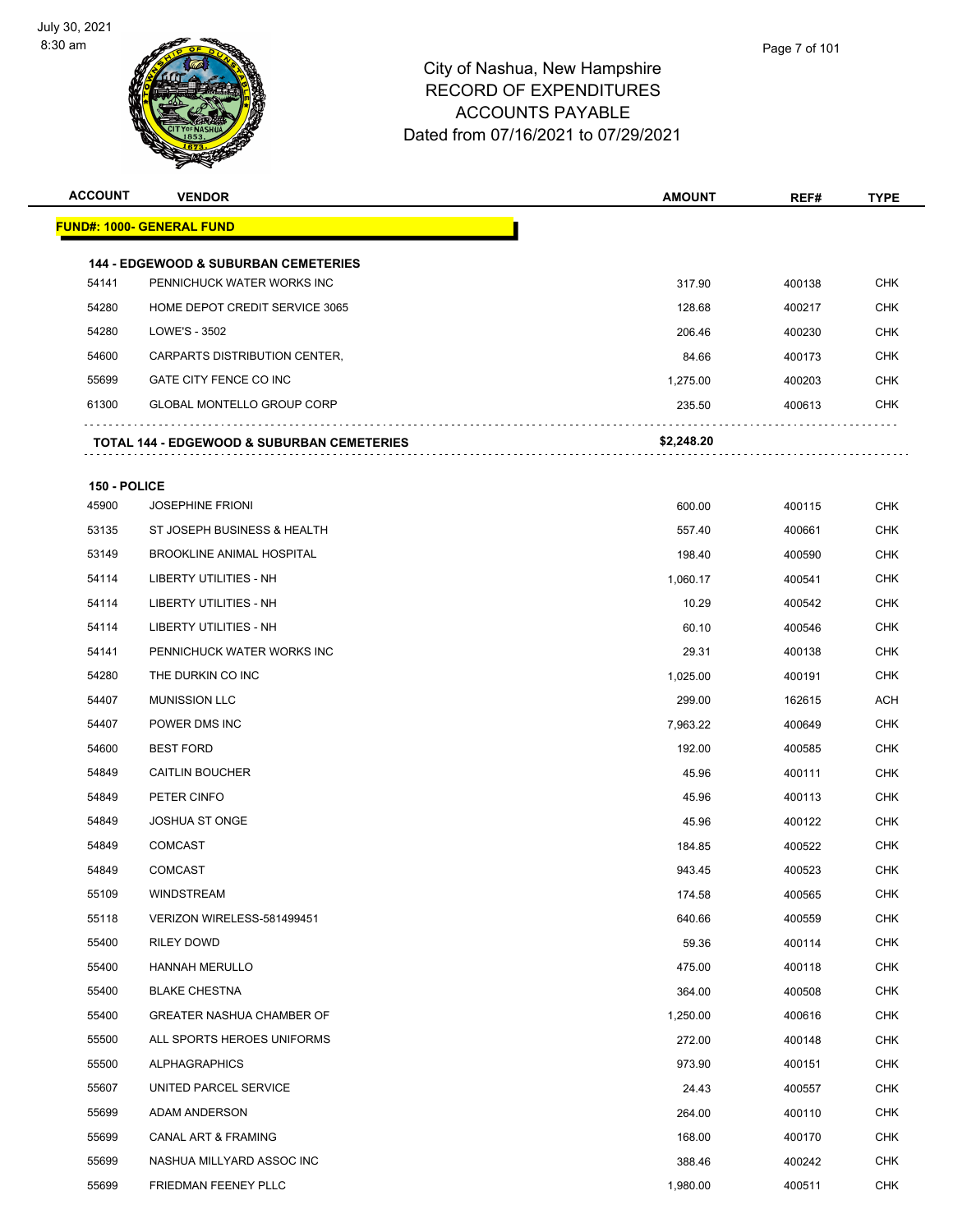

**ACCOUNT VENDOR AMOUNT REF# TYPE**

|              | <u> FUND#: 1000- GENERAL FUND</u>                     |            |        |
|--------------|-------------------------------------------------------|------------|--------|
|              | <b>144 - EDGEWOOD &amp; SUBURBAN CEMETERIES</b>       |            |        |
| 54141        | PENNICHUCK WATER WORKS INC                            | 317.90     | 400138 |
| 54280        | HOME DEPOT CREDIT SERVICE 3065                        | 128.68     | 400217 |
| 54280        | LOWE'S - 3502                                         | 206.46     | 400230 |
| 54600        | CARPARTS DISTRIBUTION CENTER,                         | 84.66      | 400173 |
| 55699        | GATE CITY FENCE CO INC                                | 1,275.00   | 400203 |
| 61300        | <b>GLOBAL MONTELLO GROUP CORP</b>                     | 235.50     | 400613 |
|              | <b>TOTAL 144 - EDGEWOOD &amp; SUBURBAN CEMETERIES</b> | \$2,248.20 |        |
| 150 - POLICE |                                                       |            |        |
| 45900        | <b>JOSEPHINE FRIONI</b>                               | 600.00     | 400115 |
| 53135        | ST JOSEPH BUSINESS & HEALTH                           | 557.40     | 400661 |
| 53149        | BROOKLINE ANIMAL HOSPITAL                             | 198.40     | 400590 |
| 54114        | LIBERTY UTILITIES - NH                                | 1,060.17   | 400541 |
| 54114        | LIBERTY UTILITIES - NH                                | 10.29      | 400542 |
| 54114        | LIBERTY UTILITIES - NH                                | 60.10      | 400546 |
| 54141        | PENNICHUCK WATER WORKS INC                            | 29.31      | 400138 |
| 54280        | THE DURKIN CO INC                                     | 1,025.00   | 400191 |
| 54407        | <b>MUNISSION LLC</b>                                  | 299.00     | 162615 |
| 54407        | POWER DMS INC                                         | 7,963.22   | 400649 |
| 54600        | <b>BEST FORD</b>                                      | 192.00     | 400585 |
| 54849        | <b>CAITLIN BOUCHER</b>                                | 45.96      | 400111 |
| 54849        | PETER CINFO                                           | 45.96      | 400113 |
| 54849        | <b>JOSHUA ST ONGE</b>                                 | 45.96      | 400122 |
| 54849        | <b>COMCAST</b>                                        | 184.85     | 400522 |
| 54849        | <b>COMCAST</b>                                        | 943.45     | 400523 |
| 55109        | <b>WINDSTREAM</b>                                     | 174.58     | 400565 |
| 55118        | VERIZON WIRELESS-581499451                            | 640.66     | 400559 |
| 55400        | RILEY DOWD                                            | 59.36      | 400114 |
| 55400        | <b>HANNAH MERULLO</b>                                 | 475.00     | 400118 |
| 55400        | <b>BLAKE CHESTNA</b>                                  | 364.00     | 400508 |
| 55400        | GREATER NASHUA CHAMBER OF                             | 1,250.00   | 400616 |
| 55500        | ALL SPORTS HEROES UNIFORMS                            | 272.00     | 400148 |
| 55500        | <b>ALPHAGRAPHICS</b>                                  | 973.90     | 400151 |
| 55607        | UNITED PARCEL SERVICE                                 | 24.43      | 400557 |
| 55699        | ADAM ANDERSON                                         | 264.00     | 400110 |
| 55699        | CANAL ART & FRAMING                                   | 168.00     | 400170 |
| 55699        | NASHUA MILLYARD ASSOC INC                             | 388.46     | 400242 |
| 55699        | FRIEDMAN FEENEY PLLC                                  | 1,980.00   | 400511 |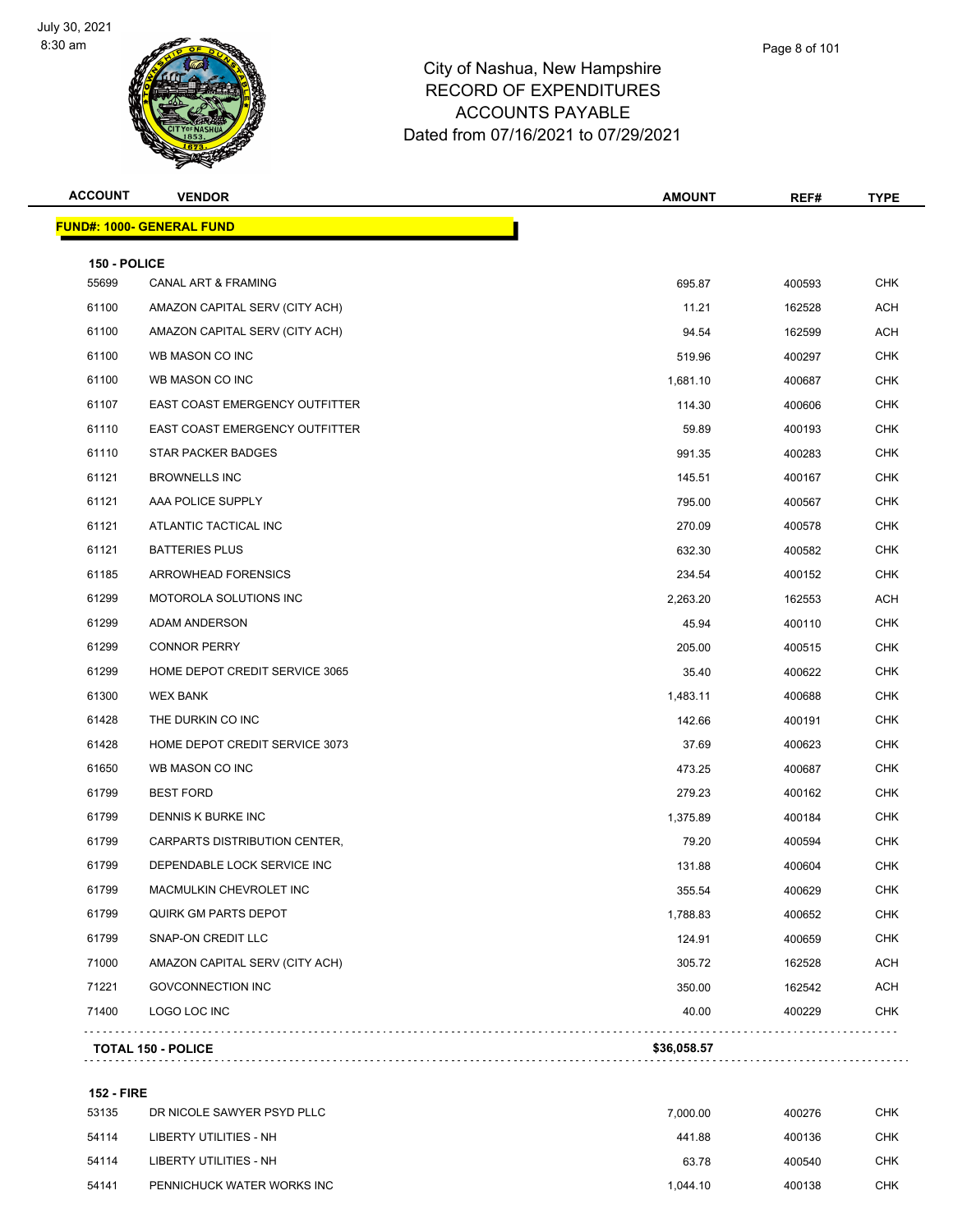

| <b>ACCOUNT</b> | <b>VENDOR</b>                         | <b>AMOUNT</b> | REF#   | <b>TYPE</b> |
|----------------|---------------------------------------|---------------|--------|-------------|
|                | <b>FUND#: 1000- GENERAL FUND</b>      |               |        |             |
| 150 - POLICE   |                                       |               |        |             |
| 55699          | <b>CANAL ART &amp; FRAMING</b>        | 695.87        | 400593 | <b>CHK</b>  |
| 61100          | AMAZON CAPITAL SERV (CITY ACH)        | 11.21         | 162528 | ACH         |
| 61100          | AMAZON CAPITAL SERV (CITY ACH)        | 94.54         | 162599 | <b>ACH</b>  |
| 61100          | WB MASON CO INC                       | 519.96        | 400297 | <b>CHK</b>  |
| 61100          | WB MASON CO INC                       | 1,681.10      | 400687 | <b>CHK</b>  |
| 61107          | <b>EAST COAST EMERGENCY OUTFITTER</b> | 114.30        | 400606 | <b>CHK</b>  |
| 61110          | EAST COAST EMERGENCY OUTFITTER        | 59.89         | 400193 | <b>CHK</b>  |
| 61110          | <b>STAR PACKER BADGES</b>             | 991.35        | 400283 | <b>CHK</b>  |
| 61121          | <b>BROWNELLS INC</b>                  | 145.51        | 400167 | <b>CHK</b>  |
| 61121          | AAA POLICE SUPPLY                     | 795.00        | 400567 | <b>CHK</b>  |
| 61121          | ATLANTIC TACTICAL INC                 | 270.09        | 400578 | <b>CHK</b>  |
| 61121          | <b>BATTERIES PLUS</b>                 | 632.30        | 400582 | <b>CHK</b>  |
| 61185          | ARROWHEAD FORENSICS                   | 234.54        | 400152 | <b>CHK</b>  |
| 61299          | MOTOROLA SOLUTIONS INC                | 2,263.20      | 162553 | ACH         |
| 61299          | ADAM ANDERSON                         | 45.94         | 400110 | <b>CHK</b>  |
| 61299          | <b>CONNOR PERRY</b>                   | 205.00        | 400515 | <b>CHK</b>  |
| 61299          | HOME DEPOT CREDIT SERVICE 3065        | 35.40         | 400622 | <b>CHK</b>  |
| 61300          | <b>WEX BANK</b>                       | 1,483.11      | 400688 | <b>CHK</b>  |
| 61428          | THE DURKIN CO INC                     | 142.66        | 400191 | <b>CHK</b>  |
| 61428          | HOME DEPOT CREDIT SERVICE 3073        | 37.69         | 400623 | <b>CHK</b>  |
| 61650          | WB MASON CO INC                       | 473.25        | 400687 | <b>CHK</b>  |
| 61799          | <b>BEST FORD</b>                      | 279.23        | 400162 | <b>CHK</b>  |
| 61799          | DENNIS K BURKE INC                    | 1,375.89      | 400184 | <b>CHK</b>  |
| 61799          | CARPARTS DISTRIBUTION CENTER,         | 79.20         | 400594 | <b>CHK</b>  |
| 61799          | DEPENDABLE LOCK SERVICE INC           | 131.88        | 400604 | CHK         |
| 61799          | MACMULKIN CHEVROLET INC               | 355.54        | 400629 | <b>CHK</b>  |
| 61799          | QUIRK GM PARTS DEPOT                  | 1,788.83      | 400652 | <b>CHK</b>  |
| 61799          | SNAP-ON CREDIT LLC                    | 124.91        | 400659 | <b>CHK</b>  |
| 71000          | AMAZON CAPITAL SERV (CITY ACH)        | 305.72        | 162528 | ACH         |
| 71221          | <b>GOVCONNECTION INC</b>              | 350.00        | 162542 | <b>ACH</b>  |
| 71400          | LOGO LOC INC                          | 40.00         | 400229 | <b>CHK</b>  |
|                | <b>TOTAL 150 - POLICE</b>             | \$36,058.57   |        |             |
|                |                                       |               |        |             |

#### **152 - FIRE**

| 53135 | DR NICOLE SAWYER PSYD PLLC | 7.000.00 | 400276 | <b>CHK</b> |
|-------|----------------------------|----------|--------|------------|
| 54114 | LIBERTY UTILITIES - NH     | 441.88   | 400136 | CHK        |
| 54114 | LIBERTY UTILITIES - NH     | 63.78    | 400540 | <b>CHK</b> |
| 54141 | PENNICHUCK WATER WORKS INC | 1.044.10 | 400138 | <b>CHK</b> |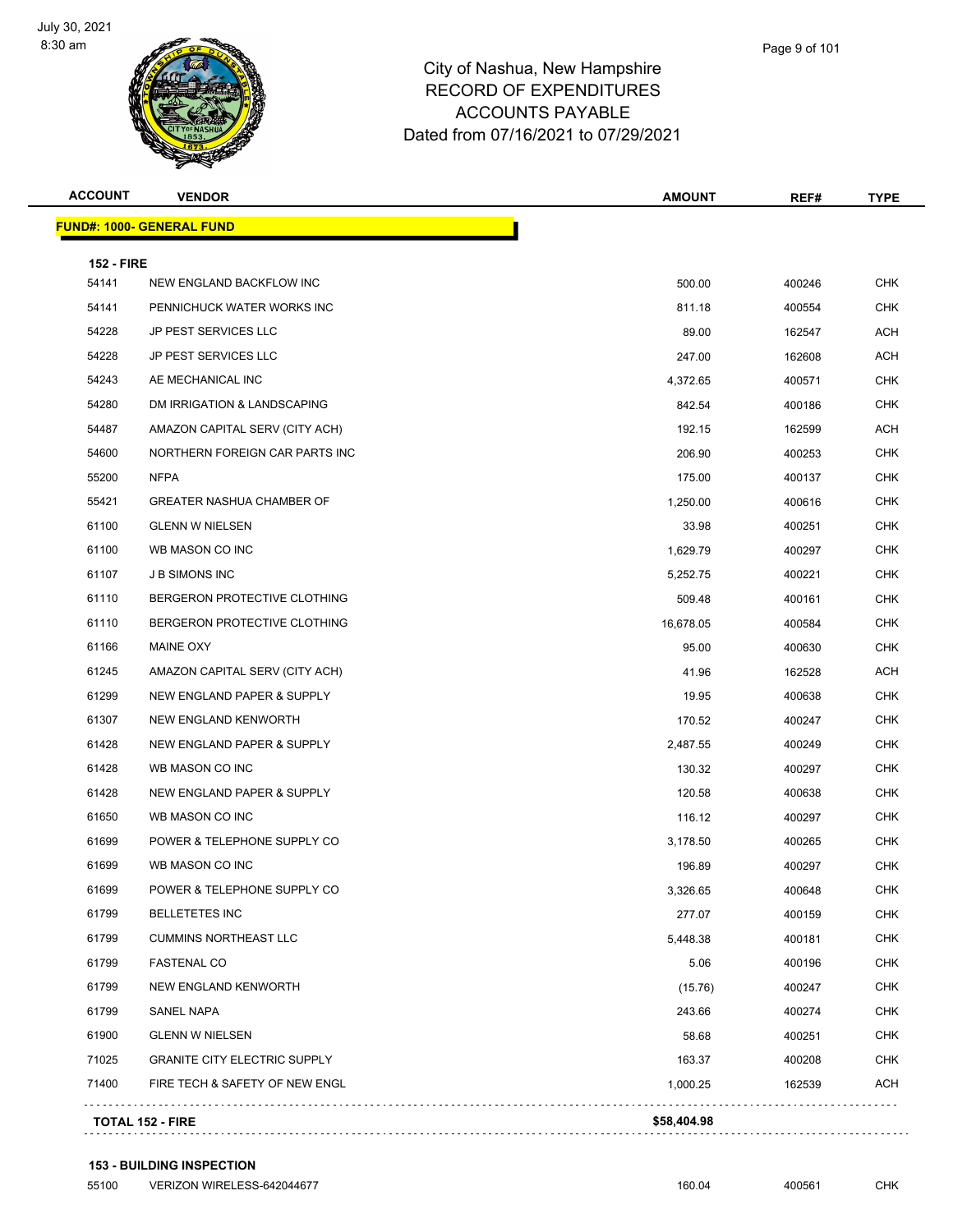

| Page 9 of 101 |
|---------------|
|               |

| <b>FUND#: 1000- GENERAL FUND</b><br><b>152 - FIRE</b><br>54141<br>NEW ENGLAND BACKFLOW INC<br>54141<br>PENNICHUCK WATER WORKS INC<br>54228<br>JP PEST SERVICES LLC<br>54228<br><b>JP PEST SERVICES LLC</b><br>54243<br>AE MECHANICAL INC<br>54280<br>DM IRRIGATION & LANDSCAPING<br>54487<br>AMAZON CAPITAL SERV (CITY ACH)<br>54600<br>NORTHERN FOREIGN CAR PARTS INC<br><b>NFPA</b><br>55200<br>55421<br><b>GREATER NASHUA CHAMBER OF</b><br>61100<br><b>GLENN W NIELSEN</b><br>61100<br>WB MASON CO INC<br>61107<br><b>JB SIMONS INC</b><br>61110<br>BERGERON PROTECTIVE CLOTHING<br>61110<br>BERGERON PROTECTIVE CLOTHING<br>61166<br>MAINE OXY | 500.00<br>811.18<br>89.00 | 400246<br>400554 |            |
|-----------------------------------------------------------------------------------------------------------------------------------------------------------------------------------------------------------------------------------------------------------------------------------------------------------------------------------------------------------------------------------------------------------------------------------------------------------------------------------------------------------------------------------------------------------------------------------------------------------------------------------------------------|---------------------------|------------------|------------|
|                                                                                                                                                                                                                                                                                                                                                                                                                                                                                                                                                                                                                                                     |                           |                  |            |
|                                                                                                                                                                                                                                                                                                                                                                                                                                                                                                                                                                                                                                                     |                           |                  |            |
|                                                                                                                                                                                                                                                                                                                                                                                                                                                                                                                                                                                                                                                     |                           |                  | <b>CHK</b> |
|                                                                                                                                                                                                                                                                                                                                                                                                                                                                                                                                                                                                                                                     |                           |                  | <b>CHK</b> |
|                                                                                                                                                                                                                                                                                                                                                                                                                                                                                                                                                                                                                                                     |                           | 162547           | ACH        |
|                                                                                                                                                                                                                                                                                                                                                                                                                                                                                                                                                                                                                                                     | 247.00                    | 162608           | <b>ACH</b> |
|                                                                                                                                                                                                                                                                                                                                                                                                                                                                                                                                                                                                                                                     | 4,372.65                  | 400571           | <b>CHK</b> |
|                                                                                                                                                                                                                                                                                                                                                                                                                                                                                                                                                                                                                                                     | 842.54                    | 400186           | <b>CHK</b> |
|                                                                                                                                                                                                                                                                                                                                                                                                                                                                                                                                                                                                                                                     | 192.15                    | 162599           | <b>ACH</b> |
|                                                                                                                                                                                                                                                                                                                                                                                                                                                                                                                                                                                                                                                     | 206.90                    | 400253           | <b>CHK</b> |
|                                                                                                                                                                                                                                                                                                                                                                                                                                                                                                                                                                                                                                                     | 175.00                    | 400137           | <b>CHK</b> |
|                                                                                                                                                                                                                                                                                                                                                                                                                                                                                                                                                                                                                                                     | 1,250.00                  | 400616           | CHK        |
|                                                                                                                                                                                                                                                                                                                                                                                                                                                                                                                                                                                                                                                     | 33.98                     | 400251           | <b>CHK</b> |
|                                                                                                                                                                                                                                                                                                                                                                                                                                                                                                                                                                                                                                                     | 1,629.79                  | 400297           | <b>CHK</b> |
|                                                                                                                                                                                                                                                                                                                                                                                                                                                                                                                                                                                                                                                     | 5,252.75                  | 400221           | <b>CHK</b> |
|                                                                                                                                                                                                                                                                                                                                                                                                                                                                                                                                                                                                                                                     | 509.48                    | 400161           | <b>CHK</b> |
|                                                                                                                                                                                                                                                                                                                                                                                                                                                                                                                                                                                                                                                     | 16,678.05                 | 400584           | CHK        |
|                                                                                                                                                                                                                                                                                                                                                                                                                                                                                                                                                                                                                                                     | 95.00                     | 400630           | <b>CHK</b> |
| 61245<br>AMAZON CAPITAL SERV (CITY ACH)                                                                                                                                                                                                                                                                                                                                                                                                                                                                                                                                                                                                             | 41.96                     | 162528           | <b>ACH</b> |
| 61299<br>NEW ENGLAND PAPER & SUPPLY                                                                                                                                                                                                                                                                                                                                                                                                                                                                                                                                                                                                                 | 19.95                     | 400638           | <b>CHK</b> |
| 61307<br>NEW ENGLAND KENWORTH                                                                                                                                                                                                                                                                                                                                                                                                                                                                                                                                                                                                                       | 170.52                    | 400247           | <b>CHK</b> |
| 61428<br>NEW ENGLAND PAPER & SUPPLY                                                                                                                                                                                                                                                                                                                                                                                                                                                                                                                                                                                                                 | 2,487.55                  | 400249           | CHK        |
| 61428<br>WB MASON CO INC                                                                                                                                                                                                                                                                                                                                                                                                                                                                                                                                                                                                                            | 130.32                    | 400297           | <b>CHK</b> |
| 61428<br>NEW ENGLAND PAPER & SUPPLY                                                                                                                                                                                                                                                                                                                                                                                                                                                                                                                                                                                                                 | 120.58                    | 400638           | <b>CHK</b> |
| 61650<br>WB MASON CO INC                                                                                                                                                                                                                                                                                                                                                                                                                                                                                                                                                                                                                            | 116.12                    | 400297           | CHK        |
| 61699<br>POWER & TELEPHONE SUPPLY CO                                                                                                                                                                                                                                                                                                                                                                                                                                                                                                                                                                                                                | 3,178.50                  | 400265           | <b>CHK</b> |
| 61699<br>WB MASON CO INC                                                                                                                                                                                                                                                                                                                                                                                                                                                                                                                                                                                                                            | 196.89                    | 400297           | CHK        |
| 61699<br>POWER & TELEPHONE SUPPLY CO                                                                                                                                                                                                                                                                                                                                                                                                                                                                                                                                                                                                                | 3,326.65                  | 400648           | CHK        |
| 61799<br><b>BELLETETES INC</b>                                                                                                                                                                                                                                                                                                                                                                                                                                                                                                                                                                                                                      | 277.07                    | 400159           | <b>CHK</b> |
| 61799<br><b>CUMMINS NORTHEAST LLC</b>                                                                                                                                                                                                                                                                                                                                                                                                                                                                                                                                                                                                               | 5,448.38                  | 400181           | <b>CHK</b> |
| 61799<br><b>FASTENAL CO</b>                                                                                                                                                                                                                                                                                                                                                                                                                                                                                                                                                                                                                         | 5.06                      | 400196           | <b>CHK</b> |
| 61799<br>NEW ENGLAND KENWORTH                                                                                                                                                                                                                                                                                                                                                                                                                                                                                                                                                                                                                       | (15.76)                   | 400247           | <b>CHK</b> |
| 61799<br>SANEL NAPA                                                                                                                                                                                                                                                                                                                                                                                                                                                                                                                                                                                                                                 | 243.66                    | 400274           | <b>CHK</b> |
| 61900<br><b>GLENN W NIELSEN</b>                                                                                                                                                                                                                                                                                                                                                                                                                                                                                                                                                                                                                     | 58.68                     | 400251           | <b>CHK</b> |
| 71025<br><b>GRANITE CITY ELECTRIC SUPPLY</b>                                                                                                                                                                                                                                                                                                                                                                                                                                                                                                                                                                                                        | 163.37                    | 400208           | <b>CHK</b> |
| 71400<br>FIRE TECH & SAFETY OF NEW ENGL                                                                                                                                                                                                                                                                                                                                                                                                                                                                                                                                                                                                             | 1,000.25                  |                  | <b>ACH</b> |
| <b>TOTAL 152 - FIRE</b>                                                                                                                                                                                                                                                                                                                                                                                                                                                                                                                                                                                                                             |                           | 162539           |            |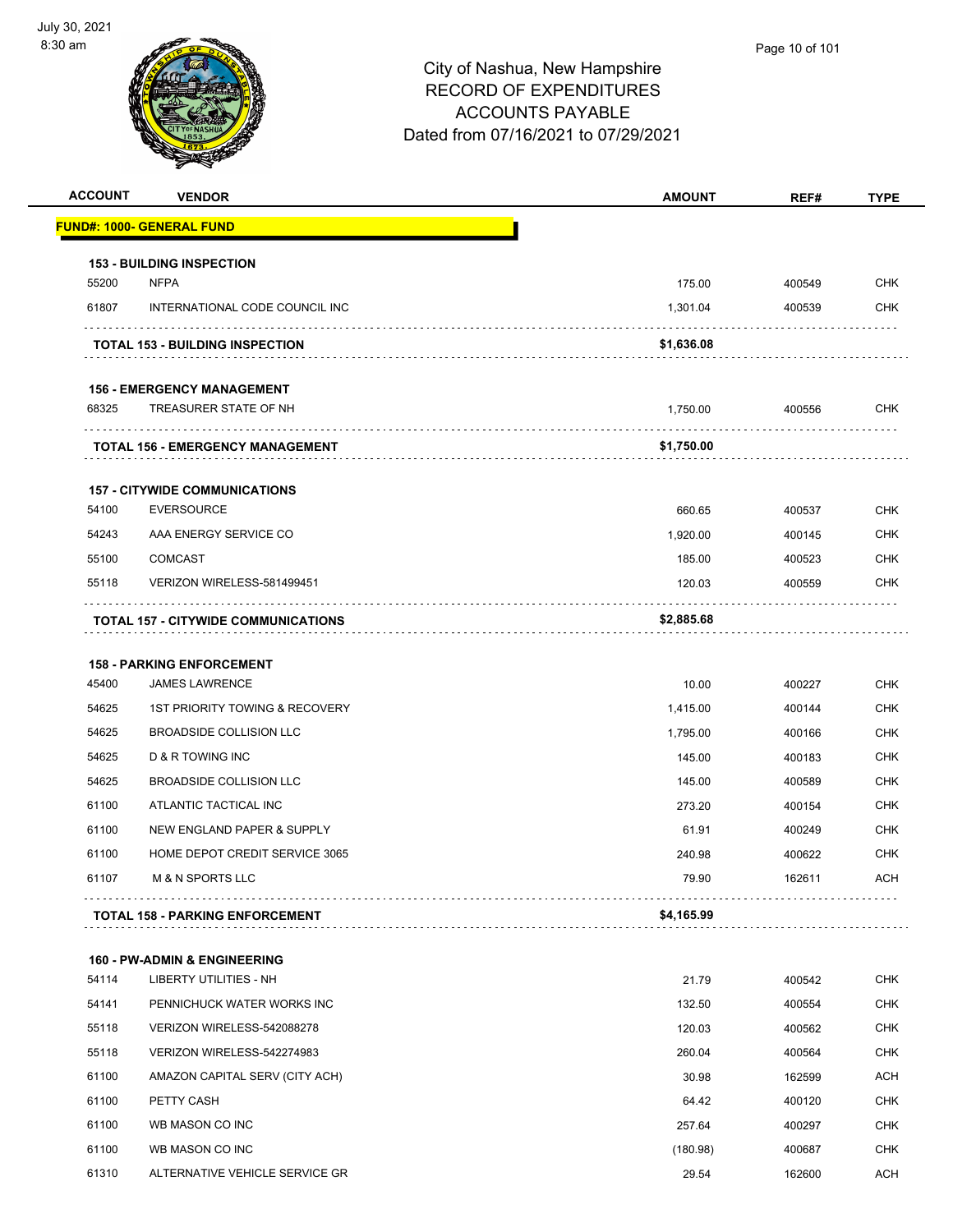

| <b>ACCOUNT</b> | <b>VENDOR</b>                              | <b>AMOUNT</b> | REF#   | <b>TYPE</b> |
|----------------|--------------------------------------------|---------------|--------|-------------|
|                | <u> FUND#: 1000- GENERAL FUND</u>          |               |        |             |
|                | <b>153 - BUILDING INSPECTION</b>           |               |        |             |
| 55200          | <b>NFPA</b>                                | 175.00        | 400549 | <b>CHK</b>  |
| 61807          | INTERNATIONAL CODE COUNCIL INC             | 1,301.04      | 400539 | CHK         |
|                | <b>TOTAL 153 - BUILDING INSPECTION</b>     | \$1,636.08    |        |             |
|                | <b>156 - EMERGENCY MANAGEMENT</b>          |               |        |             |
| 68325          | TREASURER STATE OF NH                      | 1,750.00      | 400556 | <b>CHK</b>  |
|                | TOTAL 156 - EMERGENCY MANAGEMENT           | \$1,750.00    |        |             |
|                | <b>157 - CITYWIDE COMMUNICATIONS</b>       |               |        |             |
| 54100          | <b>EVERSOURCE</b>                          | 660.65        | 400537 | <b>CHK</b>  |
| 54243          | AAA ENERGY SERVICE CO                      | 1,920.00      | 400145 | <b>CHK</b>  |
| 55100          | <b>COMCAST</b>                             | 185.00        | 400523 | <b>CHK</b>  |
| 55118          | VERIZON WIRELESS-581499451                 | 120.03        | 400559 | CHK         |
|                | <b>TOTAL 157 - CITYWIDE COMMUNICATIONS</b> | \$2,885.68    |        |             |
|                | <b>158 - PARKING ENFORCEMENT</b>           |               |        |             |
| 45400          | <b>JAMES LAWRENCE</b>                      | 10.00         | 400227 | <b>CHK</b>  |
| 54625          | 1ST PRIORITY TOWING & RECOVERY             | 1,415.00      | 400144 | CHK         |
| 54625          | <b>BROADSIDE COLLISION LLC</b>             | 1,795.00      | 400166 | <b>CHK</b>  |
| 54625          | D & R TOWING INC                           | 145.00        | 400183 | <b>CHK</b>  |
| 54625          | BROADSIDE COLLISION LLC                    | 145.00        | 400589 | CHK         |
| 61100          | ATLANTIC TACTICAL INC                      | 273.20        | 400154 | <b>CHK</b>  |
| 61100          | NEW ENGLAND PAPER & SUPPLY                 | 61.91         | 400249 | <b>CHK</b>  |
| 61100          | HOME DEPOT CREDIT SERVICE 3065             | 240.98        | 400622 | <b>CHK</b>  |
| 61107          | <b>M &amp; N SPORTS LLC</b>                | 79.90         | 162611 | ACH         |
|                | <b>TOTAL 158 - PARKING ENFORCEMENT</b>     | \$4,165.99    |        |             |
|                | <b>160 - PW-ADMIN &amp; ENGINEERING</b>    |               |        |             |
| 54114          | <b>LIBERTY UTILITIES - NH</b>              | 21.79         | 400542 | CHK         |
| 54141          | PENNICHUCK WATER WORKS INC                 | 132.50        | 400554 | <b>CHK</b>  |
| 55118          | VERIZON WIRELESS-542088278                 | 120.03        | 400562 | <b>CHK</b>  |
| 55118          | VERIZON WIRELESS-542274983                 | 260.04        | 400564 | <b>CHK</b>  |
| 61100          | AMAZON CAPITAL SERV (CITY ACH)             | 30.98         | 162599 | <b>ACH</b>  |
| 61100          | PETTY CASH                                 | 64.42         | 400120 | CHK         |
| 61100          | WB MASON CO INC                            | 257.64        | 400297 | <b>CHK</b>  |
| 61100          | WB MASON CO INC                            | (180.98)      | 400687 | CHK         |
| 61310          | ALTERNATIVE VEHICLE SERVICE GR             | 29.54         | 162600 | <b>ACH</b>  |
|                |                                            |               |        |             |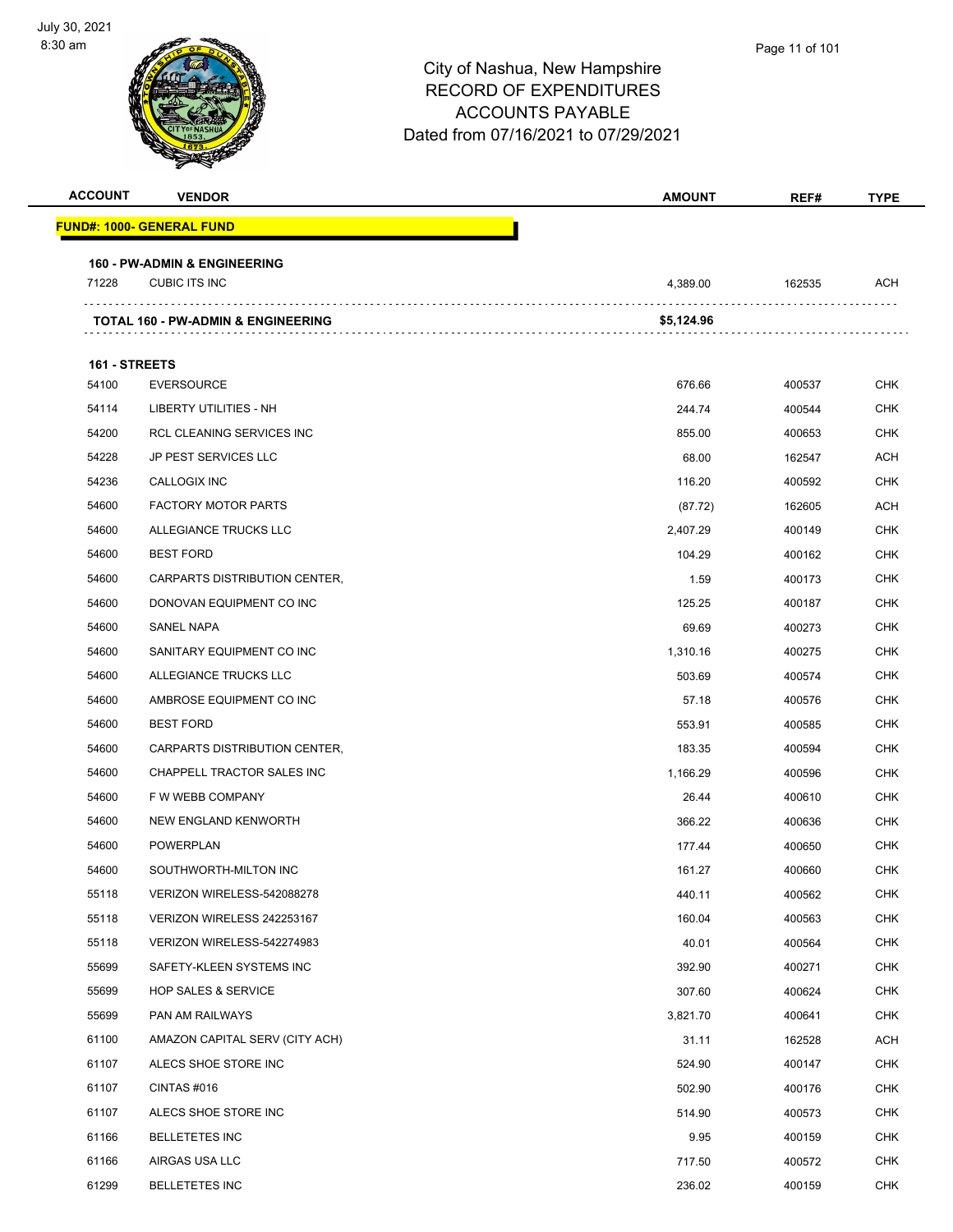| <b>ACCOUNT</b>         | <b>VENDOR</b>                                 | <b>AMOUNT</b> | REF#   | <b>TYPE</b> |
|------------------------|-----------------------------------------------|---------------|--------|-------------|
|                        | <u> FUND#: 1000- GENERAL FUND</u>             |               |        |             |
|                        | <b>160 - PW-ADMIN &amp; ENGINEERING</b>       |               |        |             |
| 71228                  | <b>CUBIC ITS INC</b>                          | 4,389.00      | 162535 | ACH         |
|                        | <b>TOTAL 160 - PW-ADMIN &amp; ENGINEERING</b> | \$5,124.96    |        |             |
|                        |                                               |               |        |             |
| 161 - STREETS<br>54100 | <b>EVERSOURCE</b>                             | 676.66        | 400537 | <b>CHK</b>  |
| 54114                  | LIBERTY UTILITIES - NH                        | 244.74        | 400544 | <b>CHK</b>  |
| 54200                  | RCL CLEANING SERVICES INC                     | 855.00        | 400653 | <b>CHK</b>  |
| 54228                  | JP PEST SERVICES LLC                          | 68.00         | 162547 | <b>ACH</b>  |
| 54236                  | <b>CALLOGIX INC</b>                           | 116.20        | 400592 | CHK         |
| 54600                  | <b>FACTORY MOTOR PARTS</b>                    | (87.72)       | 162605 | <b>ACH</b>  |
| 54600                  | ALLEGIANCE TRUCKS LLC                         | 2,407.29      | 400149 | <b>CHK</b>  |
| 54600                  | <b>BEST FORD</b>                              | 104.29        | 400162 | <b>CHK</b>  |
| 54600                  | CARPARTS DISTRIBUTION CENTER,                 | 1.59          | 400173 | <b>CHK</b>  |
| 54600                  | DONOVAN EQUIPMENT CO INC                      | 125.25        | 400187 | CHK         |
| 54600                  | <b>SANEL NAPA</b>                             | 69.69         | 400273 | <b>CHK</b>  |
| 54600                  | SANITARY EQUIPMENT CO INC                     | 1,310.16      | 400275 | <b>CHK</b>  |
| 54600                  | ALLEGIANCE TRUCKS LLC                         | 503.69        | 400574 | <b>CHK</b>  |
| 54600                  | AMBROSE EQUIPMENT CO INC                      | 57.18         | 400576 | <b>CHK</b>  |
| 54600                  | <b>BEST FORD</b>                              | 553.91        | 400585 | CHK         |
| 54600                  | CARPARTS DISTRIBUTION CENTER,                 | 183.35        | 400594 | <b>CHK</b>  |
| 54600                  | CHAPPELL TRACTOR SALES INC                    | 1,166.29      | 400596 | <b>CHK</b>  |
| 54600                  | F W WEBB COMPANY                              | 26.44         | 400610 | <b>CHK</b>  |
| 54600                  | NEW ENGLAND KENWORTH                          | 366.22        | 400636 | <b>CHK</b>  |
| 54600                  | POWERPLAN                                     | 177.44        | 400650 | CHK         |
| 54600                  | SOUTHWORTH-MILTON INC                         | 161.27        | 400660 | <b>CHK</b>  |
| 55118                  | VERIZON WIRELESS-542088278                    | 440.11        | 400562 | <b>CHK</b>  |
| 55118                  | VERIZON WIRELESS 242253167                    | 160.04        | 400563 | <b>CHK</b>  |
| 55118                  | VERIZON WIRELESS-542274983                    | 40.01         | 400564 | <b>CHK</b>  |
| 55699                  | SAFETY-KLEEN SYSTEMS INC                      | 392.90        | 400271 | <b>CHK</b>  |
| 55699                  | <b>HOP SALES &amp; SERVICE</b>                | 307.60        | 400624 | <b>CHK</b>  |
| 55699                  | PAN AM RAILWAYS                               | 3,821.70      | 400641 | <b>CHK</b>  |
| 61100                  | AMAZON CAPITAL SERV (CITY ACH)                | 31.11         | 162528 | ACH         |
| 61107                  | ALECS SHOE STORE INC                          | 524.90        | 400147 | <b>CHK</b>  |
| 61107                  | CINTAS #016                                   | 502.90        | 400176 | <b>CHK</b>  |
| 61107                  | ALECS SHOE STORE INC                          | 514.90        | 400573 | <b>CHK</b>  |
| 61166                  | <b>BELLETETES INC</b>                         | 9.95          | 400159 | <b>CHK</b>  |
| 61166                  | AIRGAS USA LLC                                | 717.50        | 400572 | <b>CHK</b>  |
| 61299                  | <b>BELLETETES INC</b>                         | 236.02        | 400159 | <b>CHK</b>  |
|                        |                                               |               |        |             |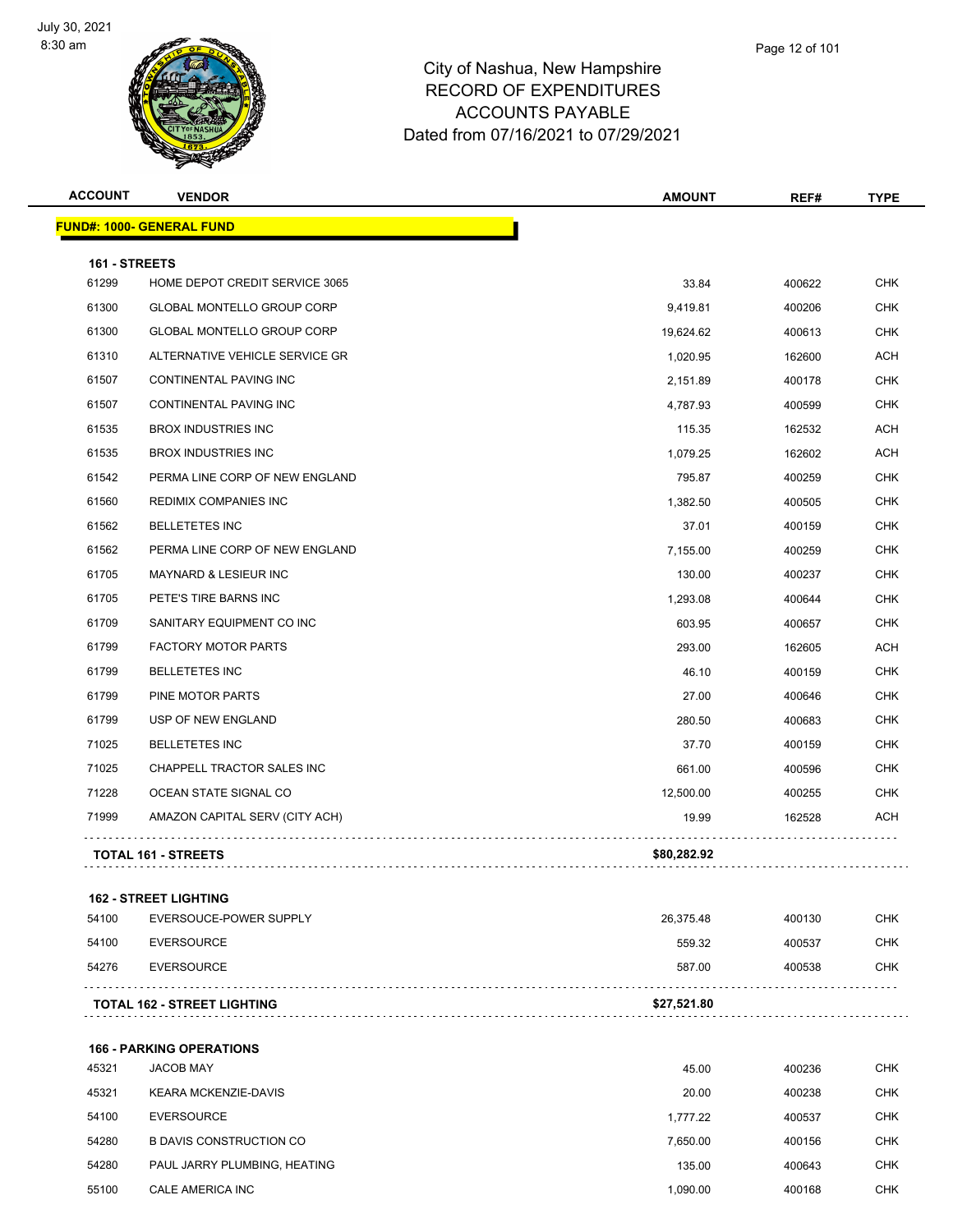

| <b>ACCOUNT</b> | <b>VENDOR</b>                     | <b>AMOUNT</b> | REF#   | TYPE       |
|----------------|-----------------------------------|---------------|--------|------------|
|                | <b>FUND#: 1000- GENERAL FUND</b>  |               |        |            |
| 161 - STREETS  |                                   |               |        |            |
| 61299          | HOME DEPOT CREDIT SERVICE 3065    | 33.84         | 400622 | <b>CHK</b> |
| 61300          | <b>GLOBAL MONTELLO GROUP CORP</b> | 9,419.81      | 400206 | <b>CHK</b> |
| 61300          | <b>GLOBAL MONTELLO GROUP CORP</b> | 19,624.62     | 400613 | <b>CHK</b> |
| 61310          | ALTERNATIVE VEHICLE SERVICE GR    | 1,020.95      | 162600 | ACH        |
| 61507          | CONTINENTAL PAVING INC            | 2,151.89      | 400178 | <b>CHK</b> |
| 61507          | <b>CONTINENTAL PAVING INC</b>     | 4,787.93      | 400599 | <b>CHK</b> |
| 61535          | <b>BROX INDUSTRIES INC</b>        | 115.35        | 162532 | ACH        |
| 61535          | <b>BROX INDUSTRIES INC</b>        | 1,079.25      | 162602 | <b>ACH</b> |
| 61542          | PERMA LINE CORP OF NEW ENGLAND    | 795.87        | 400259 | <b>CHK</b> |
| 61560          | <b>REDIMIX COMPANIES INC</b>      | 1,382.50      | 400505 | <b>CHK</b> |
| 61562          | <b>BELLETETES INC</b>             | 37.01         | 400159 | <b>CHK</b> |
| 61562          | PERMA LINE CORP OF NEW ENGLAND    | 7,155.00      | 400259 | <b>CHK</b> |
| 61705          | <b>MAYNARD &amp; LESIEUR INC</b>  | 130.00        | 400237 | <b>CHK</b> |
| 61705          | PETE'S TIRE BARNS INC             | 1,293.08      | 400644 | <b>CHK</b> |
| 61709          | SANITARY EQUIPMENT CO INC         | 603.95        | 400657 | <b>CHK</b> |
| 61799          | <b>FACTORY MOTOR PARTS</b>        | 293.00        | 162605 | <b>ACH</b> |
| 61799          | <b>BELLETETES INC</b>             | 46.10         | 400159 | CHK        |
| 61799          | PINE MOTOR PARTS                  | 27.00         | 400646 | <b>CHK</b> |
| 61799          | USP OF NEW ENGLAND                | 280.50        | 400683 | <b>CHK</b> |
| 71025          | <b>BELLETETES INC</b>             | 37.70         | 400159 | <b>CHK</b> |
| 71025          | CHAPPELL TRACTOR SALES INC        | 661.00        | 400596 | <b>CHK</b> |
| 71228          | OCEAN STATE SIGNAL CO             | 12,500.00     | 400255 | CHK        |
| 71999          | AMAZON CAPITAL SERV (CITY ACH)    | 19.99         | 162528 | <b>ACH</b> |
|                | <b>TOTAL 161 - STREETS</b>        | \$80,282.92   |        |            |
|                | <b>162 - STREET LIGHTING</b>      |               |        |            |
| 54100          | EVERSOUCE-POWER SUPPLY            | 26,375.48     | 400130 | <b>CHK</b> |
| 54100          | <b>EVERSOURCE</b>                 | 559.32        | 400537 | <b>CHK</b> |
| 54276          | <b>EVERSOURCE</b>                 | 587.00        | 400538 | <b>CHK</b> |
|                | TOTAL 162 - STREET LIGHTING       | \$27,521.80   |        |            |
|                | <b>166 - PARKING OPERATIONS</b>   |               |        |            |
| 45321          | <b>JACOB MAY</b>                  | 45.00         | 400236 | <b>CHK</b> |
| 45321          | <b>KEARA MCKENZIE-DAVIS</b>       | 20.00         | 400238 | <b>CHK</b> |
| 54100          | <b>EVERSOURCE</b>                 | 1,777.22      | 400537 | <b>CHK</b> |
| 54280          | <b>B DAVIS CONSTRUCTION CO</b>    | 7,650.00      | 400156 | <b>CHK</b> |
| 54280          | PAUL JARRY PLUMBING, HEATING      | 135.00        | 400643 | <b>CHK</b> |
| 55100          | CALE AMERICA INC                  | 1,090.00      | 400168 | <b>CHK</b> |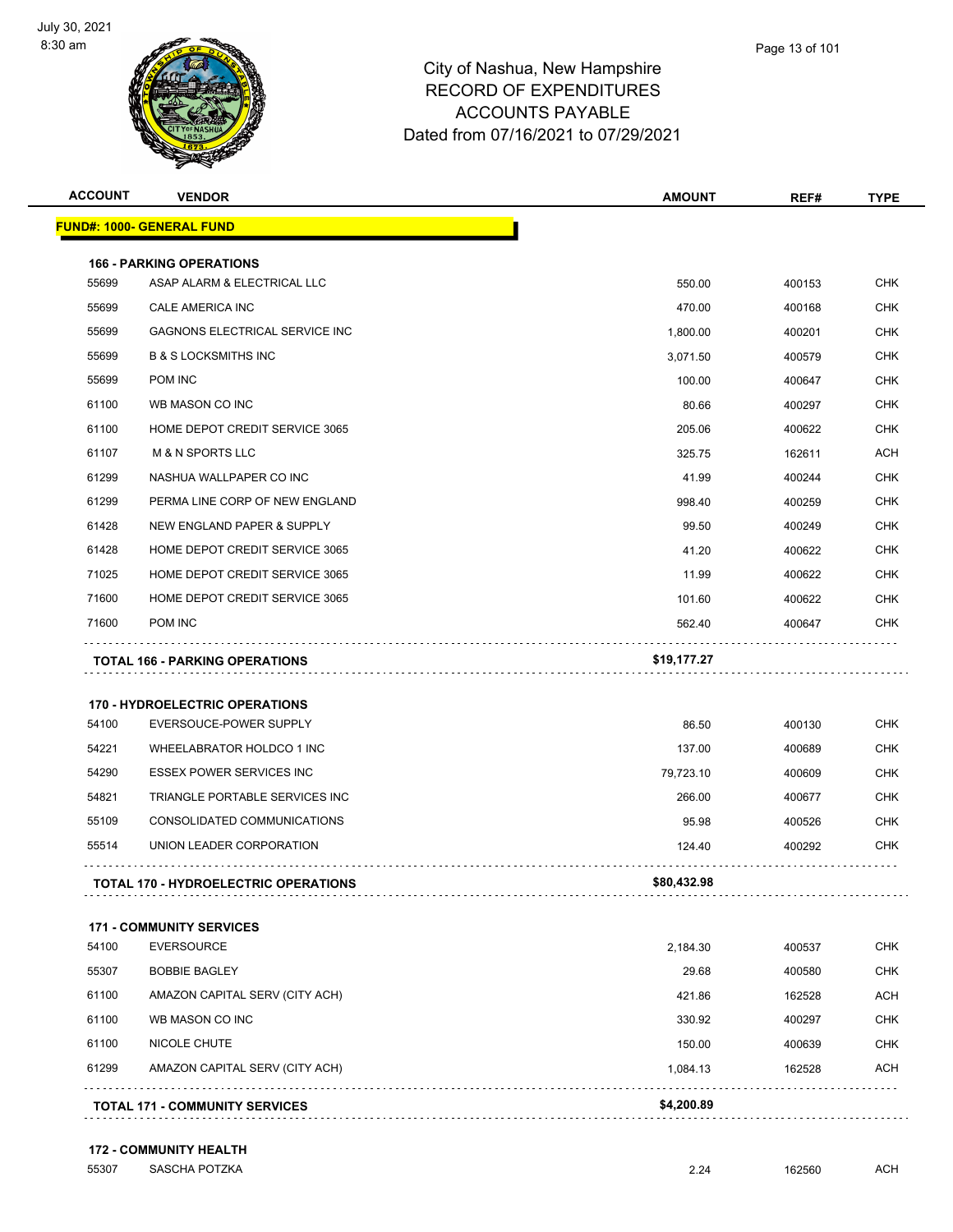

|                | <b>ACCOUNT</b><br><b>VENDOR</b>                                   | <b>AMOUNT</b>   | REF#             | <b>TYPE</b>                                   |
|----------------|-------------------------------------------------------------------|-----------------|------------------|-----------------------------------------------|
|                | <u> FUND#: 1000- GENERAL FUND</u>                                 |                 |                  |                                               |
|                | <b>166 - PARKING OPERATIONS</b>                                   |                 |                  |                                               |
| 55699          | ASAP ALARM & ELECTRICAL LLC                                       | 550.00          | 400153           | <b>CHK</b>                                    |
| 55699          | CALE AMERICA INC                                                  | 470.00          | 400168           | CHK                                           |
| 55699          | GAGNONS ELECTRICAL SERVICE INC                                    | 1,800.00        | 400201           | <b>CHK</b>                                    |
| 55699          | <b>B &amp; S LOCKSMITHS INC</b>                                   | 3,071.50        | 400579           | CHK                                           |
| 55699          | POM INC                                                           | 100.00          | 400647           | <b>CHK</b>                                    |
| 61100          | WB MASON CO INC                                                   | 80.66           | 400297           | <b>CHK</b>                                    |
| 61100          | HOME DEPOT CREDIT SERVICE 3065                                    | 205.06          | 400622           | CHK                                           |
| 61107          | <b>M &amp; N SPORTS LLC</b>                                       | 325.75          | 162611           | ACH                                           |
| 61299          | NASHUA WALLPAPER CO INC                                           | 41.99           | 400244           | <b>CHK</b>                                    |
| 61299          | PERMA LINE CORP OF NEW ENGLAND                                    | 998.40          | 400259           | <b>CHK</b>                                    |
| 61428          | NEW ENGLAND PAPER & SUPPLY                                        | 99.50           | 400249           | CHK                                           |
| 61428          | HOME DEPOT CREDIT SERVICE 3065                                    | 41.20           | 400622           | CHK                                           |
| 71025          | HOME DEPOT CREDIT SERVICE 3065                                    | 11.99           | 400622           | <b>CHK</b>                                    |
| 71600          | HOME DEPOT CREDIT SERVICE 3065                                    | 101.60          | 400622           | CHK                                           |
| 71600          | POM INC                                                           | 562.40          | 400647           | <b>CHK</b>                                    |
|                |                                                                   |                 |                  |                                               |
|                | <b>TOTAL 166 - PARKING OPERATIONS</b>                             | \$19,177.27     |                  |                                               |
|                |                                                                   |                 |                  |                                               |
|                | <b>170 - HYDROELECTRIC OPERATIONS</b>                             |                 |                  |                                               |
| 54100          | EVERSOUCE-POWER SUPPLY                                            | 86.50           | 400130           |                                               |
| 54221          | WHEELABRATOR HOLDCO 1 INC                                         | 137.00          | 400689           | <b>CHK</b><br>CHK                             |
| 54290          | <b>ESSEX POWER SERVICES INC</b><br>TRIANGLE PORTABLE SERVICES INC | 79,723.10       | 400609           | <b>CHK</b>                                    |
| 54821          |                                                                   | 266.00          | 400677           | <b>CHK</b>                                    |
| 55109<br>55514 | CONSOLIDATED COMMUNICATIONS<br>UNION LEADER CORPORATION           | 95.98<br>124.40 | 400526<br>400292 | CHK<br>CHK                                    |
|                | <b>TOTAL 170 - HYDROELECTRIC OPERATIONS</b>                       | \$80,432.98     |                  |                                               |
|                |                                                                   |                 |                  |                                               |
| 54100          | <b>171 - COMMUNITY SERVICES</b><br><b>EVERSOURCE</b>              | 2,184.30        | 400537           |                                               |
| 55307          | <b>BOBBIE BAGLEY</b>                                              | 29.68           | 400580           |                                               |
|                | AMAZON CAPITAL SERV (CITY ACH)                                    | 421.86          | 162528           |                                               |
| 61100<br>61100 | WB MASON CO INC                                                   | 330.92          | 400297           |                                               |
| 61100          | NICOLE CHUTE                                                      | 150.00          | 400639           | CHK<br><b>CHK</b><br>ACH<br><b>CHK</b><br>CHK |
| 61299          | AMAZON CAPITAL SERV (CITY ACH)                                    | 1,084.13        | 162528           | ACH                                           |

#### **172 - COMMUNITY HEALTH**

SASCHA POTZKA 2.24 162560 ACH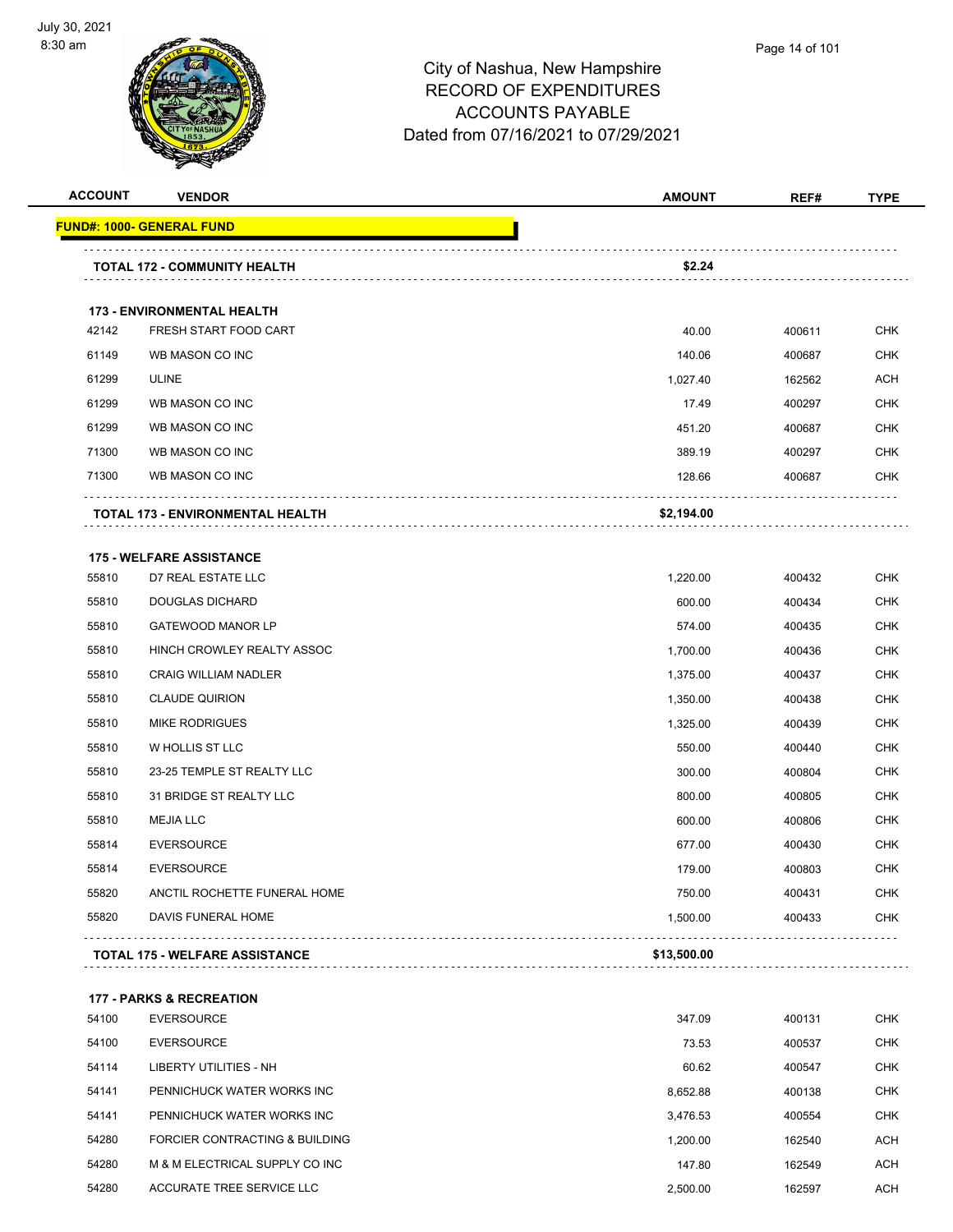

| <b>ACCOUNT</b> | <b>VENDOR</b>                           | <b>AMOUNT</b> | REF#   | <b>TYPE</b> |
|----------------|-----------------------------------------|---------------|--------|-------------|
|                | <u> FUND#: 1000- GENERAL FUND</u>       |               |        |             |
|                | TOTAL 172 - COMMUNITY HEALTH            | \$2.24        |        |             |
|                |                                         |               |        |             |
|                | 173 - ENVIRONMENTAL HEALTH              |               |        |             |
| 42142          | FRESH START FOOD CART                   | 40.00         | 400611 | CHK         |
| 61149          | WB MASON CO INC                         | 140.06        | 400687 | <b>CHK</b>  |
| 61299          | <b>ULINE</b>                            | 1,027.40      | 162562 | <b>ACH</b>  |
| 61299          | WB MASON CO INC                         | 17.49         | 400297 | <b>CHK</b>  |
| 61299          | WB MASON CO INC                         | 451.20        | 400687 | <b>CHK</b>  |
| 71300          | WB MASON CO INC                         | 389.19        | 400297 | CHK         |
| 71300          | WB MASON CO INC                         | 128.66        | 400687 | <b>CHK</b>  |
|                | <b>TOTAL 173 - ENVIRONMENTAL HEALTH</b> | \$2,194.00    |        |             |
|                | <b>175 - WELFARE ASSISTANCE</b>         |               |        |             |
| 55810          | D7 REAL ESTATE LLC                      | 1,220.00      | 400432 | <b>CHK</b>  |
| 55810          | <b>DOUGLAS DICHARD</b>                  | 600.00        | 400434 | <b>CHK</b>  |
| 55810          | <b>GATEWOOD MANOR LP</b>                | 574.00        | 400435 | <b>CHK</b>  |
| 55810          | HINCH CROWLEY REALTY ASSOC              | 1,700.00      | 400436 | <b>CHK</b>  |
| 55810          | <b>CRAIG WILLIAM NADLER</b>             | 1,375.00      | 400437 | <b>CHK</b>  |
| 55810          | <b>CLAUDE QUIRION</b>                   | 1,350.00      | 400438 | <b>CHK</b>  |
| 55810          | <b>MIKE RODRIGUES</b>                   | 1,325.00      | 400439 | <b>CHK</b>  |
| 55810          | W HOLLIS ST LLC                         | 550.00        | 400440 | <b>CHK</b>  |
| 55810          | 23-25 TEMPLE ST REALTY LLC              | 300.00        | 400804 | CHK         |
| 55810          | 31 BRIDGE ST REALTY LLC                 | 800.00        | 400805 | <b>CHK</b>  |
| 55810          | <b>MEJIA LLC</b>                        | 600.00        | 400806 | <b>CHK</b>  |
| 55814          | <b>EVERSOURCE</b>                       | 677.00        | 400430 | <b>CHK</b>  |
| 55814          | <b>EVERSOURCE</b>                       | 179.00        | 400803 | CHK         |
| 55820          | ANCTIL ROCHETTE FUNERAL HOME            | 750.00        | 400431 | <b>CHK</b>  |
| 55820          | DAVIS FUNERAL HOME                      | 1,500.00      | 400433 | <b>CHK</b>  |
|                | <b>TOTAL 175 - WELFARE ASSISTANCE</b>   | \$13,500.00   |        |             |
|                |                                         |               |        |             |
|                | <b>177 - PARKS &amp; RECREATION</b>     |               |        |             |
| 54100          | <b>EVERSOURCE</b>                       | 347.09        | 400131 | <b>CHK</b>  |
| 54100          | <b>EVERSOURCE</b>                       | 73.53         | 400537 | <b>CHK</b>  |
| 54114          | LIBERTY UTILITIES - NH                  | 60.62         | 400547 | CHK         |
| 54141          | PENNICHUCK WATER WORKS INC              | 8,652.88      | 400138 | CHK         |
| 54141          | PENNICHUCK WATER WORKS INC              | 3,476.53      | 400554 | <b>CHK</b>  |
| 54280          | FORCIER CONTRACTING & BUILDING          | 1,200.00      | 162540 | <b>ACH</b>  |
| 54280          | M & M ELECTRICAL SUPPLY CO INC          | 147.80        | 162549 | <b>ACH</b>  |
| 54280          | ACCURATE TREE SERVICE LLC               | 2,500.00      | 162597 | <b>ACH</b>  |
|                |                                         |               |        |             |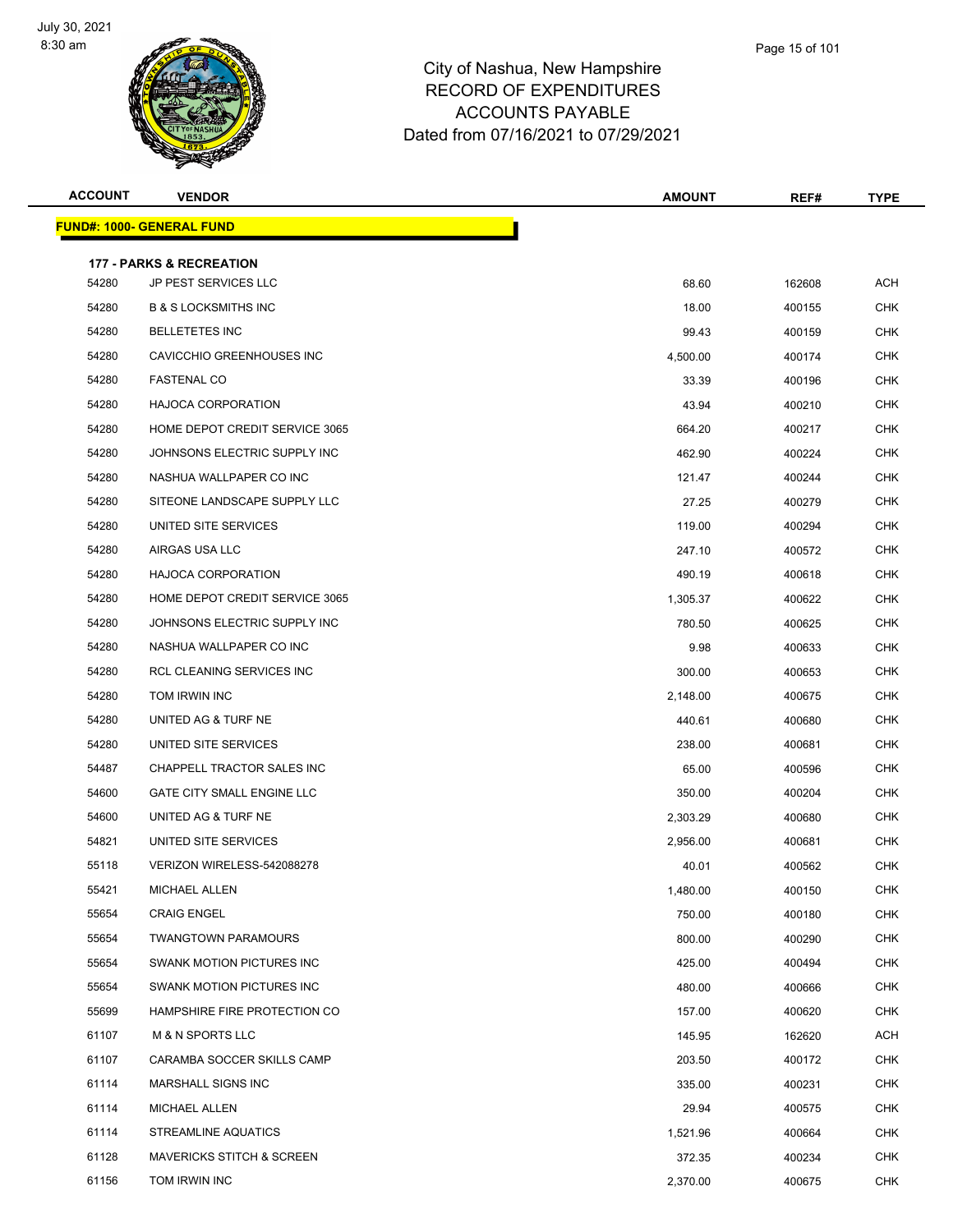

| npshire      |  |  |
|--------------|--|--|
| <b>TURES</b> |  |  |
| LE           |  |  |

Page 15 of 101

| <b>ACCOUNT</b> | <b>VENDOR</b>                        | <b>AMOUNT</b> | REF#   | TYPE       |
|----------------|--------------------------------------|---------------|--------|------------|
|                | <b>FUND#: 1000- GENERAL FUND</b>     |               |        |            |
|                | <b>177 - PARKS &amp; RECREATION</b>  |               |        |            |
| 54280          | JP PEST SERVICES LLC                 | 68.60         | 162608 | <b>ACH</b> |
| 54280          | <b>B &amp; S LOCKSMITHS INC</b>      | 18.00         | 400155 | <b>CHK</b> |
| 54280          | <b>BELLETETES INC</b>                | 99.43         | 400159 | <b>CHK</b> |
| 54280          | CAVICCHIO GREENHOUSES INC            | 4,500.00      | 400174 | CHK        |
| 54280          | <b>FASTENAL CO</b>                   | 33.39         | 400196 | <b>CHK</b> |
| 54280          | <b>HAJOCA CORPORATION</b>            | 43.94         | 400210 | <b>CHK</b> |
| 54280          | HOME DEPOT CREDIT SERVICE 3065       | 664.20        | 400217 | CHK        |
| 54280          | JOHNSONS ELECTRIC SUPPLY INC         | 462.90        | 400224 | <b>CHK</b> |
| 54280          | NASHUA WALLPAPER CO INC              | 121.47        | 400244 | <b>CHK</b> |
| 54280          | SITEONE LANDSCAPE SUPPLY LLC         | 27.25         | 400279 | <b>CHK</b> |
| 54280          | UNITED SITE SERVICES                 | 119.00        | 400294 | CHK        |
| 54280          | AIRGAS USA LLC                       | 247.10        | 400572 | CHK        |
| 54280          | <b>HAJOCA CORPORATION</b>            | 490.19        | 400618 | <b>CHK</b> |
| 54280          | HOME DEPOT CREDIT SERVICE 3065       | 1,305.37      | 400622 | CHK        |
| 54280          | JOHNSONS ELECTRIC SUPPLY INC         | 780.50        | 400625 | <b>CHK</b> |
| 54280          | NASHUA WALLPAPER CO INC              | 9.98          | 400633 | <b>CHK</b> |
| 54280          | RCL CLEANING SERVICES INC            | 300.00        | 400653 | CHK        |
| 54280          | TOM IRWIN INC                        | 2,148.00      | 400675 | <b>CHK</b> |
| 54280          | UNITED AG & TURF NE                  | 440.61        | 400680 | <b>CHK</b> |
| 54280          | UNITED SITE SERVICES                 | 238.00        | 400681 | <b>CHK</b> |
| 54487          | CHAPPELL TRACTOR SALES INC           | 65.00         | 400596 | <b>CHK</b> |
| 54600          | <b>GATE CITY SMALL ENGINE LLC</b>    | 350.00        | 400204 | CHK        |
| 54600          | UNITED AG & TURF NE                  | 2,303.29      | 400680 | <b>CHK</b> |
| 54821          | UNITED SITE SERVICES                 | 2,956.00      | 400681 | CHK        |
| 55118          | VERIZON WIRELESS-542088278           | 40.01         | 400562 | <b>CHK</b> |
| 55421          | MICHAEL ALLEN                        | 1,480.00      | 400150 | CHK        |
| 55654          | <b>CRAIG ENGEL</b>                   | 750.00        | 400180 | <b>CHK</b> |
| 55654          | <b>TWANGTOWN PARAMOURS</b>           | 800.00        | 400290 | CHK        |
| 55654          | SWANK MOTION PICTURES INC            | 425.00        | 400494 | <b>CHK</b> |
| 55654          | SWANK MOTION PICTURES INC            | 480.00        | 400666 | <b>CHK</b> |
| 55699          | HAMPSHIRE FIRE PROTECTION CO         | 157.00        | 400620 | <b>CHK</b> |
| 61107          | <b>M &amp; N SPORTS LLC</b>          | 145.95        | 162620 | ACH        |
| 61107          | CARAMBA SOCCER SKILLS CAMP           | 203.50        | 400172 | <b>CHK</b> |
| 61114          | <b>MARSHALL SIGNS INC</b>            | 335.00        | 400231 | <b>CHK</b> |
| 61114          | <b>MICHAEL ALLEN</b>                 | 29.94         | 400575 | <b>CHK</b> |
| 61114          | STREAMLINE AQUATICS                  | 1,521.96      | 400664 | CHK        |
| 61128          | <b>MAVERICKS STITCH &amp; SCREEN</b> | 372.35        | 400234 | <b>CHK</b> |
| 61156          | TOM IRWIN INC                        | 2,370.00      | 400675 | <b>CHK</b> |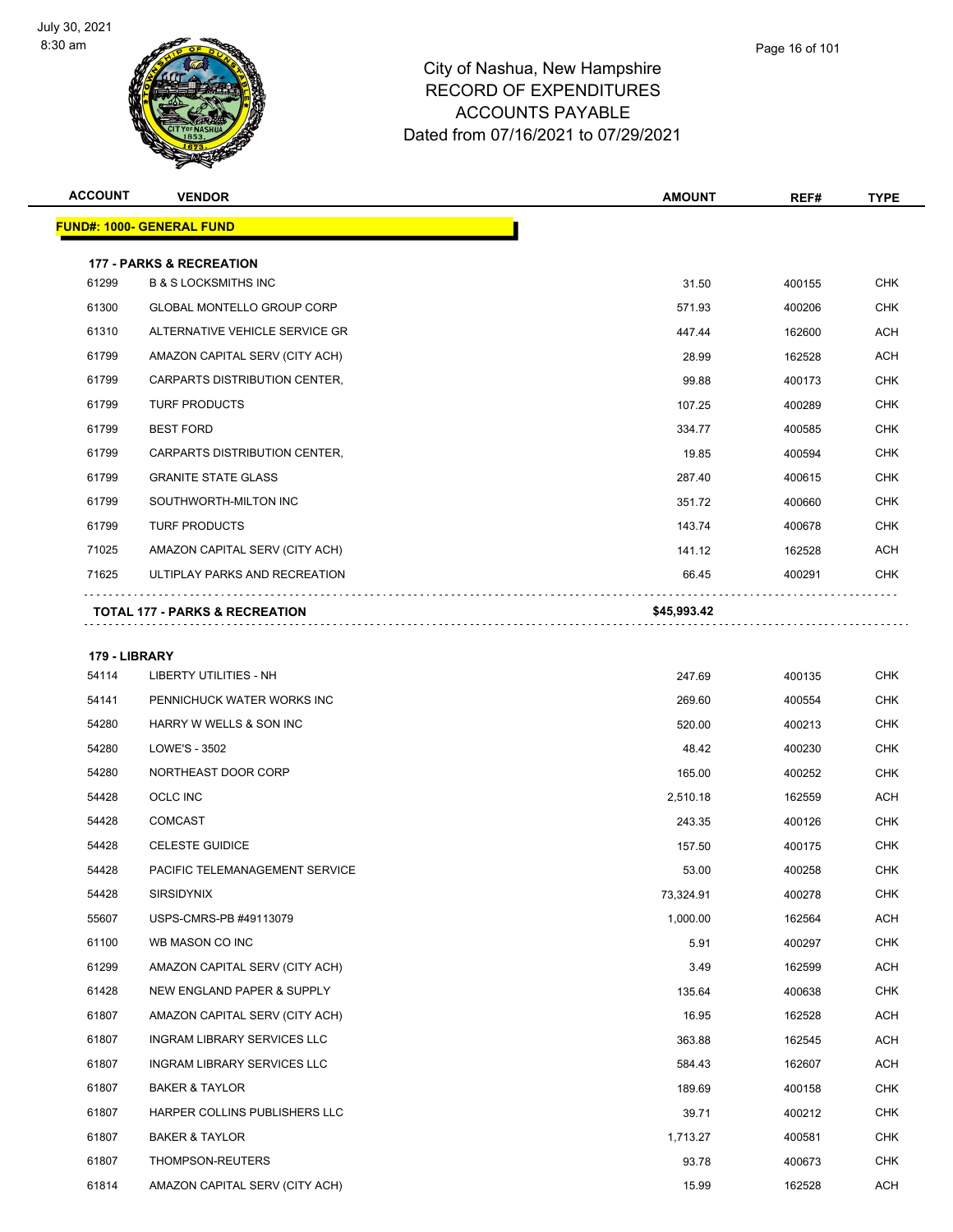

| <b>ACCOUNT</b> | <b>VENDOR</b>                       | <b>AMOUNT</b> | REF#   | <b>TYPE</b> |
|----------------|-------------------------------------|---------------|--------|-------------|
|                | <b>FUND#: 1000- GENERAL FUND</b>    |               |        |             |
|                | <b>177 - PARKS &amp; RECREATION</b> |               |        |             |
| 61299          | <b>B &amp; S LOCKSMITHS INC</b>     | 31.50         | 400155 | <b>CHK</b>  |
| 61300          | <b>GLOBAL MONTELLO GROUP CORP</b>   | 571.93        | 400206 | <b>CHK</b>  |
| 61310          | ALTERNATIVE VEHICLE SERVICE GR      | 447.44        | 162600 | <b>ACH</b>  |
| 61799          | AMAZON CAPITAL SERV (CITY ACH)      | 28.99         | 162528 | ACH         |
| 61799          | CARPARTS DISTRIBUTION CENTER,       | 99.88         | 400173 | <b>CHK</b>  |
| 61799          | <b>TURF PRODUCTS</b>                | 107.25        | 400289 | <b>CHK</b>  |
| 61799          | <b>BEST FORD</b>                    | 334.77        | 400585 | <b>CHK</b>  |
| 61799          | CARPARTS DISTRIBUTION CENTER,       | 19.85         | 400594 | <b>CHK</b>  |
| 61799          | <b>GRANITE STATE GLASS</b>          | 287.40        | 400615 | <b>CHK</b>  |
| 61799          | SOUTHWORTH-MILTON INC               | 351.72        | 400660 | <b>CHK</b>  |
| 61799          | <b>TURF PRODUCTS</b>                | 143.74        | 400678 | <b>CHK</b>  |
| 71025          | AMAZON CAPITAL SERV (CITY ACH)      | 141.12        | 162528 | ACH         |
| 71625          | ULTIPLAY PARKS AND RECREATION       | 66.45         | 400291 | <b>CHK</b>  |
|                |                                     |               |        |             |
|                | TOTAL 177 - PARKS & RECREATION      | \$45,993.42   |        |             |
| 179 - LIBRARY  |                                     |               |        |             |
| 54114          | LIBERTY UTILITIES - NH              | 247.69        | 400135 | <b>CHK</b>  |
| 54141          | PENNICHUCK WATER WORKS INC          | 269.60        | 400554 | <b>CHK</b>  |
| 54280          | HARRY W WELLS & SON INC             | 520.00        | 400213 | <b>CHK</b>  |
| 54280          | LOWE'S - 3502                       | 48.42         | 400230 | <b>CHK</b>  |
| 54280          | NORTHEAST DOOR CORP                 | 165.00        | 400252 | <b>CHK</b>  |
| 54428          | <b>OCLC INC</b>                     | 2,510.18      | 162559 | <b>ACH</b>  |
| 54428          | <b>COMCAST</b>                      | 243.35        | 400126 | <b>CHK</b>  |
| 54428          | <b>CELESTE GUIDICE</b>              | 157.50        | 400175 | <b>CHK</b>  |
| 54428          | PACIFIC TELEMANAGEMENT SERVICE      | 53.00         | 400258 | <b>CHK</b>  |
| 54428          | <b>SIRSIDYNIX</b>                   | 73,324.91     | 400278 | <b>CHK</b>  |
| 55607          | USPS-CMRS-PB #49113079              | 1,000.00      | 162564 | ACH         |
| 61100          | WB MASON CO INC                     | 5.91          | 400297 | <b>CHK</b>  |
| 61299          | AMAZON CAPITAL SERV (CITY ACH)      | 3.49          | 162599 | ACH         |
| 61428          | NEW ENGLAND PAPER & SUPPLY          | 135.64        | 400638 | <b>CHK</b>  |
| 61807          | AMAZON CAPITAL SERV (CITY ACH)      | 16.95         | 162528 | ACH         |
| 61807          | <b>INGRAM LIBRARY SERVICES LLC</b>  | 363.88        | 162545 | ACH         |
| 61807          | INGRAM LIBRARY SERVICES LLC         | 584.43        | 162607 | ACH         |
| 61807          | <b>BAKER &amp; TAYLOR</b>           | 189.69        | 400158 | <b>CHK</b>  |
| 61807          | HARPER COLLINS PUBLISHERS LLC       | 39.71         | 400212 | <b>CHK</b>  |
| 61807          | <b>BAKER &amp; TAYLOR</b>           | 1,713.27      | 400581 | <b>CHK</b>  |
| 61807          | THOMPSON-REUTERS                    | 93.78         | 400673 | <b>CHK</b>  |
| 61814          | AMAZON CAPITAL SERV (CITY ACH)      | 15.99         | 162528 | ACH         |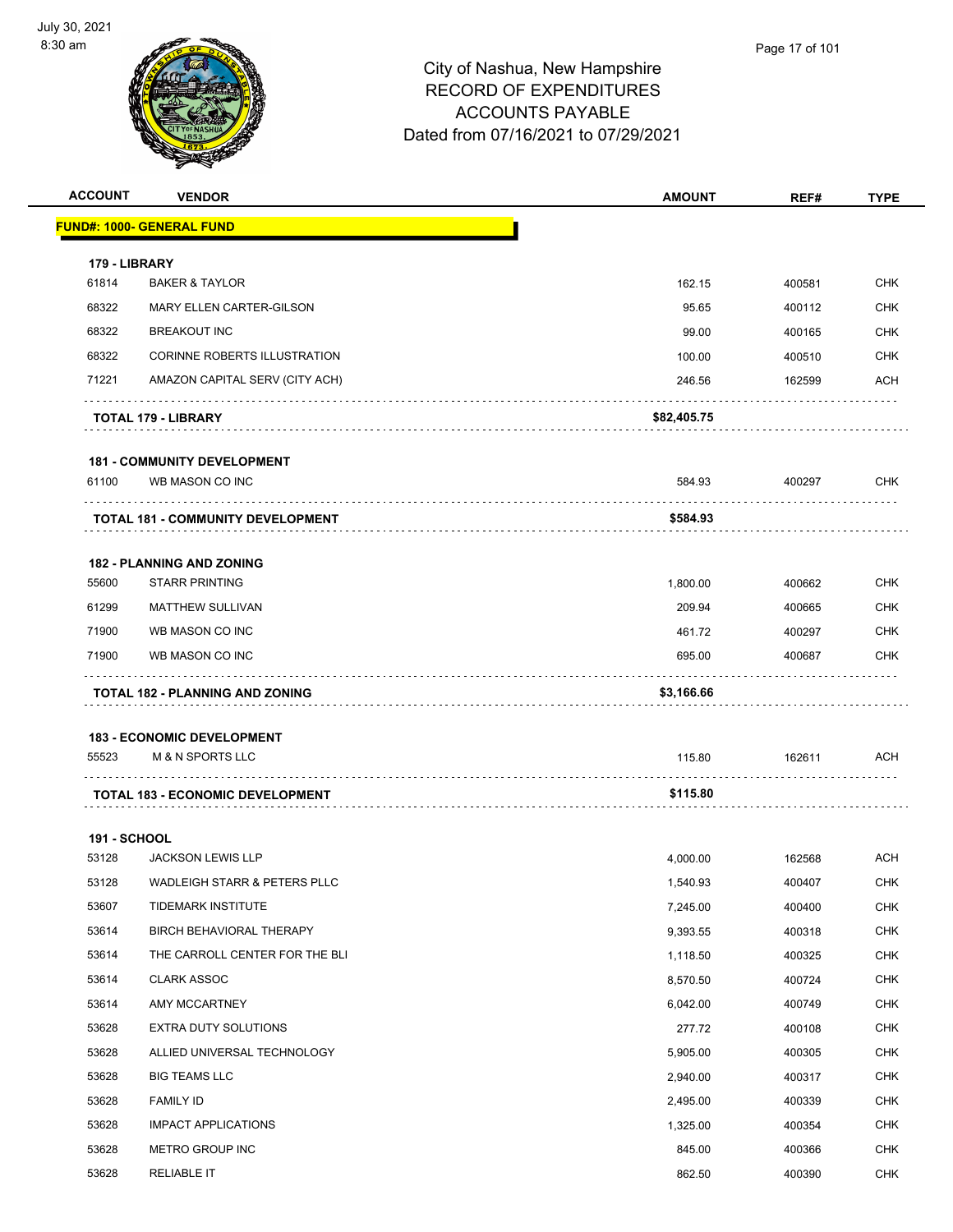

| <b>ACCOUNT</b>      | <b>VENDOR</b>                            | <b>AMOUNT</b> | REF#   | <b>TYPE</b> |
|---------------------|------------------------------------------|---------------|--------|-------------|
|                     | <u> FUND#: 1000- GENERAL FUND</u>        |               |        |             |
| 179 - LIBRARY       |                                          |               |        |             |
| 61814               | <b>BAKER &amp; TAYLOR</b>                | 162.15        | 400581 | <b>CHK</b>  |
| 68322               | MARY ELLEN CARTER-GILSON                 | 95.65         | 400112 | <b>CHK</b>  |
| 68322               | <b>BREAKOUT INC</b>                      | 99.00         | 400165 | <b>CHK</b>  |
| 68322               | CORINNE ROBERTS ILLUSTRATION             | 100.00        | 400510 | <b>CHK</b>  |
| 71221               | AMAZON CAPITAL SERV (CITY ACH)           | 246.56        | 162599 | ACH         |
|                     | <b>TOTAL 179 - LIBRARY</b>               | \$82,405.75   |        |             |
|                     | <b>181 - COMMUNITY DEVELOPMENT</b>       |               |        |             |
| 61100               | WB MASON CO INC                          | 584.93        | 400297 | CHK         |
|                     | <b>TOTAL 181 - COMMUNITY DEVELOPMENT</b> | \$584.93      |        |             |
|                     | <b>182 - PLANNING AND ZONING</b>         |               |        |             |
| 55600               | <b>STARR PRINTING</b>                    | 1,800.00      | 400662 | <b>CHK</b>  |
| 61299               | <b>MATTHEW SULLIVAN</b>                  | 209.94        | 400665 | <b>CHK</b>  |
| 71900               | WB MASON CO INC                          | 461.72        | 400297 | <b>CHK</b>  |
| 71900               | WB MASON CO INC                          | 695.00        | 400687 | <b>CHK</b>  |
|                     | <b>TOTAL 182 - PLANNING AND ZONING</b>   | \$3,166.66    |        |             |
|                     |                                          |               |        |             |
|                     | <b>183 - ECONOMIC DEVELOPMENT</b>        |               |        |             |
| 55523               | <b>M &amp; N SPORTS LLC</b>              | 115.80        | 162611 | <b>ACH</b>  |
|                     | <b>TOTAL 183 - ECONOMIC DEVELOPMENT</b>  | \$115.80      |        |             |
| <b>191 - SCHOOL</b> |                                          |               |        |             |
| 53128               | <b>JACKSON LEWIS LLP</b>                 | 4,000.00      | 162568 | <b>ACH</b>  |
| 53128               | WADLEIGH STARR & PETERS PLLC             | 1,540.93      | 400407 | <b>CHK</b>  |
| 53607               | TIDEMARK INSTITUTE                       | 7,245.00      | 400400 | <b>CHK</b>  |
| 53614               | BIRCH BEHAVIORAL THERAPY                 | 9,393.55      | 400318 | <b>CHK</b>  |
| 53614               | THE CARROLL CENTER FOR THE BLI           | 1,118.50      | 400325 | <b>CHK</b>  |
| 53614               | <b>CLARK ASSOC</b>                       | 8,570.50      | 400724 | <b>CHK</b>  |
| 53614               | AMY MCCARTNEY                            | 6,042.00      | 400749 | <b>CHK</b>  |
| 53628               | <b>EXTRA DUTY SOLUTIONS</b>              | 277.72        | 400108 | <b>CHK</b>  |
| 53628               | ALLIED UNIVERSAL TECHNOLOGY              | 5,905.00      | 400305 | <b>CHK</b>  |
| 53628               | <b>BIG TEAMS LLC</b>                     | 2,940.00      | 400317 | <b>CHK</b>  |
| 53628               | <b>FAMILY ID</b>                         | 2,495.00      | 400339 | <b>CHK</b>  |
| 53628               | <b>IMPACT APPLICATIONS</b>               | 1,325.00      | 400354 | <b>CHK</b>  |
| 53628               | METRO GROUP INC                          | 845.00        | 400366 | <b>CHK</b>  |
| 53628               | <b>RELIABLE IT</b>                       | 862.50        | 400390 | <b>CHK</b>  |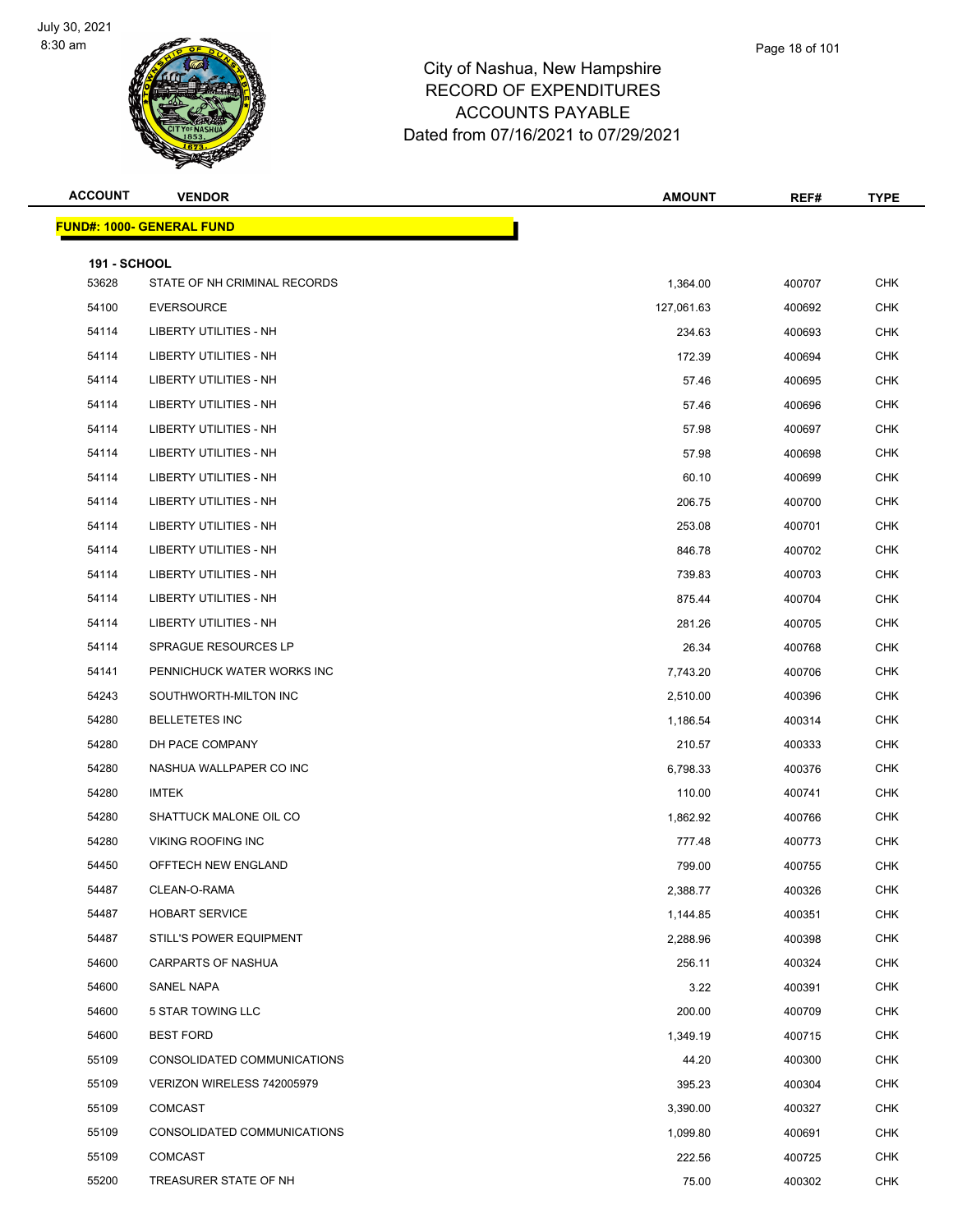

| <b>ACCOUNT</b>               | <b>VENDOR</b>                    | <b>AMOUNT</b> | REF#   | <b>TYPE</b> |
|------------------------------|----------------------------------|---------------|--------|-------------|
|                              | <b>FUND#: 1000- GENERAL FUND</b> |               |        |             |
|                              |                                  |               |        |             |
| <b>191 - SCHOOL</b><br>53628 | STATE OF NH CRIMINAL RECORDS     | 1,364.00      | 400707 | <b>CHK</b>  |
| 54100                        | <b>EVERSOURCE</b>                | 127,061.63    | 400692 | <b>CHK</b>  |
| 54114                        | <b>LIBERTY UTILITIES - NH</b>    | 234.63        | 400693 | <b>CHK</b>  |
| 54114                        | LIBERTY UTILITIES - NH           | 172.39        | 400694 | <b>CHK</b>  |
| 54114                        | LIBERTY UTILITIES - NH           | 57.46         | 400695 | <b>CHK</b>  |
| 54114                        | <b>LIBERTY UTILITIES - NH</b>    | 57.46         | 400696 | <b>CHK</b>  |
| 54114                        | LIBERTY UTILITIES - NH           | 57.98         | 400697 | <b>CHK</b>  |
| 54114                        | LIBERTY UTILITIES - NH           | 57.98         | 400698 | <b>CHK</b>  |
| 54114                        | LIBERTY UTILITIES - NH           | 60.10         | 400699 | <b>CHK</b>  |
| 54114                        | LIBERTY UTILITIES - NH           | 206.75        | 400700 | <b>CHK</b>  |
| 54114                        | <b>LIBERTY UTILITIES - NH</b>    | 253.08        | 400701 | <b>CHK</b>  |
| 54114                        | <b>LIBERTY UTILITIES - NH</b>    | 846.78        | 400702 | <b>CHK</b>  |
| 54114                        | <b>LIBERTY UTILITIES - NH</b>    | 739.83        | 400703 | <b>CHK</b>  |
| 54114                        | LIBERTY UTILITIES - NH           | 875.44        | 400704 | <b>CHK</b>  |
| 54114                        | LIBERTY UTILITIES - NH           | 281.26        | 400705 | <b>CHK</b>  |
| 54114                        | SPRAGUE RESOURCES LP             | 26.34         | 400768 | <b>CHK</b>  |
| 54141                        | PENNICHUCK WATER WORKS INC       | 7,743.20      | 400706 | <b>CHK</b>  |
| 54243                        | SOUTHWORTH-MILTON INC            | 2,510.00      | 400396 | <b>CHK</b>  |
| 54280                        | <b>BELLETETES INC</b>            | 1,186.54      | 400314 | <b>CHK</b>  |
| 54280                        | DH PACE COMPANY                  | 210.57        | 400333 | <b>CHK</b>  |
| 54280                        | NASHUA WALLPAPER CO INC          | 6,798.33      | 400376 | <b>CHK</b>  |
| 54280                        | <b>IMTEK</b>                     | 110.00        | 400741 | CHK         |
| 54280                        | SHATTUCK MALONE OIL CO           | 1,862.92      | 400766 | <b>CHK</b>  |
| 54280                        | <b>VIKING ROOFING INC</b>        | 777.48        | 400773 | <b>CHK</b>  |
| 54450                        | OFFTECH NEW ENGLAND              | 799.00        | 400755 | <b>CHK</b>  |
| 54487                        | CLEAN-O-RAMA                     | 2,388.77      | 400326 | <b>CHK</b>  |
| 54487                        | <b>HOBART SERVICE</b>            | 1,144.85      | 400351 | <b>CHK</b>  |
| 54487                        | STILL'S POWER EQUIPMENT          | 2,288.96      | 400398 | <b>CHK</b>  |
| 54600                        | CARPARTS OF NASHUA               | 256.11        | 400324 | <b>CHK</b>  |
| 54600                        | SANEL NAPA                       | 3.22          | 400391 | <b>CHK</b>  |
| 54600                        | 5 STAR TOWING LLC                | 200.00        | 400709 | <b>CHK</b>  |
| 54600                        | <b>BEST FORD</b>                 | 1,349.19      | 400715 | <b>CHK</b>  |
| 55109                        | CONSOLIDATED COMMUNICATIONS      | 44.20         | 400300 | <b>CHK</b>  |
| 55109                        | VERIZON WIRELESS 742005979       | 395.23        | 400304 | <b>CHK</b>  |
| 55109                        | COMCAST                          | 3,390.00      | 400327 | <b>CHK</b>  |
| 55109                        | CONSOLIDATED COMMUNICATIONS      | 1,099.80      | 400691 | <b>CHK</b>  |
| 55109                        | COMCAST                          | 222.56        | 400725 | <b>CHK</b>  |
| 55200                        | TREASURER STATE OF NH            | 75.00         | 400302 | <b>CHK</b>  |
|                              |                                  |               |        |             |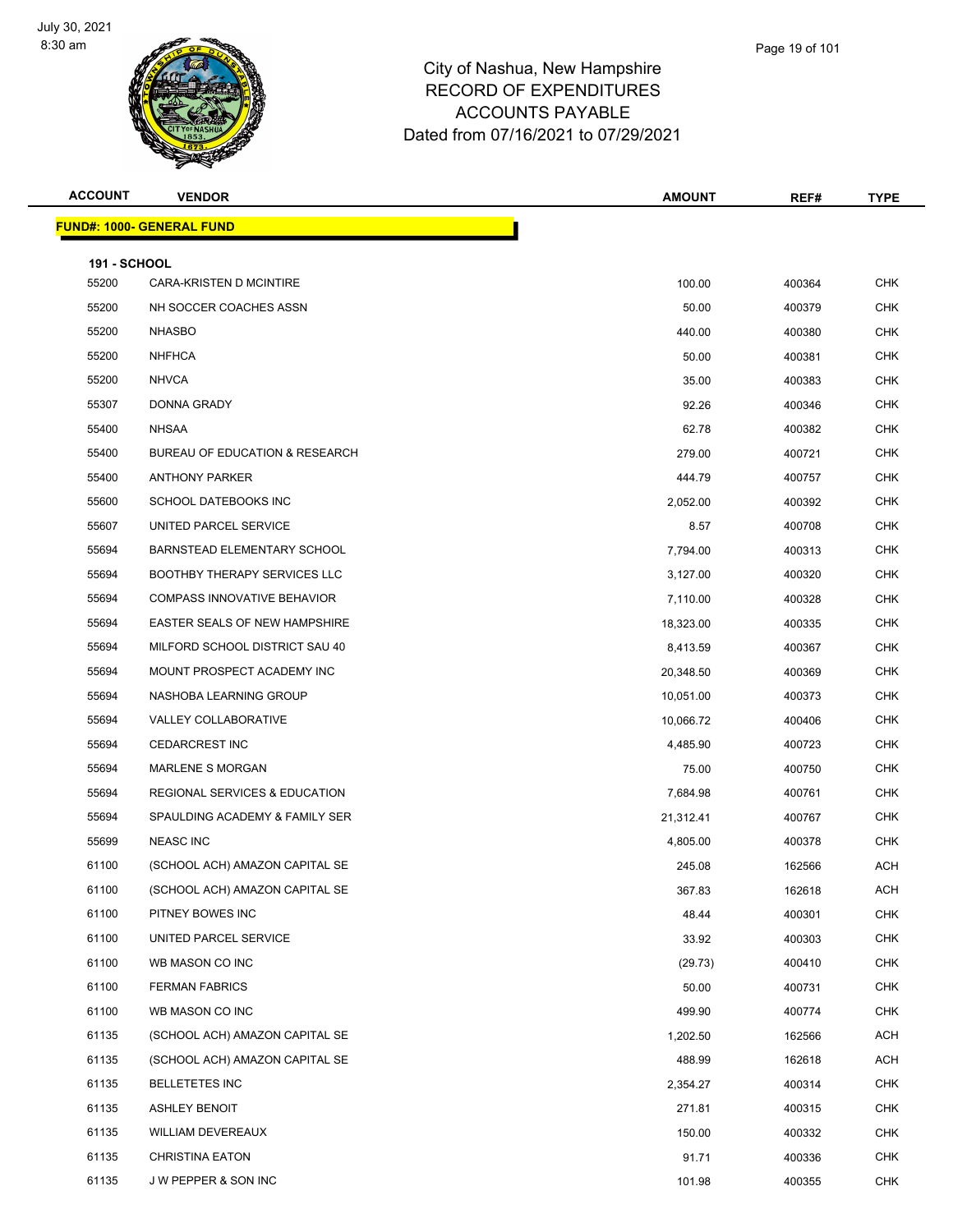

## City of Nashua, New Hampshire RECORD OF ACCOUN Dated from 07/16

| <b>ACCOUNT</b> | <b>VENDOR</b> | <b>AMOUNT</b>                       | REF# | TYPE |
|----------------|---------------|-------------------------------------|------|------|
|                |               | Dated from 07/16/2021 to 07/29/2021 |      |      |
|                | WЛ            | ACCOUNTS PAYABLE                    |      |      |
|                |               | <b>RECORD OF EXPENDITURES</b>       |      |      |

|                     |                                          |           |        | .          |
|---------------------|------------------------------------------|-----------|--------|------------|
|                     | <b>FUND#: 1000- GENERAL FUND</b>         |           |        |            |
| <b>191 - SCHOOL</b> |                                          |           |        |            |
| 55200               | CARA-KRISTEN D MCINTIRE                  | 100.00    | 400364 | <b>CHK</b> |
| 55200               | NH SOCCER COACHES ASSN                   | 50.00     | 400379 | <b>CHK</b> |
| 55200               | <b>NHASBO</b>                            | 440.00    | 400380 | <b>CHK</b> |
| 55200               | <b>NHFHCA</b>                            | 50.00     | 400381 | <b>CHK</b> |
| 55200               | <b>NHVCA</b>                             | 35.00     | 400383 | <b>CHK</b> |
| 55307               | DONNA GRADY                              | 92.26     | 400346 | <b>CHK</b> |
| 55400               | <b>NHSAA</b>                             | 62.78     | 400382 | <b>CHK</b> |
| 55400               | BUREAU OF EDUCATION & RESEARCH           | 279.00    | 400721 | <b>CHK</b> |
| 55400               | <b>ANTHONY PARKER</b>                    | 444.79    | 400757 | <b>CHK</b> |
| 55600               | SCHOOL DATEBOOKS INC                     | 2,052.00  | 400392 | <b>CHK</b> |
| 55607               | UNITED PARCEL SERVICE                    | 8.57      | 400708 | <b>CHK</b> |
| 55694               | BARNSTEAD ELEMENTARY SCHOOL              | 7,794.00  | 400313 | <b>CHK</b> |
| 55694               | <b>BOOTHBY THERAPY SERVICES LLC</b>      | 3,127.00  | 400320 | <b>CHK</b> |
| 55694               | <b>COMPASS INNOVATIVE BEHAVIOR</b>       | 7,110.00  | 400328 | <b>CHK</b> |
| 55694               | <b>EASTER SEALS OF NEW HAMPSHIRE</b>     | 18,323.00 | 400335 | <b>CHK</b> |
| 55694               | MILFORD SCHOOL DISTRICT SAU 40           | 8,413.59  | 400367 | <b>CHK</b> |
| 55694               | MOUNT PROSPECT ACADEMY INC               | 20,348.50 | 400369 | <b>CHK</b> |
| 55694               | NASHOBA LEARNING GROUP                   | 10,051.00 | 400373 | <b>CHK</b> |
| 55694               | VALLEY COLLABORATIVE                     | 10,066.72 | 400406 | <b>CHK</b> |
| 55694               | <b>CEDARCREST INC</b>                    | 4,485.90  | 400723 | <b>CHK</b> |
| 55694               | <b>MARLENE S MORGAN</b>                  | 75.00     | 400750 | <b>CHK</b> |
| 55694               | <b>REGIONAL SERVICES &amp; EDUCATION</b> | 7,684.98  | 400761 | <b>CHK</b> |
| 55694               | SPAULDING ACADEMY & FAMILY SER           | 21,312.41 | 400767 | <b>CHK</b> |
| 55699               | <b>NEASC INC</b>                         | 4,805.00  | 400378 | <b>CHK</b> |
| 61100               | (SCHOOL ACH) AMAZON CAPITAL SE           | 245.08    | 162566 | <b>ACH</b> |
| 61100               | (SCHOOL ACH) AMAZON CAPITAL SE           | 367.83    | 162618 | <b>ACH</b> |
| 61100               | PITNEY BOWES INC                         | 48.44     | 400301 | <b>CHK</b> |
| 61100               | UNITED PARCEL SERVICE                    | 33.92     | 400303 | <b>CHK</b> |
| 61100               | WB MASON CO INC                          | (29.73)   | 400410 | <b>CHK</b> |
| 61100               | <b>FERMAN FABRICS</b>                    | 50.00     | 400731 | <b>CHK</b> |
| 61100               | WB MASON CO INC                          | 499.90    | 400774 | <b>CHK</b> |
| 61135               | (SCHOOL ACH) AMAZON CAPITAL SE           | 1,202.50  | 162566 | <b>ACH</b> |
| 61135               | (SCHOOL ACH) AMAZON CAPITAL SE           | 488.99    | 162618 | <b>ACH</b> |
| 61135               | <b>BELLETETES INC</b>                    | 2,354.27  | 400314 | <b>CHK</b> |
| 61135               | <b>ASHLEY BENOIT</b>                     | 271.81    | 400315 | <b>CHK</b> |
| 61135               | <b>WILLIAM DEVEREAUX</b>                 | 150.00    | 400332 | <b>CHK</b> |
| 61135               | <b>CHRISTINA EATON</b>                   | 91.71     | 400336 | <b>CHK</b> |
| 61135               | J W PEPPER & SON INC                     | 101.98    | 400355 | CHK        |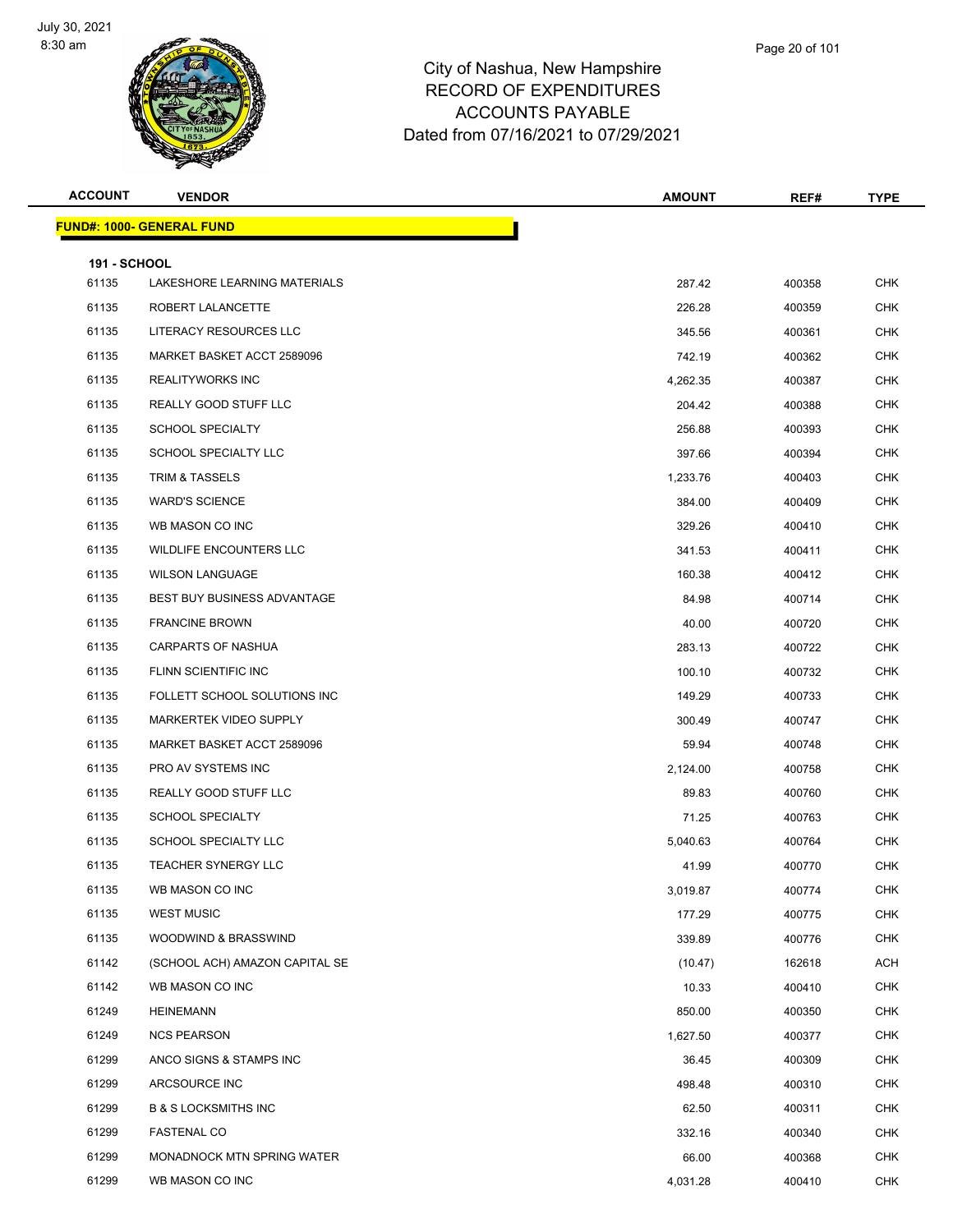

| <b>ACCOUNT</b>               | <b>VENDOR</b>                      | <b>AMOUNT</b> | REF#   | <b>TYPE</b> |
|------------------------------|------------------------------------|---------------|--------|-------------|
|                              | <b>FUND#: 1000- GENERAL FUND</b>   |               |        |             |
|                              |                                    |               |        |             |
| <b>191 - SCHOOL</b><br>61135 | LAKESHORE LEARNING MATERIALS       | 287.42        | 400358 | <b>CHK</b>  |
| 61135                        | ROBERT LALANCETTE                  | 226.28        | 400359 | <b>CHK</b>  |
| 61135                        | LITERACY RESOURCES LLC             | 345.56        | 400361 | <b>CHK</b>  |
| 61135                        | MARKET BASKET ACCT 2589096         | 742.19        | 400362 | <b>CHK</b>  |
| 61135                        | <b>REALITYWORKS INC</b>            | 4,262.35      | 400387 | <b>CHK</b>  |
| 61135                        | REALLY GOOD STUFF LLC              | 204.42        | 400388 | <b>CHK</b>  |
| 61135                        | <b>SCHOOL SPECIALTY</b>            | 256.88        | 400393 | <b>CHK</b>  |
| 61135                        | SCHOOL SPECIALTY LLC               | 397.66        | 400394 | <b>CHK</b>  |
| 61135                        | TRIM & TASSELS                     | 1,233.76      | 400403 | <b>CHK</b>  |
| 61135                        | <b>WARD'S SCIENCE</b>              | 384.00        | 400409 | <b>CHK</b>  |
| 61135                        | WB MASON CO INC                    | 329.26        | 400410 | CHK         |
| 61135                        | WILDLIFE ENCOUNTERS LLC            | 341.53        | 400411 | <b>CHK</b>  |
| 61135                        | <b>WILSON LANGUAGE</b>             | 160.38        | 400412 | <b>CHK</b>  |
| 61135                        | <b>BEST BUY BUSINESS ADVANTAGE</b> | 84.98         | 400714 | <b>CHK</b>  |
| 61135                        | <b>FRANCINE BROWN</b>              | 40.00         | 400720 | <b>CHK</b>  |
| 61135                        | CARPARTS OF NASHUA                 | 283.13        | 400722 | CHK         |
| 61135                        | FLINN SCIENTIFIC INC               | 100.10        | 400732 | <b>CHK</b>  |
| 61135                        | FOLLETT SCHOOL SOLUTIONS INC       | 149.29        | 400733 | <b>CHK</b>  |
| 61135                        | MARKERTEK VIDEO SUPPLY             | 300.49        | 400747 | <b>CHK</b>  |
| 61135                        | MARKET BASKET ACCT 2589096         | 59.94         | 400748 | <b>CHK</b>  |
| 61135                        | PRO AV SYSTEMS INC                 | 2,124.00      | 400758 | CHK         |
| 61135                        | REALLY GOOD STUFF LLC              | 89.83         | 400760 | <b>CHK</b>  |
| 61135                        | <b>SCHOOL SPECIALTY</b>            | 71.25         | 400763 | <b>CHK</b>  |
| 61135                        | SCHOOL SPECIALTY LLC               | 5,040.63      | 400764 | <b>CHK</b>  |
| 61135                        | <b>TEACHER SYNERGY LLC</b>         | 41.99         | 400770 | <b>CHK</b>  |
| 61135                        | WB MASON CO INC                    | 3,019.87      | 400774 | CHK         |
| 61135                        | <b>WEST MUSIC</b>                  | 177.29        | 400775 | <b>CHK</b>  |
| 61135                        | WOODWIND & BRASSWIND               | 339.89        | 400776 | <b>CHK</b>  |
| 61142                        | (SCHOOL ACH) AMAZON CAPITAL SE     | (10.47)       | 162618 | ACH         |
| 61142                        | WB MASON CO INC                    | 10.33         | 400410 | <b>CHK</b>  |
| 61249                        | <b>HEINEMANN</b>                   | 850.00        | 400350 | <b>CHK</b>  |
| 61249                        | <b>NCS PEARSON</b>                 | 1,627.50      | 400377 | <b>CHK</b>  |
| 61299                        | ANCO SIGNS & STAMPS INC            | 36.45         | 400309 | <b>CHK</b>  |
| 61299                        | ARCSOURCE INC                      | 498.48        | 400310 | <b>CHK</b>  |
| 61299                        | <b>B &amp; S LOCKSMITHS INC</b>    | 62.50         | 400311 | <b>CHK</b>  |
| 61299                        | <b>FASTENAL CO</b>                 | 332.16        | 400340 | <b>CHK</b>  |
| 61299                        | MONADNOCK MTN SPRING WATER         | 66.00         | 400368 | <b>CHK</b>  |
| 61299                        | WB MASON CO INC                    | 4,031.28      | 400410 | CHK         |

Page 20 of 101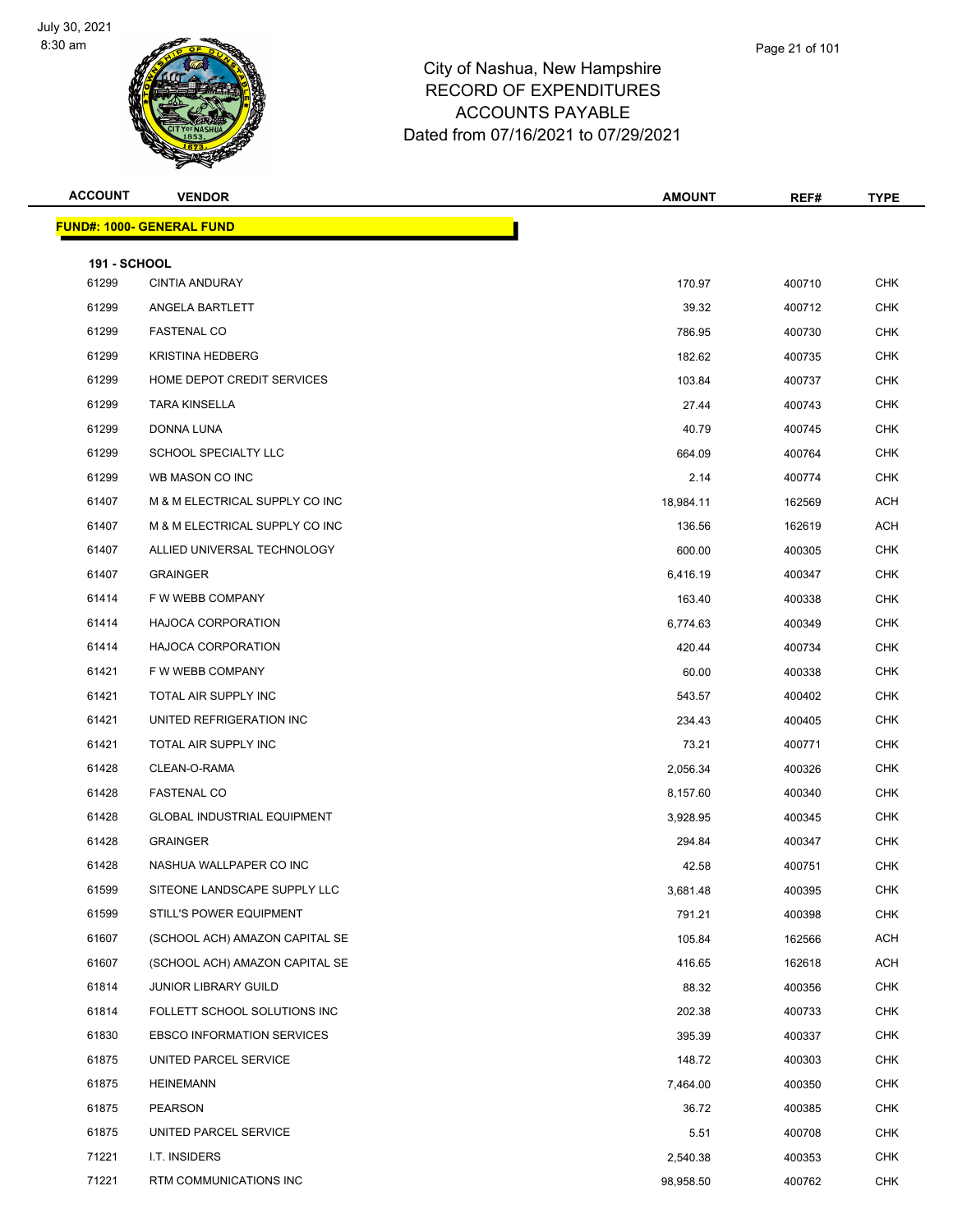

| <b>ACCOUNT</b>               | <b>VENDOR</b>                      | <b>AMOUNT</b> | REF#   | <b>TYPE</b> |
|------------------------------|------------------------------------|---------------|--------|-------------|
|                              | <b>FUND#: 1000- GENERAL FUND</b>   |               |        |             |
|                              |                                    |               |        |             |
| <b>191 - SCHOOL</b><br>61299 | <b>CINTIA ANDURAY</b>              | 170.97        | 400710 | <b>CHK</b>  |
| 61299                        | ANGELA BARTLETT                    | 39.32         | 400712 | CHK         |
| 61299                        | <b>FASTENAL CO</b>                 | 786.95        | 400730 | <b>CHK</b>  |
| 61299                        | <b>KRISTINA HEDBERG</b>            | 182.62        | 400735 | <b>CHK</b>  |
| 61299                        | HOME DEPOT CREDIT SERVICES         | 103.84        | 400737 | <b>CHK</b>  |
| 61299                        | <b>TARA KINSELLA</b>               | 27.44         | 400743 | <b>CHK</b>  |
| 61299                        | DONNA LUNA                         | 40.79         | 400745 | CHK         |
| 61299                        | SCHOOL SPECIALTY LLC               | 664.09        | 400764 | <b>CHK</b>  |
| 61299                        | WB MASON CO INC                    | 2.14          | 400774 | <b>CHK</b>  |
| 61407                        | M & M ELECTRICAL SUPPLY CO INC     | 18,984.11     | 162569 | <b>ACH</b>  |
| 61407                        | M & M ELECTRICAL SUPPLY CO INC     | 136.56        | 162619 | <b>ACH</b>  |
| 61407                        | ALLIED UNIVERSAL TECHNOLOGY        | 600.00        | 400305 | CHK         |
| 61407                        | <b>GRAINGER</b>                    | 6,416.19      | 400347 | <b>CHK</b>  |
| 61414                        | F W WEBB COMPANY                   | 163.40        | 400338 | CHK         |
| 61414                        | HAJOCA CORPORATION                 | 6.774.63      | 400349 | <b>CHK</b>  |
| 61414                        | HAJOCA CORPORATION                 | 420.44        | 400734 | <b>CHK</b>  |
| 61421                        | F W WEBB COMPANY                   | 60.00         | 400338 | CHK         |
| 61421                        | TOTAL AIR SUPPLY INC               | 543.57        | 400402 | <b>CHK</b>  |
| 61421                        | UNITED REFRIGERATION INC           | 234.43        | 400405 | <b>CHK</b>  |
| 61421                        | TOTAL AIR SUPPLY INC               | 73.21         | 400771 | <b>CHK</b>  |
| 61428                        | CLEAN-O-RAMA                       | 2,056.34      | 400326 | <b>CHK</b>  |
| 61428                        | <b>FASTENAL CO</b>                 | 8,157.60      | 400340 | CHK         |
| 61428                        | <b>GLOBAL INDUSTRIAL EQUIPMENT</b> | 3,928.95      | 400345 | <b>CHK</b>  |
| 61428                        | <b>GRAINGER</b>                    | 294.84        | 400347 | CHK         |
| 61428                        | NASHUA WALLPAPER CO INC            | 42.58         | 400751 | <b>CHK</b>  |
| 61599                        | SITEONE LANDSCAPE SUPPLY LLC       | 3,681.48      | 400395 | <b>CHK</b>  |
| 61599                        | STILL'S POWER EQUIPMENT            | 791.21        | 400398 | <b>CHK</b>  |
| 61607                        | (SCHOOL ACH) AMAZON CAPITAL SE     | 105.84        | 162566 | <b>ACH</b>  |
| 61607                        | (SCHOOL ACH) AMAZON CAPITAL SE     | 416.65        | 162618 | <b>ACH</b>  |
| 61814                        | <b>JUNIOR LIBRARY GUILD</b>        | 88.32         | 400356 | <b>CHK</b>  |
| 61814                        | FOLLETT SCHOOL SOLUTIONS INC       | 202.38        | 400733 | <b>CHK</b>  |
| 61830                        | <b>EBSCO INFORMATION SERVICES</b>  | 395.39        | 400337 | CHK         |
| 61875                        | UNITED PARCEL SERVICE              | 148.72        | 400303 | <b>CHK</b>  |
| 61875                        | <b>HEINEMANN</b>                   | 7,464.00      | 400350 | <b>CHK</b>  |
| 61875                        | <b>PEARSON</b>                     | 36.72         | 400385 | <b>CHK</b>  |
| 61875                        | UNITED PARCEL SERVICE              | 5.51          | 400708 | <b>CHK</b>  |
| 71221                        | I.T. INSIDERS                      | 2,540.38      | 400353 | CHK         |
| 71221                        | RTM COMMUNICATIONS INC             | 98,958.50     | 400762 | <b>CHK</b>  |

Page 21 of 101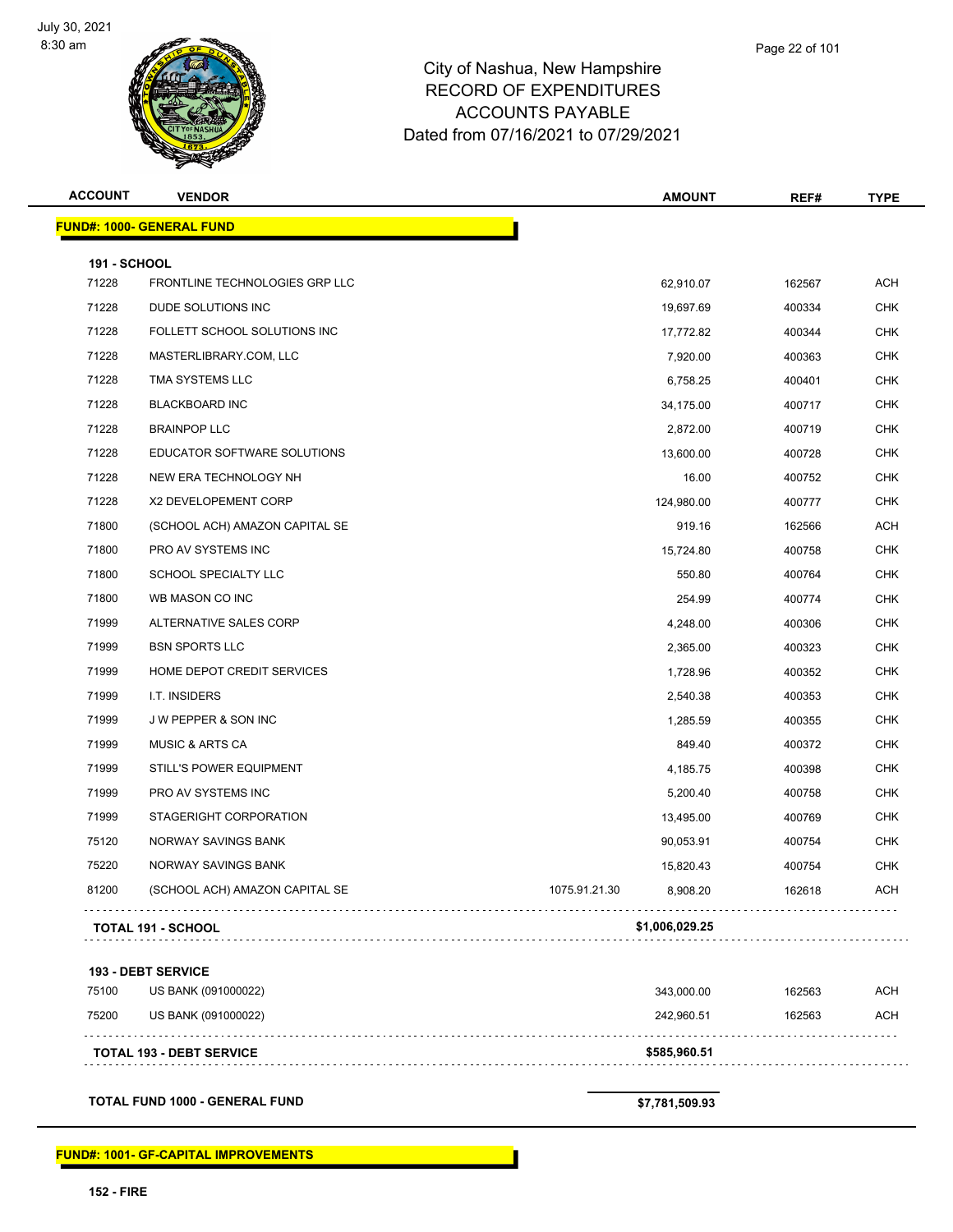

|  | Page 22 of 101 |  |  |  |  |
|--|----------------|--|--|--|--|
|--|----------------|--|--|--|--|

| <b>FUND#: 1000- GENERAL FUND</b><br><b>191 - SCHOOL</b><br>FRONTLINE TECHNOLOGIES GRP LLC |                           |                |            |
|-------------------------------------------------------------------------------------------|---------------------------|----------------|------------|
|                                                                                           |                           |                |            |
|                                                                                           |                           |                |            |
|                                                                                           | 62,910.07                 | 162567         | <b>ACH</b> |
| DUDE SOLUTIONS INC                                                                        | 19,697.69                 | 400334         | <b>CHK</b> |
| FOLLETT SCHOOL SOLUTIONS INC                                                              | 17,772.82                 | 400344         | <b>CHK</b> |
| MASTERLIBRARY.COM, LLC                                                                    | 7,920.00                  | 400363         | <b>CHK</b> |
| TMA SYSTEMS LLC                                                                           | 6,758.25                  | 400401         | <b>CHK</b> |
| <b>BLACKBOARD INC</b>                                                                     | 34,175.00                 | 400717         | <b>CHK</b> |
| <b>BRAINPOP LLC</b>                                                                       | 2,872.00                  | 400719         | <b>CHK</b> |
| EDUCATOR SOFTWARE SOLUTIONS                                                               | 13,600.00                 | 400728         | <b>CHK</b> |
| NEW ERA TECHNOLOGY NH                                                                     | 16.00                     | 400752         | <b>CHK</b> |
| X2 DEVELOPEMENT CORP                                                                      | 124,980.00                | 400777         | <b>CHK</b> |
| (SCHOOL ACH) AMAZON CAPITAL SE                                                            | 919.16                    | 162566         | <b>ACH</b> |
| PRO AV SYSTEMS INC                                                                        | 15,724.80                 | 400758         | <b>CHK</b> |
| SCHOOL SPECIALTY LLC                                                                      | 550.80                    | 400764         | <b>CHK</b> |
| WB MASON CO INC                                                                           | 254.99                    | 400774         | <b>CHK</b> |
| ALTERNATIVE SALES CORP                                                                    | 4,248.00                  | 400306         | <b>CHK</b> |
| <b>BSN SPORTS LLC</b>                                                                     | 2,365.00                  | 400323         | <b>CHK</b> |
| HOME DEPOT CREDIT SERVICES                                                                | 1,728.96                  | 400352         | <b>CHK</b> |
| I.T. INSIDERS                                                                             | 2,540.38                  | 400353         | <b>CHK</b> |
| J W PEPPER & SON INC                                                                      | 1,285.59                  | 400355         | <b>CHK</b> |
| <b>MUSIC &amp; ARTS CA</b>                                                                | 849.40                    | 400372         | <b>CHK</b> |
| STILL'S POWER EQUIPMENT                                                                   | 4,185.75                  | 400398         | <b>CHK</b> |
| PRO AV SYSTEMS INC                                                                        | 5,200.40                  | 400758         | <b>CHK</b> |
| STAGERIGHT CORPORATION                                                                    | 13,495.00                 | 400769         | <b>CHK</b> |
| NORWAY SAVINGS BANK                                                                       | 90,053.91                 | 400754         | <b>CHK</b> |
| NORWAY SAVINGS BANK                                                                       | 15,820.43                 | 400754         | <b>CHK</b> |
| (SCHOOL ACH) AMAZON CAPITAL SE                                                            | 1075.91.21.30<br>8,908.20 | 162618         | <b>ACH</b> |
|                                                                                           |                           |                |            |
|                                                                                           | <b>TOTAL 191 - SCHOOL</b> | \$1,006,029.25 |            |

#### **193 - DEBT SERVICE**

| 75100 | US BANK (091000022)             | 343.000.00   | 162563 | ACH |
|-------|---------------------------------|--------------|--------|-----|
| 75200 | US BANK (091000022)             | 242.960.51   | 162563 | ACH |
|       | <b>TOTAL 193 - DEBT SERVICE</b> | \$585,960.51 |        |     |

**TOTAL FUND 1000 - GENERAL FUND \$7,781,509.93**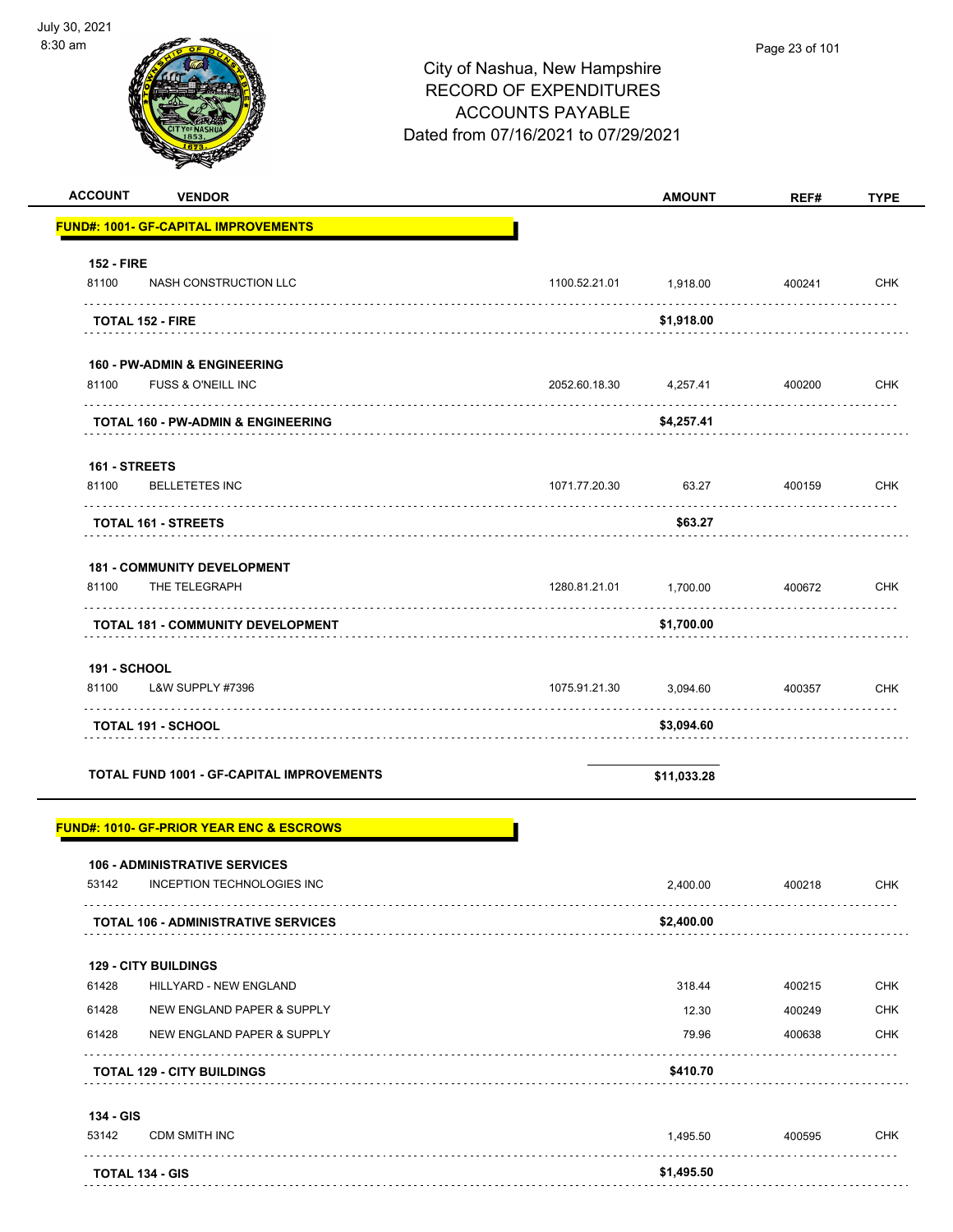| <b>ACCOUNT</b><br><b>VENDOR</b>                                |               | <b>AMOUNT</b>   | REF#             | <b>TYPE</b>              |
|----------------------------------------------------------------|---------------|-----------------|------------------|--------------------------|
| <b>FUND#: 1001- GF-CAPITAL IMPROVEMENTS</b>                    |               |                 |                  |                          |
| <b>152 - FIRE</b>                                              |               |                 |                  |                          |
| 81100<br>NASH CONSTRUCTION LLC                                 | 1100.52.21.01 | 1,918.00        | 400241           | CHK                      |
| TOTAL 152 - FIRE                                               |               | \$1,918.00      |                  |                          |
| <b>160 - PW-ADMIN &amp; ENGINEERING</b>                        |               |                 |                  |                          |
| 81100<br><b>FUSS &amp; O'NEILL INC</b>                         | 2052.60.18.30 | 4,257.41        | 400200           | <b>CHK</b>               |
| <b>TOTAL 160 - PW-ADMIN &amp; ENGINEERING</b>                  |               | \$4,257.41      |                  |                          |
| 161 - STREETS                                                  |               |                 |                  |                          |
| 81100<br><b>BELLETETES INC</b><br>.                            | 1071.77.20.30 | 63.27           | 400159           | <b>CHK</b>               |
| <b>TOTAL 161 - STREETS</b>                                     |               | \$63.27         |                  |                          |
| <b>181 - COMMUNITY DEVELOPMENT</b>                             |               |                 |                  |                          |
| 81100<br>THE TELEGRAPH<br>.                                    | 1280.81.21.01 | 1,700.00        | 400672<br>.      | <b>CHK</b>               |
| TOTAL 181 - COMMUNITY DEVELOPMENT                              |               | \$1,700.00      |                  |                          |
| 191 - SCHOOL                                                   |               |                 |                  |                          |
| 81100<br>L&W SUPPLY #7396                                      | 1075.91.21.30 | 3,094.60        | 400357           | <b>CHK</b>               |
| TOTAL 191 - SCHOOL                                             |               | \$3,094.60      |                  |                          |
| <b>TOTAL FUND 1001 - GF-CAPITAL IMPROVEMENTS</b>               |               | \$11,033.28     |                  |                          |
| <b>FUND#: 1010- GF-PRIOR YEAR ENC &amp; ESCROWS</b>            |               |                 |                  |                          |
| <b>106 - ADMINISTRATIVE SERVICES</b>                           |               |                 |                  |                          |
| INCEPTION TECHNOLOGIES INC<br>53142                            |               | 2,400.00        | 400218           | <b>CHK</b>               |
| <b>TOTAL 106 - ADMINISTRATIVE SERVICES</b>                     |               | \$2,400.00      |                  |                          |
| <b>129 - CITY BUILDINGS</b><br>61428<br>HILLYARD - NEW ENGLAND |               |                 |                  |                          |
| 61428<br>NEW ENGLAND PAPER & SUPPLY                            |               | 318.44<br>12.30 | 400215<br>400249 | <b>CHK</b><br><b>CHK</b> |
| 61428<br>NEW ENGLAND PAPER & SUPPLY                            |               | 79.96           | 400638           | <b>CHK</b>               |
| <b>TOTAL 129 - CITY BUILDINGS</b>                              |               | \$410.70        |                  |                          |
| 134 - GIS                                                      |               |                 |                  |                          |
| 53142<br><b>CDM SMITH INC</b>                                  |               | 1,495.50        | 400595           | CHK                      |
|                                                                |               |                 |                  |                          |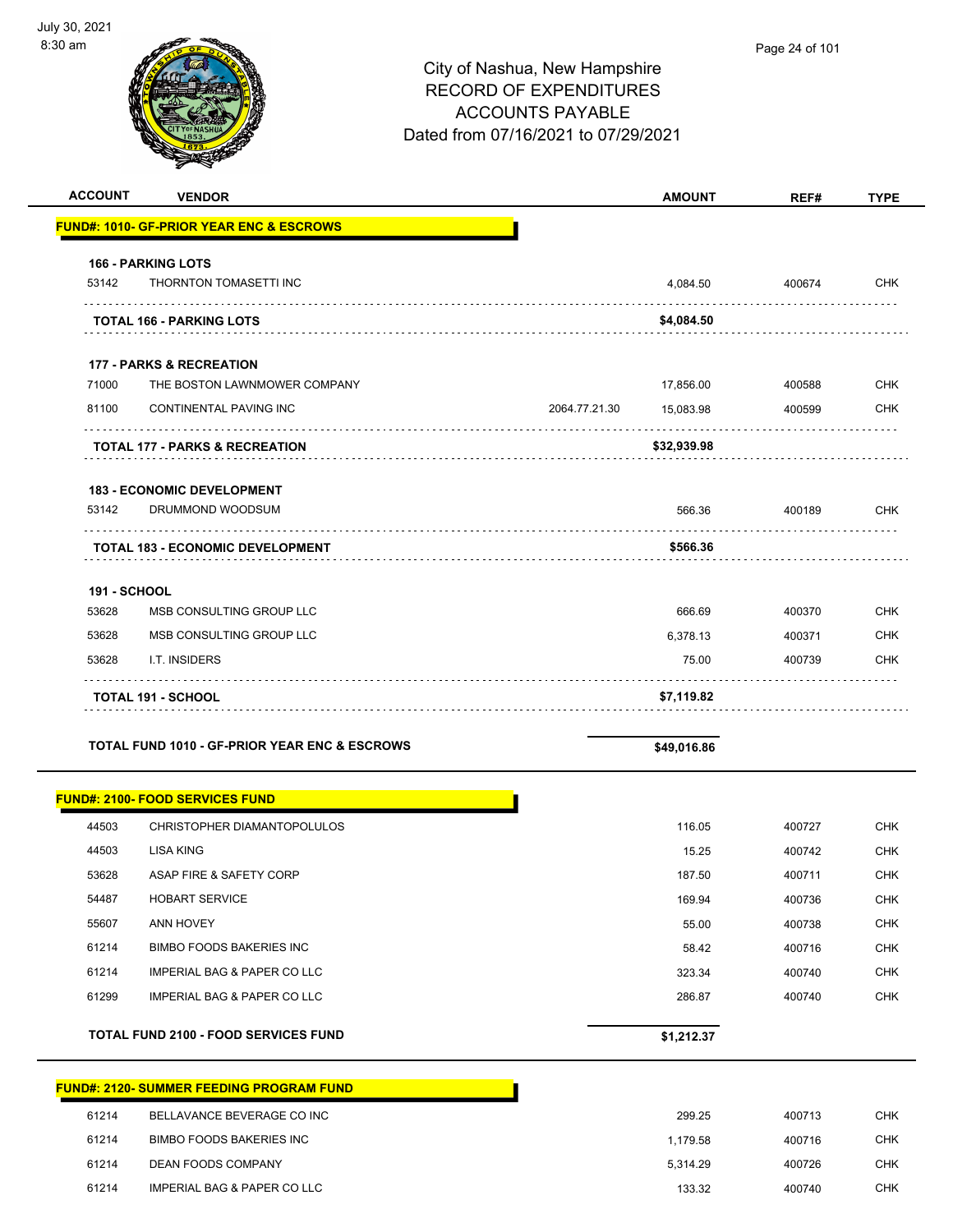| <b>ACCOUNT</b>      | <b>VENDOR</b>                                                       |               | <b>AMOUNT</b>          | REF#             | <b>TYPE</b>              |
|---------------------|---------------------------------------------------------------------|---------------|------------------------|------------------|--------------------------|
|                     | <b>FUND#: 1010- GF-PRIOR YEAR ENC &amp; ESCROWS</b>                 |               |                        |                  |                          |
|                     | <b>166 - PARKING LOTS</b>                                           |               |                        |                  |                          |
| 53142               | THORNTON TOMASETTI INC                                              |               | 4,084.50               | 400674           | <b>CHK</b>               |
|                     | <b>TOTAL 166 - PARKING LOTS</b>                                     |               | \$4,084.50             |                  |                          |
|                     |                                                                     |               |                        |                  |                          |
|                     | <b>177 - PARKS &amp; RECREATION</b><br>THE BOSTON LAWNMOWER COMPANY |               |                        |                  |                          |
| 71000<br>81100      | CONTINENTAL PAVING INC                                              | 2064.77.21.30 | 17,856.00<br>15,083.98 | 400588<br>400599 | <b>CHK</b><br><b>CHK</b> |
|                     |                                                                     |               |                        |                  |                          |
|                     | <b>TOTAL 177 - PARKS &amp; RECREATION</b>                           |               | \$32,939.98            |                  |                          |
|                     | <b>183 - ECONOMIC DEVELOPMENT</b>                                   |               |                        |                  |                          |
| 53142               | DRUMMOND WOODSUM                                                    |               | 566.36                 | 400189           | <b>CHK</b>               |
|                     | <b>TOTAL 183 - ECONOMIC DEVELOPMENT</b>                             |               | \$566.36               |                  |                          |
| <b>191 - SCHOOL</b> |                                                                     |               |                        |                  |                          |
| 53628               | MSB CONSULTING GROUP LLC                                            |               | 666.69                 | 400370           | <b>CHK</b>               |
| 53628               | MSB CONSULTING GROUP LLC                                            |               | 6,378.13               | 400371           | <b>CHK</b>               |
| 53628               | I.T. INSIDERS                                                       |               | 75.00                  | 400739           | <b>CHK</b>               |
|                     | <b>TOTAL 191 - SCHOOL</b>                                           |               | \$7,119.82             |                  |                          |
|                     |                                                                     |               |                        |                  |                          |
|                     | <b>TOTAL FUND 1010 - GF-PRIOR YEAR ENC &amp; ESCROWS</b>            |               | \$49,016.86            |                  |                          |
|                     | <b>FUND#: 2100- FOOD SERVICES FUND</b>                              |               |                        |                  |                          |
| 44503               | CHRISTOPHER DIAMANTOPOLULOS                                         |               | 116.05                 | 400727           | <b>CHK</b>               |
| 44503               | LISA KING                                                           |               | 15.25                  | 400742           | <b>CHK</b>               |
| 53628               | ASAP FIRE & SAFETY CORP                                             |               | 187.50                 | 400711           | <b>CHK</b>               |
| 54487               | <b>HOBART SERVICE</b>                                               |               | 169.94                 | 400736           | <b>CHK</b>               |
| 55607               | ANN HOVEY                                                           |               | 55.00                  | 400738           | <b>CHK</b>               |
| 61214               | <b>BIMBO FOODS BAKERIES INC</b>                                     |               | 58.42                  | 400716           | <b>CHK</b>               |
| 61214               | IMPERIAL BAG & PAPER CO LLC                                         |               | 323.34                 | 400740           | <b>CHK</b>               |
| 61299               | IMPERIAL BAG & PAPER CO LLC                                         |               | 286.87                 | 400740           | <b>CHK</b>               |
|                     | <b>TOTAL FUND 2100 - FOOD SERVICES FUND</b>                         |               | \$1,212.37             |                  |                          |
|                     | <b>FUND#: 2120- SUMMER FEEDING PROGRAM FUND</b>                     |               |                        |                  |                          |
| 61214               | BELLAVANCE BEVERAGE CO INC                                          |               | 299.25                 | 400713           | <b>CHK</b>               |
| 61214               | <b>BIMBO FOODS BAKERIES INC</b>                                     |               | 1,179.58               | 400716           | <b>CHK</b>               |
| 61214               | DEAN FOODS COMPANY                                                  |               | 5,314.29               | 400726           | CHK                      |

61214 IMPERIAL BAG & PAPER CO LLC 133.32 400740 CHK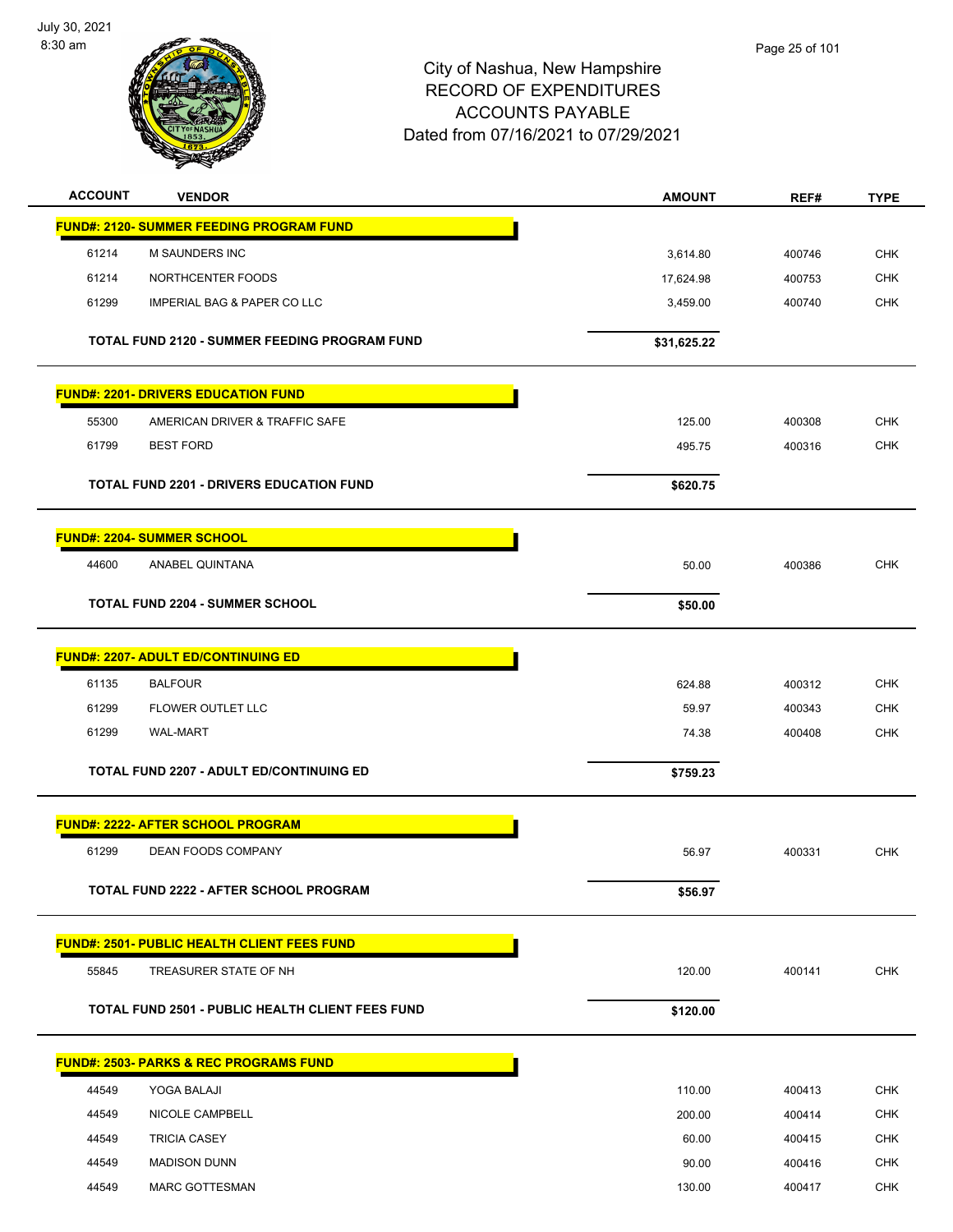

| <b>ACCOUNT</b> | <b>VENDOR</b>                                           | <b>AMOUNT</b> | REF#   | <b>TYPE</b> |
|----------------|---------------------------------------------------------|---------------|--------|-------------|
|                | <b>FUND#: 2120- SUMMER FEEDING PROGRAM FUND</b>         |               |        |             |
| 61214          | M SAUNDERS INC                                          | 3,614.80      | 400746 | <b>CHK</b>  |
| 61214          | NORTHCENTER FOODS                                       | 17,624.98     | 400753 | <b>CHK</b>  |
| 61299          | <b>IMPERIAL BAG &amp; PAPER CO LLC</b>                  | 3,459.00      | 400740 | CHK         |
|                | <b>TOTAL FUND 2120 - SUMMER FEEDING PROGRAM FUND</b>    | \$31,625.22   |        |             |
|                | <b>FUND#: 2201- DRIVERS EDUCATION FUND</b>              |               |        |             |
| 55300          | AMERICAN DRIVER & TRAFFIC SAFE                          | 125.00        | 400308 | <b>CHK</b>  |
| 61799          | <b>BEST FORD</b>                                        | 495.75        | 400316 | <b>CHK</b>  |
|                | <b>TOTAL FUND 2201 - DRIVERS EDUCATION FUND</b>         | \$620.75      |        |             |
|                | <b>FUND#: 2204- SUMMER SCHOOL</b>                       |               |        |             |
| 44600          | ANABEL QUINTANA                                         | 50.00         | 400386 | <b>CHK</b>  |
|                | <b>TOTAL FUND 2204 - SUMMER SCHOOL</b>                  | \$50.00       |        |             |
|                | <b>FUND#: 2207- ADULT ED/CONTINUING ED</b>              |               |        |             |
| 61135          | <b>BALFOUR</b>                                          | 624.88        | 400312 | <b>CHK</b>  |
| 61299          | FLOWER OUTLET LLC                                       | 59.97         | 400343 | <b>CHK</b>  |
| 61299          | <b>WAL-MART</b>                                         | 74.38         | 400408 | <b>CHK</b>  |
|                | <b>TOTAL FUND 2207 - ADULT ED/CONTINUING ED</b>         | \$759.23      |        |             |
|                | FUND#: 2222- AFTER SCHOOL PROGRAM                       |               |        |             |
| 61299          | DEAN FOODS COMPANY                                      | 56.97         | 400331 | <b>CHK</b>  |
|                | TOTAL FUND 2222 - AFTER SCHOOL PROGRAM                  | \$56.97       |        |             |
|                | <b>FUND#: 2501- PUBLIC HEALTH CLIENT FEES FUND</b>      |               |        |             |
| 55845          | TREASURER STATE OF NH                                   | 120.00        | 400141 | CHK         |
|                | <b>TOTAL FUND 2501 - PUBLIC HEALTH CLIENT FEES FUND</b> | \$120.00      |        |             |
|                | <b>FUND#: 2503- PARKS &amp; REC PROGRAMS FUND</b>       |               |        |             |
| 44549          | YOGA BALAJI                                             | 110.00        | 400413 | <b>CHK</b>  |
| 44549          | NICOLE CAMPBELL                                         | 200.00        | 400414 | <b>CHK</b>  |
| 44549          | <b>TRICIA CASEY</b>                                     | 60.00         | 400415 | <b>CHK</b>  |
| 44549          | <b>MADISON DUNN</b>                                     | 90.00         | 400416 | <b>CHK</b>  |
| 44549          | <b>MARC GOTTESMAN</b>                                   | 130.00        | 400417 | <b>CHK</b>  |
|                |                                                         |               |        |             |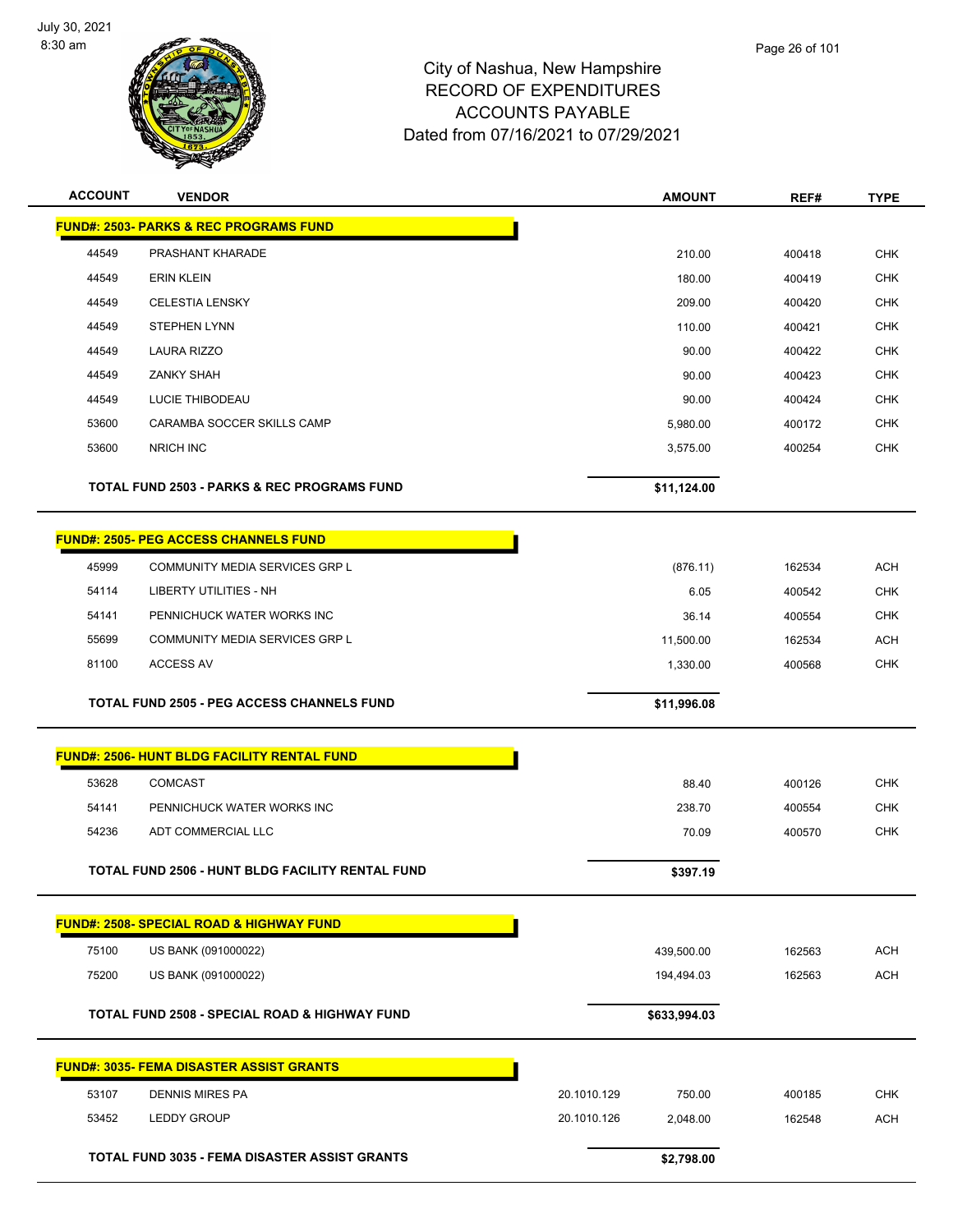

| <b>ACCOUNT</b> | <b>VENDOR</b>                                            |             | <b>AMOUNT</b> | REF#   | <b>TYPE</b> |
|----------------|----------------------------------------------------------|-------------|---------------|--------|-------------|
|                | <b>FUND#: 2503- PARKS &amp; REC PROGRAMS FUND</b>        |             |               |        |             |
| 44549          | PRASHANT KHARADE                                         |             | 210.00        | 400418 | <b>CHK</b>  |
| 44549          | <b>ERIN KLEIN</b>                                        |             | 180.00        | 400419 | <b>CHK</b>  |
| 44549          | <b>CELESTIA LENSKY</b>                                   |             | 209.00        | 400420 | <b>CHK</b>  |
| 44549          | <b>STEPHEN LYNN</b>                                      |             | 110.00        | 400421 | <b>CHK</b>  |
| 44549          | <b>LAURA RIZZO</b>                                       |             | 90.00         | 400422 | <b>CHK</b>  |
| 44549          | ZANKY SHAH                                               |             | 90.00         | 400423 | <b>CHK</b>  |
| 44549          | LUCIE THIBODEAU                                          |             | 90.00         | 400424 | <b>CHK</b>  |
| 53600          | CARAMBA SOCCER SKILLS CAMP                               |             | 5,980.00      | 400172 | <b>CHK</b>  |
| 53600          | <b>NRICH INC</b>                                         |             | 3,575.00      | 400254 | <b>CHK</b>  |
|                | <b>TOTAL FUND 2503 - PARKS &amp; REC PROGRAMS FUND</b>   |             | \$11,124.00   |        |             |
|                | <b>FUND#: 2505- PEG ACCESS CHANNELS FUND</b>             |             |               |        |             |
| 45999          | COMMUNITY MEDIA SERVICES GRP L                           |             | (876.11)      | 162534 | <b>ACH</b>  |
| 54114          | <b>LIBERTY UTILITIES - NH</b>                            |             | 6.05          | 400542 | <b>CHK</b>  |
| 54141          | PENNICHUCK WATER WORKS INC                               |             | 36.14         | 400554 | <b>CHK</b>  |
| 55699          | COMMUNITY MEDIA SERVICES GRP L                           |             | 11,500.00     | 162534 | <b>ACH</b>  |
| 81100          | <b>ACCESS AV</b>                                         |             | 1,330.00      | 400568 | <b>CHK</b>  |
|                | TOTAL FUND 2505 - PEG ACCESS CHANNELS FUND               |             | \$11,996.08   |        |             |
|                | <b>FUND#: 2506- HUNT BLDG FACILITY RENTAL FUND</b>       |             |               |        |             |
| 53628          | <b>COMCAST</b>                                           |             | 88.40         | 400126 | <b>CHK</b>  |
| 54141          | PENNICHUCK WATER WORKS INC                               |             | 238.70        | 400554 | <b>CHK</b>  |
| 54236          | ADT COMMERCIAL LLC                                       |             | 70.09         | 400570 | <b>CHK</b>  |
|                | TOTAL FUND 2506 - HUNT BLDG FACILITY RENTAL FUND         |             | \$397.19      |        |             |
|                | <b>FUND#: 2508- SPECIAL ROAD &amp; HIGHWAY FUND</b>      |             |               |        |             |
| 75100          | US BANK (091000022)                                      |             | 439,500.00    | 162563 | <b>ACH</b>  |
| 75200          | US BANK (091000022)                                      |             | 194,494.03    | 162563 | <b>ACH</b>  |
|                | <b>TOTAL FUND 2508 - SPECIAL ROAD &amp; HIGHWAY FUND</b> |             | \$633,994.03  |        |             |
|                | <b>FUND#: 3035- FEMA DISASTER ASSIST GRANTS</b>          |             |               |        |             |
| 53107          | <b>DENNIS MIRES PA</b>                                   | 20.1010.129 | 750.00        | 400185 | <b>CHK</b>  |
| 53452          | <b>LEDDY GROUP</b>                                       | 20.1010.126 | 2,048.00      | 162548 | <b>ACH</b>  |
|                |                                                          |             |               |        |             |
|                | <b>TOTAL FUND 3035 - FEMA DISASTER ASSIST GRANTS</b>     |             | \$2,798.00    |        |             |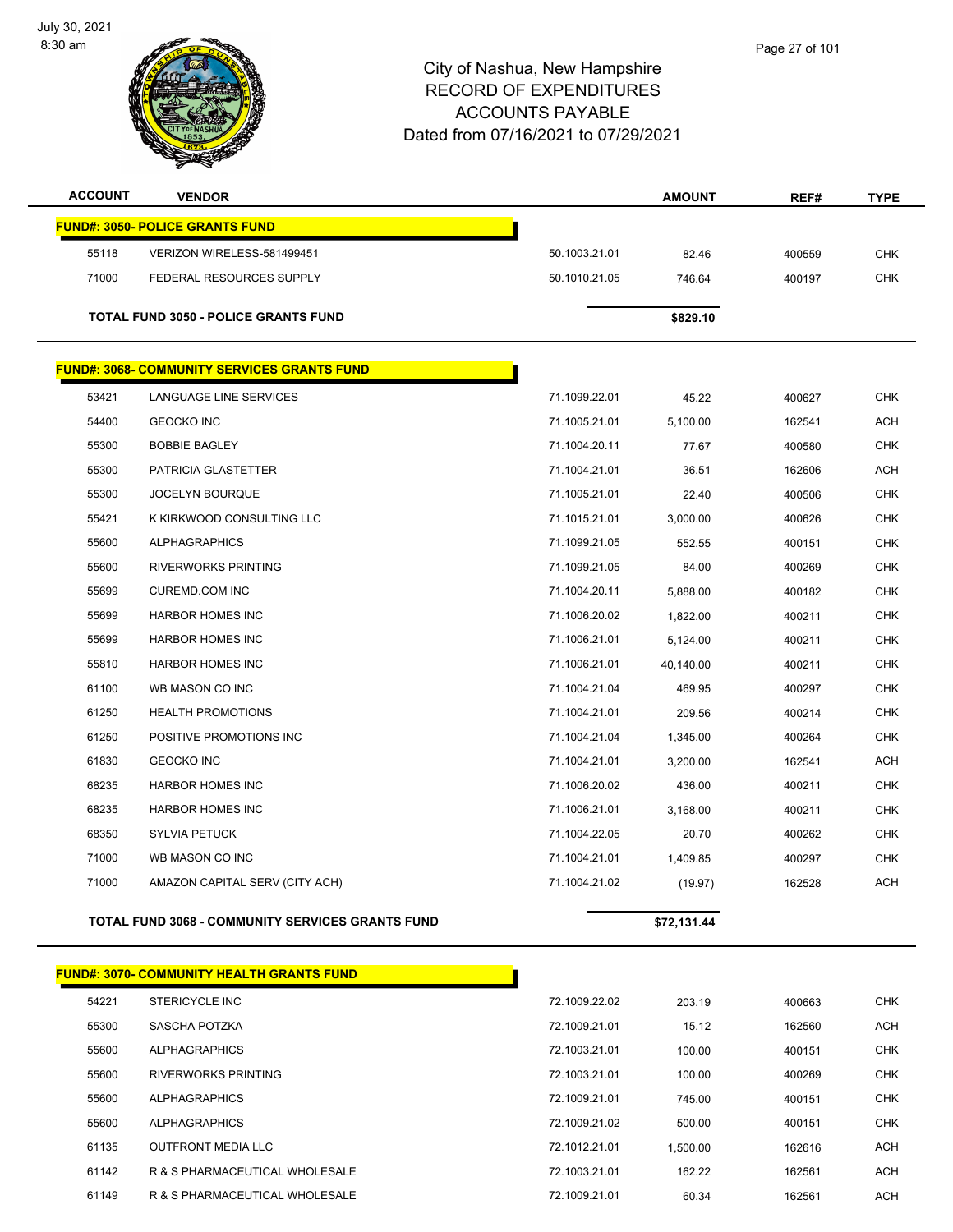

| <b>ACCOUNT</b> | <b>VENDOR</b>                                           |               | <b>AMOUNT</b> | REF#   | <b>TYPE</b> |
|----------------|---------------------------------------------------------|---------------|---------------|--------|-------------|
|                | <b>FUND#: 3050- POLICE GRANTS FUND</b>                  |               |               |        |             |
| 55118          | VERIZON WIRELESS-581499451                              | 50.1003.21.01 | 82.46         | 400559 | <b>CHK</b>  |
| 71000          | FEDERAL RESOURCES SUPPLY                                | 50.1010.21.05 | 746.64        | 400197 | <b>CHK</b>  |
|                | <b>TOTAL FUND 3050 - POLICE GRANTS FUND</b>             |               | \$829.10      |        |             |
|                | <b>FUND#: 3068- COMMUNITY SERVICES GRANTS FUND</b>      |               |               |        |             |
| 53421          | LANGUAGE LINE SERVICES                                  | 71.1099.22.01 | 45.22         | 400627 | <b>CHK</b>  |
| 54400          | <b>GEOCKO INC</b>                                       | 71.1005.21.01 | 5,100.00      | 162541 | <b>ACH</b>  |
| 55300          | <b>BOBBIE BAGLEY</b>                                    | 71.1004.20.11 | 77.67         | 400580 | <b>CHK</b>  |
| 55300          | PATRICIA GLASTETTER                                     | 71.1004.21.01 | 36.51         | 162606 | <b>ACH</b>  |
| 55300          | <b>JOCELYN BOURQUE</b>                                  | 71.1005.21.01 | 22.40         | 400506 | <b>CHK</b>  |
| 55421          | K KIRKWOOD CONSULTING LLC                               | 71.1015.21.01 | 3,000.00      | 400626 | <b>CHK</b>  |
| 55600          | <b>ALPHAGRAPHICS</b>                                    | 71.1099.21.05 | 552.55        | 400151 | <b>CHK</b>  |
| 55600          | <b>RIVERWORKS PRINTING</b>                              | 71.1099.21.05 | 84.00         | 400269 | <b>CHK</b>  |
| 55699          | <b>CUREMD.COM INC</b>                                   | 71.1004.20.11 | 5,888.00      | 400182 | <b>CHK</b>  |
| 55699          | <b>HARBOR HOMES INC</b>                                 | 71.1006.20.02 | 1,822.00      | 400211 | <b>CHK</b>  |
| 55699          | <b>HARBOR HOMES INC</b>                                 | 71.1006.21.01 | 5,124.00      | 400211 | <b>CHK</b>  |
| 55810          | <b>HARBOR HOMES INC</b>                                 | 71.1006.21.01 | 40,140.00     | 400211 | <b>CHK</b>  |
| 61100          | WB MASON CO INC                                         | 71.1004.21.04 | 469.95        | 400297 | <b>CHK</b>  |
| 61250          | <b>HEALTH PROMOTIONS</b>                                | 71.1004.21.01 | 209.56        | 400214 | <b>CHK</b>  |
| 61250          | POSITIVE PROMOTIONS INC                                 | 71.1004.21.04 | 1,345.00      | 400264 | <b>CHK</b>  |
| 61830          | <b>GEOCKO INC</b>                                       | 71.1004.21.01 | 3,200.00      | 162541 | <b>ACH</b>  |
| 68235          | <b>HARBOR HOMES INC</b>                                 | 71.1006.20.02 | 436.00        | 400211 | <b>CHK</b>  |
| 68235          | HARBOR HOMES INC                                        | 71.1006.21.01 | 3,168.00      | 400211 | <b>CHK</b>  |
| 68350          | <b>SYLVIA PETUCK</b>                                    | 71.1004.22.05 | 20.70         | 400262 | <b>CHK</b>  |
| 71000          | WB MASON CO INC                                         | 71.1004.21.01 | 1,409.85      | 400297 | <b>CHK</b>  |
| 71000          | AMAZON CAPITAL SERV (CITY ACH)                          | 71.1004.21.02 | (19.97)       | 162528 | <b>ACH</b>  |
|                | <b>TOTAL FUND 3068 - COMMUNITY SERVICES GRANTS FUND</b> |               | \$72,131.44   |        |             |
|                |                                                         |               |               |        |             |
|                | <b>FUND#: 3070- COMMUNITY HEALTH GRANTS FUND</b>        |               |               |        |             |

| 54221 | STERICYCLE INC                 | 72.1009.22.02 | 203.19   | 400663 | <b>CHK</b> |
|-------|--------------------------------|---------------|----------|--------|------------|
| 55300 | SASCHA POTZKA                  | 72.1009.21.01 | 15.12    | 162560 | <b>ACH</b> |
| 55600 | ALPHAGRAPHICS                  | 72.1003.21.01 | 100.00   | 400151 | <b>CHK</b> |
| 55600 | RIVERWORKS PRINTING            | 72.1003.21.01 | 100.00   | 400269 | <b>CHK</b> |
| 55600 | ALPHAGRAPHICS                  | 72.1009.21.01 | 745.00   | 400151 | <b>CHK</b> |
| 55600 | <b>ALPHAGRAPHICS</b>           | 72.1009.21.02 | 500.00   | 400151 | <b>CHK</b> |
| 61135 | <b>OUTFRONT MEDIA LLC</b>      | 72.1012.21.01 | 1.500.00 | 162616 | <b>ACH</b> |
| 61142 | R & S PHARMACEUTICAL WHOLESALE | 72.1003.21.01 | 162.22   | 162561 | <b>ACH</b> |
| 61149 | R & S PHARMACEUTICAL WHOLESALE | 72.1009.21.01 | 60.34    | 162561 | <b>ACH</b> |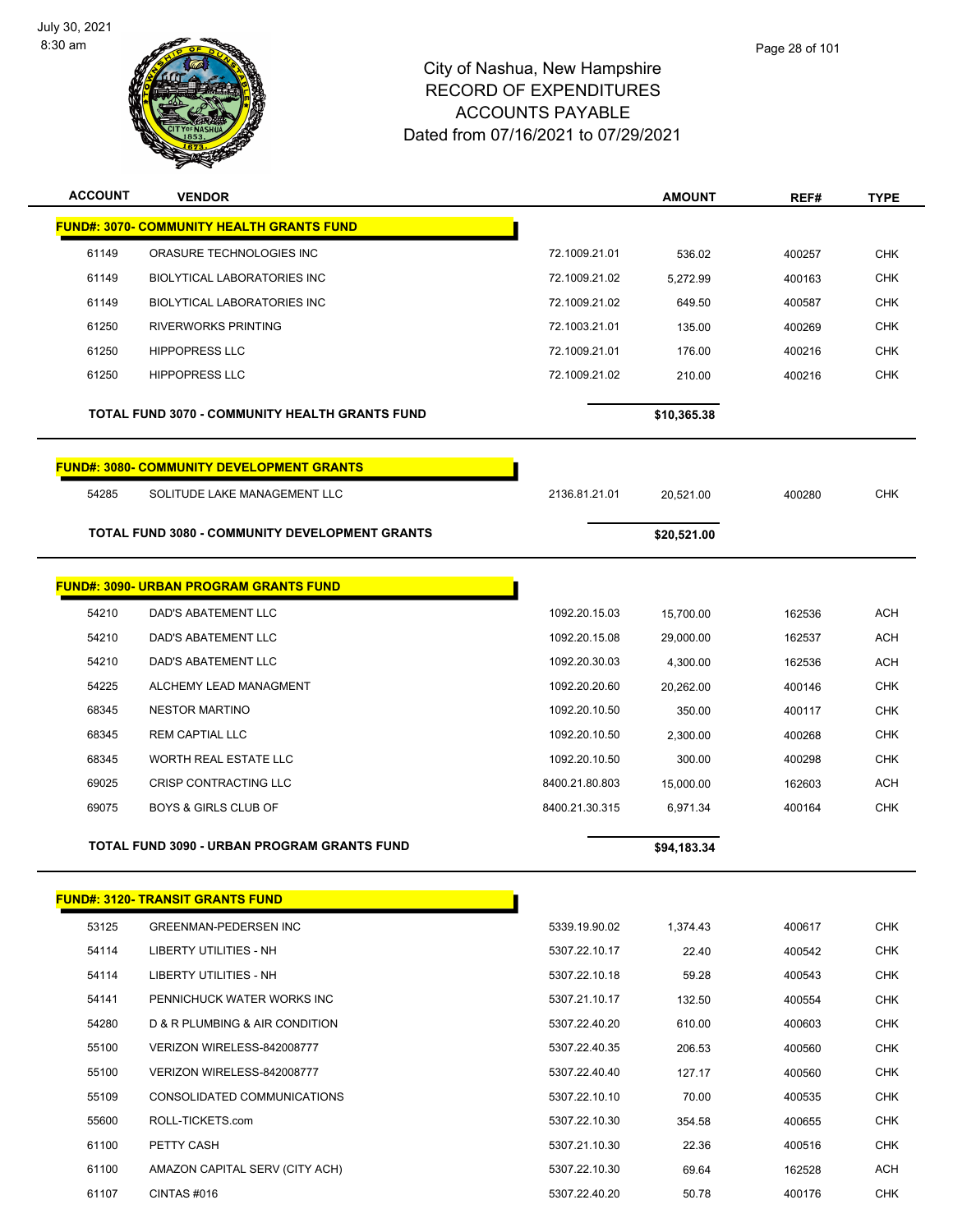

| <b>ACCOUNT</b> | <b>VENDOR</b>                                         |                | <b>AMOUNT</b> | REF#   | <b>TYPE</b> |
|----------------|-------------------------------------------------------|----------------|---------------|--------|-------------|
|                | <b>FUND#: 3070- COMMUNITY HEALTH GRANTS FUND</b>      |                |               |        |             |
| 61149          | ORASURE TECHNOLOGIES INC                              | 72.1009.21.01  | 536.02        | 400257 | <b>CHK</b>  |
| 61149          | <b>BIOLYTICAL LABORATORIES INC</b>                    | 72.1009.21.02  | 5,272.99      | 400163 | <b>CHK</b>  |
| 61149          | <b>BIOLYTICAL LABORATORIES INC</b>                    | 72.1009.21.02  | 649.50        | 400587 | <b>CHK</b>  |
| 61250          | <b>RIVERWORKS PRINTING</b>                            | 72.1003.21.01  | 135.00        | 400269 | <b>CHK</b>  |
| 61250          | <b>HIPPOPRESS LLC</b>                                 | 72.1009.21.01  | 176.00        | 400216 | <b>CHK</b>  |
| 61250          | <b>HIPPOPRESS LLC</b>                                 | 72.1009.21.02  | 210.00        | 400216 | <b>CHK</b>  |
|                | <b>TOTAL FUND 3070 - COMMUNITY HEALTH GRANTS FUND</b> |                | \$10,365.38   |        |             |
|                | <b>FUND#: 3080- COMMUNITY DEVELOPMENT GRANTS</b>      |                |               |        |             |
| 54285          | SOLITUDE LAKE MANAGEMENT LLC                          | 2136.81.21.01  | 20.521.00     | 400280 | <b>CHK</b>  |
|                | <b>TOTAL FUND 3080 - COMMUNITY DEVELOPMENT GRANTS</b> |                | \$20,521.00   |        |             |
|                | <b>FUND#: 3090- URBAN PROGRAM GRANTS FUND</b>         |                |               |        |             |
| 54210          | <b>DAD'S ABATEMENT LLC</b>                            | 1092.20.15.03  | 15,700.00     | 162536 | <b>ACH</b>  |
| 54210          | DAD'S ABATEMENT LLC                                   | 1092.20.15.08  | 29,000.00     | 162537 | <b>ACH</b>  |
| 54210          | DAD'S ABATEMENT LLC                                   | 1092.20.30.03  | 4,300.00      | 162536 | <b>ACH</b>  |
| 54225          | ALCHEMY LEAD MANAGMENT                                | 1092.20.20.60  | 20,262.00     | 400146 | <b>CHK</b>  |
| 68345          | <b>NESTOR MARTINO</b>                                 | 1092.20.10.50  | 350.00        | 400117 | <b>CHK</b>  |
| 68345          | <b>REM CAPTIAL LLC</b>                                | 1092.20.10.50  | 2,300.00      | 400268 | <b>CHK</b>  |
| 68345          | WORTH REAL ESTATE LLC                                 | 1092.20.10.50  | 300.00        | 400298 | <b>CHK</b>  |
| 69025          | CRISP CONTRACTING LLC                                 | 8400.21.80.803 | 15,000.00     | 162603 | <b>ACH</b>  |
| 69075          | <b>BOYS &amp; GIRLS CLUB OF</b>                       | 8400.21.30.315 | 6,971.34      | 400164 | <b>CHK</b>  |
|                | TOTAL FUND 3090 - URBAN PROGRAM GRANTS FUND           |                | \$94,183.34   |        |             |
|                | <b>FUND#: 3120- TRANSIT GRANTS FUND</b>               |                |               |        |             |
| 53125          | <b>GREENMAN-PEDERSEN INC</b>                          | 5339.19.90.02  | 1,374.43      | 400617 | <b>CHK</b>  |
| 54114          | LIBERTY UTILITIES - NH                                | 5307.22.10.17  | 22.40         | 400542 | <b>CHK</b>  |
| 54114          | LIBERTY UTILITIES - NH                                | 5307.22.10.18  | 59.28         | 400543 | <b>CHK</b>  |
| 54141          | PENNICHUCK WATER WORKS INC                            | 5307.21.10.17  | 132.50        | 400554 | CHK         |
| 54280          | D & R PLUMBING & AIR CONDITION                        | 5307.22.40.20  | 610.00        | 400603 | CHK         |
| 55100          | VERIZON WIRELESS-842008777                            | 5307.22.40.35  | 206.53        | 400560 | <b>CHK</b>  |
| 55100          | VERIZON WIRELESS-842008777                            | 5307.22.40.40  | 127.17        | 400560 | CHK         |
| 55109          | CONSOLIDATED COMMUNICATIONS                           | 5307.22.10.10  | 70.00         | 400535 | CHK         |
| 55600          | ROLL-TICKETS.com                                      | 5307.22.10.30  | 354.58        | 400655 | CHK         |
| 61100          | PETTY CASH                                            | 5307.21.10.30  | 22.36         | 400516 | CHK         |
| 61100          | AMAZON CAPITAL SERV (CITY ACH)                        | 5307.22.10.30  | 69.64         | 162528 | <b>ACH</b>  |
| 61107          | CINTAS #016                                           | 5307.22.40.20  | 50.78         | 400176 | <b>CHK</b>  |
|                |                                                       |                |               |        |             |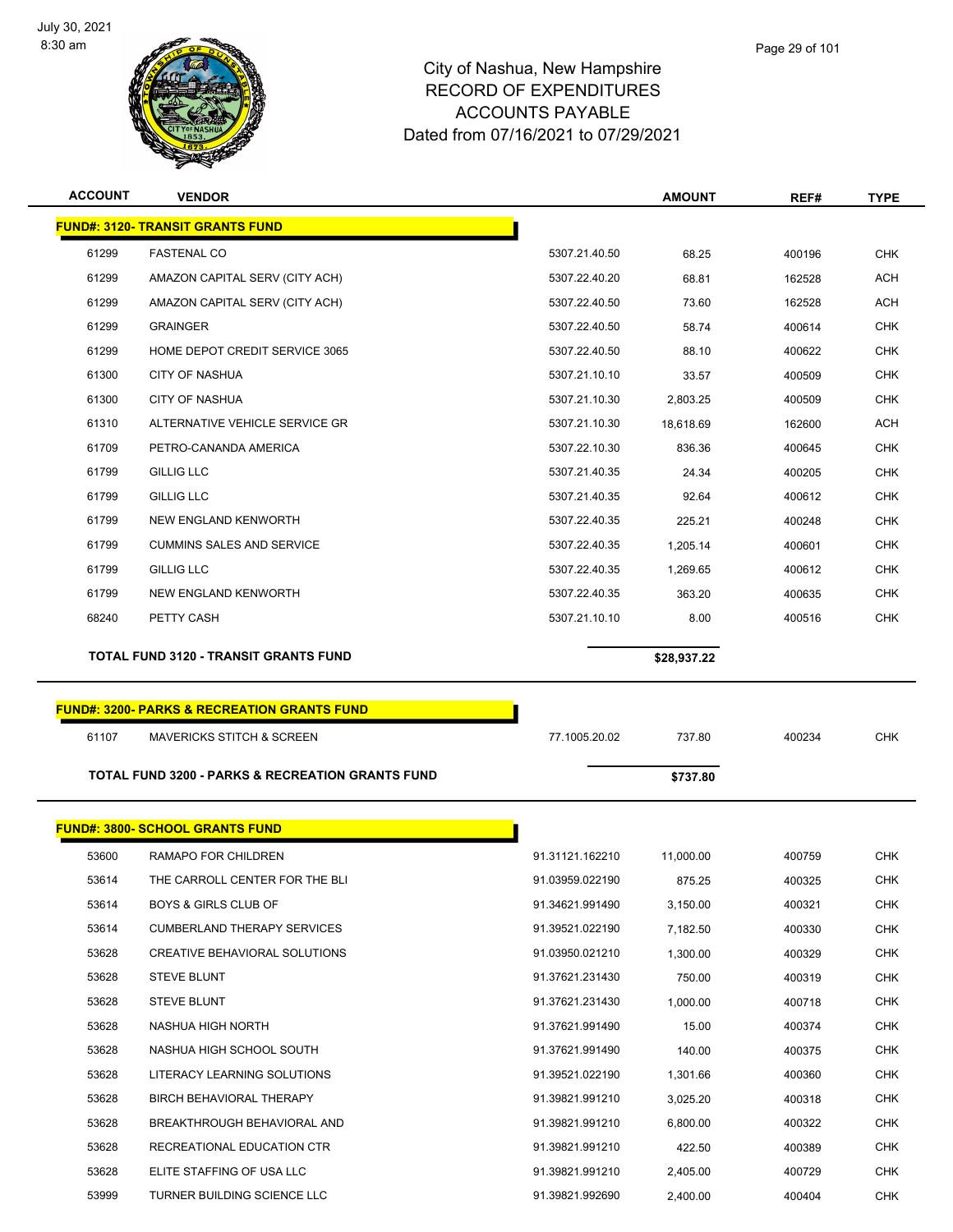

| <b>ACCOUNT</b>                          | <b>VENDOR</b>                                                         |                                    | <b>AMOUNT</b>        | REF#             | <b>TYPE</b>              |  |  |
|-----------------------------------------|-----------------------------------------------------------------------|------------------------------------|----------------------|------------------|--------------------------|--|--|
| <b>FUND#: 3120- TRANSIT GRANTS FUND</b> |                                                                       |                                    |                      |                  |                          |  |  |
| 61299                                   | <b>FASTENAL CO</b>                                                    | 5307.21.40.50                      | 68.25                | 400196           | <b>CHK</b>               |  |  |
| 61299                                   | AMAZON CAPITAL SERV (CITY ACH)                                        | 5307.22.40.20                      | 68.81                | 162528           | <b>ACH</b>               |  |  |
| 61299                                   | AMAZON CAPITAL SERV (CITY ACH)                                        | 5307.22.40.50                      | 73.60                | 162528           | ACH                      |  |  |
| 61299                                   | <b>GRAINGER</b>                                                       | 5307.22.40.50                      | 58.74                | 400614           | <b>CHK</b>               |  |  |
| 61299                                   | HOME DEPOT CREDIT SERVICE 3065                                        | 5307.22.40.50                      | 88.10                | 400622           | CHK                      |  |  |
| 61300                                   | <b>CITY OF NASHUA</b>                                                 | 5307.21.10.10                      | 33.57                | 400509           | CHK                      |  |  |
| 61300                                   | <b>CITY OF NASHUA</b>                                                 | 5307.21.10.30                      | 2,803.25             | 400509           | <b>CHK</b>               |  |  |
| 61310                                   | ALTERNATIVE VEHICLE SERVICE GR                                        | 5307.21.10.30                      | 18,618.69            | 162600           | ACH                      |  |  |
| 61709                                   | PETRO-CANANDA AMERICA                                                 | 5307.22.10.30                      | 836.36               | 400645           | CHK                      |  |  |
| 61799                                   | <b>GILLIG LLC</b>                                                     | 5307.21.40.35                      | 24.34                | 400205           | <b>CHK</b>               |  |  |
| 61799                                   | <b>GILLIG LLC</b>                                                     | 5307.21.40.35                      | 92.64                | 400612           | CHK                      |  |  |
| 61799                                   | NEW ENGLAND KENWORTH                                                  | 5307.22.40.35                      | 225.21               | 400248           | <b>CHK</b>               |  |  |
| 61799                                   | <b>CUMMINS SALES AND SERVICE</b>                                      | 5307.22.40.35                      | 1,205.14             | 400601           | CHK                      |  |  |
| 61799                                   | <b>GILLIG LLC</b>                                                     | 5307.22.40.35                      | 1,269.65             | 400612           | <b>CHK</b>               |  |  |
| 61799                                   | NEW ENGLAND KENWORTH                                                  | 5307.22.40.35                      | 363.20               | 400635           | CHK                      |  |  |
| 68240                                   | PETTY CASH                                                            | 5307.21.10.10                      | 8.00                 | 400516           | CHK                      |  |  |
|                                         | <b>TOTAL FUND 3120 - TRANSIT GRANTS FUND</b>                          |                                    | \$28,937.22          |                  |                          |  |  |
|                                         |                                                                       |                                    |                      |                  |                          |  |  |
|                                         |                                                                       |                                    |                      |                  |                          |  |  |
|                                         | <b>FUND#: 3200- PARKS &amp; RECREATION GRANTS FUND</b>                |                                    |                      |                  |                          |  |  |
| 61107                                   | <b>MAVERICKS STITCH &amp; SCREEN</b>                                  | 77.1005.20.02                      | 737.80               | 400234           | <b>CHK</b>               |  |  |
|                                         |                                                                       |                                    |                      |                  |                          |  |  |
|                                         | TOTAL FUND 3200 - PARKS & RECREATION GRANTS FUND                      |                                    | \$737.80             |                  |                          |  |  |
|                                         |                                                                       |                                    |                      |                  |                          |  |  |
|                                         | <b>FUND#: 3800- SCHOOL GRANTS FUND</b>                                |                                    |                      |                  |                          |  |  |
| 53600<br>53614                          | RAMAPO FOR CHILDREN<br>THE CARROLL CENTER FOR THE BLI                 | 91.31121.162210                    | 11,000.00            | 400759           | <b>CHK</b>               |  |  |
|                                         |                                                                       | 91.03959.022190<br>91.34621.991490 | 875.25               | 400325           | <b>CHK</b>               |  |  |
| 53614<br>53614                          | <b>BOYS &amp; GIRLS CLUB OF</b><br><b>CUMBERLAND THERAPY SERVICES</b> | 91.39521.022190                    | 3,150.00             | 400321           | <b>CHK</b>               |  |  |
| 53628                                   | CREATIVE BEHAVIORAL SOLUTIONS                                         | 91.03950.021210                    | 7,182.50<br>1,300.00 | 400330<br>400329 | <b>CHK</b><br><b>CHK</b> |  |  |
| 53628                                   | <b>STEVE BLUNT</b>                                                    | 91.37621.231430                    | 750.00               | 400319           | <b>CHK</b>               |  |  |
| 53628                                   | <b>STEVE BLUNT</b>                                                    | 91.37621.231430                    | 1,000.00             | 400718           | <b>CHK</b>               |  |  |
| 53628                                   | NASHUA HIGH NORTH                                                     | 91.37621.991490                    | 15.00                | 400374           | <b>CHK</b>               |  |  |
| 53628                                   | NASHUA HIGH SCHOOL SOUTH                                              | 91.37621.991490                    | 140.00               | 400375           | <b>CHK</b>               |  |  |
| 53628                                   | LITERACY LEARNING SOLUTIONS                                           | 91.39521.022190                    | 1,301.66             | 400360           | <b>CHK</b>               |  |  |
| 53628                                   | BIRCH BEHAVIORAL THERAPY                                              | 91.39821.991210                    | 3,025.20             | 400318           | <b>CHK</b>               |  |  |
| 53628                                   | BREAKTHROUGH BEHAVIORAL AND                                           | 91.39821.991210                    | 6,800.00             | 400322           | <b>CHK</b>               |  |  |
| 53628                                   | RECREATIONAL EDUCATION CTR                                            | 91.39821.991210                    | 422.50               | 400389           | <b>CHK</b>               |  |  |
| 53628                                   | ELITE STAFFING OF USA LLC                                             | 91.39821.991210                    | 2,405.00             | 400729           | <b>CHK</b>               |  |  |
| 53999                                   | TURNER BUILDING SCIENCE LLC                                           | 91.39821.992690                    | 2,400.00             | 400404           | <b>CHK</b>               |  |  |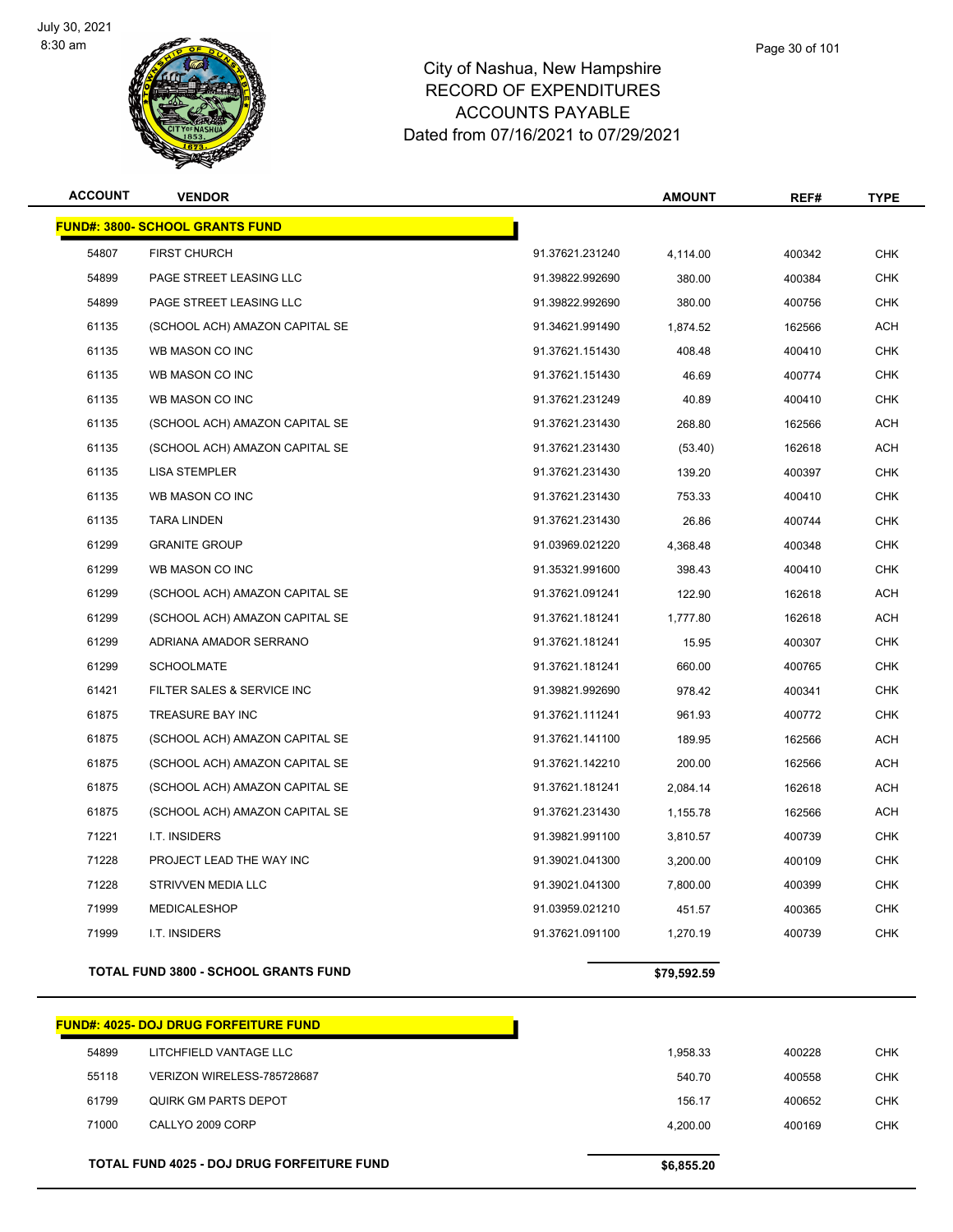

| <b>ACCOUNT</b> | <b>VENDOR</b>                          |                 | <b>AMOUNT</b> | REF#   | <b>TYPE</b> |
|----------------|----------------------------------------|-----------------|---------------|--------|-------------|
|                | <b>FUND#: 3800- SCHOOL GRANTS FUND</b> |                 |               |        |             |
| 54807          | <b>FIRST CHURCH</b>                    | 91.37621.231240 | 4,114.00      | 400342 | <b>CHK</b>  |
| 54899          | PAGE STREET LEASING LLC                | 91.39822.992690 | 380.00        | 400384 | <b>CHK</b>  |
| 54899          | PAGE STREET LEASING LLC                | 91.39822.992690 | 380.00        | 400756 | <b>CHK</b>  |
| 61135          | (SCHOOL ACH) AMAZON CAPITAL SE         | 91.34621.991490 | 1,874.52      | 162566 | ACH         |
| 61135          | WB MASON CO INC                        | 91.37621.151430 | 408.48        | 400410 | <b>CHK</b>  |
| 61135          | WB MASON CO INC                        | 91.37621.151430 | 46.69         | 400774 | <b>CHK</b>  |
| 61135          | WB MASON CO INC                        | 91.37621.231249 | 40.89         | 400410 | <b>CHK</b>  |
| 61135          | (SCHOOL ACH) AMAZON CAPITAL SE         | 91.37621.231430 | 268.80        | 162566 | ACH         |
| 61135          | (SCHOOL ACH) AMAZON CAPITAL SE         | 91.37621.231430 | (53.40)       | 162618 | <b>ACH</b>  |
| 61135          | <b>LISA STEMPLER</b>                   | 91.37621.231430 | 139.20        | 400397 | <b>CHK</b>  |
| 61135          | WB MASON CO INC                        | 91.37621.231430 | 753.33        | 400410 | <b>CHK</b>  |
| 61135          | <b>TARA LINDEN</b>                     | 91.37621.231430 | 26.86         | 400744 | <b>CHK</b>  |
| 61299          | <b>GRANITE GROUP</b>                   | 91.03969.021220 | 4,368.48      | 400348 | <b>CHK</b>  |
| 61299          | WB MASON CO INC                        | 91.35321.991600 | 398.43        | 400410 | <b>CHK</b>  |
| 61299          | (SCHOOL ACH) AMAZON CAPITAL SE         | 91.37621.091241 | 122.90        | 162618 | ACH         |
| 61299          | (SCHOOL ACH) AMAZON CAPITAL SE         | 91.37621.181241 | 1,777.80      | 162618 | <b>ACH</b>  |
| 61299          | ADRIANA AMADOR SERRANO                 | 91.37621.181241 | 15.95         | 400307 | <b>CHK</b>  |
| 61299          | <b>SCHOOLMATE</b>                      | 91.37621.181241 | 660.00        | 400765 | <b>CHK</b>  |
| 61421          | FILTER SALES & SERVICE INC             | 91.39821.992690 | 978.42        | 400341 | <b>CHK</b>  |
| 61875          | TREASURE BAY INC                       | 91.37621.111241 | 961.93        | 400772 | <b>CHK</b>  |
| 61875          | (SCHOOL ACH) AMAZON CAPITAL SE         | 91.37621.141100 | 189.95        | 162566 | ACH         |
| 61875          | (SCHOOL ACH) AMAZON CAPITAL SE         | 91.37621.142210 | 200.00        | 162566 | ACH         |
| 61875          | (SCHOOL ACH) AMAZON CAPITAL SE         | 91.37621.181241 | 2,084.14      | 162618 | <b>ACH</b>  |
| 61875          | (SCHOOL ACH) AMAZON CAPITAL SE         | 91.37621.231430 | 1,155.78      | 162566 | ACH         |
| 71221          | I.T. INSIDERS                          | 91.39821.991100 | 3,810.57      | 400739 | <b>CHK</b>  |
| 71228          | PROJECT LEAD THE WAY INC               | 91.39021.041300 | 3,200.00      | 400109 | <b>CHK</b>  |
| 71228          | STRIVVEN MEDIA LLC                     | 91.39021.041300 | 7,800.00      | 400399 | <b>CHK</b>  |

**TOTAL FUND 3800 - SCHOOL GRANTS FUND \$79,592.59** 

# **FUND#: 4025- DOJ DRUG FORFEITURE FUND** LITCHFIELD VANTAGE LLC 1,958.33 400228 CHK VERIZON WIRELESS-785728687 540.70 400558 CHK QUIRK GM PARTS DEPOT 156.17 400652 CHK CALLYO 2009 CORP 4,200.00 400169 CHK **TOTAL FUND 4025 - DOJ DRUG FORFEITURE FUND \$6,855.20**

 MEDICALESHOP 91.03959.021210 451.57 400365 CHK I.T. INSIDERS 91.37621.091100 1,270.19 400739 CHK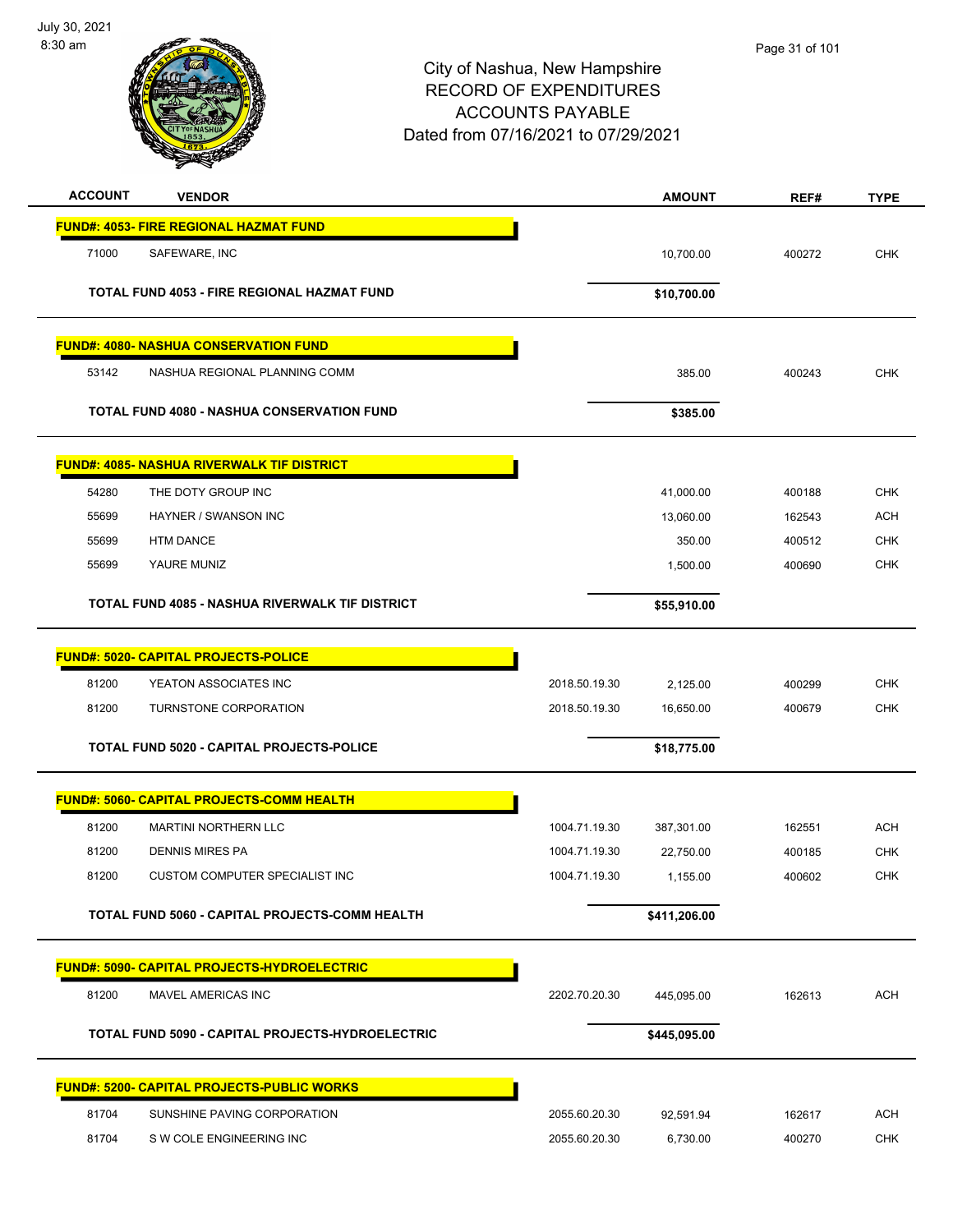

| <b>ACCOUNT</b> | <b>VENDOR</b>                                      |               | <b>AMOUNT</b> | REF#   | <b>TYPE</b> |
|----------------|----------------------------------------------------|---------------|---------------|--------|-------------|
|                | <b>FUND#: 4053- FIRE REGIONAL HAZMAT FUND</b>      |               |               |        |             |
| 71000          | SAFEWARE, INC                                      |               | 10,700.00     | 400272 | <b>CHK</b>  |
|                | <b>TOTAL FUND 4053 - FIRE REGIONAL HAZMAT FUND</b> |               |               |        |             |
|                |                                                    |               | \$10,700.00   |        |             |
|                | <b>FUND#: 4080- NASHUA CONSERVATION FUND</b>       |               |               |        |             |
| 53142          | NASHUA REGIONAL PLANNING COMM                      |               | 385.00        | 400243 | <b>CHK</b>  |
|                | <b>TOTAL FUND 4080 - NASHUA CONSERVATION FUND</b>  |               | \$385.00      |        |             |
|                | <b>FUND#: 4085- NASHUA RIVERWALK TIF DISTRICT</b>  |               |               |        |             |
| 54280          | THE DOTY GROUP INC                                 |               | 41,000.00     | 400188 | <b>CHK</b>  |
| 55699          | HAYNER / SWANSON INC                               |               | 13,060.00     | 162543 | <b>ACH</b>  |
| 55699          | <b>HTM DANCE</b>                                   |               | 350.00        | 400512 | <b>CHK</b>  |
| 55699          | YAURE MUNIZ                                        |               | 1,500.00      | 400690 | <b>CHK</b>  |
|                | TOTAL FUND 4085 - NASHUA RIVERWALK TIF DISTRICT    |               | \$55,910.00   |        |             |
|                | <b>FUND#: 5020- CAPITAL PROJECTS-POLICE</b>        |               |               |        |             |
| 81200          | YEATON ASSOCIATES INC                              | 2018.50.19.30 | 2,125.00      | 400299 | <b>CHK</b>  |
| 81200          | TURNSTONE CORPORATION                              | 2018.50.19.30 | 16,650.00     | 400679 | <b>CHK</b>  |
|                | TOTAL FUND 5020 - CAPITAL PROJECTS-POLICE          |               | \$18,775.00   |        |             |
|                | FUND#: 5060- CAPITAL PROJECTS-COMM HEALTH          |               |               |        |             |
| 81200          | <b>MARTINI NORTHERN LLC</b>                        | 1004.71.19.30 | 387,301.00    | 162551 | <b>ACH</b>  |
| 81200          | <b>DENNIS MIRES PA</b>                             | 1004.71.19.30 | 22,750.00     | 400185 | <b>CHK</b>  |
| 81200          | <b>CUSTOM COMPUTER SPECIALIST INC</b>              | 1004.71.19.30 | 1,155.00      | 400602 | <b>CHK</b>  |
|                | TOTAL FUND 5060 - CAPITAL PROJECTS-COMM HEALTH     |               | \$411,206.00  |        |             |
|                | <b>FUND#: 5090- CAPITAL PROJECTS-HYDROELECTRIC</b> |               |               |        |             |
| 81200          | MAVEL AMERICAS INC                                 | 2202.70.20.30 | 445,095.00    | 162613 | <b>ACH</b>  |
|                | TOTAL FUND 5090 - CAPITAL PROJECTS-HYDROELECTRIC   |               | \$445,095.00  |        |             |
|                | <b>FUND#: 5200- CAPITAL PROJECTS-PUBLIC WORKS</b>  |               |               |        |             |
| 81704          | SUNSHINE PAVING CORPORATION                        | 2055.60.20.30 | 92,591.94     | 162617 | <b>ACH</b>  |
| 81704          | S W COLE ENGINEERING INC                           | 2055.60.20.30 | 6,730.00      | 400270 | <b>CHK</b>  |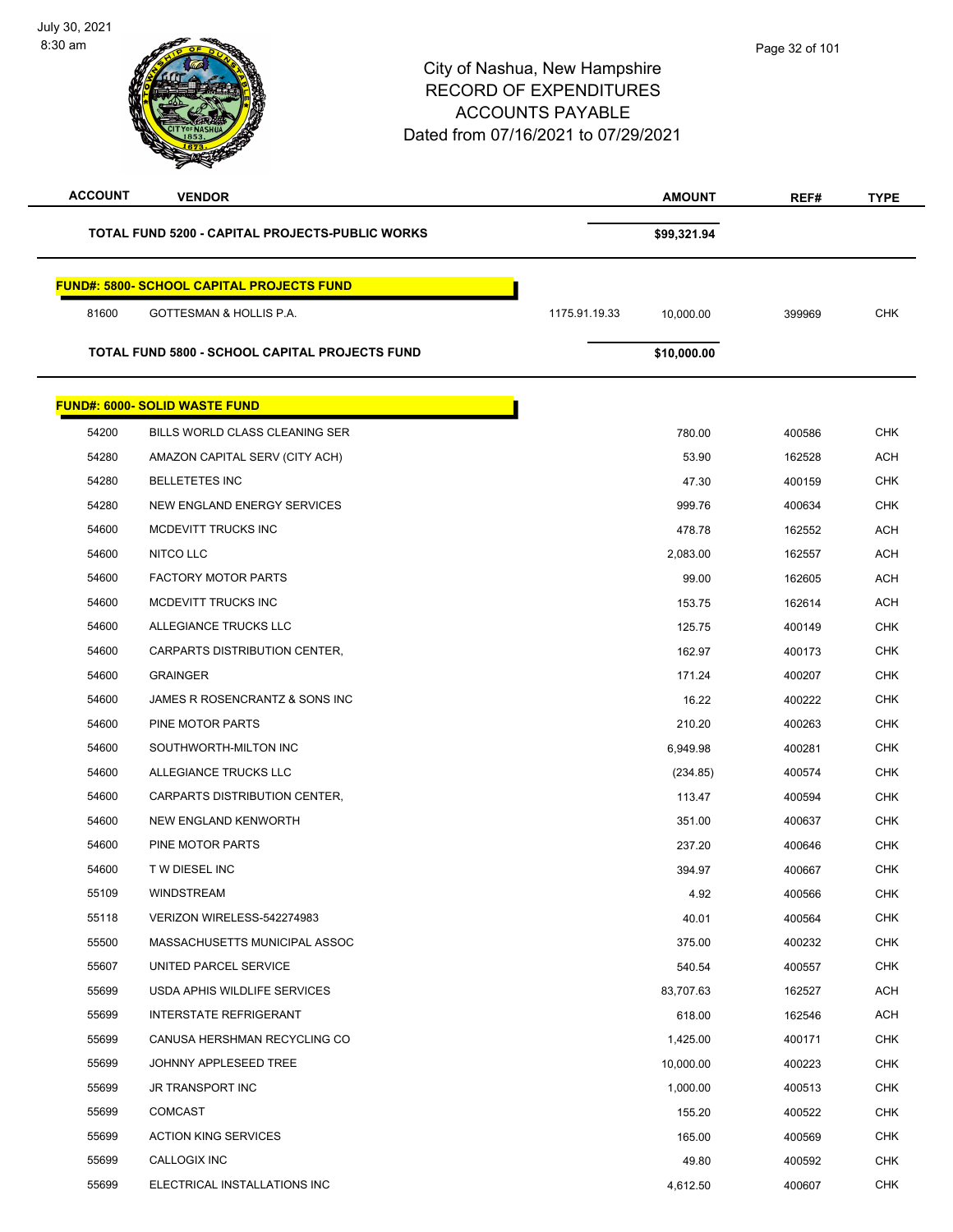8:30 am

| <b>ACCOUNT</b> | <b>VENDOR</b>                                    | <b>AMOUNT</b>              | REF#   | <b>TYPE</b> |
|----------------|--------------------------------------------------|----------------------------|--------|-------------|
|                | TOTAL FUND 5200 - CAPITAL PROJECTS-PUBLIC WORKS  | \$99,321.94                |        |             |
|                | <b>FUND#: 5800- SCHOOL CAPITAL PROJECTS FUND</b> |                            |        |             |
| 81600          | <b>GOTTESMAN &amp; HOLLIS P.A.</b>               | 1175.91.19.33<br>10,000.00 | 399969 | <b>CHK</b>  |
|                | TOTAL FUND 5800 - SCHOOL CAPITAL PROJECTS FUND   | \$10,000.00                |        |             |
|                | <b>FUND#: 6000- SOLID WASTE FUND</b>             |                            |        |             |
| 54200          | BILLS WORLD CLASS CLEANING SER                   | 780.00                     | 400586 | <b>CHK</b>  |
| 54280          | AMAZON CAPITAL SERV (CITY ACH)                   | 53.90                      | 162528 | <b>ACH</b>  |
| 54280          | <b>BELLETETES INC</b>                            | 47.30                      | 400159 | <b>CHK</b>  |
| 54280          | NEW ENGLAND ENERGY SERVICES                      | 999.76                     | 400634 | <b>CHK</b>  |
| 54600          | MCDEVITT TRUCKS INC                              | 478.78                     | 162552 | <b>ACH</b>  |
| 54600          | NITCO LLC                                        | 2,083.00                   | 162557 | <b>ACH</b>  |
| 54600          | <b>FACTORY MOTOR PARTS</b>                       | 99.00                      | 162605 | ACH         |
| 54600          | MCDEVITT TRUCKS INC                              | 153.75                     | 162614 | <b>ACH</b>  |
| 54600          | ALLEGIANCE TRUCKS LLC                            | 125.75                     | 400149 | <b>CHK</b>  |
| 54600          | CARPARTS DISTRIBUTION CENTER,                    | 162.97                     | 400173 | <b>CHK</b>  |
| 54600          | <b>GRAINGER</b>                                  | 171.24                     | 400207 | <b>CHK</b>  |
| 54600          | JAMES R ROSENCRANTZ & SONS INC                   | 16.22                      | 400222 | <b>CHK</b>  |
| 54600          | PINE MOTOR PARTS                                 | 210.20                     | 400263 | <b>CHK</b>  |
| 54600          | SOUTHWORTH-MILTON INC                            | 6,949.98                   | 400281 | <b>CHK</b>  |
| 54600          | ALLEGIANCE TRUCKS LLC                            | (234.85)                   | 400574 | <b>CHK</b>  |
| 54600          | CARPARTS DISTRIBUTION CENTER,                    | 113.47                     | 400594 | <b>CHK</b>  |
| 54600          | NEW ENGLAND KENWORTH                             | 351.00                     | 400637 | <b>CHK</b>  |
| 54600          | <b>PINE MOTOR PARTS</b>                          | 237.20                     | 400646 | <b>CHK</b>  |
| 54600          | T W DIESEL INC                                   | 394.97                     | 400667 | <b>CHK</b>  |
| 55109          | WINDSTREAM                                       | 4.92                       | 400566 | <b>CHK</b>  |
| 55118          | VERIZON WIRELESS-542274983                       | 40.01                      | 400564 | <b>CHK</b>  |
| 55500          | MASSACHUSETTS MUNICIPAL ASSOC                    | 375.00                     | 400232 | <b>CHK</b>  |
| 55607          | UNITED PARCEL SERVICE                            | 540.54                     | 400557 | <b>CHK</b>  |
| 55699          | USDA APHIS WILDLIFE SERVICES                     | 83,707.63                  | 162527 | <b>ACH</b>  |
| 55699          | <b>INTERSTATE REFRIGERANT</b>                    | 618.00                     | 162546 | ACH         |
| 55699          | CANUSA HERSHMAN RECYCLING CO                     | 1,425.00                   | 400171 | <b>CHK</b>  |
| 55699          | JOHNNY APPLESEED TREE                            | 10,000.00                  | 400223 | <b>CHK</b>  |
| 55699          | JR TRANSPORT INC                                 | 1,000.00                   | 400513 | <b>CHK</b>  |
| 55699          | <b>COMCAST</b>                                   | 155.20                     | 400522 | <b>CHK</b>  |
| 55699          | <b>ACTION KING SERVICES</b>                      | 165.00                     | 400569 | <b>CHK</b>  |
| 55699          | CALLOGIX INC                                     | 49.80                      | 400592 | <b>CHK</b>  |
| 55699          | ELECTRICAL INSTALLATIONS INC                     | 4,612.50                   | 400607 | <b>CHK</b>  |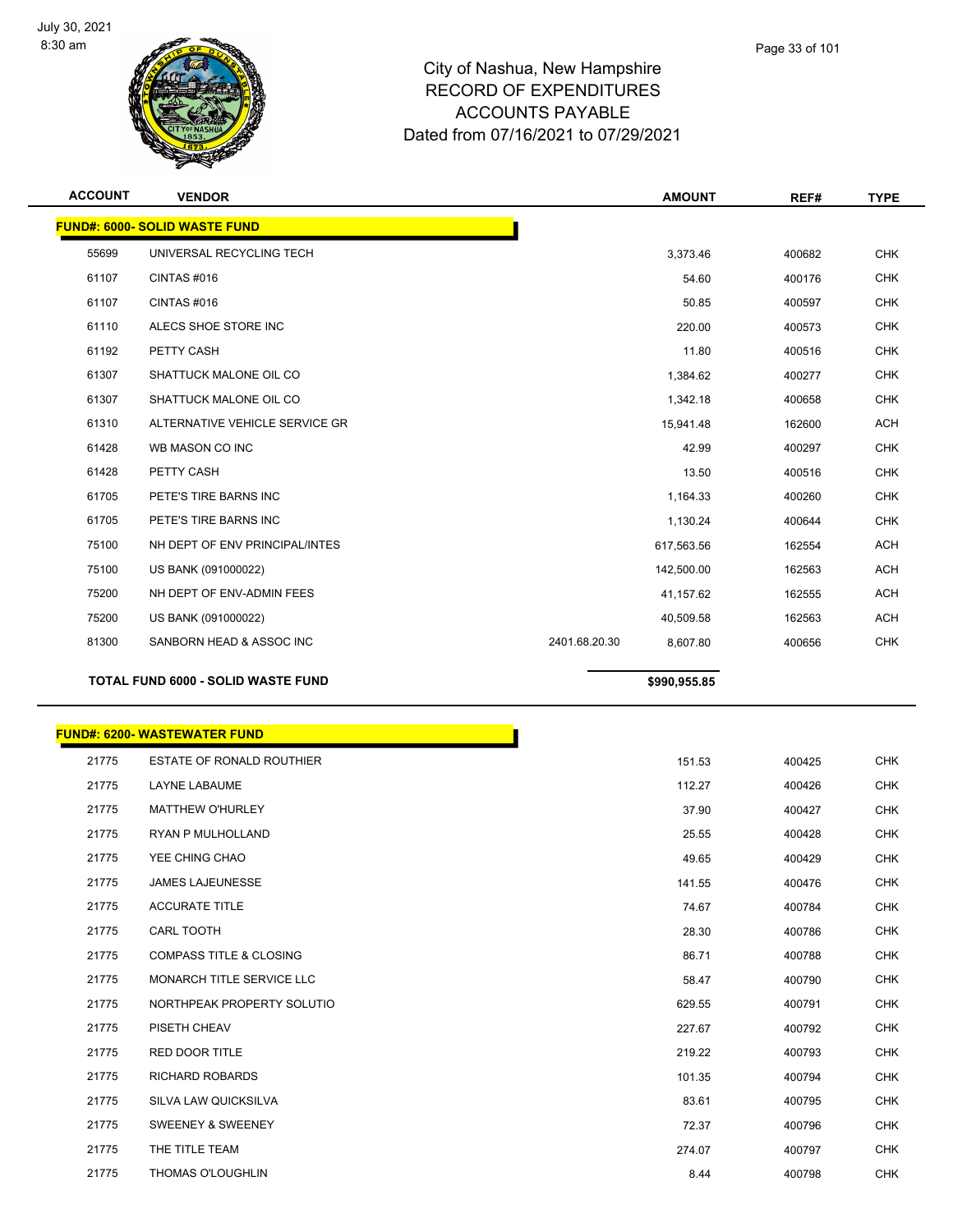

| <b>ACCOUNT</b> | <b>VENDOR</b>                             | <b>AMOUNT</b>             |        | REF#   | <b>TYPE</b> |
|----------------|-------------------------------------------|---------------------------|--------|--------|-------------|
|                | <b>FUND#: 6000- SOLID WASTE FUND</b>      |                           |        |        |             |
| 55699          | UNIVERSAL RECYCLING TECH                  | 3,373.46                  |        | 400682 | <b>CHK</b>  |
| 61107          | CINTAS#016                                |                           | 54.60  | 400176 | <b>CHK</b>  |
| 61107          | CINTAS#016                                |                           | 50.85  | 400597 | <b>CHK</b>  |
| 61110          | ALECS SHOE STORE INC                      |                           | 220.00 | 400573 | <b>CHK</b>  |
| 61192          | PETTY CASH                                |                           | 11.80  | 400516 | <b>CHK</b>  |
| 61307          | SHATTUCK MALONE OIL CO                    | 1,384.62                  |        | 400277 | <b>CHK</b>  |
| 61307          | SHATTUCK MALONE OIL CO                    | 1,342.18                  |        | 400658 | <b>CHK</b>  |
| 61310          | ALTERNATIVE VEHICLE SERVICE GR            | 15,941.48                 |        | 162600 | <b>ACH</b>  |
| 61428          | WB MASON CO INC                           |                           | 42.99  | 400297 | <b>CHK</b>  |
| 61428          | PETTY CASH                                |                           | 13.50  | 400516 | <b>CHK</b>  |
| 61705          | PETE'S TIRE BARNS INC                     | 1,164.33                  |        | 400260 | <b>CHK</b>  |
| 61705          | PETE'S TIRE BARNS INC                     | 1,130.24                  |        | 400644 | <b>CHK</b>  |
| 75100          | NH DEPT OF ENV PRINCIPAL/INTES            | 617,563.56                |        | 162554 | <b>ACH</b>  |
| 75100          | US BANK (091000022)                       | 142,500.00                |        | 162563 | <b>ACH</b>  |
| 75200          | NH DEPT OF ENV-ADMIN FEES                 | 41,157.62                 |        | 162555 | <b>ACH</b>  |
| 75200          | US BANK (091000022)                       | 40,509.58                 |        | 162563 | <b>ACH</b>  |
| 81300          | SANBORN HEAD & ASSOC INC                  | 2401.68.20.30<br>8,607.80 |        | 400656 | <b>CHK</b>  |
|                | <b>TOTAL FUND 6000 - SOLID WASTE FUND</b> | \$990,955.85              |        |        |             |

|       | <b>FUND#: 6200- WASTEWATER FUND</b> |        |
|-------|-------------------------------------|--------|
| 21775 | <b>ESTATE OF RONALD ROUTHIER</b>    | 151.53 |
| 21775 | <b>LAYNE LABAUME</b>                | 112.27 |
| 21775 | <b>MATTHEW O'HURLEY</b>             | 37.90  |
| 21775 | <b>RYAN P MULHOLLAND</b>            | 25.55  |
| 21775 | YEE CHING CHAO                      | 49.65  |
| 21775 | <b>JAMES LAJEUNESSE</b>             | 141.55 |
| 21775 | <b>ACCURATE TITLE</b>               | 74.67  |
| 21775 | CARL TOOTH                          | 28.30  |
| 21775 | <b>COMPASS TITLE &amp; CLOSING</b>  | 86.71  |
| 21775 | MONARCH TITLE SERVICE LLC           | 58.47  |
| 21775 | NORTHPEAK PROPERTY SOLUTIO          | 629.55 |
| 21775 | PISETH CHEAV                        | 227.67 |
| 21775 | <b>RED DOOR TITLE</b>               | 219.22 |
| 21775 | <b>RICHARD ROBARDS</b>              | 101.35 |
| 21775 | SILVA LAW QUICKSILVA                | 83.61  |
| 21775 | <b>SWEENEY &amp; SWEENEY</b>        | 72.37  |
| 21775 | THE TITLE TEAM                      | 274.07 |
| 21775 | <b>THOMAS O'LOUGHLIN</b>            | 8.44   |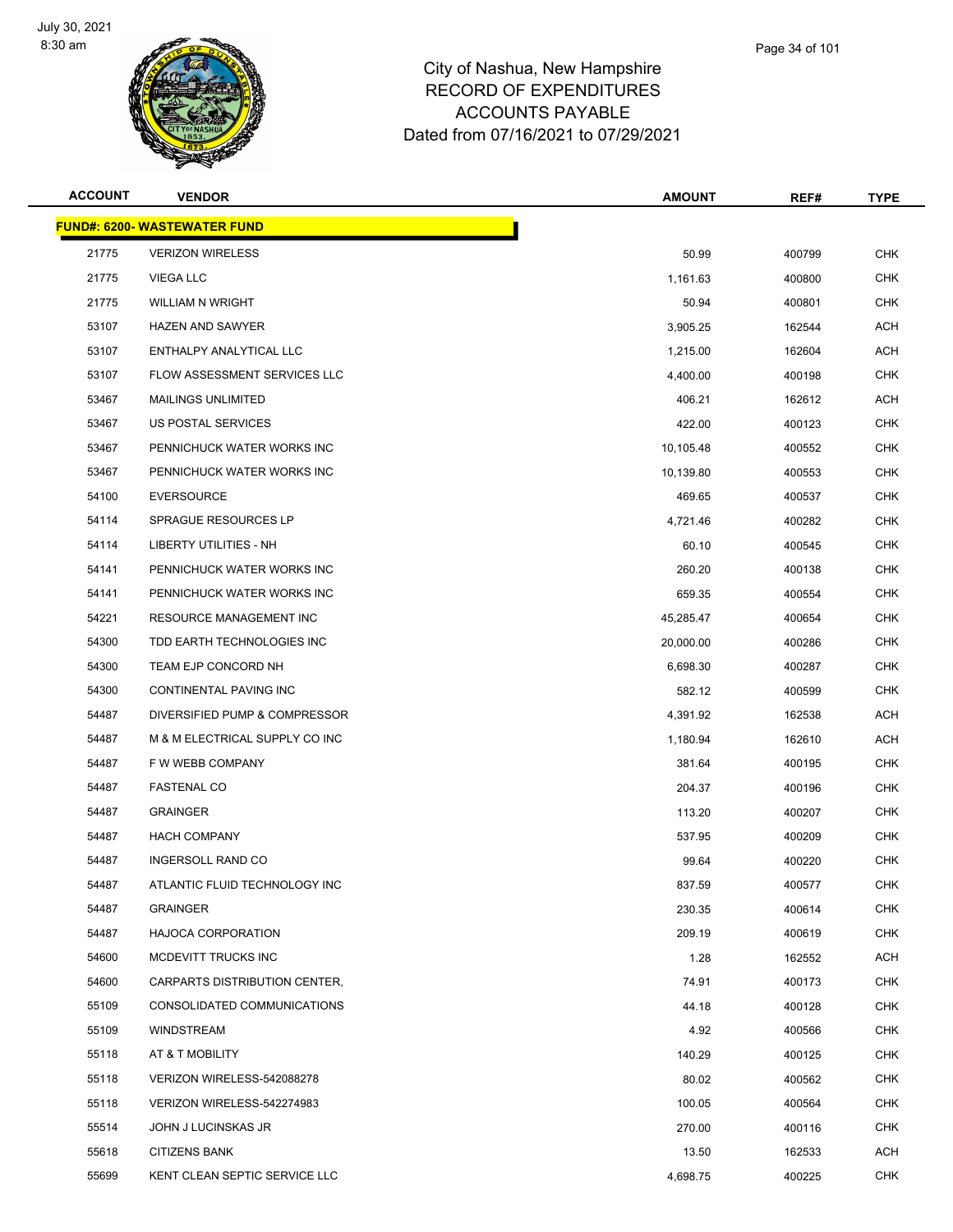

| <b>ACCOUNT</b> | <b>VENDOR</b>                       | <b>AMOUNT</b> | REF#   | <b>TYPE</b> |
|----------------|-------------------------------------|---------------|--------|-------------|
|                | <b>FUND#: 6200- WASTEWATER FUND</b> |               |        |             |
| 21775          | <b>VERIZON WIRELESS</b>             | 50.99         | 400799 | <b>CHK</b>  |
| 21775          | <b>VIEGA LLC</b>                    | 1,161.63      | 400800 | <b>CHK</b>  |
| 21775          | <b>WILLIAM N WRIGHT</b>             | 50.94         | 400801 | <b>CHK</b>  |
| 53107          | <b>HAZEN AND SAWYER</b>             | 3,905.25      | 162544 | <b>ACH</b>  |
| 53107          | ENTHALPY ANALYTICAL LLC             | 1,215.00      | 162604 | ACH         |
| 53107          | FLOW ASSESSMENT SERVICES LLC        | 4,400.00      | 400198 | CHK         |
| 53467          | <b>MAILINGS UNLIMITED</b>           | 406.21        | 162612 | <b>ACH</b>  |
| 53467          | US POSTAL SERVICES                  | 422.00        | 400123 | <b>CHK</b>  |
| 53467          | PENNICHUCK WATER WORKS INC          | 10,105.48     | 400552 | <b>CHK</b>  |
| 53467          | PENNICHUCK WATER WORKS INC          | 10,139.80     | 400553 | <b>CHK</b>  |
| 54100          | <b>EVERSOURCE</b>                   | 469.65        | 400537 | <b>CHK</b>  |
| 54114          | <b>SPRAGUE RESOURCES LP</b>         | 4,721.46      | 400282 | <b>CHK</b>  |
| 54114          | LIBERTY UTILITIES - NH              | 60.10         | 400545 | <b>CHK</b>  |
| 54141          | PENNICHUCK WATER WORKS INC          | 260.20        | 400138 | <b>CHK</b>  |
| 54141          | PENNICHUCK WATER WORKS INC          | 659.35        | 400554 | <b>CHK</b>  |
| 54221          | RESOURCE MANAGEMENT INC             | 45,285.47     | 400654 | <b>CHK</b>  |
| 54300          | TDD EARTH TECHNOLOGIES INC          | 20,000.00     | 400286 | <b>CHK</b>  |
| 54300          | TEAM EJP CONCORD NH                 | 6,698.30      | 400287 | <b>CHK</b>  |
| 54300          | CONTINENTAL PAVING INC              | 582.12        | 400599 | <b>CHK</b>  |
| 54487          | DIVERSIFIED PUMP & COMPRESSOR       | 4,391.92      | 162538 | ACH         |
| 54487          | M & M ELECTRICAL SUPPLY CO INC      | 1,180.94      | 162610 | ACH         |
| 54487          | F W WEBB COMPANY                    | 381.64        | 400195 | <b>CHK</b>  |
| 54487          | <b>FASTENAL CO</b>                  | 204.37        | 400196 | <b>CHK</b>  |
| 54487          | <b>GRAINGER</b>                     | 113.20        | 400207 | CHK         |
| 54487          | <b>HACH COMPANY</b>                 | 537.95        | 400209 | <b>CHK</b>  |
| 54487          | <b>INGERSOLL RAND CO</b>            | 99.64         | 400220 | <b>CHK</b>  |
| 54487          | ATLANTIC FLUID TECHNOLOGY INC       | 837.59        | 400577 | <b>CHK</b>  |
| 54487          | <b>GRAINGER</b>                     | 230.35        | 400614 | <b>CHK</b>  |
| 54487          | <b>HAJOCA CORPORATION</b>           | 209.19        | 400619 | <b>CHK</b>  |
| 54600          | MCDEVITT TRUCKS INC                 | 1.28          | 162552 | ACH         |
| 54600          | CARPARTS DISTRIBUTION CENTER,       | 74.91         | 400173 | <b>CHK</b>  |
| 55109          | CONSOLIDATED COMMUNICATIONS         | 44.18         | 400128 | <b>CHK</b>  |
| 55109          | WINDSTREAM                          | 4.92          | 400566 | <b>CHK</b>  |
| 55118          | AT & T MOBILITY                     | 140.29        | 400125 | <b>CHK</b>  |
| 55118          | VERIZON WIRELESS-542088278          | 80.02         | 400562 | <b>CHK</b>  |
| 55118          | VERIZON WIRELESS-542274983          | 100.05        | 400564 | <b>CHK</b>  |
| 55514          | JOHN J LUCINSKAS JR                 | 270.00        | 400116 | <b>CHK</b>  |
| 55618          | <b>CITIZENS BANK</b>                | 13.50         | 162533 | ACH         |
| 55699          | KENT CLEAN SEPTIC SERVICE LLC       | 4,698.75      | 400225 | <b>CHK</b>  |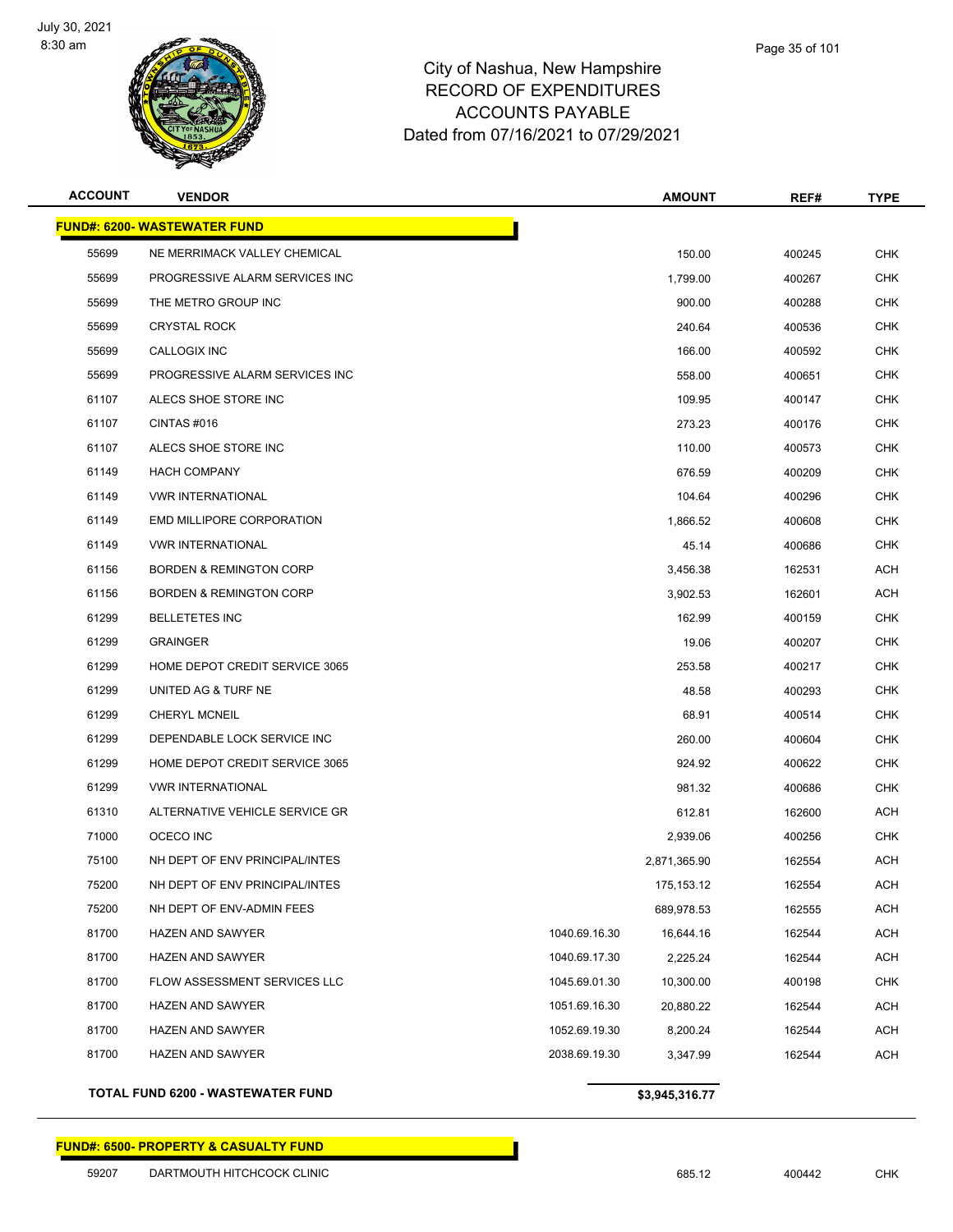

| <b>ACCOUNT</b> | <b>VENDOR</b>                       |               | <b>AMOUNT</b> | REF#   | <b>TYPE</b> |
|----------------|-------------------------------------|---------------|---------------|--------|-------------|
|                | <b>FUND#: 6200- WASTEWATER FUND</b> |               |               |        |             |
| 55699          | NE MERRIMACK VALLEY CHEMICAL        |               | 150.00        | 400245 | <b>CHK</b>  |
| 55699          | PROGRESSIVE ALARM SERVICES INC      |               | 1,799.00      | 400267 | <b>CHK</b>  |
| 55699          | THE METRO GROUP INC                 |               | 900.00        | 400288 | CHK         |
| 55699          | <b>CRYSTAL ROCK</b>                 |               | 240.64        | 400536 | <b>CHK</b>  |
| 55699          | CALLOGIX INC                        |               | 166.00        | 400592 | <b>CHK</b>  |
| 55699          | PROGRESSIVE ALARM SERVICES INC      |               | 558.00        | 400651 | CHK         |
| 61107          | ALECS SHOE STORE INC                |               | 109.95        | 400147 | <b>CHK</b>  |
| 61107          | CINTAS#016                          |               | 273.23        | 400176 | CHK         |
| 61107          | ALECS SHOE STORE INC                |               | 110.00        | 400573 | CHK         |
| 61149          | <b>HACH COMPANY</b>                 |               | 676.59        | 400209 | <b>CHK</b>  |
| 61149          | <b>VWR INTERNATIONAL</b>            |               | 104.64        | 400296 | CHK         |
| 61149          | <b>EMD MILLIPORE CORPORATION</b>    |               | 1,866.52      | 400608 | <b>CHK</b>  |
| 61149          | <b>VWR INTERNATIONAL</b>            |               | 45.14         | 400686 | <b>CHK</b>  |
| 61156          | <b>BORDEN &amp; REMINGTON CORP</b>  |               | 3,456.38      | 162531 | ACH         |
| 61156          | <b>BORDEN &amp; REMINGTON CORP</b>  |               | 3,902.53      | 162601 | ACH         |
| 61299          | <b>BELLETETES INC</b>               |               | 162.99        | 400159 | CHK         |
| 61299          | <b>GRAINGER</b>                     |               | 19.06         | 400207 | <b>CHK</b>  |
| 61299          | HOME DEPOT CREDIT SERVICE 3065      |               | 253.58        | 400217 | CHK         |
| 61299          | UNITED AG & TURF NE                 |               | 48.58         | 400293 | CHK         |
| 61299          | <b>CHERYL MCNEIL</b>                |               | 68.91         | 400514 | <b>CHK</b>  |
| 61299          | DEPENDABLE LOCK SERVICE INC         |               | 260.00        | 400604 | CHK         |
| 61299          | HOME DEPOT CREDIT SERVICE 3065      |               | 924.92        | 400622 | <b>CHK</b>  |
| 61299          | <b>VWR INTERNATIONAL</b>            |               | 981.32        | 400686 | <b>CHK</b>  |
| 61310          | ALTERNATIVE VEHICLE SERVICE GR      |               | 612.81        | 162600 | ACH         |
| 71000          | OCECO INC                           |               | 2,939.06      | 400256 | <b>CHK</b>  |
| 75100          | NH DEPT OF ENV PRINCIPAL/INTES      |               | 2,871,365.90  | 162554 | ACH         |
| 75200          | NH DEPT OF ENV PRINCIPAL/INTES      |               | 175,153.12    | 162554 | ACH         |
| 75200          | NH DEPT OF ENV-ADMIN FEES           |               | 689,978.53    | 162555 | <b>ACH</b>  |
| 81700          | <b>HAZEN AND SAWYER</b>             | 1040.69.16.30 | 16,644.16     | 162544 | <b>ACH</b>  |
| 81700          | <b>HAZEN AND SAWYER</b>             | 1040.69.17.30 | 2,225.24      | 162544 | <b>ACH</b>  |
| 81700          | FLOW ASSESSMENT SERVICES LLC        | 1045.69.01.30 | 10,300.00     | 400198 | <b>CHK</b>  |
| 81700          | <b>HAZEN AND SAWYER</b>             | 1051.69.16.30 | 20,880.22     | 162544 | <b>ACH</b>  |
| 81700          | HAZEN AND SAWYER                    | 1052.69.19.30 | 8,200.24      | 162544 | <b>ACH</b>  |
| 81700          | <b>HAZEN AND SAWYER</b>             | 2038.69.19.30 | 3,347.99      | 162544 | <b>ACH</b>  |
|                |                                     |               |               |        |             |

**TOTAL FUND 6200 - WASTEWATER FUND \$3,945,316.77** 

## Page 35 of 101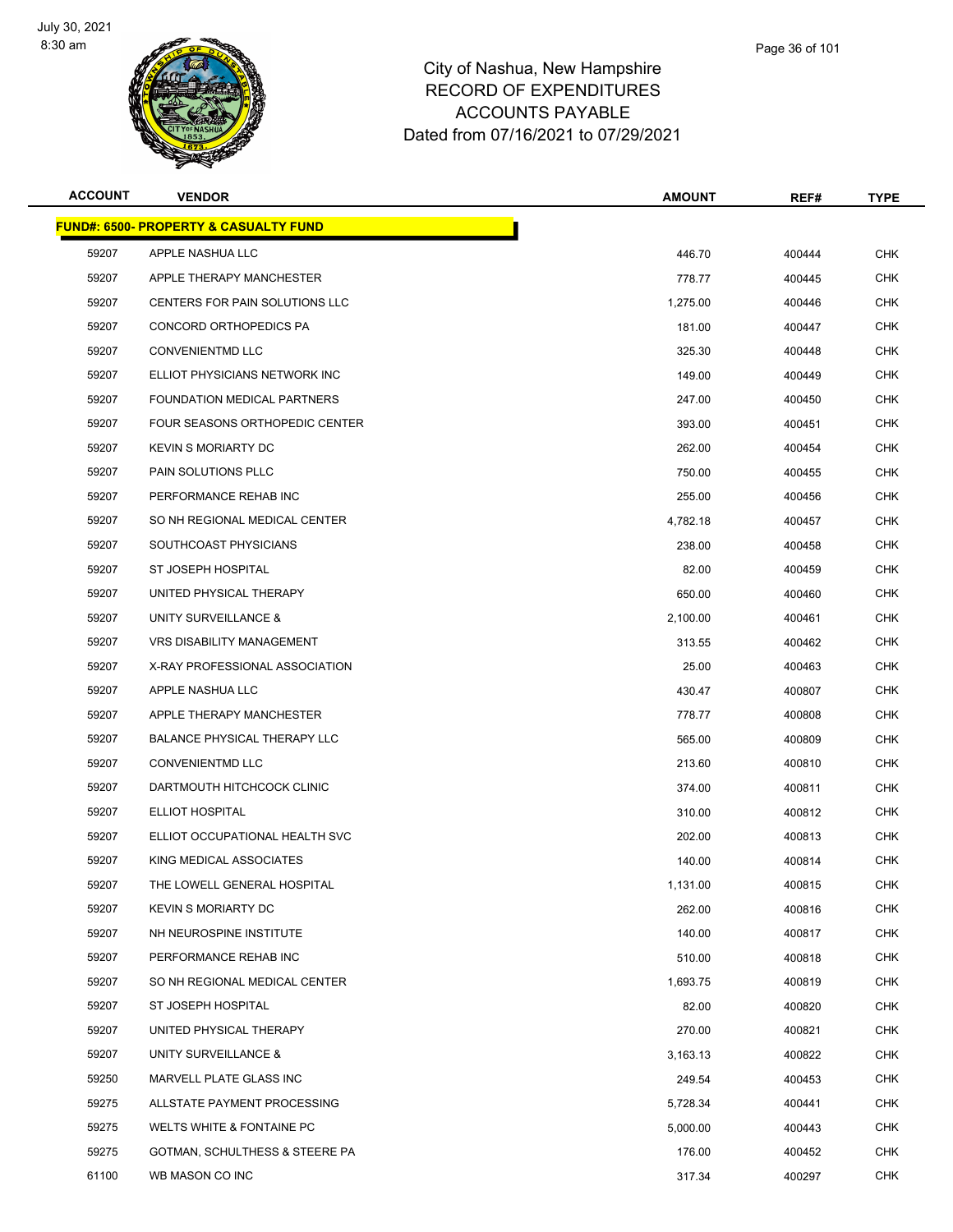

| <b>ACCOUNT</b> | <b>VENDOR</b>                                    | <b>AMOUNT</b> | REF#   | <b>TYPE</b> |
|----------------|--------------------------------------------------|---------------|--------|-------------|
|                | <b>FUND#: 6500- PROPERTY &amp; CASUALTY FUND</b> |               |        |             |
| 59207          | APPLE NASHUA LLC                                 | 446.70        | 400444 | <b>CHK</b>  |
| 59207          | APPLE THERAPY MANCHESTER                         | 778.77        | 400445 | <b>CHK</b>  |
| 59207          | CENTERS FOR PAIN SOLUTIONS LLC                   | 1,275.00      | 400446 | <b>CHK</b>  |
| 59207          | CONCORD ORTHOPEDICS PA                           | 181.00        | 400447 | <b>CHK</b>  |
| 59207          | <b>CONVENIENTMD LLC</b>                          | 325.30        | 400448 | <b>CHK</b>  |
| 59207          | ELLIOT PHYSICIANS NETWORK INC                    | 149.00        | 400449 | <b>CHK</b>  |
| 59207          | <b>FOUNDATION MEDICAL PARTNERS</b>               | 247.00        | 400450 | <b>CHK</b>  |
| 59207          | FOUR SEASONS ORTHOPEDIC CENTER                   | 393.00        | 400451 | <b>CHK</b>  |
| 59207          | <b>KEVIN S MORIARTY DC</b>                       | 262.00        | 400454 | CHK         |
| 59207          | PAIN SOLUTIONS PLLC                              | 750.00        | 400455 | <b>CHK</b>  |
| 59207          | PERFORMANCE REHAB INC                            | 255.00        | 400456 | <b>CHK</b>  |
| 59207          | SO NH REGIONAL MEDICAL CENTER                    | 4,782.18      | 400457 | <b>CHK</b>  |
| 59207          | SOUTHCOAST PHYSICIANS                            | 238.00        | 400458 | <b>CHK</b>  |
| 59207          | ST JOSEPH HOSPITAL                               | 82.00         | 400459 | <b>CHK</b>  |
| 59207          | UNITED PHYSICAL THERAPY                          | 650.00        | 400460 | <b>CHK</b>  |
| 59207          | UNITY SURVEILLANCE &                             | 2,100.00      | 400461 | <b>CHK</b>  |
| 59207          | <b>VRS DISABILITY MANAGEMENT</b>                 | 313.55        | 400462 | <b>CHK</b>  |
| 59207          | X-RAY PROFESSIONAL ASSOCIATION                   | 25.00         | 400463 | <b>CHK</b>  |
| 59207          | APPLE NASHUA LLC                                 | 430.47        | 400807 | <b>CHK</b>  |
| 59207          | APPLE THERAPY MANCHESTER                         | 778.77        | 400808 | <b>CHK</b>  |
| 59207          | <b>BALANCE PHYSICAL THERAPY LLC</b>              | 565.00        | 400809 | <b>CHK</b>  |
| 59207          | <b>CONVENIENTMD LLC</b>                          | 213.60        | 400810 | <b>CHK</b>  |
| 59207          | DARTMOUTH HITCHCOCK CLINIC                       | 374.00        | 400811 | <b>CHK</b>  |
| 59207          | ELLIOT HOSPITAL                                  | 310.00        | 400812 | CHK         |
| 59207          | ELLIOT OCCUPATIONAL HEALTH SVC                   | 202.00        | 400813 | <b>CHK</b>  |
| 59207          | KING MEDICAL ASSOCIATES                          | 140.00        | 400814 | <b>CHK</b>  |
| 59207          | THE LOWELL GENERAL HOSPITAL                      | 1,131.00      | 400815 | CHK         |
| 59207          | KEVIN S MORIARTY DC                              | 262.00        | 400816 | <b>CHK</b>  |
| 59207          | NH NEUROSPINE INSTITUTE                          | 140.00        | 400817 | <b>CHK</b>  |
| 59207          | PERFORMANCE REHAB INC                            | 510.00        | 400818 | <b>CHK</b>  |
| 59207          | SO NH REGIONAL MEDICAL CENTER                    | 1,693.75      | 400819 | CHK         |
| 59207          | ST JOSEPH HOSPITAL                               | 82.00         | 400820 | <b>CHK</b>  |
| 59207          | UNITED PHYSICAL THERAPY                          | 270.00        | 400821 | <b>CHK</b>  |
| 59207          | UNITY SURVEILLANCE &                             | 3,163.13      | 400822 | CHK         |
| 59250          | MARVELL PLATE GLASS INC                          | 249.54        | 400453 | <b>CHK</b>  |
| 59275          | ALLSTATE PAYMENT PROCESSING                      | 5,728.34      | 400441 | <b>CHK</b>  |
| 59275          | WELTS WHITE & FONTAINE PC                        | 5,000.00      | 400443 | <b>CHK</b>  |
| 59275          | GOTMAN, SCHULTHESS & STEERE PA                   | 176.00        | 400452 | <b>CHK</b>  |
| 61100          | WB MASON CO INC                                  | 317.34        | 400297 | <b>CHK</b>  |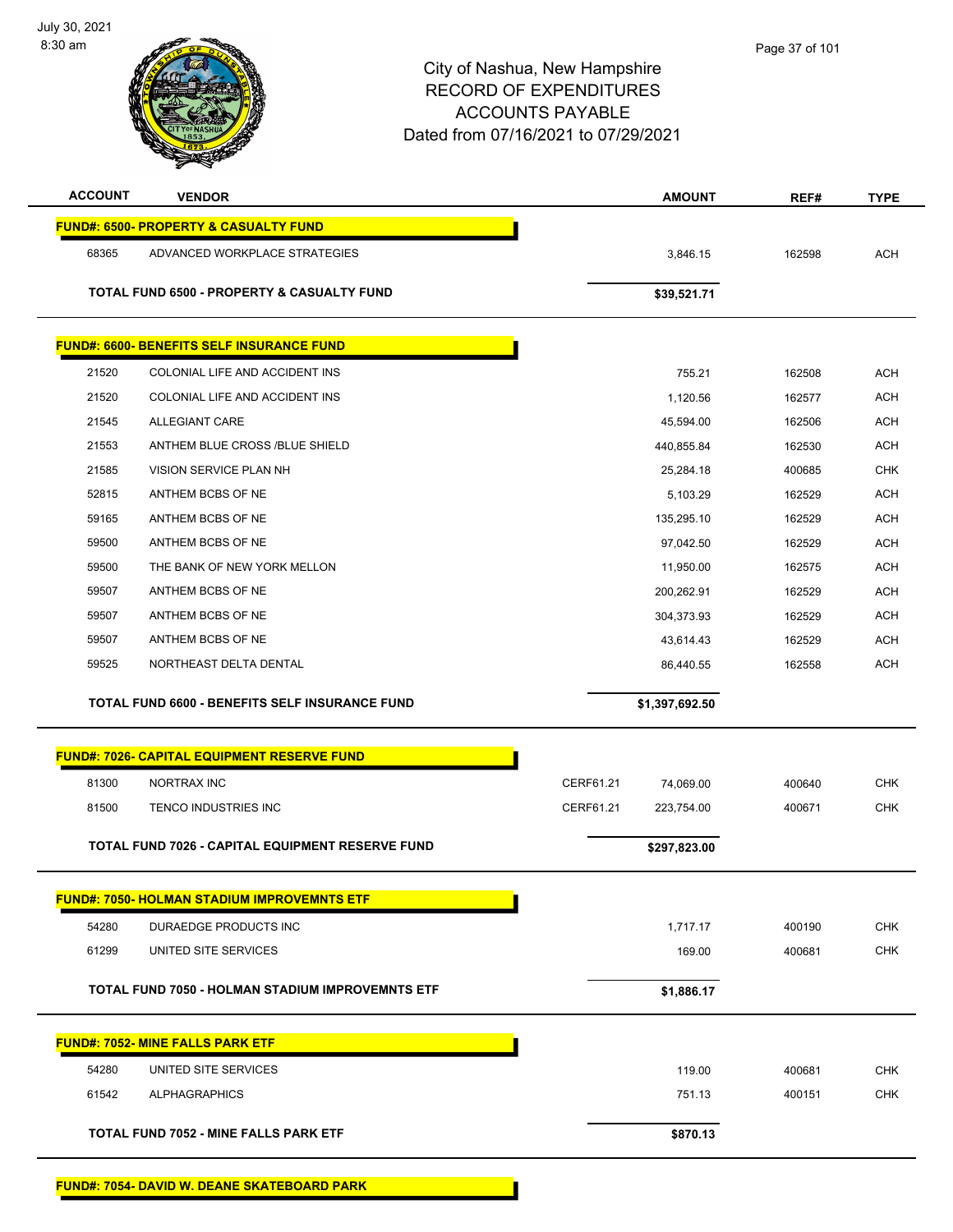| <b>ACCOUNT</b> | <b>VENDOR</b>                                         |           | <b>AMOUNT</b>  | REF#   | <b>TYPE</b> |
|----------------|-------------------------------------------------------|-----------|----------------|--------|-------------|
|                | <b>FUND#: 6500- PROPERTY &amp; CASUALTY FUND</b>      |           |                |        |             |
| 68365          | ADVANCED WORKPLACE STRATEGIES                         |           | 3,846.15       | 162598 | <b>ACH</b>  |
|                | <b>TOTAL FUND 6500 - PROPERTY &amp; CASUALTY FUND</b> |           | \$39,521.71    |        |             |
|                |                                                       |           |                |        |             |
|                | <b>FUND#: 6600- BENEFITS SELF INSURANCE FUND</b>      |           |                |        |             |
| 21520          | COLONIAL LIFE AND ACCIDENT INS                        |           | 755.21         | 162508 | <b>ACH</b>  |
| 21520          | COLONIAL LIFE AND ACCIDENT INS                        |           | 1,120.56       | 162577 | <b>ACH</b>  |
| 21545          | ALLEGIANT CARE                                        |           | 45,594.00      | 162506 | <b>ACH</b>  |
| 21553          | ANTHEM BLUE CROSS /BLUE SHIELD                        |           | 440,855.84     | 162530 | <b>ACH</b>  |
| 21585          | VISION SERVICE PLAN NH                                |           | 25,284.18      | 400685 | <b>CHK</b>  |
| 52815          | ANTHEM BCBS OF NE                                     |           | 5,103.29       | 162529 | <b>ACH</b>  |
| 59165          | ANTHEM BCBS OF NE                                     |           | 135,295.10     | 162529 | <b>ACH</b>  |
| 59500          | ANTHEM BCBS OF NE                                     |           | 97,042.50      | 162529 | <b>ACH</b>  |
| 59500          | THE BANK OF NEW YORK MELLON                           |           | 11,950.00      | 162575 | <b>ACH</b>  |
| 59507          | ANTHEM BCBS OF NE                                     |           | 200,262.91     | 162529 | <b>ACH</b>  |
| 59507          | ANTHEM BCBS OF NE                                     |           | 304,373.93     | 162529 | <b>ACH</b>  |
| 59507          | ANTHEM BCBS OF NE                                     |           | 43,614.43      | 162529 | <b>ACH</b>  |
| 59525          | NORTHEAST DELTA DENTAL                                |           | 86,440.55      | 162558 | <b>ACH</b>  |
|                | TOTAL FUND 6600 - BENEFITS SELF INSURANCE FUND        |           | \$1,397,692.50 |        |             |
|                |                                                       |           |                |        |             |
|                |                                                       |           |                |        |             |
|                | <b>FUND#: 7026- CAPITAL EQUIPMENT RESERVE FUND</b>    |           |                |        |             |
| 81300          | NORTRAX INC                                           | CERF61.21 | 74,069.00      | 400640 | <b>CHK</b>  |
| 81500          | TENCO INDUSTRIES INC                                  | CERF61.21 | 223,754.00     | 400671 | <b>CHK</b>  |
|                | TOTAL FUND 7026 - CAPITAL EQUIPMENT RESERVE FUND      |           | \$297,823.00   |        |             |
|                |                                                       |           |                |        |             |
|                | <b>FUND#: 7050- HOLMAN STADIUM IMPROVEMNTS ETF</b>    |           |                |        |             |
| 54280          | DURAEDGE PRODUCTS INC                                 |           | 1,717.17       | 400190 | <b>CHK</b>  |
| 61299          | UNITED SITE SERVICES                                  |           | 169.00         | 400681 | <b>CHK</b>  |
|                | TOTAL FUND 7050 - HOLMAN STADIUM IMPROVEMNTS ETF      |           | \$1,886.17     |        |             |
|                | <b>FUND#: 7052- MINE FALLS PARK ETF</b>               |           |                |        |             |
| 54280          | UNITED SITE SERVICES                                  |           | 119.00         | 400681 | <b>CHK</b>  |
| 61542          | <b>ALPHAGRAPHICS</b>                                  |           | 751.13         | 400151 | <b>CHK</b>  |
|                |                                                       |           |                |        |             |
|                | <b>TOTAL FUND 7052 - MINE FALLS PARK ETF</b>          |           | \$870.13       |        |             |

**FUND#: 7054- DAVID W. DEANE SKATEBOARD PARK**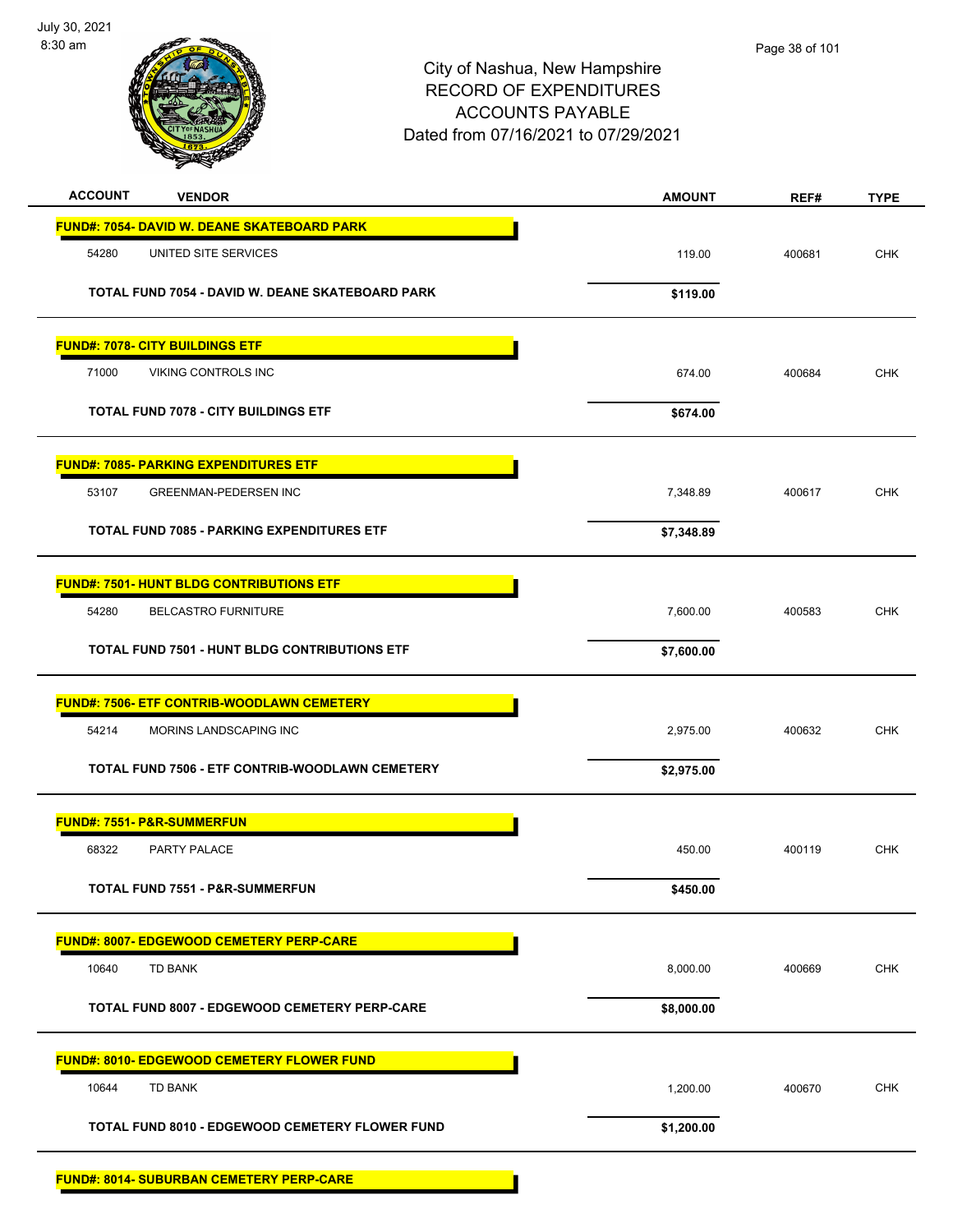

| <b>ACCOUNT</b><br><b>VENDOR</b>                      | <b>AMOUNT</b> | REF#   | <b>TYPE</b> |
|------------------------------------------------------|---------------|--------|-------------|
| <b>FUND#: 7054- DAVID W. DEANE SKATEBOARD PARK</b>   |               |        |             |
| 54280<br>UNITED SITE SERVICES                        | 119.00        | 400681 | <b>CHK</b>  |
| TOTAL FUND 7054 - DAVID W. DEANE SKATEBOARD PARK     | \$119.00      |        |             |
| <b>FUND#: 7078- CITY BUILDINGS ETF</b>               |               |        |             |
| 71000<br>VIKING CONTROLS INC                         | 674.00        | 400684 | <b>CHK</b>  |
| <b>TOTAL FUND 7078 - CITY BUILDINGS ETF</b>          | \$674.00      |        |             |
| <b>FUND#: 7085- PARKING EXPENDITURES ETF</b>         |               |        |             |
| 53107<br><b>GREENMAN-PEDERSEN INC</b>                | 7,348.89      | 400617 | <b>CHK</b>  |
| <b>TOTAL FUND 7085 - PARKING EXPENDITURES ETF</b>    | \$7,348.89    |        |             |
| <b>FUND#: 7501- HUNT BLDG CONTRIBUTIONS ETF</b>      |               |        |             |
| 54280<br>BELCASTRO FURNITURE                         | 7,600.00      | 400583 | <b>CHK</b>  |
| <b>TOTAL FUND 7501 - HUNT BLDG CONTRIBUTIONS ETF</b> | \$7,600.00    |        |             |
| <b>FUND#: 7506- ETF CONTRIB-WOODLAWN CEMETERY</b>    |               |        |             |
| 54214<br>MORINS LANDSCAPING INC                      | 2,975.00      | 400632 | <b>CHK</b>  |
| TOTAL FUND 7506 - ETF CONTRIB-WOODLAWN CEMETERY      | \$2,975.00    |        |             |
| <b>FUND#: 7551- P&amp;R-SUMMERFUN</b>                |               |        |             |
| 68322<br>PARTY PALACE                                | 450.00        | 400119 | <b>CHK</b>  |
| <b>TOTAL FUND 7551 - P&amp;R-SUMMERFUN</b>           | \$450.00      |        |             |
| <b>FUND#: 8007- EDGEWOOD CEMETERY PERP-CARE</b>      |               |        |             |
| 10640<br><b>TD BANK</b>                              | 8,000.00      | 400669 | <b>CHK</b>  |
| TOTAL FUND 8007 - EDGEWOOD CEMETERY PERP-CARE        | \$8,000.00    |        |             |
| <b>FUND#: 8010- EDGEWOOD CEMETERY FLOWER FUND</b>    |               |        |             |
| <b>TD BANK</b><br>10644                              | 1,200.00      | 400670 | CHK         |
| TOTAL FUND 8010 - EDGEWOOD CEMETERY FLOWER FUND      | \$1,200.00    |        |             |
| <b>FUND#: 8014- SUBURBAN CEMETERY PERP-CARE</b>      |               |        |             |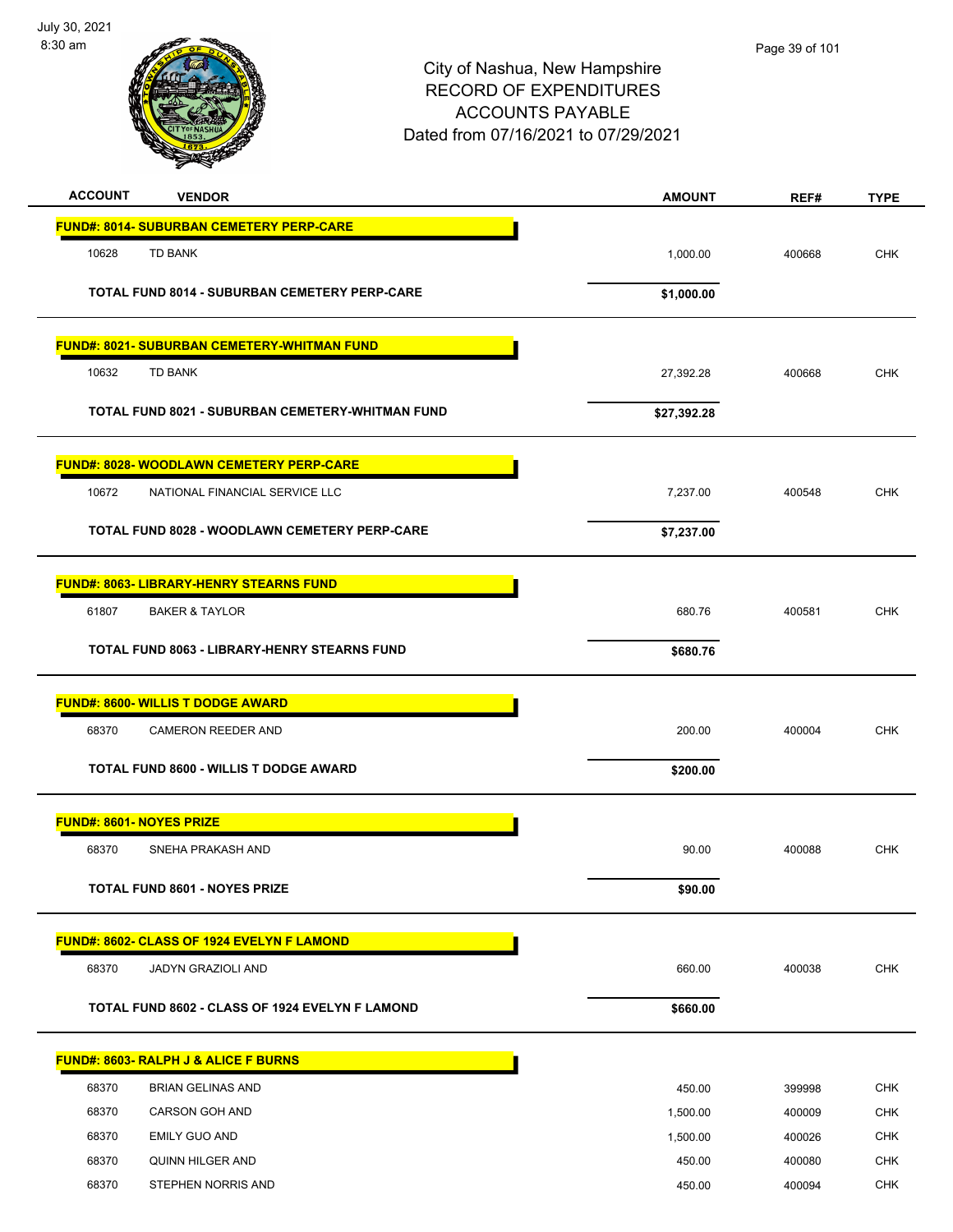

| <b>ACCOUNT</b><br><b>VENDOR</b>                         | <b>AMOUNT</b> | REF#   | <b>TYPE</b> |
|---------------------------------------------------------|---------------|--------|-------------|
| <b>FUND#: 8014- SUBURBAN CEMETERY PERP-CARE</b>         |               |        |             |
| 10628<br><b>TD BANK</b>                                 | 1,000.00      | 400668 | <b>CHK</b>  |
| <b>TOTAL FUND 8014 - SUBURBAN CEMETERY PERP-CARE</b>    | \$1,000.00    |        |             |
| <b>FUND#: 8021- SUBURBAN CEMETERY-WHITMAN FUND</b>      |               |        |             |
| 10632<br><b>TD BANK</b>                                 | 27,392.28     | 400668 | <b>CHK</b>  |
| <b>TOTAL FUND 8021 - SUBURBAN CEMETERY-WHITMAN FUND</b> | \$27,392.28   |        |             |
| FUND#: 8028- WOODLAWN CEMETERY PERP-CARE                |               |        |             |
| 10672<br>NATIONAL FINANCIAL SERVICE LLC                 | 7,237.00      | 400548 | <b>CHK</b>  |
| <b>TOTAL FUND 8028 - WOODLAWN CEMETERY PERP-CARE</b>    | \$7,237.00    |        |             |
| <b>FUND#: 8063- LIBRARY-HENRY STEARNS FUND</b>          |               |        |             |
| 61807<br><b>BAKER &amp; TAYLOR</b>                      | 680.76        | 400581 | <b>CHK</b>  |
| TOTAL FUND 8063 - LIBRARY-HENRY STEARNS FUND            | \$680.76      |        |             |
| <b>FUND#: 8600- WILLIS T DODGE AWARD</b>                |               |        |             |
| 68370<br>CAMERON REEDER AND                             | 200.00        | 400004 | <b>CHK</b>  |
| <b>TOTAL FUND 8600 - WILLIS T DODGE AWARD</b>           | \$200.00      |        |             |
| <b>FUND#: 8601- NOYES PRIZE</b>                         |               |        |             |
| 68370<br>SNEHA PRAKASH AND                              | 90.00         | 400088 | <b>CHK</b>  |
| TOTAL FUND 8601 - NOYES PRIZE                           | \$90.00       |        |             |
| FUND#: 8602- CLASS OF 1924 EVELYN F LAMOND              |               |        |             |
| 68370<br>JADYN GRAZIOLI AND                             | 660.00        | 400038 | CHK         |
| TOTAL FUND 8602 - CLASS OF 1924 EVELYN F LAMOND         | \$660.00      |        |             |
| <b>FUND#: 8603- RALPH J &amp; ALICE F BURNS</b>         |               |        |             |
| 68370<br><b>BRIAN GELINAS AND</b>                       | 450.00        | 399998 | <b>CHK</b>  |
| 68370<br>CARSON GOH AND                                 | 1,500.00      | 400009 | <b>CHK</b>  |
| 68370<br><b>EMILY GUO AND</b>                           | 1,500.00      | 400026 | <b>CHK</b>  |
| 68370<br>QUINN HILGER AND                               | 450.00        | 400080 | <b>CHK</b>  |
| 68370<br>STEPHEN NORRIS AND                             | 450.00        | 400094 | CHK         |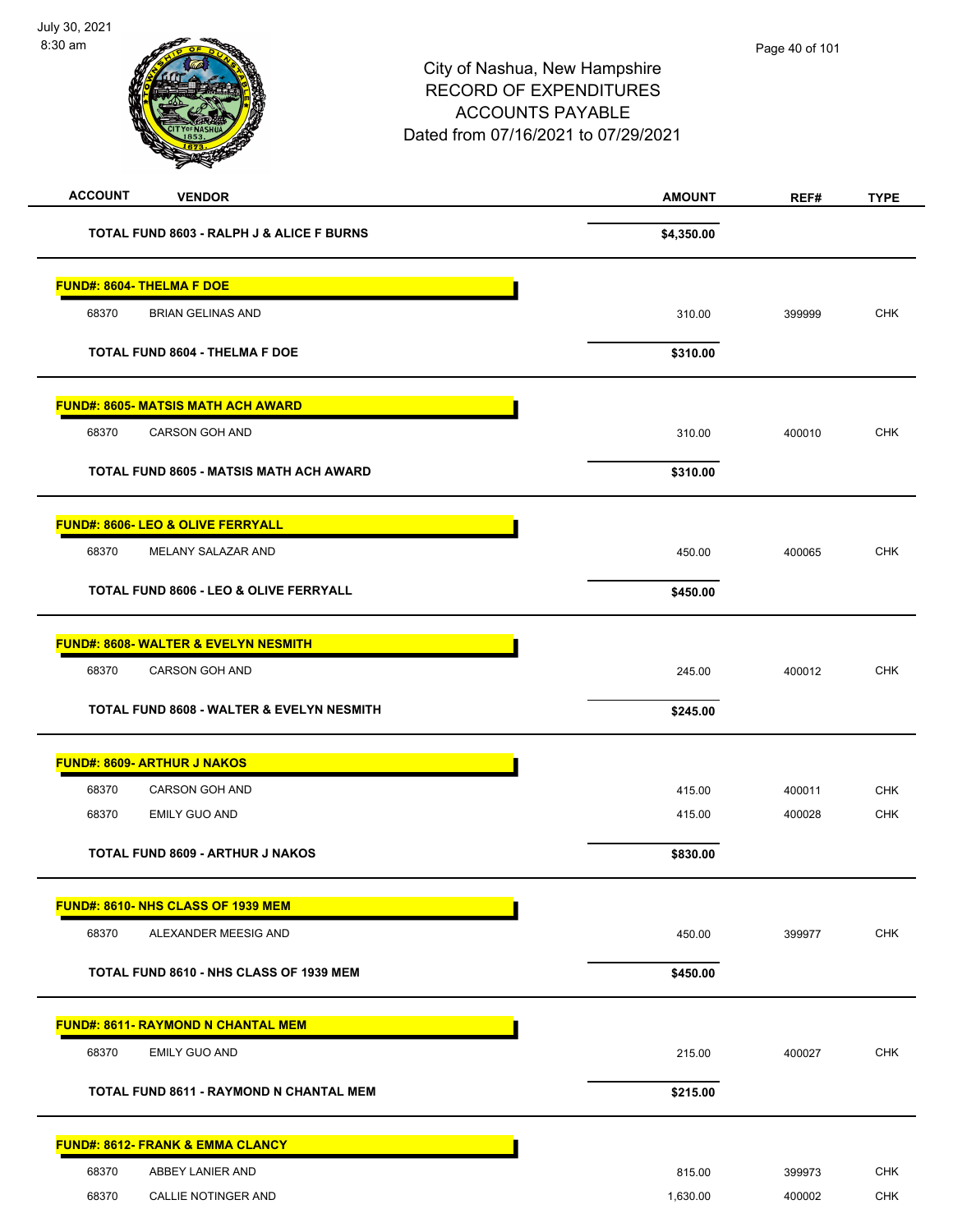| <b>ACCOUNT</b><br><b>VENDOR</b>                   | <b>AMOUNT</b> | REF#   | <b>TYPE</b> |
|---------------------------------------------------|---------------|--------|-------------|
| TOTAL FUND 8603 - RALPH J & ALICE F BURNS         | \$4,350.00    |        |             |
| <b>FUND#: 8604- THELMA F DOE</b>                  |               |        |             |
| 68370<br><b>BRIAN GELINAS AND</b>                 | 310.00        | 399999 | <b>CHK</b>  |
| <b>TOTAL FUND 8604 - THELMA F DOE</b>             | \$310.00      |        |             |
| <b>FUND#: 8605- MATSIS MATH ACH AWARD</b>         |               |        |             |
| 68370<br>CARSON GOH AND                           | 310.00        | 400010 | <b>CHK</b>  |
| TOTAL FUND 8605 - MATSIS MATH ACH AWARD           | \$310.00      |        |             |
| <b>FUND#: 8606- LEO &amp; OLIVE FERRYALL</b>      |               |        |             |
| 68370<br>MELANY SALAZAR AND                       | 450.00        | 400065 | <b>CHK</b>  |
| <b>TOTAL FUND 8606 - LEO &amp; OLIVE FERRYALL</b> | \$450.00      |        |             |
| <b>FUND#: 8608- WALTER &amp; EVELYN NESMITH</b>   |               |        |             |
| 68370<br>CARSON GOH AND                           | 245.00        | 400012 | <b>CHK</b>  |
| TOTAL FUND 8608 - WALTER & EVELYN NESMITH         | \$245.00      |        |             |
| <b>FUND#: 8609- ARTHUR J NAKOS</b>                |               |        |             |
| 68370<br>CARSON GOH AND                           | 415.00        | 400011 | <b>CHK</b>  |
| 68370<br><b>EMILY GUO AND</b>                     | 415.00        | 400028 | <b>CHK</b>  |
| <b>TOTAL FUND 8609 - ARTHUR J NAKOS</b>           | \$830.00      |        |             |
| <b>FUND#: 8610- NHS CLASS OF 1939 MEM</b>         |               |        |             |
| 68370<br>ALEXANDER MEESIG AND                     | 450.00        | 399977 | CHK         |
| TOTAL FUND 8610 - NHS CLASS OF 1939 MEM           | \$450.00      |        |             |
| <b>FUND#: 8611- RAYMOND N CHANTAL MEM</b>         |               |        |             |
| 68370<br><b>EMILY GUO AND</b>                     | 215.00        | 400027 | <b>CHK</b>  |
| <b>TOTAL FUND 8611 - RAYMOND N CHANTAL MEM</b>    | \$215.00      |        |             |
| <b>FUND#: 8612- FRANK &amp; EMMA CLANCY</b>       |               |        |             |
| 68370<br>ABBEY LANIER AND                         | 815.00        | 399973 | <b>CHK</b>  |
| 68370<br>CALLIE NOTINGER AND                      | 1,630.00      | 400002 | <b>CHK</b>  |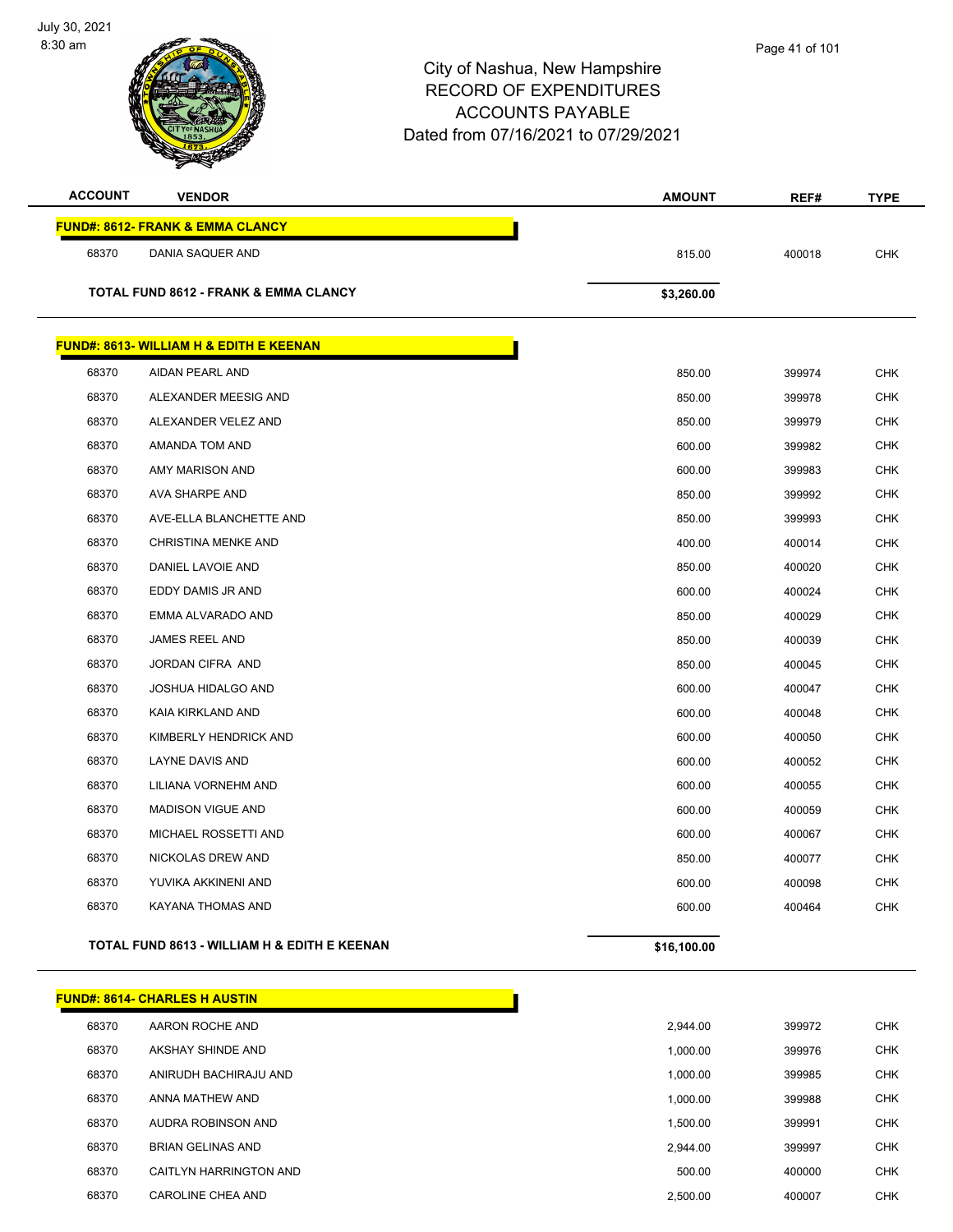July 30, 2021 8:30 am



| <b>ACCOUNT</b> | <b>VENDOR</b>                                      | <b>AMOUNT</b> | REF#   | <b>TYPE</b> |
|----------------|----------------------------------------------------|---------------|--------|-------------|
|                | <b>FUND#: 8612- FRANK &amp; EMMA CLANCY</b>        |               |        |             |
| 68370          | DANIA SAQUER AND                                   | 815.00        | 400018 | <b>CHK</b>  |
|                |                                                    |               |        |             |
|                | <b>TOTAL FUND 8612 - FRANK &amp; EMMA CLANCY</b>   | \$3,260.00    |        |             |
|                | <b>FUND#: 8613- WILLIAM H &amp; EDITH E KEENAN</b> |               |        |             |
| 68370          | AIDAN PEARL AND                                    | 850.00        | 399974 | <b>CHK</b>  |
| 68370          | ALEXANDER MEESIG AND                               | 850.00        | 399978 | <b>CHK</b>  |
| 68370          | ALEXANDER VELEZ AND                                | 850.00        | 399979 | <b>CHK</b>  |
| 68370          | AMANDA TOM AND                                     | 600.00        | 399982 | <b>CHK</b>  |
| 68370          | AMY MARISON AND                                    | 600.00        | 399983 | <b>CHK</b>  |
| 68370          | AVA SHARPE AND                                     | 850.00        | 399992 | <b>CHK</b>  |
| 68370          | AVE-ELLA BLANCHETTE AND                            | 850.00        | 399993 | <b>CHK</b>  |
| 68370          | CHRISTINA MENKE AND                                | 400.00        | 400014 | <b>CHK</b>  |
| 68370          | DANIEL LAVOIE AND                                  | 850.00        | 400020 | <b>CHK</b>  |
| 68370          | EDDY DAMIS JR AND                                  | 600.00        | 400024 | <b>CHK</b>  |
| 68370          | EMMA ALVARADO AND                                  | 850.00        | 400029 | <b>CHK</b>  |
| 68370          | JAMES REEL AND                                     | 850.00        | 400039 | <b>CHK</b>  |
| 68370          | JORDAN CIFRA AND                                   | 850.00        | 400045 | <b>CHK</b>  |
| 68370          | JOSHUA HIDALGO AND                                 | 600.00        | 400047 | <b>CHK</b>  |
| 68370          | KAIA KIRKLAND AND                                  | 600.00        | 400048 | <b>CHK</b>  |
| 68370          | KIMBERLY HENDRICK AND                              | 600.00        | 400050 | <b>CHK</b>  |
| 68370          | LAYNE DAVIS AND                                    | 600.00        | 400052 | <b>CHK</b>  |
| 68370          | LILIANA VORNEHM AND                                | 600.00        | 400055 | <b>CHK</b>  |
| 68370          | <b>MADISON VIGUE AND</b>                           | 600.00        | 400059 | <b>CHK</b>  |
| 68370          | MICHAEL ROSSETTI AND                               | 600.00        | 400067 | <b>CHK</b>  |
| 68370          | NICKOLAS DREW AND                                  | 850.00        | 400077 | <b>CHK</b>  |
| 68370          | YUVIKA AKKINENI AND                                | 600.00        | 400098 | <b>CHK</b>  |
| 68370          | KAYANA THOMAS AND                                  | 600.00        | 400464 | <b>CHK</b>  |
|                | TOTAL FUND 8613 - WILLIAM H & EDITH E KEENAN       | \$16,100.00   |        |             |

|       | <b>FUND#: 8614- CHARLES H AUSTIN</b> |          |        |            |
|-------|--------------------------------------|----------|--------|------------|
| 68370 | AARON ROCHE AND                      | 2.944.00 | 399972 | <b>CHK</b> |
| 68370 | AKSHAY SHINDE AND                    | 1,000.00 | 399976 | <b>CHK</b> |
| 68370 | ANIRUDH BACHIRAJU AND                | 1.000.00 | 399985 | <b>CHK</b> |
| 68370 | ANNA MATHEW AND                      | 1.000.00 | 399988 | <b>CHK</b> |
| 68370 | AUDRA ROBINSON AND                   | 1.500.00 | 399991 | <b>CHK</b> |
| 68370 | <b>BRIAN GELINAS AND</b>             | 2.944.00 | 399997 | <b>CHK</b> |
| 68370 | CAITLYN HARRINGTON AND               | 500.00   | 400000 | <b>CHK</b> |
| 68370 | CAROLINE CHEA AND                    | 2.500.00 | 400007 | <b>CHK</b> |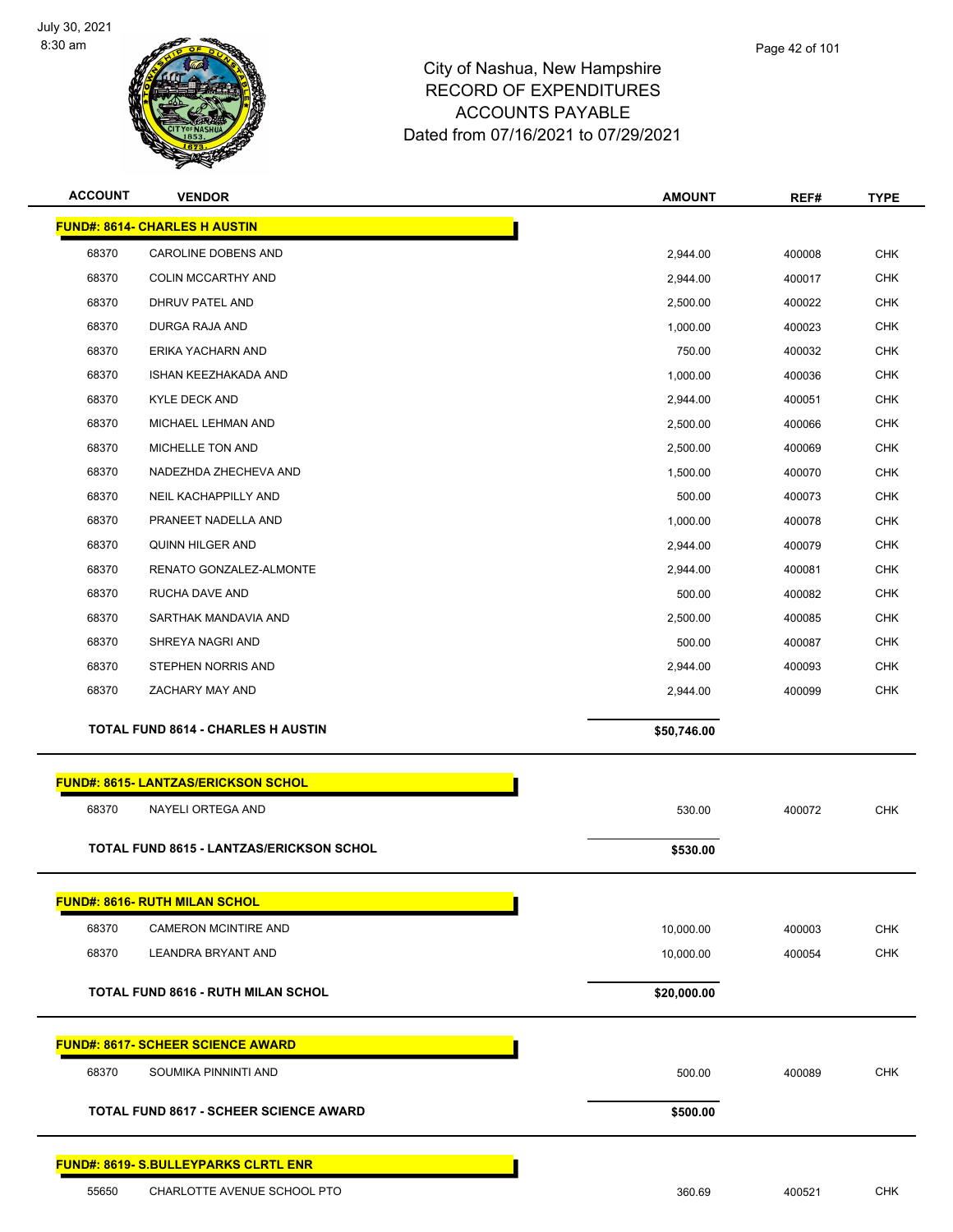

| <b>ACCOUNT</b> | <b>VENDOR</b>                                   | <b>AMOUNT</b> | REF#   | <b>TYPE</b> |
|----------------|-------------------------------------------------|---------------|--------|-------------|
|                | <b>FUND#: 8614- CHARLES H AUSTIN</b>            |               |        |             |
| 68370          | CAROLINE DOBENS AND                             | 2,944.00      | 400008 | <b>CHK</b>  |
| 68370          | <b>COLIN MCCARTHY AND</b>                       | 2,944.00      | 400017 | <b>CHK</b>  |
| 68370          | DHRUV PATEL AND                                 | 2,500.00      | 400022 | <b>CHK</b>  |
| 68370          | DURGA RAJA AND                                  | 1,000.00      | 400023 | <b>CHK</b>  |
| 68370          | ERIKA YACHARN AND                               | 750.00        | 400032 | <b>CHK</b>  |
| 68370          | ISHAN KEEZHAKADA AND                            | 1,000.00      | 400036 | <b>CHK</b>  |
| 68370          | <b>KYLE DECK AND</b>                            | 2,944.00      | 400051 | <b>CHK</b>  |
| 68370          | MICHAEL LEHMAN AND                              | 2,500.00      | 400066 | <b>CHK</b>  |
| 68370          | MICHELLE TON AND                                | 2,500.00      | 400069 | <b>CHK</b>  |
| 68370          | NADEZHDA ZHECHEVA AND                           | 1,500.00      | 400070 | <b>CHK</b>  |
| 68370          | <b>NEIL KACHAPPILLY AND</b>                     | 500.00        | 400073 | <b>CHK</b>  |
| 68370          | PRANEET NADELLA AND                             | 1,000.00      | 400078 | <b>CHK</b>  |
| 68370          | <b>QUINN HILGER AND</b>                         | 2,944.00      | 400079 | <b>CHK</b>  |
| 68370          | RENATO GONZALEZ-ALMONTE                         | 2,944.00      | 400081 | <b>CHK</b>  |
| 68370          | RUCHA DAVE AND                                  | 500.00        | 400082 | <b>CHK</b>  |
| 68370          | SARTHAK MANDAVIA AND                            | 2,500.00      | 400085 | <b>CHK</b>  |
| 68370          | SHREYA NAGRI AND                                | 500.00        | 400087 | <b>CHK</b>  |
| 68370          | STEPHEN NORRIS AND                              | 2,944.00      | 400093 | <b>CHK</b>  |
| 68370          | ZACHARY MAY AND                                 | 2,944.00      | 400099 | <b>CHK</b>  |
|                | <b>TOTAL FUND 8614 - CHARLES H AUSTIN</b>       | \$50,746.00   |        |             |
|                |                                                 |               |        |             |
|                | <b>FUND#: 8615- LANTZAS/ERICKSON SCHOL</b>      |               |        |             |
| 68370          | NAYELI ORTEGA AND                               | 530.00        | 400072 | <b>CHK</b>  |
|                | <b>TOTAL FUND 8615 - LANTZAS/ERICKSON SCHOL</b> | \$530.00      |        |             |
|                | <b>FUND#: 8616- RUTH MILAN SCHOL</b>            |               |        |             |
| 68370          | <b>CAMERON MCINTIRE AND</b>                     |               |        | <b>CHK</b>  |
| 68370          | LEANDRA BRYANT AND                              | 10,000.00     | 400003 | CHK         |
|                |                                                 | 10,000.00     | 400054 |             |
|                | <b>TOTAL FUND 8616 - RUTH MILAN SCHOL</b>       | \$20,000.00   |        |             |
|                | <b>FUND#: 8617- SCHEER SCIENCE AWARD</b>        |               |        |             |
| 68370          | SOUMIKA PINNINTI AND                            | 500.00        | 400089 | <b>CHK</b>  |
|                |                                                 |               |        |             |
|                | <b>TOTAL FUND 8617 - SCHEER SCIENCE AWARD</b>   | \$500.00      |        |             |
|                | <b>FUND#: 8619- S.BULLEYPARKS CLRTL ENR</b>     |               |        |             |
| 55650          | CHARLOTTE AVENUE SCHOOL PTO                     | 360.69        | 400521 | CHK         |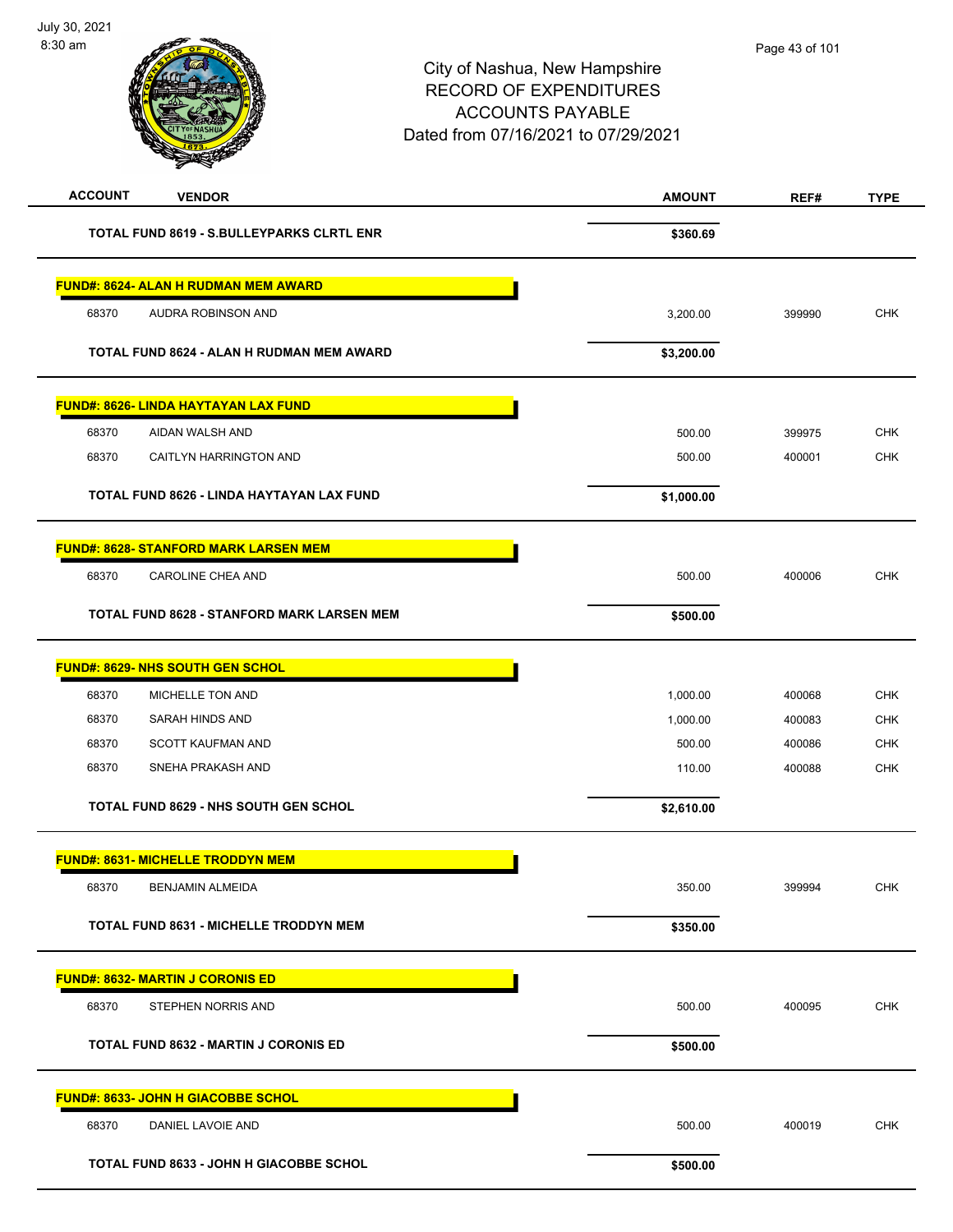| <b>TOTAL FUND 8619 - S.BULLEYPARKS CLRTL ENR</b><br>\$360.69<br><b>FUND#: 8624- ALAN H RUDMAN MEM AWARD</b><br>AUDRA ROBINSON AND<br>68370<br>3,200.00<br>399990<br>TOTAL FUND 8624 - ALAN H RUDMAN MEM AWARD<br>\$3,200.00<br>FUND#: 8626- LINDA HAYTAYAN LAX FUND<br>68370<br>AIDAN WALSH AND<br>500.00<br>399975<br>68370<br>CAITLYN HARRINGTON AND<br>500.00<br>400001<br>TOTAL FUND 8626 - LINDA HAYTAYAN LAX FUND<br>\$1,000.00<br><b>FUND#: 8628- STANFORD MARK LARSEN MEM</b> | <b>CHK</b><br><b>CHK</b><br><b>CHK</b><br>CHK |
|---------------------------------------------------------------------------------------------------------------------------------------------------------------------------------------------------------------------------------------------------------------------------------------------------------------------------------------------------------------------------------------------------------------------------------------------------------------------------------------|-----------------------------------------------|
|                                                                                                                                                                                                                                                                                                                                                                                                                                                                                       |                                               |
|                                                                                                                                                                                                                                                                                                                                                                                                                                                                                       |                                               |
|                                                                                                                                                                                                                                                                                                                                                                                                                                                                                       |                                               |
|                                                                                                                                                                                                                                                                                                                                                                                                                                                                                       |                                               |
|                                                                                                                                                                                                                                                                                                                                                                                                                                                                                       |                                               |
|                                                                                                                                                                                                                                                                                                                                                                                                                                                                                       |                                               |
|                                                                                                                                                                                                                                                                                                                                                                                                                                                                                       |                                               |
|                                                                                                                                                                                                                                                                                                                                                                                                                                                                                       |                                               |
|                                                                                                                                                                                                                                                                                                                                                                                                                                                                                       |                                               |
|                                                                                                                                                                                                                                                                                                                                                                                                                                                                                       |                                               |
| 68370<br>CAROLINE CHEA AND<br>500.00<br>400006                                                                                                                                                                                                                                                                                                                                                                                                                                        |                                               |
| <b>TOTAL FUND 8628 - STANFORD MARK LARSEN MEM</b><br>\$500.00                                                                                                                                                                                                                                                                                                                                                                                                                         |                                               |
|                                                                                                                                                                                                                                                                                                                                                                                                                                                                                       |                                               |
| <b>FUND#: 8629- NHS SOUTH GEN SCHOL</b>                                                                                                                                                                                                                                                                                                                                                                                                                                               |                                               |
| 68370<br>MICHELLE TON AND<br>1,000.00<br>400068                                                                                                                                                                                                                                                                                                                                                                                                                                       | <b>CHK</b>                                    |
| SARAH HINDS AND<br>68370<br>1,000.00<br>400083                                                                                                                                                                                                                                                                                                                                                                                                                                        | <b>CHK</b>                                    |
| 68370<br><b>SCOTT KAUFMAN AND</b><br>500.00<br>400086                                                                                                                                                                                                                                                                                                                                                                                                                                 | <b>CHK</b>                                    |
| SNEHA PRAKASH AND<br>68370<br>110.00<br>400088                                                                                                                                                                                                                                                                                                                                                                                                                                        | <b>CHK</b>                                    |
| <b>TOTAL FUND 8629 - NHS SOUTH GEN SCHOL</b><br>\$2,610.00                                                                                                                                                                                                                                                                                                                                                                                                                            |                                               |
| <b>FUND#: 8631- MICHELLE TRODDYN MEM</b>                                                                                                                                                                                                                                                                                                                                                                                                                                              |                                               |
| 68370<br><b>BENJAMIN ALMEIDA</b><br>350.00<br>399994                                                                                                                                                                                                                                                                                                                                                                                                                                  | <b>CHK</b>                                    |
| TOTAL FUND 8631 - MICHELLE TRODDYN MEM<br>\$350.00                                                                                                                                                                                                                                                                                                                                                                                                                                    |                                               |
| <b>FUND#: 8632- MARTIN J CORONIS ED</b>                                                                                                                                                                                                                                                                                                                                                                                                                                               |                                               |
| 68370<br>STEPHEN NORRIS AND<br>500.00<br>400095                                                                                                                                                                                                                                                                                                                                                                                                                                       | <b>CHK</b>                                    |
| <b>TOTAL FUND 8632 - MARTIN J CORONIS ED</b><br>\$500.00                                                                                                                                                                                                                                                                                                                                                                                                                              |                                               |
|                                                                                                                                                                                                                                                                                                                                                                                                                                                                                       |                                               |
| <b>FUND#: 8633- JOHN H GIACOBBE SCHOL</b>                                                                                                                                                                                                                                                                                                                                                                                                                                             |                                               |
| 68370<br>DANIEL LAVOIE AND<br>500.00<br>400019                                                                                                                                                                                                                                                                                                                                                                                                                                        | <b>CHK</b>                                    |
| <b>TOTAL FUND 8633 - JOHN H GIACOBBE SCHOL</b><br>\$500.00                                                                                                                                                                                                                                                                                                                                                                                                                            |                                               |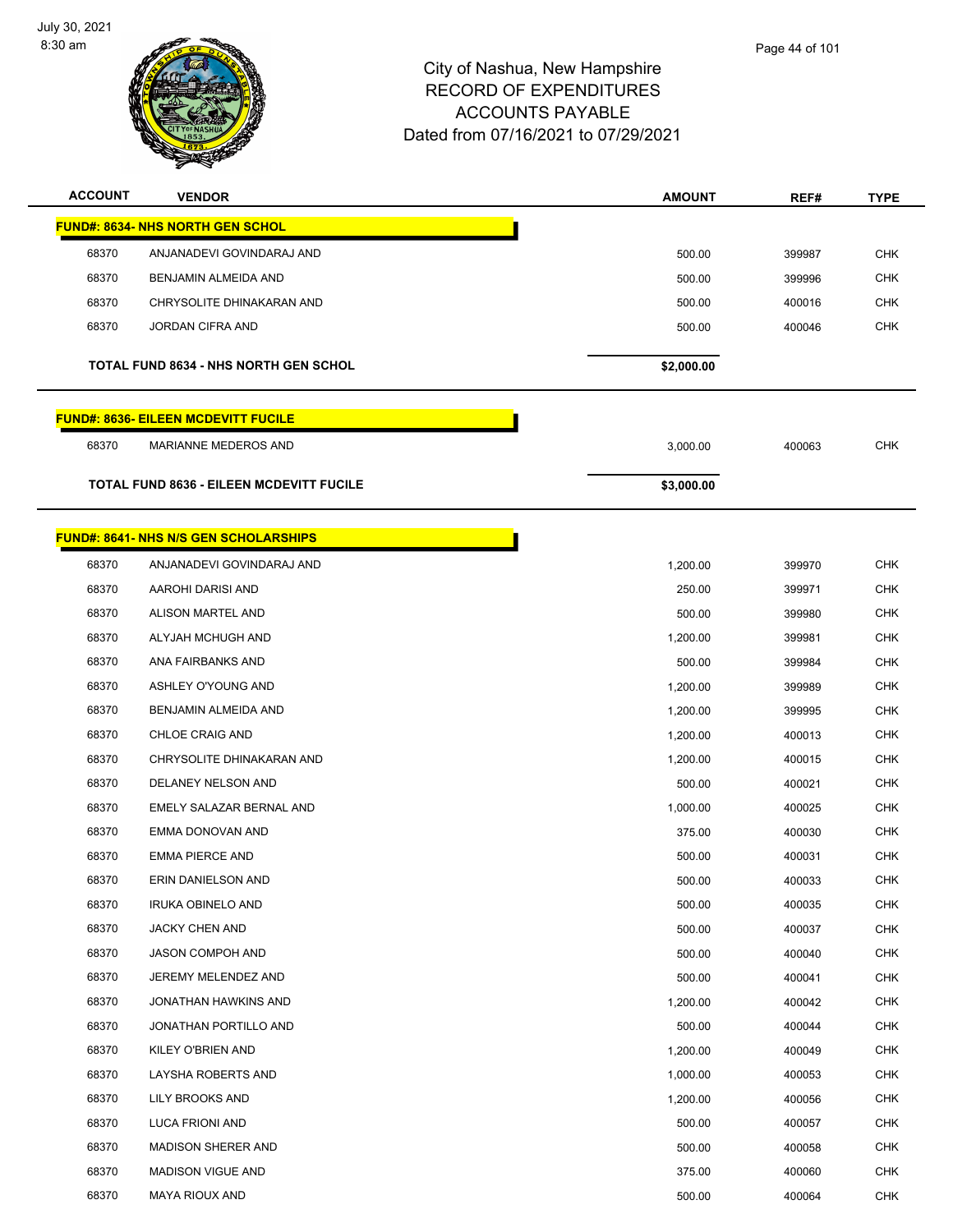$\sim$ 



| <b>ACCOUNT</b> | <b>VENDOR</b>                                   | <b>AMOUNT</b> | REF#   | <b>TYPE</b> |
|----------------|-------------------------------------------------|---------------|--------|-------------|
|                | <b>FUND#: 8634- NHS NORTH GEN SCHOL</b>         |               |        |             |
| 68370          | ANJANADEVI GOVINDARAJ AND                       | 500.00        | 399987 | <b>CHK</b>  |
| 68370          | BENJAMIN ALMEIDA AND                            | 500.00        | 399996 | <b>CHK</b>  |
| 68370          | CHRYSOLITE DHINAKARAN AND                       | 500.00        | 400016 | <b>CHK</b>  |
| 68370          | JORDAN CIFRA AND                                | 500.00        | 400046 | <b>CHK</b>  |
|                |                                                 |               |        |             |
|                | <b>TOTAL FUND 8634 - NHS NORTH GEN SCHOL</b>    | \$2,000.00    |        |             |
|                | <b>FUND#: 8636- EILEEN MCDEVITT FUCILE</b>      |               |        |             |
| 68370          | MARIANNE MEDEROS AND                            | 3,000.00      | 400063 | <b>CHK</b>  |
|                | <b>TOTAL FUND 8636 - EILEEN MCDEVITT FUCILE</b> | \$3,000.00    |        |             |
|                | <b>FUND#: 8641- NHS N/S GEN SCHOLARSHIPS</b>    |               |        |             |
| 68370          | ANJANADEVI GOVINDARAJ AND                       | 1,200.00      | 399970 | <b>CHK</b>  |
| 68370          | AAROHI DARISI AND                               | 250.00        | 399971 | <b>CHK</b>  |
| 68370          | ALISON MARTEL AND                               | 500.00        | 399980 | <b>CHK</b>  |
| 68370          | ALYJAH MCHUGH AND                               | 1,200.00      | 399981 | <b>CHK</b>  |
| 68370          | ANA FAIRBANKS AND                               | 500.00        | 399984 | <b>CHK</b>  |
| 68370          | ASHLEY O'YOUNG AND                              | 1,200.00      | 399989 | <b>CHK</b>  |
| 68370          | BENJAMIN ALMEIDA AND                            | 1,200.00      | 399995 | <b>CHK</b>  |
| 68370          | CHLOE CRAIG AND                                 | 1,200.00      | 400013 | <b>CHK</b>  |
| 68370          | CHRYSOLITE DHINAKARAN AND                       | 1,200.00      | 400015 | <b>CHK</b>  |
| 68370          | DELANEY NELSON AND                              | 500.00        | 400021 | <b>CHK</b>  |
| 68370          | EMELY SALAZAR BERNAL AND                        | 1,000.00      | 400025 | <b>CHK</b>  |
| 68370          | EMMA DONOVAN AND                                | 375.00        | 400030 | <b>CHK</b>  |
| 68370          | <b>EMMA PIERCE AND</b>                          | 500.00        | 400031 | <b>CHK</b>  |
| 68370          | ERIN DANIELSON AND                              | 500.00        | 400033 | <b>CHK</b>  |
| 68370          | <b>IRUKA OBINELO AND</b>                        | 500.00        | 400035 | <b>CHK</b>  |
| 68370          | JACKY CHEN AND                                  | 500.00        | 400037 | <b>CHK</b>  |
| 68370          | JASON COMPOH AND                                | 500.00        | 400040 | <b>CHK</b>  |
| 68370          | JEREMY MELENDEZ AND                             | 500.00        | 400041 | <b>CHK</b>  |
| 68370          | JONATHAN HAWKINS AND                            | 1,200.00      | 400042 | <b>CHK</b>  |
| 68370          | JONATHAN PORTILLO AND                           | 500.00        | 400044 | <b>CHK</b>  |
| 68370          | KILEY O'BRIEN AND                               | 1,200.00      | 400049 | <b>CHK</b>  |
| 68370          | LAYSHA ROBERTS AND                              | 1,000.00      | 400053 | <b>CHK</b>  |
| 68370          | LILY BROOKS AND                                 | 1,200.00      | 400056 | <b>CHK</b>  |
| 68370          | LUCA FRIONI AND                                 | 500.00        | 400057 | <b>CHK</b>  |
| 68370          | <b>MADISON SHERER AND</b>                       | 500.00        | 400058 | <b>CHK</b>  |
| 68370          | <b>MADISON VIGUE AND</b>                        | 375.00        | 400060 | <b>CHK</b>  |
| 68370          | <b>MAYA RIOUX AND</b>                           | 500.00        | 400064 | CHK         |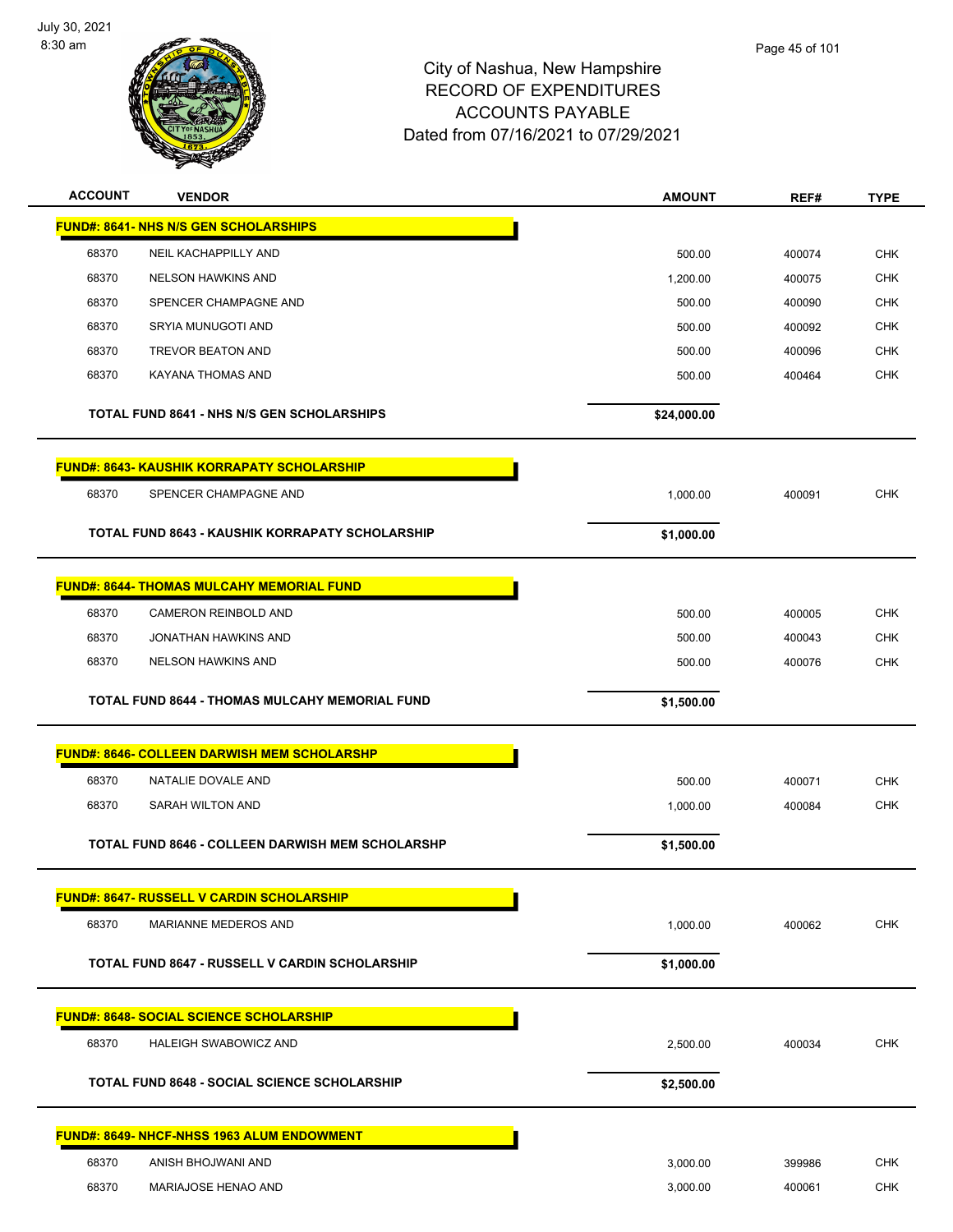

| <b>ACCOUNT</b> | <b>VENDOR</b>                                          | <b>AMOUNT</b> | REF#   | <b>TYPE</b>              |
|----------------|--------------------------------------------------------|---------------|--------|--------------------------|
|                | <b>FUND#: 8641- NHS N/S GEN SCHOLARSHIPS</b>           |               |        |                          |
| 68370          | NEIL KACHAPPILLY AND                                   | 500.00        | 400074 | <b>CHK</b>               |
| 68370          | <b>NELSON HAWKINS AND</b>                              | 1,200.00      | 400075 | <b>CHK</b>               |
| 68370          | SPENCER CHAMPAGNE AND                                  | 500.00        | 400090 | <b>CHK</b>               |
| 68370          | SRYIA MUNUGOTI AND                                     | 500.00        | 400092 | <b>CHK</b>               |
| 68370          | <b>TREVOR BEATON AND</b>                               | 500.00        | 400096 | <b>CHK</b>               |
| 68370          | KAYANA THOMAS AND                                      | 500.00        | 400464 | <b>CHK</b>               |
|                |                                                        |               |        |                          |
|                | <b>TOTAL FUND 8641 - NHS N/S GEN SCHOLARSHIPS</b>      | \$24,000.00   |        |                          |
|                | <b>FUND#: 8643- KAUSHIK KORRAPATY SCHOLARSHIP</b>      |               |        |                          |
| 68370          | SPENCER CHAMPAGNE AND                                  | 1,000.00      | 400091 | <b>CHK</b>               |
|                |                                                        |               |        |                          |
|                | <b>TOTAL FUND 8643 - KAUSHIK KORRAPATY SCHOLARSHIP</b> | \$1,000.00    |        |                          |
|                | <b>FUND#: 8644- THOMAS MULCAHY MEMORIAL FUND</b>       |               |        |                          |
|                |                                                        |               |        |                          |
| 68370          | CAMERON REINBOLD AND                                   | 500.00        | 400005 | <b>CHK</b>               |
| 68370<br>68370 | JONATHAN HAWKINS AND<br><b>NELSON HAWKINS AND</b>      | 500.00        | 400043 | <b>CHK</b><br><b>CHK</b> |
|                |                                                        | 500.00        | 400076 |                          |
|                | <b>TOTAL FUND 8644 - THOMAS MULCAHY MEMORIAL FUND</b>  | \$1,500.00    |        |                          |
|                | <b>FUND#: 8646- COLLEEN DARWISH MEM SCHOLARSHP</b>     |               |        |                          |
| 68370          | NATALIE DOVALE AND                                     | 500.00        | 400071 | <b>CHK</b>               |
| 68370          | <b>SARAH WILTON AND</b>                                | 1,000.00      | 400084 | <b>CHK</b>               |
|                |                                                        |               |        |                          |
|                | TOTAL FUND 8646 - COLLEEN DARWISH MEM SCHOLARSHP       | \$1,500.00    |        |                          |
|                | <b>FUND#: 8647- RUSSELL V CARDIN SCHOLARSHIP</b>       |               |        |                          |
| 68370          | <b>MARIANNE MEDEROS AND</b>                            | 1,000.00      | 400062 | <b>CHK</b>               |
|                |                                                        |               |        |                          |
|                | <b>TOTAL FUND 8647 - RUSSELL V CARDIN SCHOLARSHIP</b>  | \$1,000.00    |        |                          |
|                | <b>FUND#: 8648- SOCIAL SCIENCE SCHOLARSHIP</b>         |               |        |                          |
| 68370          | HALEIGH SWABOWICZ AND                                  | 2,500.00      | 400034 | <b>CHK</b>               |
|                |                                                        |               |        |                          |
|                | <b>TOTAL FUND 8648 - SOCIAL SCIENCE SCHOLARSHIP</b>    | \$2,500.00    |        |                          |
|                | <u> FUND#: 8649- NHCF-NHSS 1963 ALUM ENDOWMENT</u>     |               |        |                          |
| 68370          | ANISH BHOJWANI AND                                     | 3,000.00      | 399986 | <b>CHK</b>               |
| 68370          | MARIAJOSE HENAO AND                                    | 3,000.00      | 400061 | <b>CHK</b>               |
|                |                                                        |               |        |                          |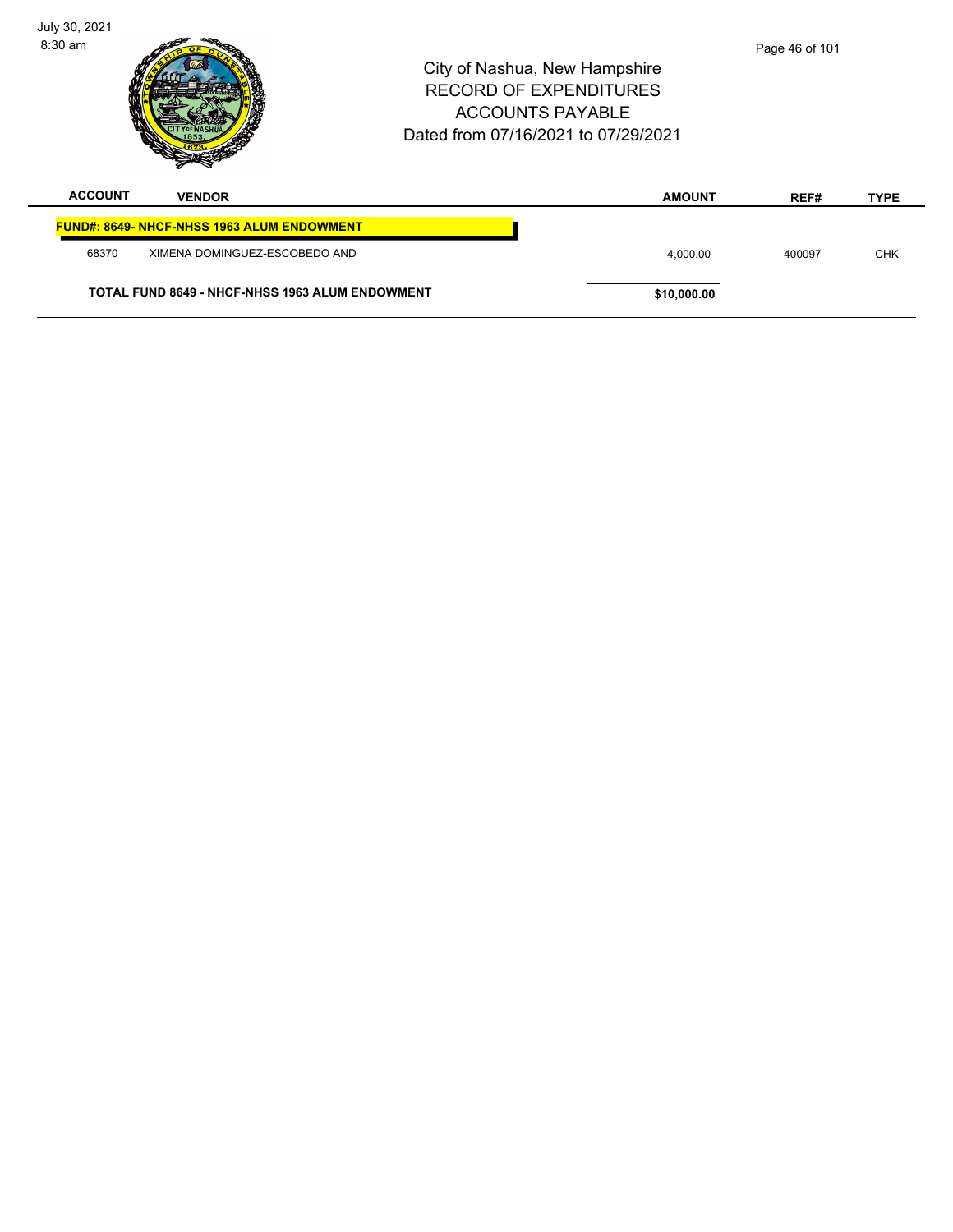| July 30, 2021<br>$8:30$ am |                                                   | City of Nashua, New Hampshire<br><b>RECORD OF EXPENDITURES</b><br><b>ACCOUNTS PAYABLE</b><br>Dated from 07/16/2021 to 07/29/2021 |               | Page 46 of 101 |             |
|----------------------------|---------------------------------------------------|----------------------------------------------------------------------------------------------------------------------------------|---------------|----------------|-------------|
| <b>ACCOUNT</b>             | <b>VENDOR</b>                                     |                                                                                                                                  | <b>AMOUNT</b> | REF#           | <b>TYPE</b> |
|                            | <b>FUND#: 8649- NHCF-NHSS 1963 ALUM ENDOWMENT</b> |                                                                                                                                  |               |                |             |
| 68370                      | XIMENA DOMINGUEZ-ESCOBEDO AND                     |                                                                                                                                  | 4.000.00      | 400097         | <b>CHK</b>  |
|                            | TOTAL FUND 8649 - NHCF-NHSS 1963 ALUM ENDOWMENT   |                                                                                                                                  | \$10,000.00   |                |             |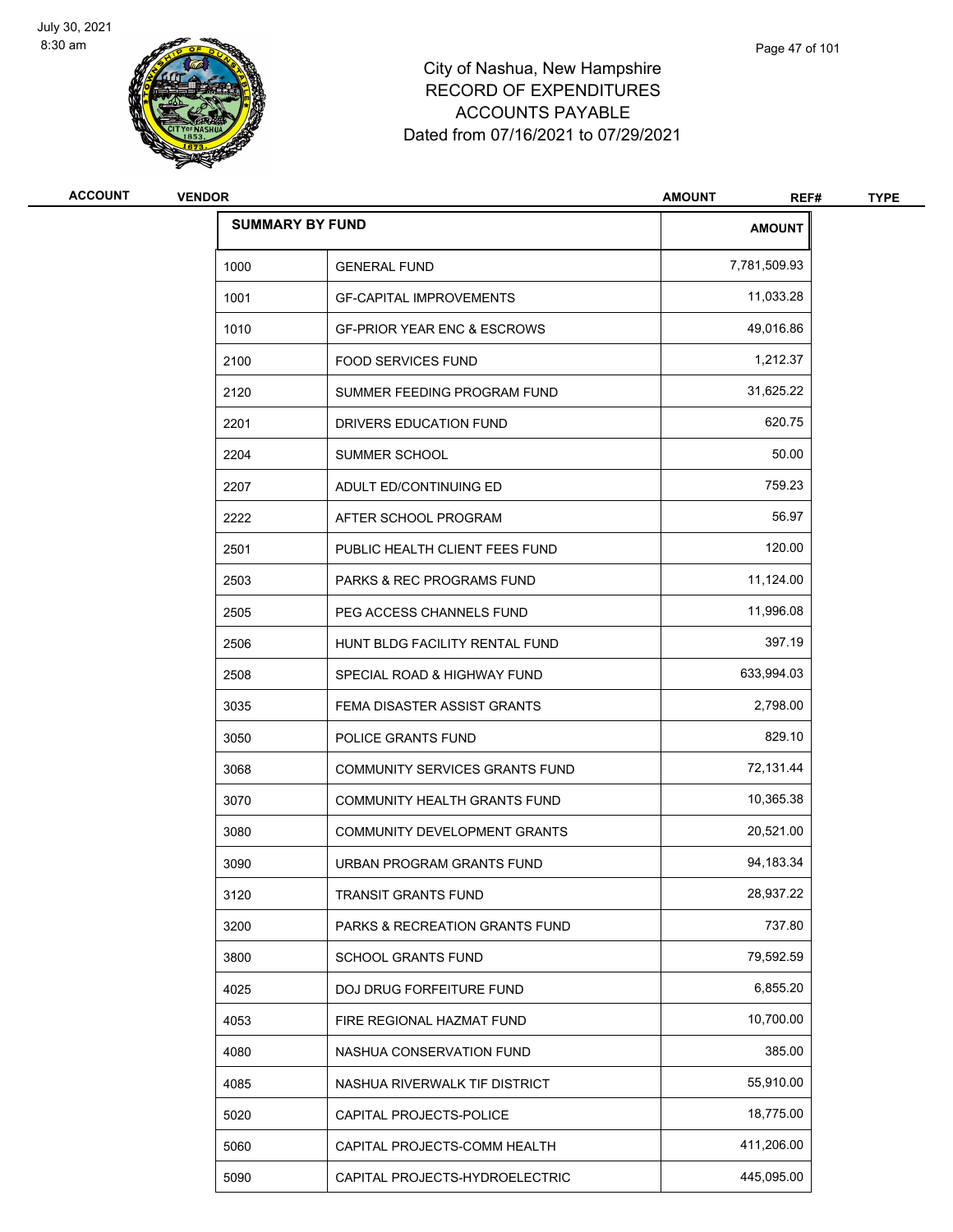

| <b>ACCOUNT</b> | <b>VENDOR</b> |                                           | <b>AMOUNT</b><br>REF# | <b>TYPE</b> |
|----------------|---------------|-------------------------------------------|-----------------------|-------------|
|                |               | <b>SUMMARY BY FUND</b>                    | <b>AMOUNT</b>         |             |
|                | 1000          | <b>GENERAL FUND</b>                       | 7,781,509.93          |             |
|                | 1001          | <b>GF-CAPITAL IMPROVEMENTS</b>            | 11,033.28             |             |
|                | 1010          | <b>GF-PRIOR YEAR ENC &amp; ESCROWS</b>    | 49,016.86             |             |
|                | 2100          | <b>FOOD SERVICES FUND</b>                 | 1,212.37              |             |
|                | 2120          | SUMMER FEEDING PROGRAM FUND               | 31,625.22             |             |
|                | 2201          | DRIVERS EDUCATION FUND                    | 620.75                |             |
|                | 2204          | SUMMER SCHOOL                             | 50.00                 |             |
|                | 2207          | ADULT ED/CONTINUING ED                    | 759.23                |             |
|                | 2222          | AFTER SCHOOL PROGRAM                      | 56.97                 |             |
|                | 2501          | PUBLIC HEALTH CLIENT FEES FUND            | 120.00                |             |
|                | 2503          | <b>PARKS &amp; REC PROGRAMS FUND</b>      | 11,124.00             |             |
|                | 2505          | PEG ACCESS CHANNELS FUND                  | 11,996.08             |             |
|                | 2506          | HUNT BLDG FACILITY RENTAL FUND            | 397.19                |             |
|                | 2508          | SPECIAL ROAD & HIGHWAY FUND               | 633,994.03            |             |
|                | 3035          | FEMA DISASTER ASSIST GRANTS               | 2,798.00              |             |
|                | 3050          | POLICE GRANTS FUND                        | 829.10                |             |
|                | 3068          | COMMUNITY SERVICES GRANTS FUND            | 72,131.44             |             |
|                | 3070          | COMMUNITY HEALTH GRANTS FUND              | 10,365.38             |             |
|                | 3080          | COMMUNITY DEVELOPMENT GRANTS              | 20,521.00             |             |
|                | 3090          | URBAN PROGRAM GRANTS FUND                 | 94,183.34             |             |
|                | 3120          | TRANSIT GRANTS FUND                       | 28,937.22             |             |
|                | 3200          | <b>PARKS &amp; RECREATION GRANTS FUND</b> | 737.80                |             |
|                | 3800          | SCHOOL GRANTS FUND                        | 79,592.59             |             |
|                | 4025          | <b>DOJ DRUG FORFEITURE FUND</b>           | 6,855.20              |             |
|                | 4053          | FIRE REGIONAL HAZMAT FUND                 | 10,700.00             |             |
|                | 4080          | NASHUA CONSERVATION FUND                  | 385.00                |             |
|                | 4085          | NASHUA RIVERWALK TIF DISTRICT             | 55,910.00             |             |
|                | 5020          | CAPITAL PROJECTS-POLICE                   | 18,775.00             |             |
|                | 5060          | CAPITAL PROJECTS-COMM HEALTH              | 411,206.00            |             |
|                | 5090          | CAPITAL PROJECTS-HYDROELECTRIC            | 445,095.00            |             |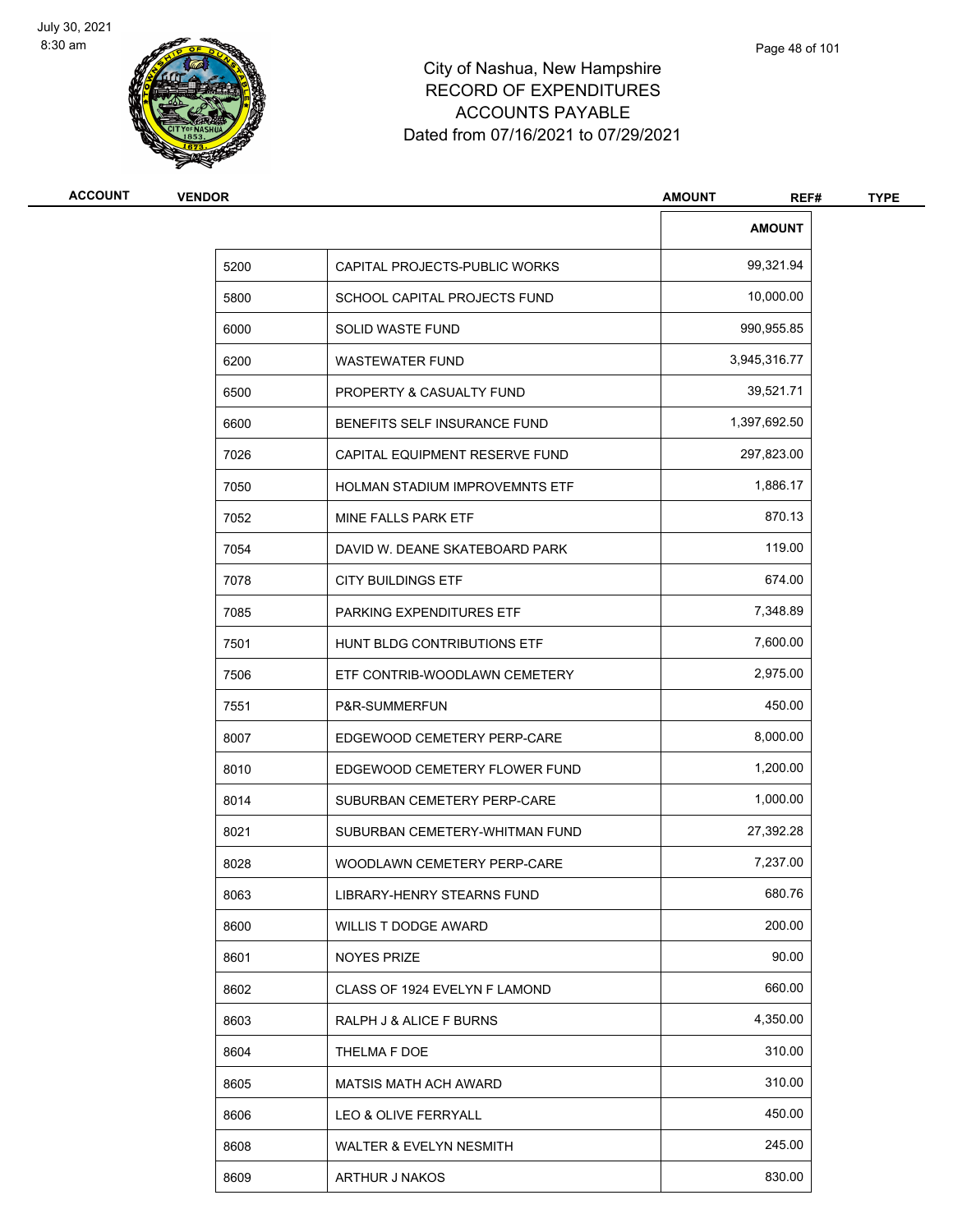

| <b>ACCOUNT</b> | <b>VENDOR</b> |                                       | <b>AMOUNT</b><br>REF# | <b>TYPE</b> |
|----------------|---------------|---------------------------------------|-----------------------|-------------|
|                |               |                                       | <b>AMOUNT</b>         |             |
|                | 5200          | CAPITAL PROJECTS-PUBLIC WORKS         | 99,321.94             |             |
|                | 5800          | SCHOOL CAPITAL PROJECTS FUND          | 10,000.00             |             |
|                | 6000          | SOLID WASTE FUND                      | 990,955.85            |             |
|                | 6200          | <b>WASTEWATER FUND</b>                | 3,945,316.77          |             |
|                | 6500          | PROPERTY & CASUALTY FUND              | 39,521.71             |             |
|                | 6600          | BENEFITS SELF INSURANCE FUND          | 1,397,692.50          |             |
|                | 7026          | CAPITAL EQUIPMENT RESERVE FUND        | 297,823.00            |             |
|                | 7050          | <b>HOLMAN STADIUM IMPROVEMNTS ETF</b> | 1,886.17              |             |
|                | 7052          | MINE FALLS PARK ETF                   | 870.13                |             |
|                | 7054          | DAVID W. DEANE SKATEBOARD PARK        | 119.00                |             |
|                | 7078          | <b>CITY BUILDINGS ETF</b>             | 674.00                |             |
|                | 7085          | PARKING EXPENDITURES ETF              | 7,348.89              |             |
|                | 7501          | HUNT BLDG CONTRIBUTIONS ETF           | 7,600.00              |             |
|                | 7506          | ETF CONTRIB-WOODLAWN CEMETERY         | 2,975.00              |             |
|                | 7551          | P&R-SUMMERFUN                         | 450.00                |             |
|                | 8007          | EDGEWOOD CEMETERY PERP-CARE           | 8,000.00              |             |
|                | 8010          | EDGEWOOD CEMETERY FLOWER FUND         | 1,200.00              |             |
|                | 8014          | SUBURBAN CEMETERY PERP-CARE           | 1,000.00              |             |
|                | 8021          | SUBURBAN CEMETERY-WHITMAN FUND        | 27,392.28             |             |
|                | 8028          | WOODLAWN CEMETERY PERP-CARE           | 7,237.00              |             |
|                | 8063          | LIBRARY-HENRY STEARNS FUND            | 680.76                |             |
|                | 8600          | WILLIS T DODGE AWARD                  | 200.00                |             |
|                | 8601          | NOYES PRIZE                           | 90.00                 |             |
|                | 8602          | CLASS OF 1924 EVELYN F LAMOND         | 660.00                |             |
|                | 8603          | RALPH J & ALICE F BURNS               | 4,350.00              |             |
|                | 8604          | THELMA F DOE                          | 310.00                |             |
|                | 8605          | <b>MATSIS MATH ACH AWARD</b>          | 310.00                |             |
|                | 8606          | LEO & OLIVE FERRYALL                  | 450.00                |             |
|                | 8608          | WALTER & EVELYN NESMITH               | 245.00                |             |
|                | 8609          | ARTHUR J NAKOS                        | 830.00                |             |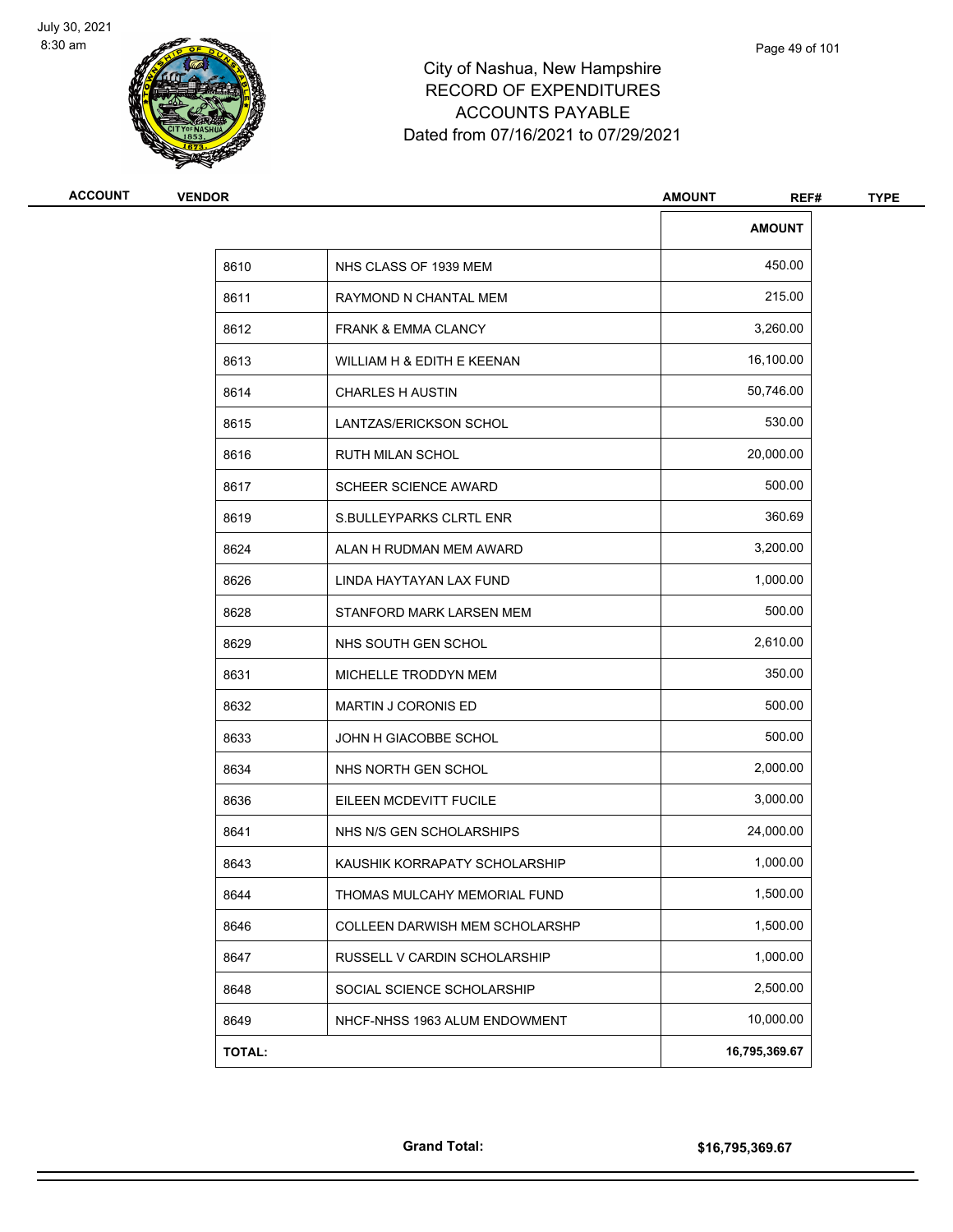

| <b>ACCOUNT</b> | <b>VENDOR</b> |                                | <b>AMOUNT</b><br>REF# | <b>TYPE</b> |
|----------------|---------------|--------------------------------|-----------------------|-------------|
|                |               |                                | <b>AMOUNT</b>         |             |
|                | 8610          | NHS CLASS OF 1939 MEM          | 450.00                |             |
|                | 8611          | RAYMOND N CHANTAL MEM          | 215.00                |             |
|                | 8612          | <b>FRANK &amp; EMMA CLANCY</b> | 3,260.00              |             |
|                | 8613          | WILLIAM H & EDITH E KEENAN     | 16,100.00             |             |
|                | 8614          | <b>CHARLES H AUSTIN</b>        | 50,746.00             |             |
|                | 8615          | LANTZAS/ERICKSON SCHOL         | 530.00                |             |
|                | 8616          | RUTH MILAN SCHOL               | 20,000.00             |             |
|                | 8617          | <b>SCHEER SCIENCE AWARD</b>    | 500.00                |             |
|                | 8619          | <b>S.BULLEYPARKS CLRTL ENR</b> | 360.69                |             |
|                | 8624          | ALAN H RUDMAN MEM AWARD        | 3,200.00              |             |
|                | 8626          | LINDA HAYTAYAN LAX FUND        | 1,000.00              |             |
|                | 8628          | STANFORD MARK LARSEN MEM       | 500.00                |             |
|                | 8629          | NHS SOUTH GEN SCHOL            | 2,610.00              |             |
|                | 8631          | MICHELLE TRODDYN MEM           | 350.00                |             |
|                | 8632          | <b>MARTIN J CORONIS ED</b>     | 500.00                |             |
|                | 8633          | JOHN H GIACOBBE SCHOL          | 500.00                |             |
|                | 8634          | NHS NORTH GEN SCHOL            | 2,000.00              |             |
|                | 8636          | EILEEN MCDEVITT FUCILE         | 3,000.00              |             |
|                | 8641          | NHS N/S GEN SCHOLARSHIPS       | 24,000.00             |             |
|                | 8643          | KAUSHIK KORRAPATY SCHOLARSHIP  | 1,000.00              |             |
|                | 8644          | THOMAS MULCAHY MEMORIAL FUND   | 1,500.00              |             |
|                | 8646          | COLLEEN DARWISH MEM SCHOLARSHP | 1,500.00              |             |
|                | 8647          | RUSSELL V CARDIN SCHOLARSHIP   | 1,000.00              |             |
|                | 8648          | SOCIAL SCIENCE SCHOLARSHIP     | 2,500.00              |             |
|                | 8649          | NHCF-NHSS 1963 ALUM ENDOWMENT  | 10,000.00             |             |
|                | TOTAL:        |                                | 16,795,369.67         |             |
|                |               |                                |                       |             |

**Grand Total: \$16,795,369.67**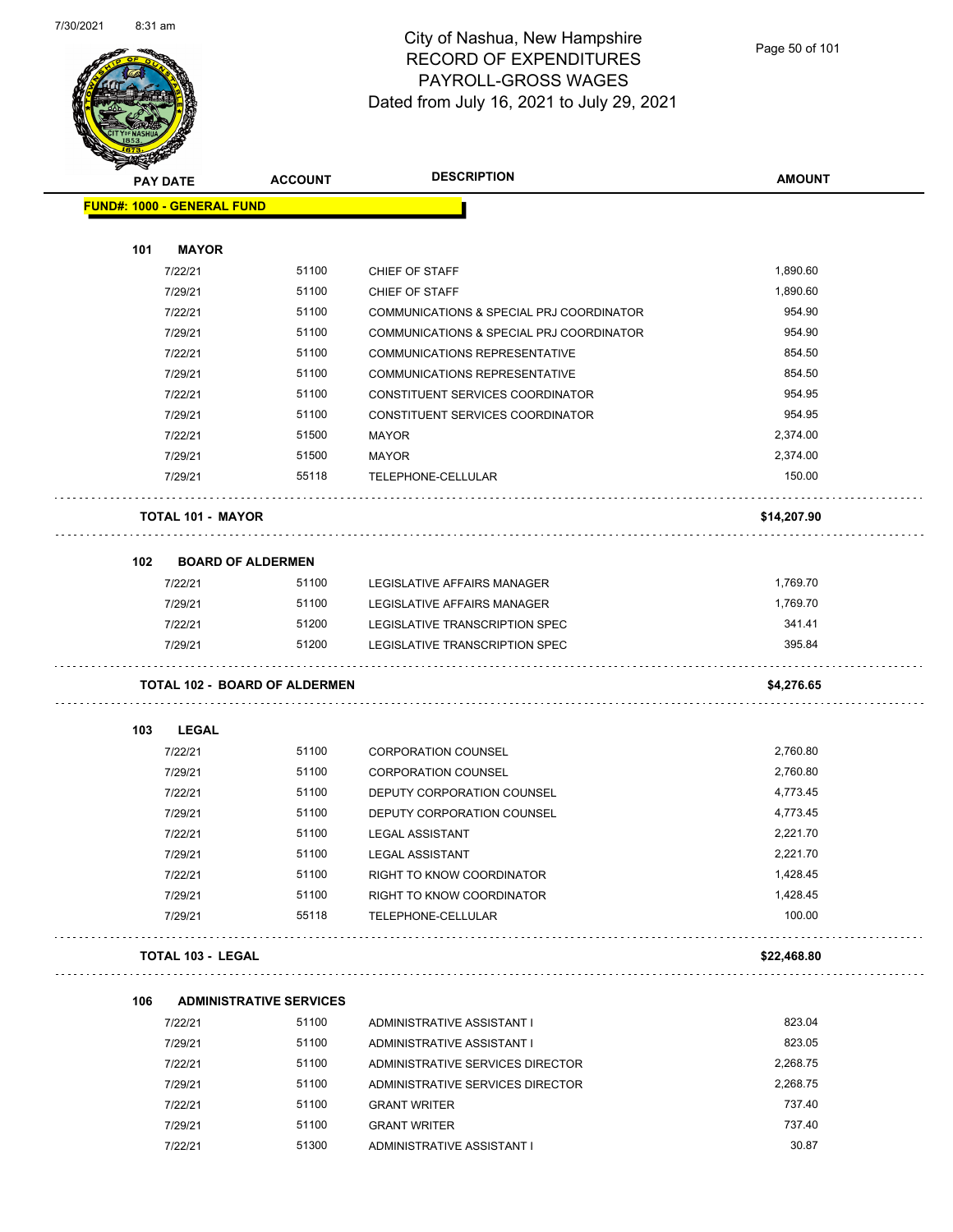

Page 50 of 101

| <b>STARBORGHA</b><br><b>PAY DATE</b> | <b>ACCOUNT</b>                       | <b>DESCRIPTION</b>                       | <b>AMOUNT</b> |
|--------------------------------------|--------------------------------------|------------------------------------------|---------------|
| <b>FUND#: 1000 - GENERAL FUND</b>    |                                      |                                          |               |
|                                      |                                      |                                          |               |
| 101<br><b>MAYOR</b>                  |                                      |                                          |               |
| 7/22/21                              | 51100                                | <b>CHIEF OF STAFF</b>                    | 1,890.60      |
| 7/29/21                              | 51100                                | CHIEF OF STAFF                           | 1,890.60      |
| 7/22/21                              | 51100                                | COMMUNICATIONS & SPECIAL PRJ COORDINATOR | 954.90        |
| 7/29/21                              | 51100                                | COMMUNICATIONS & SPECIAL PRJ COORDINATOR | 954.90        |
| 7/22/21                              | 51100                                | <b>COMMUNICATIONS REPRESENTATIVE</b>     | 854.50        |
| 7/29/21                              | 51100                                | <b>COMMUNICATIONS REPRESENTATIVE</b>     | 854.50        |
| 7/22/21                              | 51100                                | CONSTITUENT SERVICES COORDINATOR         | 954.95        |
| 7/29/21                              | 51100                                | CONSTITUENT SERVICES COORDINATOR         | 954.95        |
| 7/22/21                              | 51500                                | <b>MAYOR</b>                             | 2,374.00      |
| 7/29/21                              | 51500                                | <b>MAYOR</b>                             | 2,374.00      |
| 7/29/21                              | 55118                                | TELEPHONE-CELLULAR                       | 150.00        |
| <b>TOTAL 101 - MAYOR</b>             |                                      |                                          | \$14,207.90   |
| 102                                  | <b>BOARD OF ALDERMEN</b>             |                                          |               |
| 7/22/21                              | 51100                                | LEGISLATIVE AFFAIRS MANAGER              | 1,769.70      |
| 7/29/21                              | 51100                                | LEGISLATIVE AFFAIRS MANAGER              | 1,769.70      |
| 7/22/21                              | 51200                                | LEGISLATIVE TRANSCRIPTION SPEC           | 341.41        |
| 7/29/21                              | 51200                                | LEGISLATIVE TRANSCRIPTION SPEC           | 395.84        |
|                                      | <b>TOTAL 102 - BOARD OF ALDERMEN</b> |                                          | \$4,276.65    |
| 103<br><b>LEGAL</b>                  |                                      |                                          |               |
| 7/22/21                              | 51100                                | <b>CORPORATION COUNSEL</b>               | 2,760.80      |
| 7/29/21                              | 51100                                | <b>CORPORATION COUNSEL</b>               | 2,760.80      |
| 7/22/21                              | 51100                                | DEPUTY CORPORATION COUNSEL               | 4,773.45      |
| 7/29/21                              | 51100                                | DEPUTY CORPORATION COUNSEL               | 4,773.45      |
| 7/22/21                              | 51100                                | <b>LEGAL ASSISTANT</b>                   | 2,221.70      |
| 7/29/21                              | 51100                                | <b>LEGAL ASSISTANT</b>                   | 2,221.70      |
| 7/22/21                              | 51100                                | RIGHT TO KNOW COORDINATOR                | 1,428.45      |
| 7/29/21                              | 51100                                | RIGHT TO KNOW COORDINATOR                | 1,428.45      |
| 7/29/21                              | 55118                                | TELEPHONE-CELLULAR                       | 100.00        |
| <b>TOTAL 103 - LEGAL</b>             |                                      |                                          | \$22,468.80   |
| 106                                  | <b>ADMINISTRATIVE SERVICES</b>       |                                          |               |
| 7/22/21                              | 51100                                | ADMINISTRATIVE ASSISTANT I               | 823.04        |
| 7/29/21                              | 51100                                | ADMINISTRATIVE ASSISTANT I               | 823.05        |
| 7/22/21                              | 51100                                | ADMINISTRATIVE SERVICES DIRECTOR         | 2,268.75      |
| 7/29/21                              | 51100                                | ADMINISTRATIVE SERVICES DIRECTOR         | 2,268.75      |
| 7/22/21                              | 51100                                | <b>GRANT WRITER</b>                      | 737.40        |
| 7/29/21                              | 51100                                | <b>GRANT WRITER</b>                      | 737.40        |
| 7/22/21                              | 51300                                | ADMINISTRATIVE ASSISTANT I               | 30.87         |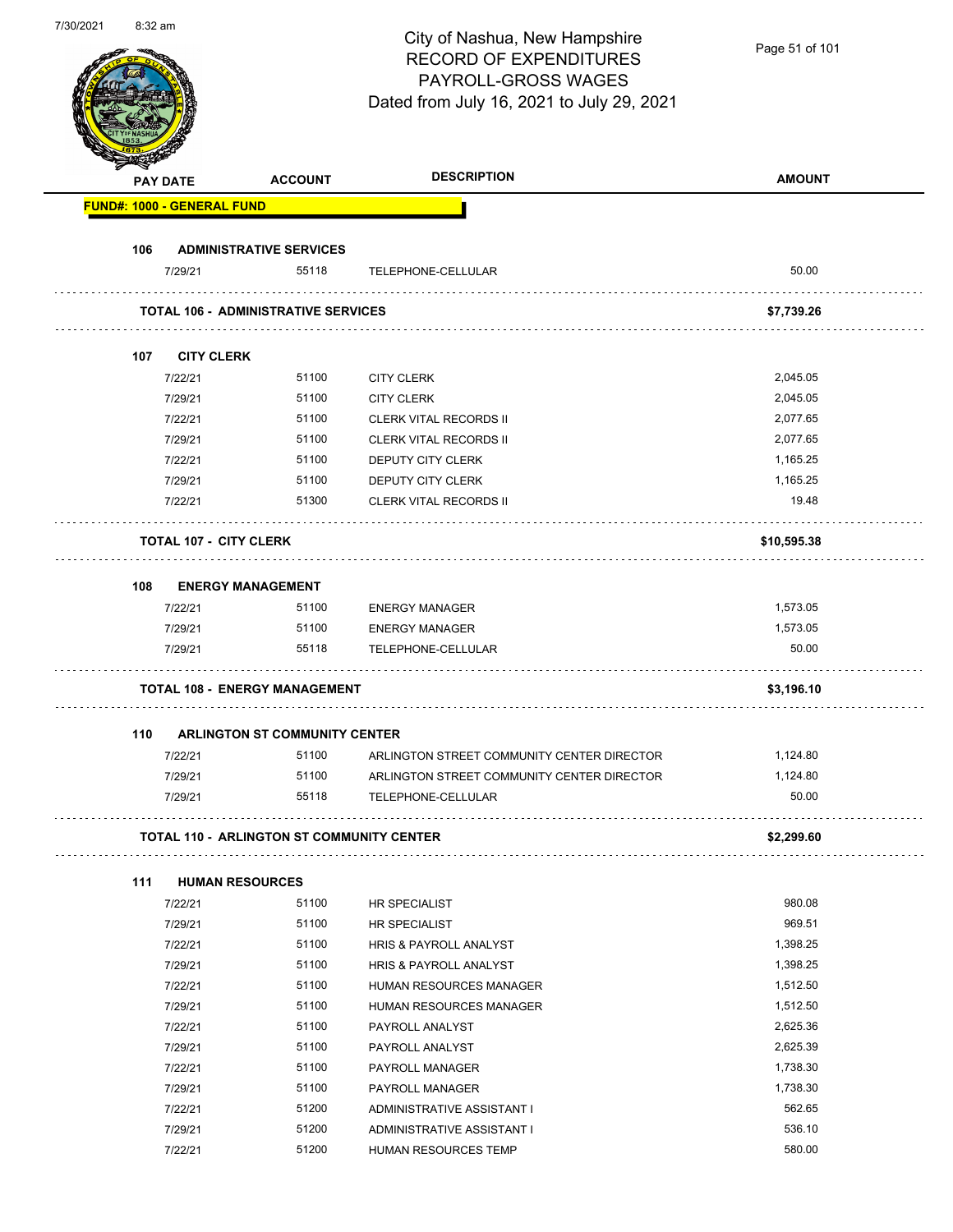| 7/30/2021 | 8:32 am |                                   |                                                  | City of Nashua, New Hampshire<br><b>RECORD OF EXPENDITURES</b><br>PAYROLL-GROSS WAGES<br>Dated from July 16, 2021 to July 29, 2021 | Page 51 of 101       |
|-----------|---------|-----------------------------------|--------------------------------------------------|------------------------------------------------------------------------------------------------------------------------------------|----------------------|
|           |         | <b>PAY DATE</b>                   | <b>ACCOUNT</b>                                   | <b>DESCRIPTION</b>                                                                                                                 | <b>AMOUNT</b>        |
|           |         | <b>FUND#: 1000 - GENERAL FUND</b> |                                                  |                                                                                                                                    |                      |
|           |         |                                   |                                                  |                                                                                                                                    |                      |
|           | 106     |                                   | <b>ADMINISTRATIVE SERVICES</b>                   |                                                                                                                                    |                      |
|           |         | 7/29/21                           | 55118                                            | TELEPHONE-CELLULAR                                                                                                                 | 50.00                |
|           |         |                                   | <b>TOTAL 106 - ADMINISTRATIVE SERVICES</b>       |                                                                                                                                    | \$7,739.26           |
|           |         |                                   |                                                  |                                                                                                                                    |                      |
|           | 107     | <b>CITY CLERK</b>                 | 51100                                            |                                                                                                                                    | 2,045.05             |
|           |         | 7/22/21<br>7/29/21                | 51100                                            | <b>CITY CLERK</b><br><b>CITY CLERK</b>                                                                                             | 2,045.05             |
|           |         | 7/22/21                           | 51100                                            | <b>CLERK VITAL RECORDS II</b>                                                                                                      | 2,077.65             |
|           |         | 7/29/21                           | 51100                                            | <b>CLERK VITAL RECORDS II</b>                                                                                                      | 2,077.65             |
|           |         | 7/22/21                           | 51100                                            | <b>DEPUTY CITY CLERK</b>                                                                                                           | 1,165.25             |
|           |         | 7/29/21                           | 51100                                            | DEPUTY CITY CLERK                                                                                                                  | 1,165.25             |
|           |         | 7/22/21                           | 51300                                            | <b>CLERK VITAL RECORDS II</b>                                                                                                      | 19.48                |
|           |         |                                   |                                                  |                                                                                                                                    |                      |
|           |         | <b>TOTAL 107 - CITY CLERK</b>     |                                                  |                                                                                                                                    | \$10,595.38          |
|           | 108     |                                   | <b>ENERGY MANAGEMENT</b>                         |                                                                                                                                    |                      |
|           |         | 7/22/21                           | 51100                                            | <b>ENERGY MANAGER</b>                                                                                                              | 1,573.05             |
|           |         | 7/29/21                           | 51100                                            | <b>ENERGY MANAGER</b>                                                                                                              | 1,573.05             |
|           |         | 7/29/21                           | 55118                                            | TELEPHONE-CELLULAR                                                                                                                 | 50.00                |
|           |         |                                   |                                                  |                                                                                                                                    |                      |
|           |         |                                   | <b>TOTAL 108 - ENERGY MANAGEMENT</b>             |                                                                                                                                    | \$3,196.10           |
|           | 110     |                                   | <b>ARLINGTON ST COMMUNITY CENTER</b>             |                                                                                                                                    |                      |
|           |         | 7/22/21                           | 51100                                            | ARLINGTON STREET COMMUNITY CENTER DIRECTOR                                                                                         | 1,124.80             |
|           |         | 7/29/21                           | 51100                                            | ARLINGTON STREET COMMUNITY CENTER DIRECTOR                                                                                         | 1,124.80             |
|           |         | 7/29/21                           | 55118                                            | TELEPHONE-CELLULAR                                                                                                                 | 50.00                |
|           |         |                                   | <b>TOTAL 110 - ARLINGTON ST COMMUNITY CENTER</b> |                                                                                                                                    | \$2,299.60           |
|           |         |                                   |                                                  |                                                                                                                                    |                      |
|           | 111     |                                   | <b>HUMAN RESOURCES</b>                           |                                                                                                                                    |                      |
|           |         | 7/22/21                           | 51100                                            | <b>HR SPECIALIST</b>                                                                                                               | 980.08               |
|           |         | 7/29/21                           | 51100                                            | HR SPECIALIST                                                                                                                      | 969.51               |
|           |         | 7/22/21                           | 51100                                            | HRIS & PAYROLL ANALYST                                                                                                             | 1,398.25             |
|           |         | 7/29/21                           | 51100                                            | HRIS & PAYROLL ANALYST                                                                                                             | 1,398.25             |
|           |         | 7/22/21                           | 51100                                            | HUMAN RESOURCES MANAGER                                                                                                            | 1,512.50             |
|           |         | 7/29/21                           | 51100                                            | HUMAN RESOURCES MANAGER                                                                                                            | 1,512.50             |
|           |         | 7/22/21                           | 51100                                            | PAYROLL ANALYST                                                                                                                    | 2,625.36             |
|           |         | 7/29/21                           | 51100<br>51100                                   | PAYROLL ANALYST                                                                                                                    | 2,625.39<br>1,738.30 |
|           |         | 7/22/21<br>7/29/21                | 51100                                            | PAYROLL MANAGER                                                                                                                    | 1,738.30             |
|           |         | 7/22/21                           | 51200                                            | PAYROLL MANAGER<br>ADMINISTRATIVE ASSISTANT I                                                                                      | 562.65               |
|           |         | 7/29/21                           | 51200                                            | ADMINISTRATIVE ASSISTANT I                                                                                                         | 536.10               |
|           |         | 7/22/21                           | 51200                                            | HUMAN RESOURCES TEMP                                                                                                               | 580.00               |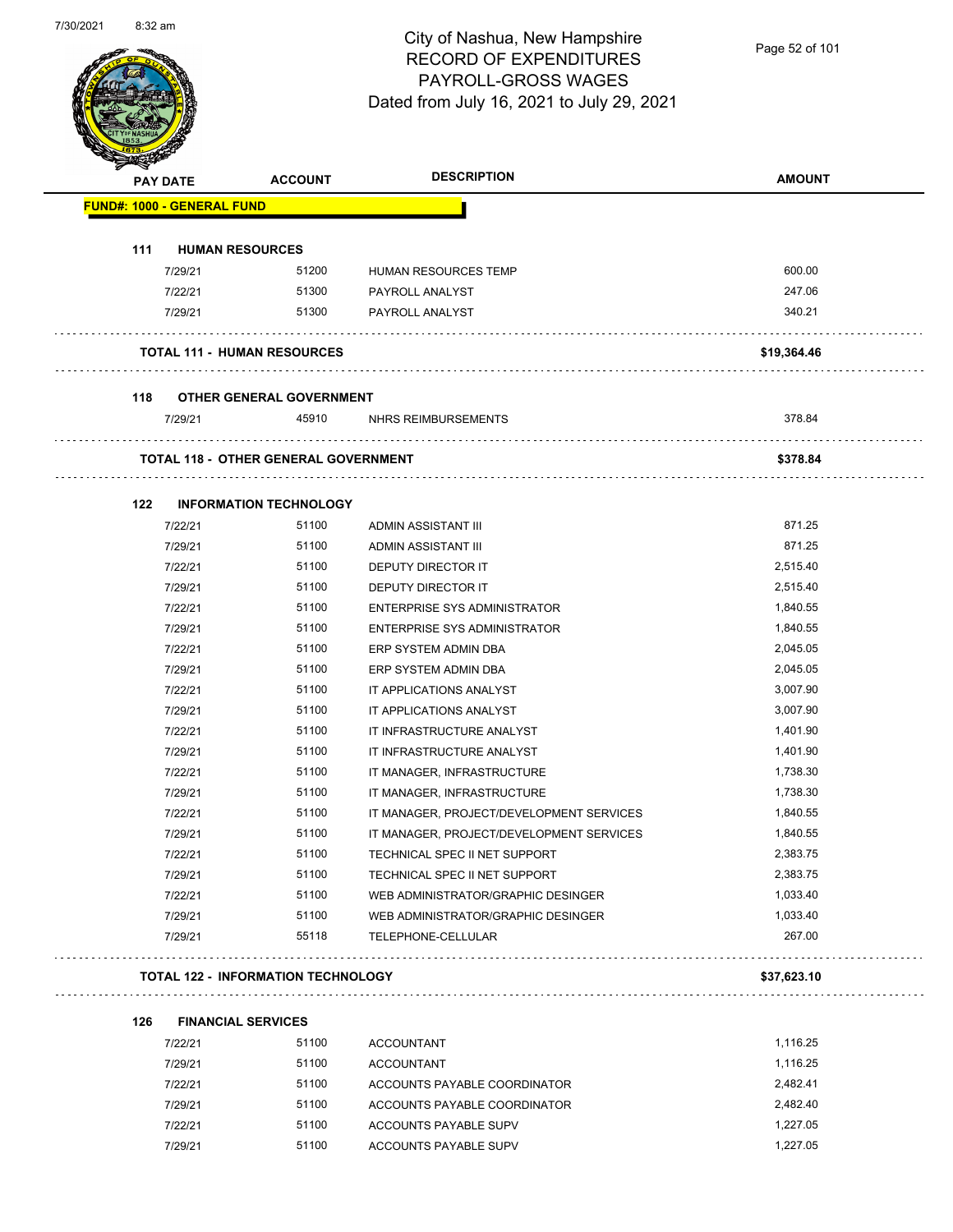

Page 52 of 101

| <b>PAY DATE</b> |                                   | <b>ACCOUNT</b>                                   | <b>DESCRIPTION</b>                       | <b>AMOUNT</b> |
|-----------------|-----------------------------------|--------------------------------------------------|------------------------------------------|---------------|
|                 | <b>FUND#: 1000 - GENERAL FUND</b> |                                                  |                                          |               |
| 111             |                                   | <b>HUMAN RESOURCES</b>                           |                                          |               |
|                 | 7/29/21                           | 51200                                            | HUMAN RESOURCES TEMP                     | 600.00        |
|                 | 7/22/21                           | 51300                                            | PAYROLL ANALYST                          | 247.06        |
|                 | 7/29/21                           | 51300                                            | PAYROLL ANALYST                          | 340.21        |
|                 |                                   | <b>TOTAL 111 - HUMAN RESOURCES</b>               |                                          | \$19,364.46   |
| 118             |                                   | <b>OTHER GENERAL GOVERNMENT</b>                  |                                          |               |
|                 | 7/29/21                           | 45910                                            | NHRS REIMBURSEMENTS                      | 378.84        |
|                 |                                   | .<br><b>TOTAL 118 - OTHER GENERAL GOVERNMENT</b> |                                          | \$378.84      |
| 122             |                                   | <b>INFORMATION TECHNOLOGY</b>                    |                                          |               |
|                 | 7/22/21                           | 51100                                            | ADMIN ASSISTANT III                      | 871.25        |
|                 | 7/29/21                           | 51100                                            | ADMIN ASSISTANT III                      | 871.25        |
|                 | 7/22/21                           | 51100                                            | <b>DEPUTY DIRECTOR IT</b>                | 2,515.40      |
|                 | 7/29/21                           | 51100                                            | DEPUTY DIRECTOR IT                       | 2,515.40      |
|                 | 7/22/21                           | 51100                                            | ENTERPRISE SYS ADMINISTRATOR             | 1,840.55      |
|                 | 7/29/21                           | 51100                                            | <b>ENTERPRISE SYS ADMINISTRATOR</b>      | 1,840.55      |
|                 | 7/22/21                           | 51100                                            | ERP SYSTEM ADMIN DBA                     | 2,045.05      |
|                 | 7/29/21                           | 51100                                            | ERP SYSTEM ADMIN DBA                     | 2,045.05      |
|                 | 7/22/21                           | 51100                                            | IT APPLICATIONS ANALYST                  | 3,007.90      |
|                 | 7/29/21                           | 51100                                            | IT APPLICATIONS ANALYST                  | 3,007.90      |
|                 | 7/22/21                           | 51100                                            | IT INFRASTRUCTURE ANALYST                | 1,401.90      |
|                 | 7/29/21                           | 51100                                            | IT INFRASTRUCTURE ANALYST                | 1,401.90      |
|                 | 7/22/21                           | 51100                                            | IT MANAGER, INFRASTRUCTURE               | 1,738.30      |
|                 | 7/29/21                           | 51100                                            | IT MANAGER, INFRASTRUCTURE               | 1,738.30      |
|                 | 7/22/21                           | 51100                                            | IT MANAGER, PROJECT/DEVELOPMENT SERVICES | 1,840.55      |
|                 | 7/29/21                           | 51100                                            | IT MANAGER, PROJECT/DEVELOPMENT SERVICES | 1,840.55      |
|                 | 7/22/21                           | 51100                                            | TECHNICAL SPEC II NET SUPPORT            | 2,383.75      |
|                 | 7/29/21                           | 51100                                            | TECHNICAL SPEC II NET SUPPORT            | 2,383.75      |
|                 | 7/22/21                           | 51100                                            | WEB ADMINISTRATOR/GRAPHIC DESINGER       | 1,033.40      |
|                 | 7/29/21                           | 51100                                            | WEB ADMINISTRATOR/GRAPHIC DESINGER       | 1,033.40      |
|                 | 7/29/21                           | 55118                                            | TELEPHONE-CELLULAR                       | 267.00        |
|                 |                                   | <b>TOTAL 122 - INFORMATION TECHNOLOGY</b>        |                                          | \$37,623.10   |
| 126             |                                   | <b>FINANCIAL SERVICES</b>                        |                                          |               |
|                 | 7100104                           | E4400                                            | 0.000111717                              | $4.440$ OF    |

| 7/22/21 | 51100 | <b>ACCOUNTANT</b>            | 1.116.25 |
|---------|-------|------------------------------|----------|
| 7/29/21 | 51100 | <b>ACCOUNTANT</b>            | 1.116.25 |
| 7/22/21 | 51100 | ACCOUNTS PAYABLE COORDINATOR | 2.482.41 |
| 7/29/21 | 51100 | ACCOUNTS PAYABLE COORDINATOR | 2.482.40 |
| 7/22/21 | 51100 | ACCOUNTS PAYABLE SUPV        | 1.227.05 |
| 7/29/21 | 51100 | ACCOUNTS PAYABLE SUPV        | 1.227.05 |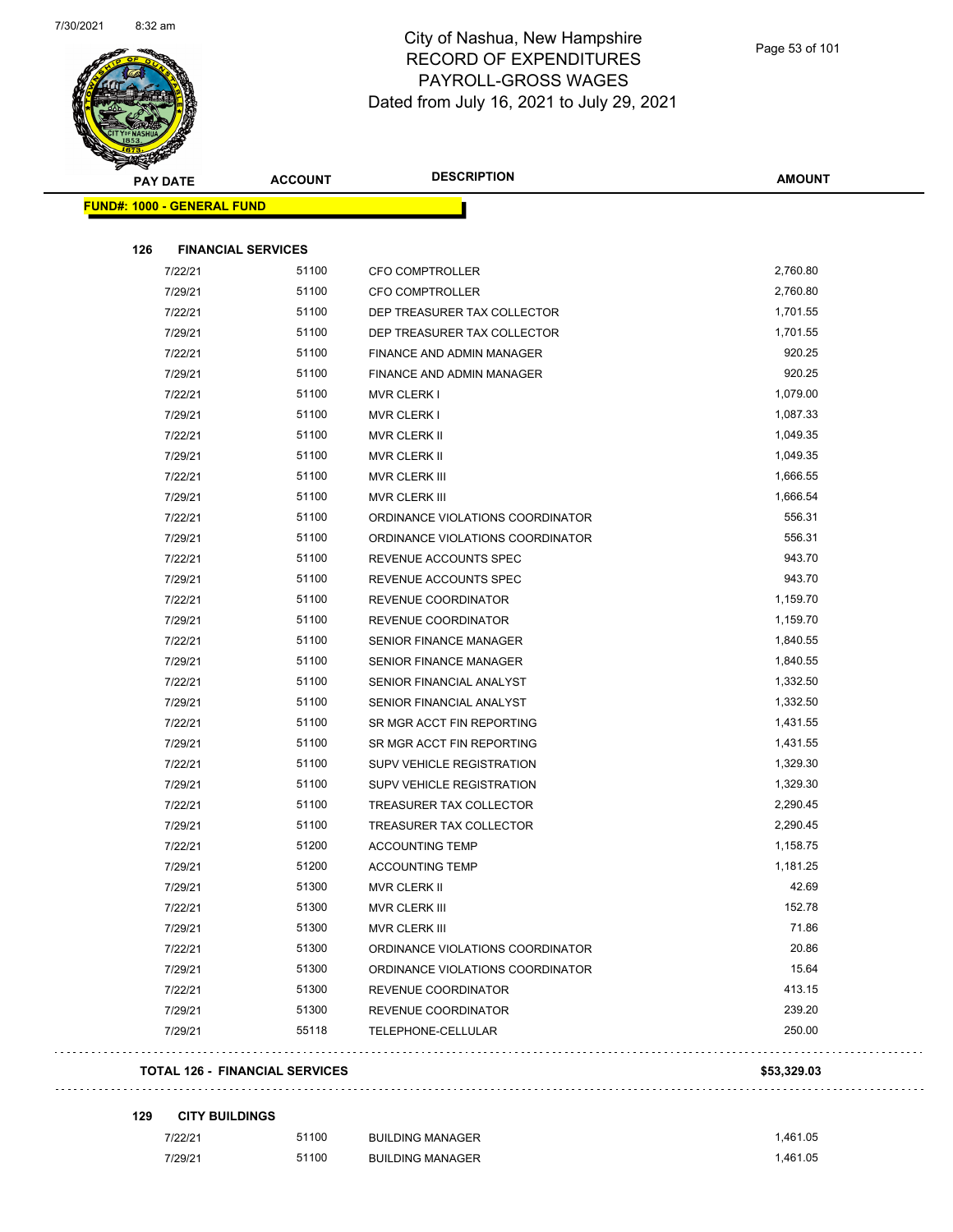

| <b>PAY DATE</b>                   | <b>ACCOUNT</b> | <b>DESCRIPTION</b>               | <b>AMOUNT</b> |
|-----------------------------------|----------------|----------------------------------|---------------|
| <b>FUND#: 1000 - GENERAL FUND</b> |                |                                  |               |
| 126<br><b>FINANCIAL SERVICES</b>  |                |                                  |               |
| 7/22/21                           | 51100          | CFO COMPTROLLER                  | 2,760.80      |
| 7/29/21                           | 51100          | CFO COMPTROLLER                  | 2,760.80      |
| 7/22/21                           | 51100          | DEP TREASURER TAX COLLECTOR      | 1,701.55      |
| 7/29/21                           | 51100          | DEP TREASURER TAX COLLECTOR      | 1,701.55      |
| 7/22/21                           | 51100          | FINANCE AND ADMIN MANAGER        | 920.25        |
| 7/29/21                           | 51100          | <b>FINANCE AND ADMIN MANAGER</b> | 920.25        |
| 7/22/21                           | 51100          | <b>MVR CLERK I</b>               | 1,079.00      |
| 7/29/21                           | 51100          | <b>MVR CLERK I</b>               | 1,087.33      |
| 7/22/21                           | 51100          | <b>MVR CLERK II</b>              | 1,049.35      |
| 7/29/21                           | 51100          | MVR CLERK II                     | 1,049.35      |
| 7/22/21                           | 51100          | MVR CLERK III                    | 1,666.55      |
| 7/29/21                           | 51100          | MVR CLERK III                    | 1,666.54      |
| 7/22/21                           | 51100          | ORDINANCE VIOLATIONS COORDINATOR | 556.31        |
| 7/29/21                           | 51100          | ORDINANCE VIOLATIONS COORDINATOR | 556.31        |
| 7/22/21                           | 51100          | REVENUE ACCOUNTS SPEC            | 943.70        |
| 7/29/21                           | 51100          | REVENUE ACCOUNTS SPEC            | 943.70        |
| 7/22/21                           | 51100          | REVENUE COORDINATOR              | 1,159.70      |
| 7/29/21                           | 51100          | REVENUE COORDINATOR              | 1,159.70      |
| 7/22/21                           | 51100          | <b>SENIOR FINANCE MANAGER</b>    | 1,840.55      |
| 7/29/21                           | 51100          | <b>SENIOR FINANCE MANAGER</b>    | 1,840.55      |
| 7/22/21                           | 51100          | SENIOR FINANCIAL ANALYST         | 1,332.50      |
| 7/29/21                           | 51100          | SENIOR FINANCIAL ANALYST         | 1,332.50      |
| 7/22/21                           | 51100          | SR MGR ACCT FIN REPORTING        | 1,431.55      |
| 7/29/21                           | 51100          | SR MGR ACCT FIN REPORTING        | 1,431.55      |
| 7/22/21                           | 51100          | SUPV VEHICLE REGISTRATION        | 1,329.30      |
| 7/29/21                           | 51100          | SUPV VEHICLE REGISTRATION        | 1,329.30      |
| 7/22/21                           | 51100          | TREASURER TAX COLLECTOR          | 2,290.45      |
| 7/29/21                           | 51100          | TREASURER TAX COLLECTOR          | 2,290.45      |
| 7/22/21                           | 51200          | <b>ACCOUNTING TEMP</b>           | 1,158.75      |
| 7/29/21                           | 51200          | <b>ACCOUNTING TEMP</b>           | 1,181.25      |
| 7/29/21                           | 51300          | MVR CLERK II                     | 42.69         |
| 7/22/21                           | 51300          | MVR CLERK III                    | 152.78        |
| 7/29/21                           | 51300          | MVR CLERK III                    | 71.86         |
| 7/22/21                           | 51300          | ORDINANCE VIOLATIONS COORDINATOR | 20.86         |
| 7/29/21                           | 51300          | ORDINANCE VIOLATIONS COORDINATOR | 15.64         |
| 7/22/21                           | 51300          | REVENUE COORDINATOR              | 413.15        |
| 7/29/21                           | 51300          | REVENUE COORDINATOR              | 239.20        |
| 7/29/21                           | 55118          | TELEPHONE-CELLULAR               | 250.00        |
|                                   |                |                                  |               |

#### **129 CITY BUILDINGS**

| 7/22/21 | 51100 | <b>BUILDING MANAGER</b> | 1.461.05 |
|---------|-------|-------------------------|----------|
| 7/29/21 | 51100 | <b>BUILDING MANAGER</b> | 1.461.05 |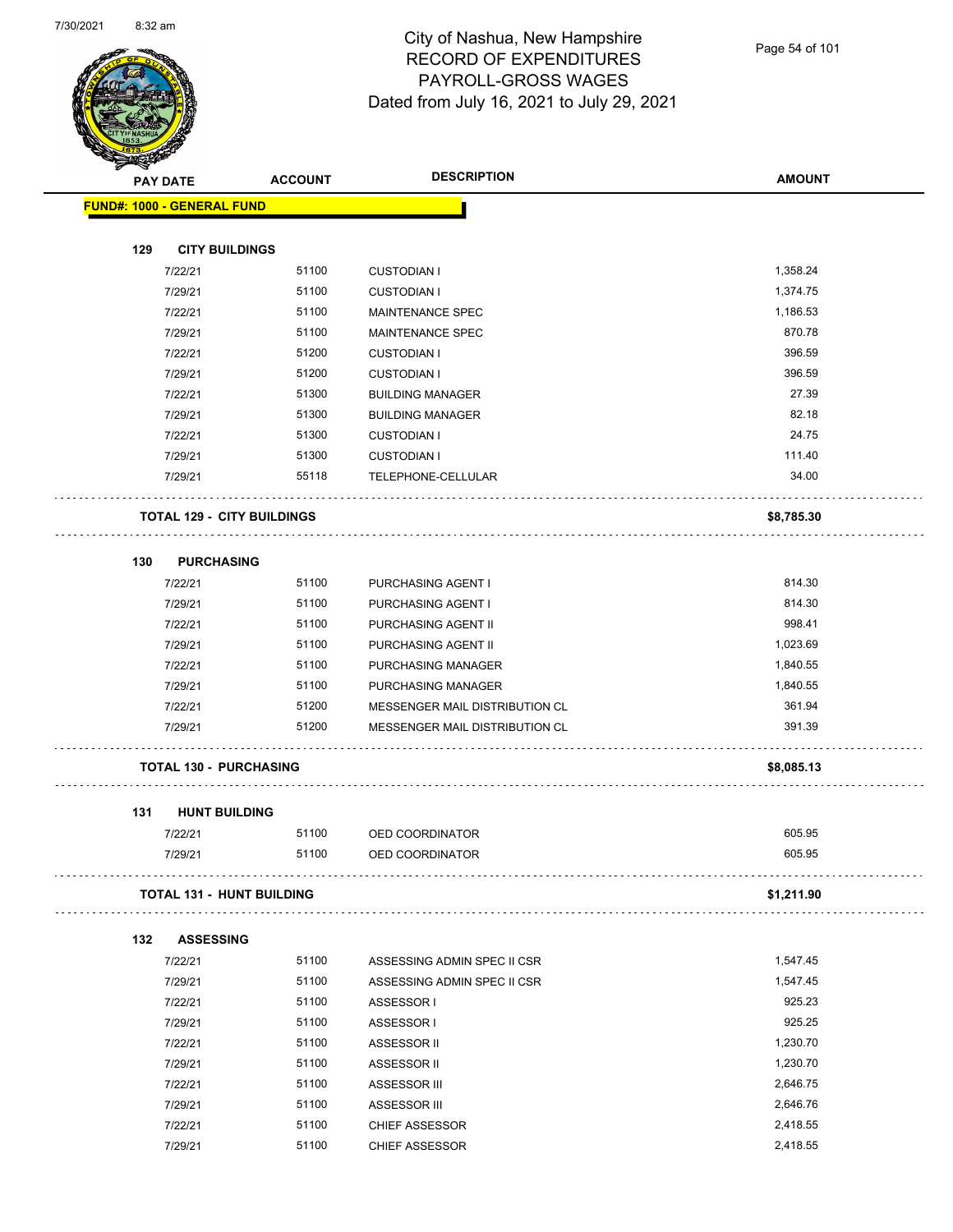

Page 54 of 101

|     | <b>PAY DATE</b>                   | <b>ACCOUNT</b>                    | <b>DESCRIPTION</b>             | <b>AMOUNT</b> |
|-----|-----------------------------------|-----------------------------------|--------------------------------|---------------|
|     | <b>FUND#: 1000 - GENERAL FUND</b> |                                   |                                |               |
| 129 | <b>CITY BUILDINGS</b>             |                                   |                                |               |
|     | 7/22/21                           | 51100                             | <b>CUSTODIAN I</b>             | 1,358.24      |
|     | 7/29/21                           | 51100                             | <b>CUSTODIAN I</b>             | 1,374.75      |
|     | 7/22/21                           | 51100                             | <b>MAINTENANCE SPEC</b>        | 1,186.53      |
|     | 7/29/21                           | 51100                             | MAINTENANCE SPEC               | 870.78        |
|     | 7/22/21                           | 51200                             | <b>CUSTODIAN I</b>             | 396.59        |
|     | 7/29/21                           | 51200                             | <b>CUSTODIAN I</b>             | 396.59        |
|     | 7/22/21                           | 51300                             | <b>BUILDING MANAGER</b>        | 27.39         |
|     | 7/29/21                           | 51300                             | <b>BUILDING MANAGER</b>        | 82.18         |
|     | 7/22/21                           | 51300                             | <b>CUSTODIAN I</b>             | 24.75         |
|     | 7/29/21                           | 51300                             | <b>CUSTODIAN I</b>             | 111.40        |
|     | 7/29/21                           | 55118                             | TELEPHONE-CELLULAR             | 34.00         |
|     |                                   |                                   |                                |               |
|     |                                   | <b>TOTAL 129 - CITY BUILDINGS</b> |                                | \$8,785.30    |
|     |                                   |                                   |                                |               |
| 130 | <b>PURCHASING</b>                 |                                   |                                |               |
|     | 7/22/21                           | 51100                             | PURCHASING AGENT I             | 814.30        |
|     | 7/29/21                           | 51100                             | PURCHASING AGENT I             | 814.30        |
|     | 7/22/21                           | 51100                             | PURCHASING AGENT II            | 998.41        |
|     | 7/29/21                           | 51100                             | PURCHASING AGENT II            | 1,023.69      |
|     | 7/22/21                           | 51100                             | PURCHASING MANAGER             | 1,840.55      |
|     | 7/29/21                           | 51100                             | PURCHASING MANAGER             | 1,840.55      |
|     | 7/22/21                           | 51200                             | MESSENGER MAIL DISTRIBUTION CL | 361.94        |
|     | 7/29/21                           | 51200                             | MESSENGER MAIL DISTRIBUTION CL | 391.39        |
|     | <b>TOTAL 130 - PURCHASING</b>     |                                   |                                | \$8,085.13    |
| 131 | <b>HUNT BUILDING</b>              |                                   |                                |               |
|     | 7/22/21                           | 51100                             | OED COORDINATOR                | 605.95        |
|     | 7/29/21                           | 51100                             | OED COORDINATOR                | 605.95        |
|     |                                   | <b>TOTAL 131 - HUNT BUILDING</b>  |                                | \$1,211.90    |
| 132 | <b>ASSESSING</b>                  |                                   |                                |               |
|     | 7/22/21                           | 51100                             | ASSESSING ADMIN SPEC II CSR    | 1,547.45      |
|     | 7/29/21                           | 51100                             | ASSESSING ADMIN SPEC II CSR    | 1,547.45      |
|     | 7/22/21                           | 51100                             | ASSESSOR I                     | 925.23        |
|     | 7/29/21                           | 51100                             | ASSESSOR I                     | 925.25        |
|     | 7/22/21                           | 51100                             | ASSESSOR II                    | 1,230.70      |
|     | 7/29/21                           | 51100                             | ASSESSOR II                    | 1,230.70      |
|     | 7/22/21                           | 51100                             | ASSESSOR III                   | 2,646.75      |
|     | 7/29/21                           | 51100                             | ASSESSOR III                   | 2,646.76      |
|     | 7/22/21                           | 51100                             | <b>CHIEF ASSESSOR</b>          | 2,418.55      |
|     | 7/29/21                           | 51100                             | <b>CHIEF ASSESSOR</b>          | 2,418.55      |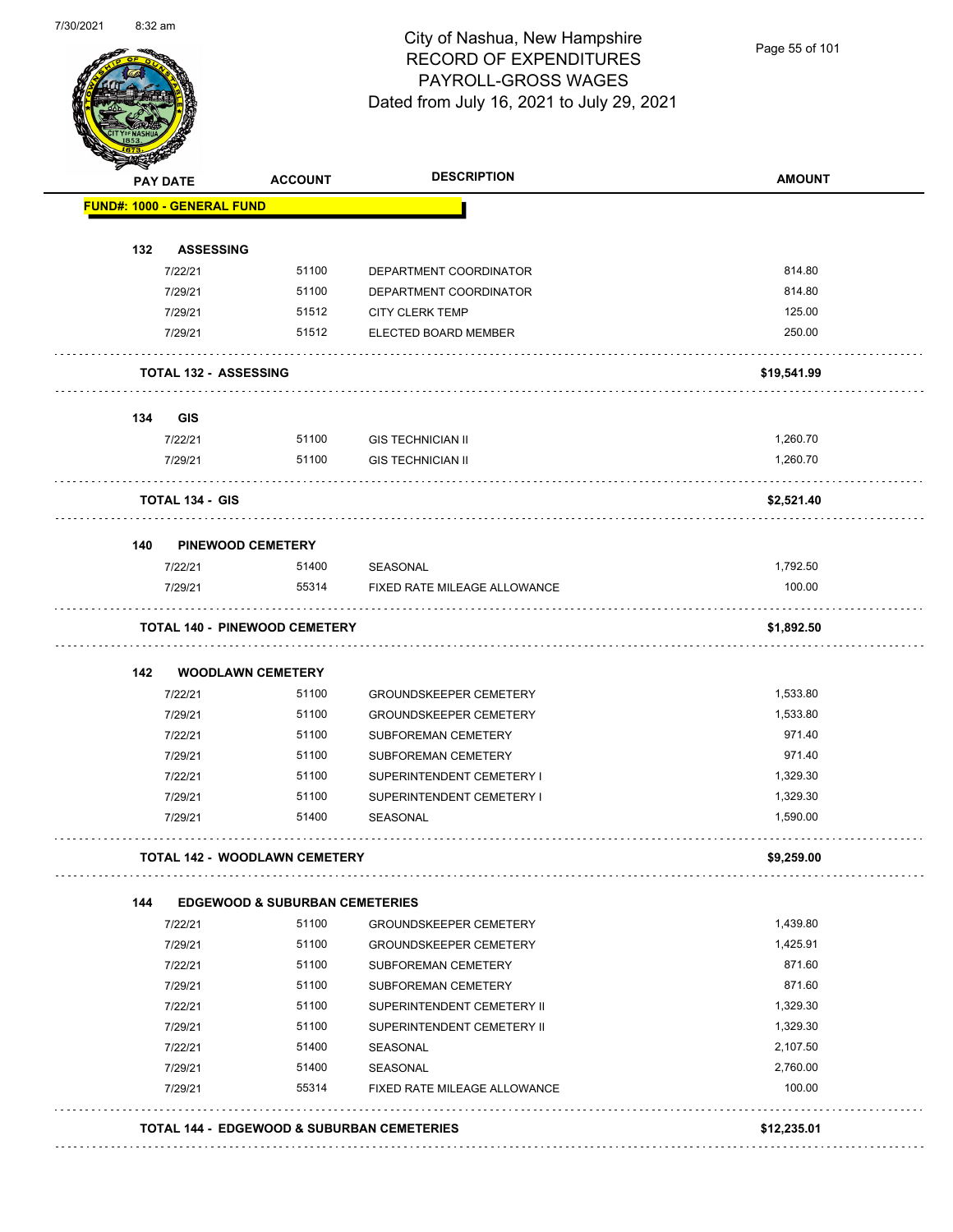

Page 55 of 101

| <b>PAY DATE</b> |                                   | <b>ACCOUNT</b>                            | <b>DESCRIPTION</b>            | <b>AMOUNT</b> |
|-----------------|-----------------------------------|-------------------------------------------|-------------------------------|---------------|
|                 | <b>FUND#: 1000 - GENERAL FUND</b> |                                           |                               |               |
| 132             | <b>ASSESSING</b>                  |                                           |                               |               |
|                 | 7/22/21                           | 51100                                     | DEPARTMENT COORDINATOR        | 814.80        |
|                 | 7/29/21                           | 51100                                     | DEPARTMENT COORDINATOR        | 814.80        |
|                 | 7/29/21                           | 51512                                     | <b>CITY CLERK TEMP</b>        | 125.00        |
|                 | 7/29/21                           | 51512                                     | ELECTED BOARD MEMBER          | 250.00        |
|                 | TOTAL 132 - ASSESSING             |                                           |                               | \$19,541.99   |
|                 |                                   |                                           |                               |               |
| 134             | <b>GIS</b>                        |                                           |                               |               |
|                 | 7/22/21                           | 51100                                     | <b>GIS TECHNICIAN II</b>      | 1,260.70      |
|                 | 7/29/21                           | 51100                                     | <b>GIS TECHNICIAN II</b>      | 1,260.70      |
|                 | <b>TOTAL 134 - GIS</b>            |                                           |                               | \$2,521.40    |
| 140             | <b>PINEWOOD CEMETERY</b>          |                                           |                               |               |
|                 | 7/22/21                           | 51400                                     | SEASONAL                      | 1,792.50      |
|                 | 7/29/21                           | 55314                                     | FIXED RATE MILEAGE ALLOWANCE  | 100.00        |
|                 |                                   | <b>TOTAL 140 - PINEWOOD CEMETERY</b>      |                               | \$1,892.50    |
| 142             | <b>WOODLAWN CEMETERY</b>          |                                           |                               |               |
|                 | 7/22/21                           | 51100                                     | <b>GROUNDSKEEPER CEMETERY</b> | 1,533.80      |
|                 | 7/29/21                           | 51100                                     | <b>GROUNDSKEEPER CEMETERY</b> | 1,533.80      |
|                 | 7/22/21                           | 51100                                     | SUBFOREMAN CEMETERY           | 971.40        |
|                 | 7/29/21                           | 51100                                     | SUBFOREMAN CEMETERY           | 971.40        |
|                 | 7/22/21                           | 51100                                     | SUPERINTENDENT CEMETERY I     | 1,329.30      |
|                 | 7/29/21                           | 51100                                     | SUPERINTENDENT CEMETERY I     | 1,329.30      |
|                 | 7/29/21                           | 51400                                     | <b>SEASONAL</b>               | 1,590.00      |
|                 |                                   | TOTAL 142 - WOODLAWN CEMETERY             |                               | \$9,259.00    |
| 144             |                                   | <b>EDGEWOOD &amp; SUBURBAN CEMETERIES</b> |                               |               |
|                 | 7/22/21                           | 51100                                     | <b>GROUNDSKEEPER CEMETERY</b> | 1,439.80      |
|                 | 7/29/21                           | 51100                                     | <b>GROUNDSKEEPER CEMETERY</b> | 1,425.91      |
|                 | 7/22/21                           | 51100                                     | SUBFOREMAN CEMETERY           | 871.60        |
|                 | 7/29/21                           | 51100                                     | SUBFOREMAN CEMETERY           | 871.60        |
|                 | 7/22/21                           | 51100                                     | SUPERINTENDENT CEMETERY II    | 1,329.30      |
|                 | 7/29/21                           | 51100                                     | SUPERINTENDENT CEMETERY II    | 1,329.30      |
|                 | 7/22/21                           | 51400                                     | SEASONAL                      | 2,107.50      |
|                 | 7/29/21                           | 51400                                     | SEASONAL                      | 2,760.00      |
|                 | 7/29/21                           | 55314                                     | FIXED RATE MILEAGE ALLOWANCE  | 100.00        |
|                 |                                   |                                           |                               |               |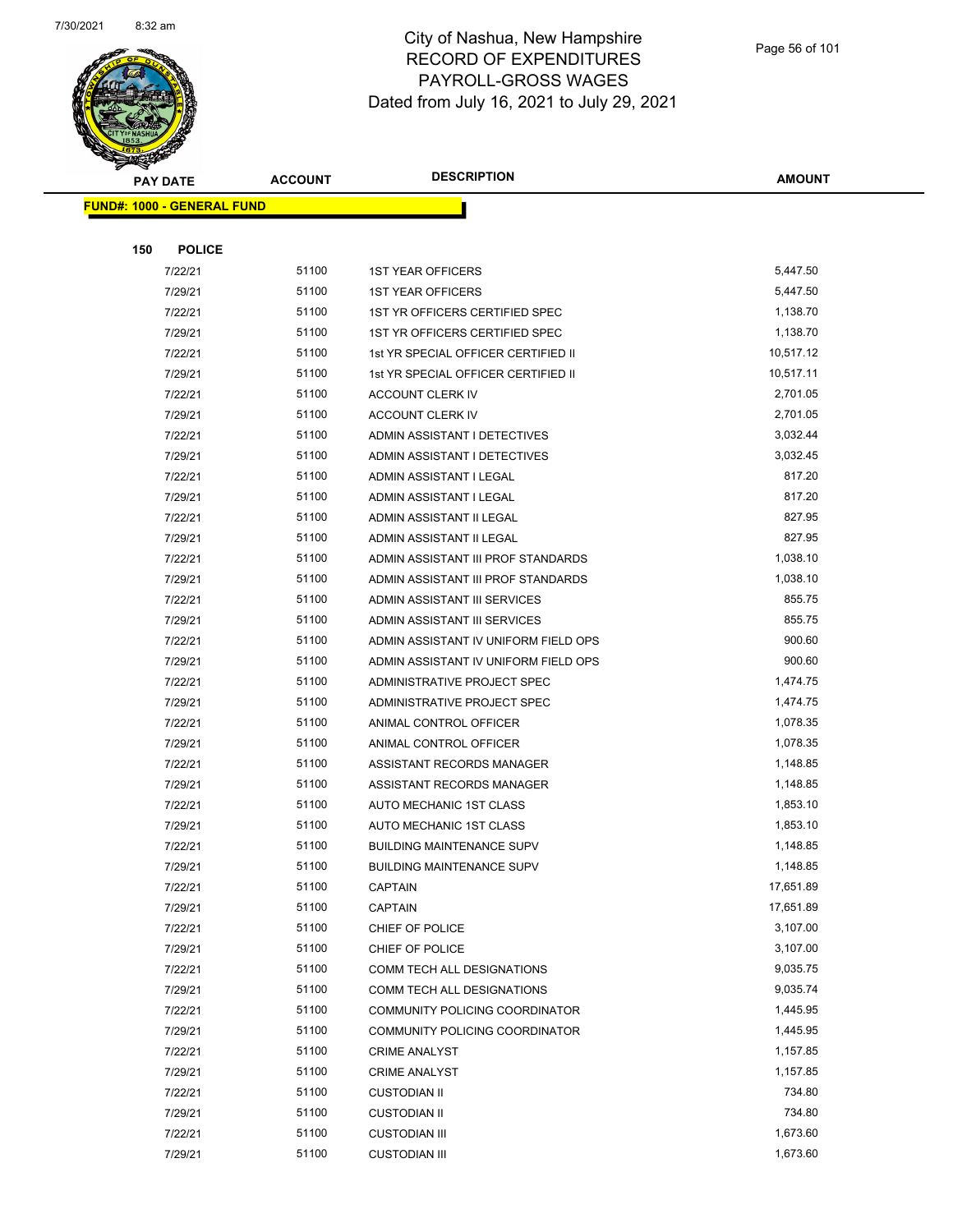

|     | <b>PAY DATE</b>                   | <b>ACCOUNT</b> | <b>DESCRIPTION</b>                   | AMOUNT    |
|-----|-----------------------------------|----------------|--------------------------------------|-----------|
|     | <b>FUND#: 1000 - GENERAL FUND</b> |                |                                      |           |
|     |                                   |                |                                      |           |
| 150 | <b>POLICE</b>                     |                |                                      |           |
|     | 7/22/21                           | 51100          | <b>1ST YEAR OFFICERS</b>             | 5,447.50  |
|     | 7/29/21                           | 51100          | <b>1ST YEAR OFFICERS</b>             | 5,447.50  |
|     | 7/22/21                           | 51100          | 1ST YR OFFICERS CERTIFIED SPEC       | 1,138.70  |
|     | 7/29/21                           | 51100          | 1ST YR OFFICERS CERTIFIED SPEC       | 1,138.70  |
|     | 7/22/21                           | 51100          | 1st YR SPECIAL OFFICER CERTIFIED II  | 10,517.12 |
|     | 7/29/21                           | 51100          | 1st YR SPECIAL OFFICER CERTIFIED II  | 10,517.11 |
|     | 7/22/21                           | 51100          | <b>ACCOUNT CLERK IV</b>              | 2,701.05  |
|     | 7/29/21                           | 51100          | ACCOUNT CLERK IV                     | 2,701.05  |
|     | 7/22/21                           | 51100          | ADMIN ASSISTANT I DETECTIVES         | 3,032.44  |
|     | 7/29/21                           | 51100          | ADMIN ASSISTANT I DETECTIVES         | 3,032.45  |
|     | 7/22/21                           | 51100          | ADMIN ASSISTANT I LEGAL              | 817.20    |
|     | 7/29/21                           | 51100          | ADMIN ASSISTANT I LEGAL              | 817.20    |
|     | 7/22/21                           | 51100          | ADMIN ASSISTANT II LEGAL             | 827.95    |
|     | 7/29/21                           | 51100          | ADMIN ASSISTANT II LEGAL             | 827.95    |
|     | 7/22/21                           | 51100          | ADMIN ASSISTANT III PROF STANDARDS   | 1,038.10  |
|     | 7/29/21                           | 51100          | ADMIN ASSISTANT III PROF STANDARDS   | 1,038.10  |
|     | 7/22/21                           | 51100          | ADMIN ASSISTANT III SERVICES         | 855.75    |
|     | 7/29/21                           | 51100          | ADMIN ASSISTANT III SERVICES         | 855.75    |
|     | 7/22/21                           | 51100          | ADMIN ASSISTANT IV UNIFORM FIELD OPS | 900.60    |
|     | 7/29/21                           | 51100          | ADMIN ASSISTANT IV UNIFORM FIELD OPS | 900.60    |
|     | 7/22/21                           | 51100          | ADMINISTRATIVE PROJECT SPEC          | 1,474.75  |
|     | 7/29/21                           | 51100          | ADMINISTRATIVE PROJECT SPEC          | 1,474.75  |
|     | 7/22/21                           | 51100          | ANIMAL CONTROL OFFICER               | 1,078.35  |
|     | 7/29/21                           | 51100          | ANIMAL CONTROL OFFICER               | 1,078.35  |
|     | 7/22/21                           | 51100          | ASSISTANT RECORDS MANAGER            | 1,148.85  |
|     | 7/29/21                           | 51100          | ASSISTANT RECORDS MANAGER            | 1,148.85  |
|     | 7/22/21                           | 51100          | AUTO MECHANIC 1ST CLASS              | 1,853.10  |
|     | 7/29/21                           | 51100          | AUTO MECHANIC 1ST CLASS              | 1,853.10  |
|     | 7/22/21                           | 51100          | <b>BUILDING MAINTENANCE SUPV</b>     | 1,148.85  |
|     | 7/29/21                           | 51100          | <b>BUILDING MAINTENANCE SUPV</b>     | 1,148.85  |
|     | 7/22/21                           | 51100          | <b>CAPTAIN</b>                       | 17,651.89 |
|     | 7/29/21                           | 51100          | <b>CAPTAIN</b>                       | 17,651.89 |
|     | 7/22/21                           | 51100          | CHIEF OF POLICE                      | 3,107.00  |
|     | 7/29/21                           | 51100          | CHIEF OF POLICE                      | 3,107.00  |
|     | 7/22/21                           | 51100          | COMM TECH ALL DESIGNATIONS           | 9,035.75  |
|     | 7/29/21                           | 51100          | COMM TECH ALL DESIGNATIONS           | 9,035.74  |
|     | 7/22/21                           | 51100          | COMMUNITY POLICING COORDINATOR       | 1,445.95  |
|     | 7/29/21                           | 51100          | COMMUNITY POLICING COORDINATOR       | 1,445.95  |
|     | 7/22/21                           | 51100          | <b>CRIME ANALYST</b>                 | 1,157.85  |
|     | 7/29/21                           | 51100          | <b>CRIME ANALYST</b>                 | 1,157.85  |
|     | 7/22/21                           | 51100          | <b>CUSTODIAN II</b>                  | 734.80    |
|     | 7/29/21                           | 51100          | <b>CUSTODIAN II</b>                  | 734.80    |
|     | 7/22/21                           | 51100          | <b>CUSTODIAN III</b>                 | 1,673.60  |
|     | 7/29/21                           | 51100          | <b>CUSTODIAN III</b>                 | 1,673.60  |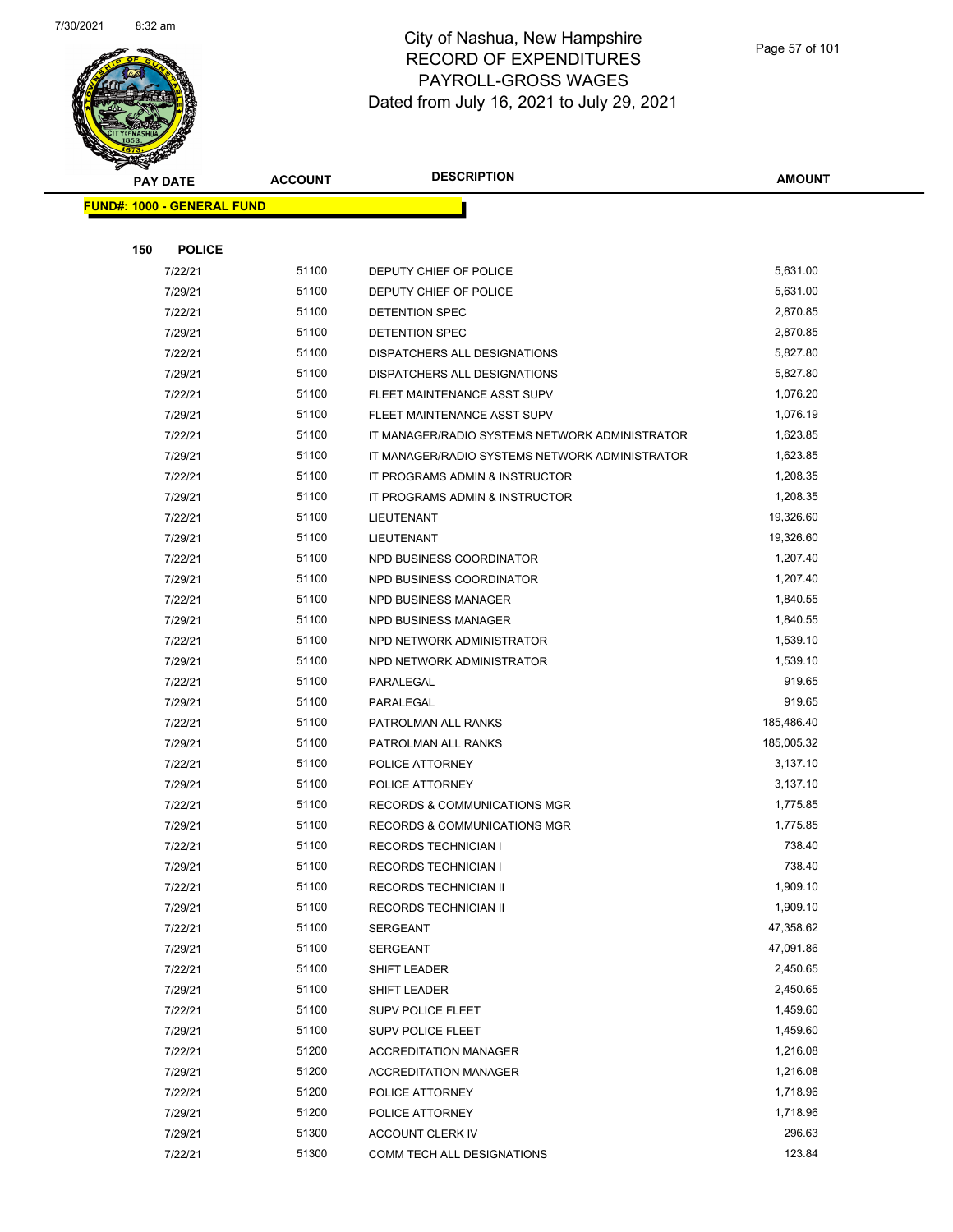

|     | <b>PAY DATE</b>                   | <b>ACCOUNT</b> | <b>DESCRIPTION</b>                             | <b>AMOUNT</b> |  |
|-----|-----------------------------------|----------------|------------------------------------------------|---------------|--|
|     | <b>FUND#: 1000 - GENERAL FUND</b> |                |                                                |               |  |
|     |                                   |                |                                                |               |  |
| 150 | <b>POLICE</b>                     |                |                                                |               |  |
|     | 7/22/21                           | 51100          | DEPUTY CHIEF OF POLICE                         | 5,631.00      |  |
|     | 7/29/21                           | 51100          | DEPUTY CHIEF OF POLICE                         | 5,631.00      |  |
|     | 7/22/21                           | 51100          | DETENTION SPEC                                 | 2,870.85      |  |
|     | 7/29/21                           | 51100          | DETENTION SPEC                                 | 2,870.85      |  |
|     | 7/22/21                           | 51100          | DISPATCHERS ALL DESIGNATIONS                   | 5,827.80      |  |
|     | 7/29/21                           | 51100          | DISPATCHERS ALL DESIGNATIONS                   | 5,827.80      |  |
|     | 7/22/21                           | 51100          | FLEET MAINTENANCE ASST SUPV                    | 1,076.20      |  |
|     | 7/29/21                           | 51100          | FLEET MAINTENANCE ASST SUPV                    | 1,076.19      |  |
|     | 7/22/21                           | 51100          | IT MANAGER/RADIO SYSTEMS NETWORK ADMINISTRATOR | 1,623.85      |  |
|     | 7/29/21                           | 51100          | IT MANAGER/RADIO SYSTEMS NETWORK ADMINISTRATOR | 1,623.85      |  |
|     | 7/22/21                           | 51100          | IT PROGRAMS ADMIN & INSTRUCTOR                 | 1,208.35      |  |
|     | 7/29/21                           | 51100          | IT PROGRAMS ADMIN & INSTRUCTOR                 | 1,208.35      |  |
|     | 7/22/21                           | 51100          | <b>LIEUTENANT</b>                              | 19,326.60     |  |
|     | 7/29/21                           | 51100          | LIEUTENANT                                     | 19,326.60     |  |
|     | 7/22/21                           | 51100          | NPD BUSINESS COORDINATOR                       | 1,207.40      |  |
|     | 7/29/21                           | 51100          | NPD BUSINESS COORDINATOR                       | 1,207.40      |  |
|     | 7/22/21                           | 51100          | NPD BUSINESS MANAGER                           | 1,840.55      |  |
|     | 7/29/21                           | 51100          | NPD BUSINESS MANAGER                           | 1,840.55      |  |
|     | 7/22/21                           | 51100          | NPD NETWORK ADMINISTRATOR                      | 1,539.10      |  |
|     | 7/29/21                           | 51100          | NPD NETWORK ADMINISTRATOR                      | 1,539.10      |  |
|     | 7/22/21                           | 51100          | PARALEGAL                                      | 919.65        |  |
|     | 7/29/21                           | 51100          | PARALEGAL                                      | 919.65        |  |
|     | 7/22/21                           | 51100          | PATROLMAN ALL RANKS                            | 185,486.40    |  |
|     | 7/29/21                           | 51100          | PATROLMAN ALL RANKS                            | 185,005.32    |  |
|     | 7/22/21                           | 51100          | POLICE ATTORNEY                                | 3,137.10      |  |
|     | 7/29/21                           | 51100          | POLICE ATTORNEY                                | 3,137.10      |  |
|     | 7/22/21                           | 51100          | <b>RECORDS &amp; COMMUNICATIONS MGR</b>        | 1,775.85      |  |
|     | 7/29/21                           | 51100          | <b>RECORDS &amp; COMMUNICATIONS MGR</b>        | 1,775.85      |  |
|     | 7/22/21                           | 51100          | <b>RECORDS TECHNICIAN I</b>                    | 738.40        |  |
|     | 7/29/21                           | 51100          | RECORDS TECHNICIAN I                           | 738.40        |  |
|     | 7/22/21                           | 51100          | RECORDS TECHNICIAN II                          | 1,909.10      |  |
|     | 7/29/21                           | 51100          | RECORDS TECHNICIAN II                          | 1,909.10      |  |
|     | 7/22/21                           | 51100          | SERGEANT                                       | 47,358.62     |  |
|     | 7/29/21                           | 51100          | <b>SERGEANT</b>                                | 47,091.86     |  |
|     | 7/22/21                           | 51100          | <b>SHIFT LEADER</b>                            | 2,450.65      |  |
|     | 7/29/21                           | 51100          | SHIFT LEADER                                   | 2,450.65      |  |
|     | 7/22/21                           | 51100          | <b>SUPV POLICE FLEET</b>                       | 1,459.60      |  |
|     | 7/29/21                           | 51100          | SUPV POLICE FLEET                              | 1,459.60      |  |
|     | 7/22/21                           | 51200          | <b>ACCREDITATION MANAGER</b>                   | 1,216.08      |  |
|     | 7/29/21                           | 51200          | <b>ACCREDITATION MANAGER</b>                   | 1,216.08      |  |
|     | 7/22/21                           | 51200          | POLICE ATTORNEY                                | 1,718.96      |  |
|     | 7/29/21                           | 51200          | POLICE ATTORNEY                                | 1,718.96      |  |
|     | 7/29/21                           | 51300          | ACCOUNT CLERK IV                               | 296.63        |  |
|     | 7/22/21                           | 51300          | COMM TECH ALL DESIGNATIONS                     | 123.84        |  |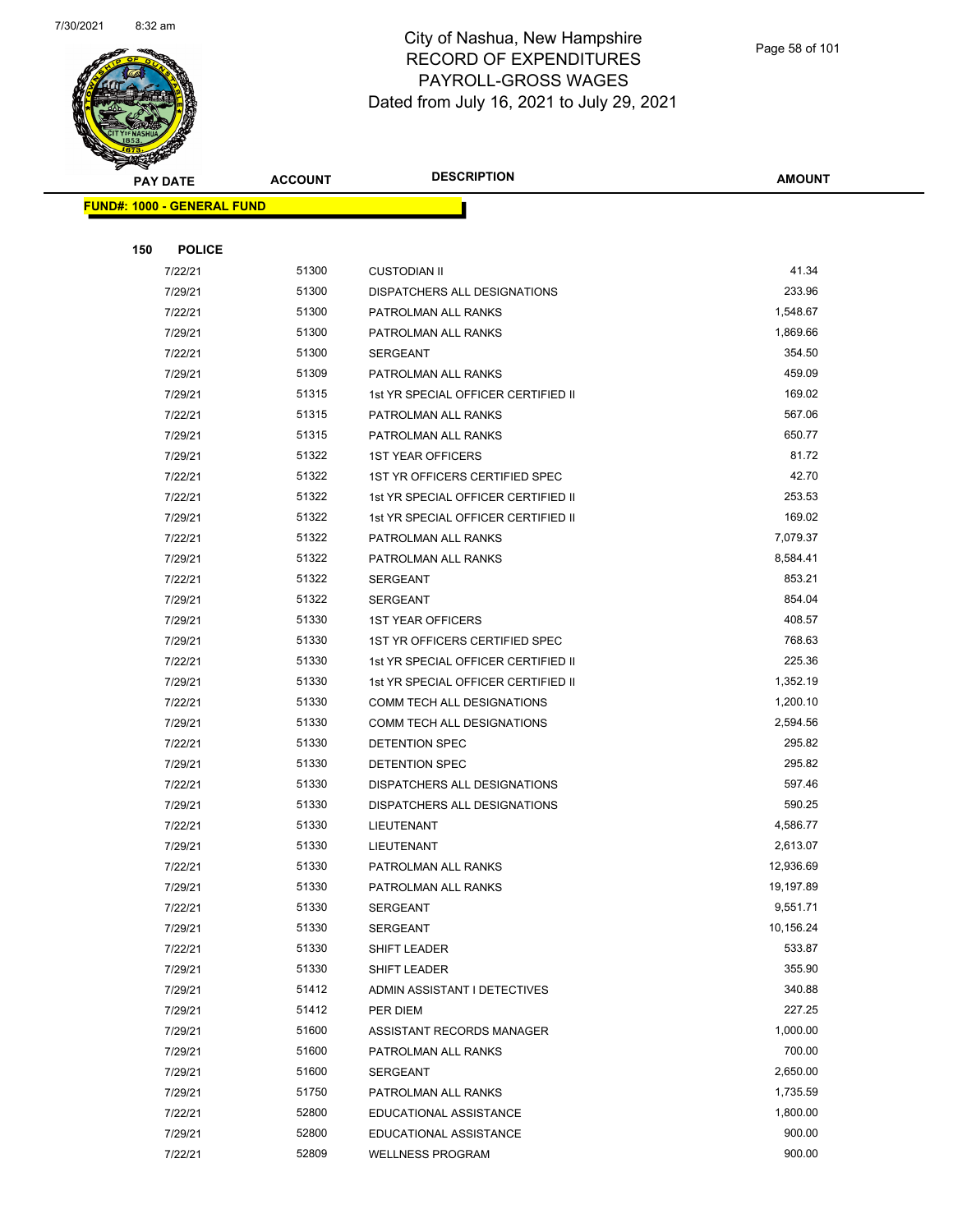

| А.  | PAY DATE                          | <b>ACCOUNT</b> | <b>DESCRIPTION</b>                           | <b>AMOUNT</b>    |
|-----|-----------------------------------|----------------|----------------------------------------------|------------------|
|     | <b>FUND#: 1000 - GENERAL FUND</b> |                |                                              |                  |
|     |                                   |                |                                              |                  |
| 150 | <b>POLICE</b>                     |                |                                              |                  |
|     | 7/22/21                           | 51300          | <b>CUSTODIAN II</b>                          | 41.34            |
|     | 7/29/21                           | 51300          | DISPATCHERS ALL DESIGNATIONS                 | 233.96           |
|     | 7/22/21                           | 51300          | PATROLMAN ALL RANKS                          | 1,548.67         |
|     | 7/29/21                           | 51300          | PATROLMAN ALL RANKS                          | 1,869.66         |
|     | 7/22/21                           | 51300          | SERGEANT                                     | 354.50           |
|     | 7/29/21                           | 51309          | PATROLMAN ALL RANKS                          | 459.09           |
|     | 7/29/21                           | 51315          | 1st YR SPECIAL OFFICER CERTIFIED II          | 169.02           |
|     | 7/22/21                           | 51315          | PATROLMAN ALL RANKS                          | 567.06           |
|     | 7/29/21                           | 51315          | PATROLMAN ALL RANKS                          | 650.77           |
|     | 7/29/21                           | 51322          | <b>1ST YEAR OFFICERS</b>                     | 81.72            |
|     | 7/22/21                           | 51322          | 1ST YR OFFICERS CERTIFIED SPEC               | 42.70            |
|     | 7/22/21                           | 51322          | 1st YR SPECIAL OFFICER CERTIFIED II          | 253.53           |
|     | 7/29/21                           | 51322          | 1st YR SPECIAL OFFICER CERTIFIED II          | 169.02           |
|     | 7/22/21                           | 51322          | PATROLMAN ALL RANKS                          | 7,079.37         |
|     | 7/29/21                           | 51322          | PATROLMAN ALL RANKS                          | 8,584.41         |
|     | 7/22/21                           | 51322          | SERGEANT                                     | 853.21           |
|     | 7/29/21                           | 51322          | SERGEANT                                     | 854.04           |
|     | 7/29/21                           | 51330          | <b>1ST YEAR OFFICERS</b>                     | 408.57           |
|     | 7/29/21                           | 51330          | 1ST YR OFFICERS CERTIFIED SPEC               | 768.63           |
|     | 7/22/21                           | 51330          | 1st YR SPECIAL OFFICER CERTIFIED II          | 225.36           |
|     | 7/29/21                           | 51330          | 1st YR SPECIAL OFFICER CERTIFIED II          | 1,352.19         |
|     | 7/22/21                           | 51330          | COMM TECH ALL DESIGNATIONS                   | 1,200.10         |
|     | 7/29/21                           | 51330          | COMM TECH ALL DESIGNATIONS                   | 2,594.56         |
|     | 7/22/21                           | 51330          | DETENTION SPEC                               | 295.82           |
|     | 7/29/21                           | 51330          | DETENTION SPEC                               | 295.82           |
|     | 7/22/21                           | 51330          | <b>DISPATCHERS ALL DESIGNATIONS</b>          | 597.46           |
|     | 7/29/21                           | 51330          | DISPATCHERS ALL DESIGNATIONS                 | 590.25           |
|     | 7/22/21                           | 51330          | LIEUTENANT                                   | 4,586.77         |
|     | 7/29/21                           | 51330          | LIEUTENANT                                   | 2,613.07         |
|     | 7/22/21                           | 51330          | PATROLMAN ALL RANKS                          | 12,936.69        |
|     | 7/29/21                           | 51330          | PATROLMAN ALL RANKS                          | 19,197.89        |
|     | 7/22/21                           | 51330          | SERGEANT                                     | 9,551.71         |
|     | 7/29/21                           | 51330          | <b>SERGEANT</b>                              | 10,156.24        |
|     | 7/22/21                           | 51330          | SHIFT LEADER                                 | 533.87<br>355.90 |
|     | 7/29/21<br>7/29/21                | 51330<br>51412 | SHIFT LEADER<br>ADMIN ASSISTANT I DETECTIVES | 340.88           |
|     | 7/29/21                           | 51412          | PER DIEM                                     | 227.25           |
|     | 7/29/21                           | 51600          | ASSISTANT RECORDS MANAGER                    | 1,000.00         |
|     | 7/29/21                           | 51600          | PATROLMAN ALL RANKS                          | 700.00           |
|     | 7/29/21                           | 51600          | SERGEANT                                     | 2,650.00         |
|     | 7/29/21                           | 51750          | PATROLMAN ALL RANKS                          | 1,735.59         |
|     | 7/22/21                           | 52800          | EDUCATIONAL ASSISTANCE                       | 1,800.00         |
|     | 7/29/21                           | 52800          | EDUCATIONAL ASSISTANCE                       | 900.00           |
|     | 7/22/21                           | 52809          | <b>WELLNESS PROGRAM</b>                      | 900.00           |
|     |                                   |                |                                              |                  |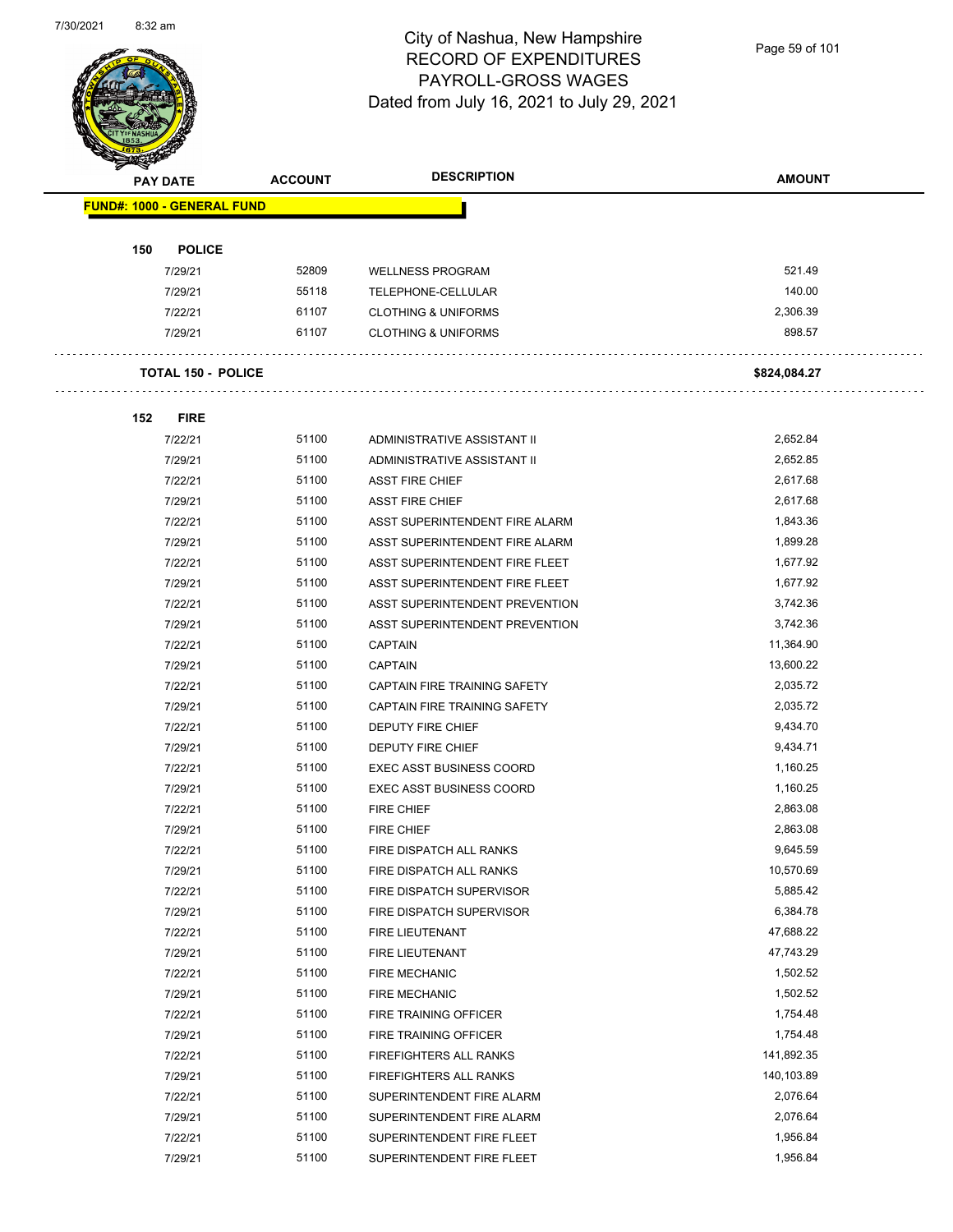

Page 59 of 101

| <b>SANGRAPH</b> |                                   | <b>ACCOUNT</b> | <b>DESCRIPTION</b>                    | <b>AMOUNT</b> |
|-----------------|-----------------------------------|----------------|---------------------------------------|---------------|
|                 | <b>PAY DATE</b>                   |                |                                       |               |
|                 | <b>FUND#: 1000 - GENERAL FUND</b> |                |                                       |               |
|                 |                                   |                |                                       |               |
| 150             | <b>POLICE</b>                     |                |                                       |               |
|                 | 7/29/21                           | 52809          | <b>WELLNESS PROGRAM</b>               | 521.49        |
|                 | 7/29/21                           | 55118          | TELEPHONE-CELLULAR                    | 140.00        |
|                 | 7/22/21                           | 61107          | <b>CLOTHING &amp; UNIFORMS</b>        | 2,306.39      |
|                 | 7/29/21                           | 61107          | <b>CLOTHING &amp; UNIFORMS</b>        | 898.57        |
|                 |                                   |                |                                       |               |
|                 | <b>TOTAL 150 - POLICE</b>         |                |                                       | \$824,084.27  |
|                 |                                   |                |                                       |               |
| 152             | <b>FIRE</b>                       |                |                                       |               |
|                 | 7/22/21                           | 51100          | ADMINISTRATIVE ASSISTANT II           | 2,652.84      |
|                 | 7/29/21                           | 51100          | ADMINISTRATIVE ASSISTANT II           | 2,652.85      |
|                 | 7/22/21                           | 51100          | <b>ASST FIRE CHIEF</b>                | 2,617.68      |
|                 | 7/29/21                           | 51100          | <b>ASST FIRE CHIEF</b>                | 2,617.68      |
|                 | 7/22/21                           | 51100          | ASST SUPERINTENDENT FIRE ALARM        | 1,843.36      |
|                 | 7/29/21                           | 51100          | ASST SUPERINTENDENT FIRE ALARM        | 1,899.28      |
|                 | 7/22/21                           | 51100          | ASST SUPERINTENDENT FIRE FLEET        | 1,677.92      |
|                 | 7/29/21                           | 51100          | ASST SUPERINTENDENT FIRE FLEET        | 1,677.92      |
|                 | 7/22/21                           | 51100          | <b>ASST SUPERINTENDENT PREVENTION</b> | 3,742.36      |
|                 | 7/29/21                           | 51100          | ASST SUPERINTENDENT PREVENTION        | 3,742.36      |
|                 | 7/22/21                           | 51100          | <b>CAPTAIN</b>                        | 11,364.90     |
|                 | 7/29/21                           | 51100          | <b>CAPTAIN</b>                        | 13,600.22     |
|                 | 7/22/21                           | 51100          | CAPTAIN FIRE TRAINING SAFETY          | 2,035.72      |
|                 | 7/29/21                           | 51100          | CAPTAIN FIRE TRAINING SAFETY          | 2,035.72      |
|                 | 7/22/21                           | 51100          | DEPUTY FIRE CHIEF                     | 9,434.70      |
|                 | 7/29/21                           | 51100          | DEPUTY FIRE CHIEF                     | 9,434.71      |
|                 | 7/22/21                           | 51100          | <b>EXEC ASST BUSINESS COORD</b>       | 1,160.25      |
|                 | 7/29/21                           | 51100          | <b>EXEC ASST BUSINESS COORD</b>       | 1,160.25      |
|                 | 7/22/21                           | 51100          | <b>FIRE CHIEF</b>                     | 2,863.08      |
|                 | 7/29/21                           | 51100          | <b>FIRE CHIEF</b>                     | 2,863.08      |
|                 | 7/22/21                           | 51100          | FIRE DISPATCH ALL RANKS               | 9,645.59      |
|                 | 7/29/21                           | 51100          | FIRE DISPATCH ALL RANKS               | 10,570.69     |
|                 | 7/22/21                           | 51100          | FIRE DISPATCH SUPERVISOR              | 5,885.42      |
|                 | 7/29/21                           | 51100          | FIRE DISPATCH SUPERVISOR              | 6,384.78      |
|                 | 7/22/21                           | 51100          | FIRE LIEUTENANT                       | 47,688.22     |
|                 | 7/29/21                           | 51100          | FIRE LIEUTENANT                       | 47,743.29     |
|                 | 7/22/21                           | 51100          | <b>FIRE MECHANIC</b>                  | 1,502.52      |
|                 | 7/29/21                           | 51100          | <b>FIRE MECHANIC</b>                  | 1,502.52      |
|                 | 7/22/21                           | 51100          | FIRE TRAINING OFFICER                 | 1,754.48      |
|                 | 7/29/21                           | 51100          | FIRE TRAINING OFFICER                 | 1,754.48      |
|                 | 7/22/21                           | 51100          | <b>FIREFIGHTERS ALL RANKS</b>         | 141,892.35    |
|                 | 7/29/21                           | 51100          | <b>FIREFIGHTERS ALL RANKS</b>         | 140,103.89    |
|                 | 7/22/21                           | 51100          | SUPERINTENDENT FIRE ALARM             | 2,076.64      |
|                 | 7/29/21                           | 51100          | SUPERINTENDENT FIRE ALARM             | 2,076.64      |
|                 | 7/22/21                           | 51100          | SUPERINTENDENT FIRE FLEET             | 1,956.84      |
|                 | 7/29/21                           | 51100          | SUPERINTENDENT FIRE FLEET             | 1,956.84      |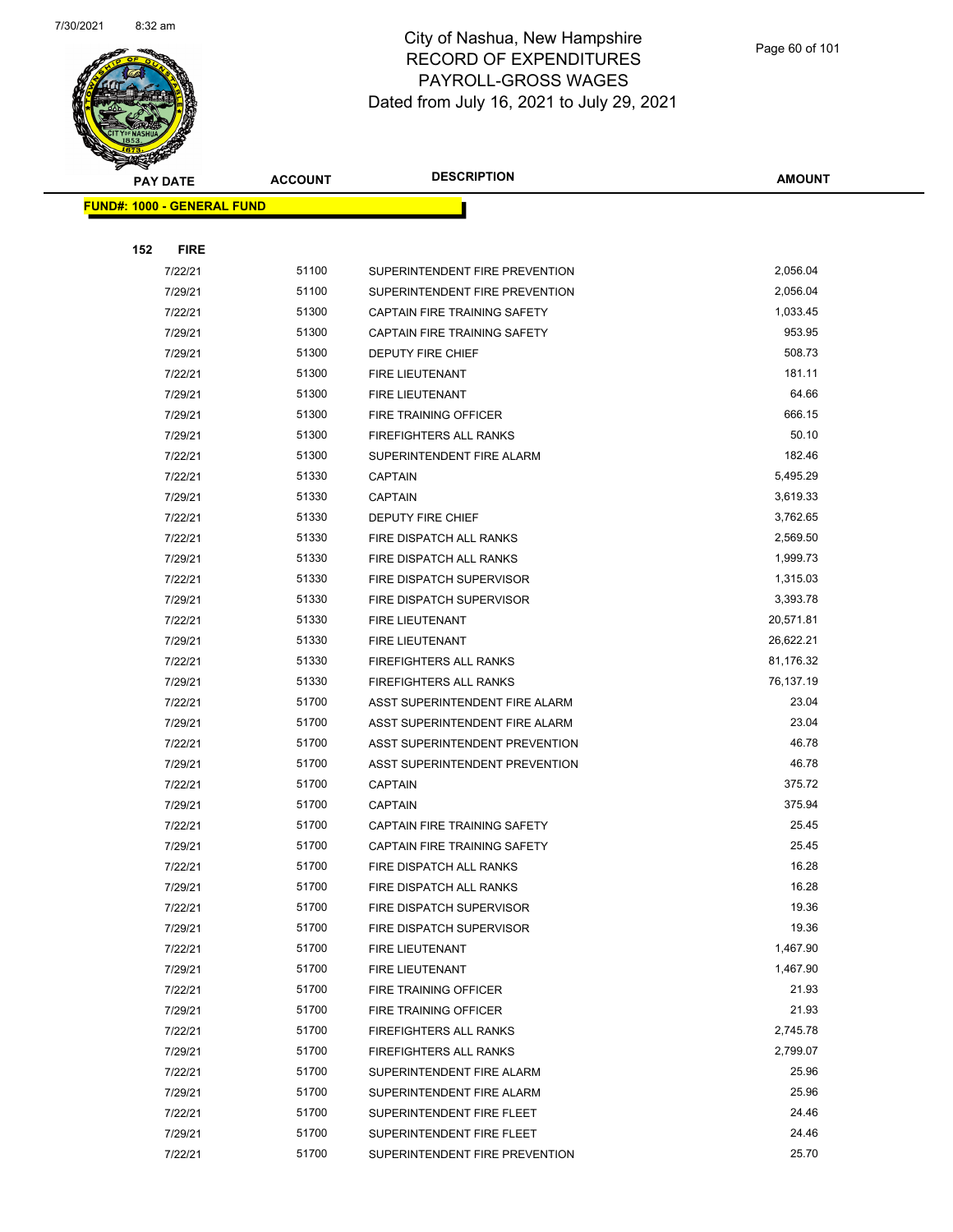

|     | <b>PAY DATE</b>                    | <b>ACCOUNT</b> | <b>DESCRIPTION</b>             | <b>AMOUNT</b> |  |
|-----|------------------------------------|----------------|--------------------------------|---------------|--|
|     | <u> FUND#: 1000 - GENERAL FUND</u> |                |                                |               |  |
|     |                                    |                |                                |               |  |
| 152 | <b>FIRE</b>                        |                |                                |               |  |
|     | 7/22/21                            | 51100          | SUPERINTENDENT FIRE PREVENTION | 2,056.04      |  |
|     | 7/29/21                            | 51100          | SUPERINTENDENT FIRE PREVENTION | 2,056.04      |  |
|     | 7/22/21                            | 51300          | CAPTAIN FIRE TRAINING SAFETY   | 1,033.45      |  |
|     | 7/29/21                            | 51300          | CAPTAIN FIRE TRAINING SAFETY   | 953.95        |  |
|     | 7/29/21                            | 51300          | <b>DEPUTY FIRE CHIEF</b>       | 508.73        |  |
|     | 7/22/21                            | 51300          | FIRE LIEUTENANT                | 181.11        |  |
|     | 7/29/21                            | 51300          | <b>FIRE LIEUTENANT</b>         | 64.66         |  |
|     | 7/29/21                            | 51300          | FIRE TRAINING OFFICER          | 666.15        |  |
|     | 7/29/21                            | 51300          | <b>FIREFIGHTERS ALL RANKS</b>  | 50.10         |  |
|     | 7/22/21                            | 51300          | SUPERINTENDENT FIRE ALARM      | 182.46        |  |
|     | 7/22/21                            | 51330          | <b>CAPTAIN</b>                 | 5,495.29      |  |
|     | 7/29/21                            | 51330          | <b>CAPTAIN</b>                 | 3,619.33      |  |
|     | 7/22/21                            | 51330          | <b>DEPUTY FIRE CHIEF</b>       | 3,762.65      |  |
|     | 7/22/21                            | 51330          | FIRE DISPATCH ALL RANKS        | 2,569.50      |  |
|     | 7/29/21                            | 51330          | FIRE DISPATCH ALL RANKS        | 1,999.73      |  |
|     | 7/22/21                            | 51330          | FIRE DISPATCH SUPERVISOR       | 1,315.03      |  |
|     | 7/29/21                            | 51330          | FIRE DISPATCH SUPERVISOR       | 3,393.78      |  |
|     | 7/22/21                            | 51330          | <b>FIRE LIEUTENANT</b>         | 20,571.81     |  |
|     | 7/29/21                            | 51330          | FIRE LIEUTENANT                | 26,622.21     |  |
|     | 7/22/21                            | 51330          | <b>FIREFIGHTERS ALL RANKS</b>  | 81,176.32     |  |
|     | 7/29/21                            | 51330          | <b>FIREFIGHTERS ALL RANKS</b>  | 76,137.19     |  |
|     | 7/22/21                            | 51700          | ASST SUPERINTENDENT FIRE ALARM | 23.04         |  |
|     | 7/29/21                            | 51700          | ASST SUPERINTENDENT FIRE ALARM | 23.04         |  |
|     | 7/22/21                            | 51700          | ASST SUPERINTENDENT PREVENTION | 46.78         |  |
|     | 7/29/21                            | 51700          | ASST SUPERINTENDENT PREVENTION | 46.78         |  |
|     | 7/22/21                            | 51700          | <b>CAPTAIN</b>                 | 375.72        |  |
|     | 7/29/21                            | 51700          | <b>CAPTAIN</b>                 | 375.94        |  |
|     | 7/22/21                            | 51700          | CAPTAIN FIRE TRAINING SAFETY   | 25.45         |  |
|     | 7/29/21                            | 51700          | CAPTAIN FIRE TRAINING SAFETY   | 25.45         |  |
|     | 7/22/21                            | 51700          | FIRE DISPATCH ALL RANKS        | 16.28         |  |
|     | 7/29/21                            | 51700          | FIRE DISPATCH ALL RANKS        | 16.28         |  |
|     | 7/22/21                            | 51700          | FIRE DISPATCH SUPERVISOR       | 19.36         |  |
|     | 7/29/21                            | 51700          | FIRE DISPATCH SUPERVISOR       | 19.36         |  |
|     | 7/22/21                            | 51700          | FIRE LIEUTENANT                | 1,467.90      |  |
|     | 7/29/21                            | 51700          | FIRE LIEUTENANT                | 1,467.90      |  |
|     | 7/22/21                            | 51700          | FIRE TRAINING OFFICER          | 21.93         |  |
|     | 7/29/21                            | 51700          | FIRE TRAINING OFFICER          | 21.93         |  |
|     | 7/22/21                            | 51700          | <b>FIREFIGHTERS ALL RANKS</b>  | 2,745.78      |  |
|     | 7/29/21                            | 51700          | FIREFIGHTERS ALL RANKS         | 2,799.07      |  |
|     | 7/22/21                            | 51700          | SUPERINTENDENT FIRE ALARM      | 25.96         |  |
|     | 7/29/21                            | 51700          | SUPERINTENDENT FIRE ALARM      | 25.96         |  |
|     | 7/22/21                            | 51700          | SUPERINTENDENT FIRE FLEET      | 24.46         |  |
|     | 7/29/21                            | 51700          | SUPERINTENDENT FIRE FLEET      | 24.46         |  |
|     | 7/22/21                            | 51700          | SUPERINTENDENT FIRE PREVENTION | 25.70         |  |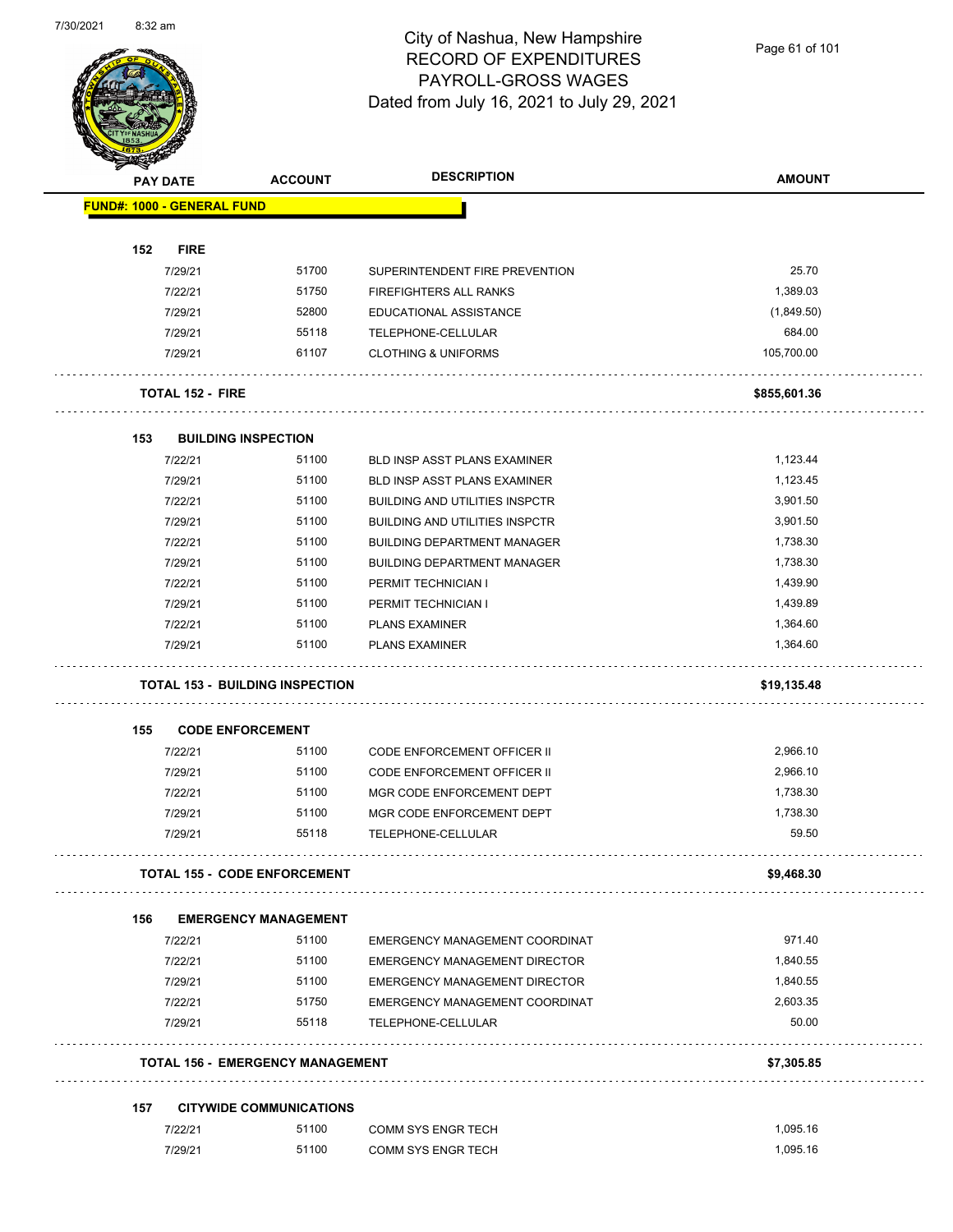

Page 61 of 101

|     | PAY DATE                          | <b>ACCOUNT</b>                         | <b>DESCRIPTION</b>                              | <b>AMOUNT</b>     |
|-----|-----------------------------------|----------------------------------------|-------------------------------------------------|-------------------|
|     | <b>FUND#: 1000 - GENERAL FUND</b> |                                        |                                                 |                   |
| 152 | <b>FIRE</b>                       |                                        |                                                 |                   |
|     | 7/29/21                           | 51700                                  | SUPERINTENDENT FIRE PREVENTION                  | 25.70             |
|     | 7/22/21                           | 51750                                  | FIREFIGHTERS ALL RANKS                          | 1,389.03          |
|     | 7/29/21                           | 52800                                  | EDUCATIONAL ASSISTANCE                          | (1,849.50)        |
|     | 7/29/21                           | 55118                                  | TELEPHONE-CELLULAR                              | 684.00            |
|     | 7/29/21                           | 61107                                  | <b>CLOTHING &amp; UNIFORMS</b>                  | 105,700.00        |
|     | <b>TOTAL 152 - FIRE</b>           |                                        |                                                 | \$855,601.36      |
| 153 |                                   | <b>BUILDING INSPECTION</b>             |                                                 |                   |
|     | 7/22/21                           | 51100                                  | <b>BLD INSP ASST PLANS EXAMINER</b>             | 1,123.44          |
|     | 7/29/21                           | 51100                                  | BLD INSP ASST PLANS EXAMINER                    | 1,123.45          |
|     | 7/22/21                           | 51100                                  | <b>BUILDING AND UTILITIES INSPCTR</b>           | 3,901.50          |
|     | 7/29/21                           | 51100                                  | <b>BUILDING AND UTILITIES INSPCTR</b>           | 3,901.50          |
|     | 7/22/21                           | 51100                                  | <b>BUILDING DEPARTMENT MANAGER</b>              | 1,738.30          |
|     | 7/29/21                           | 51100                                  | <b>BUILDING DEPARTMENT MANAGER</b>              | 1,738.30          |
|     | 7/22/21                           | 51100                                  | PERMIT TECHNICIAN I                             | 1,439.90          |
|     | 7/29/21                           | 51100                                  | PERMIT TECHNICIAN I                             | 1,439.89          |
|     | 7/22/21                           | 51100                                  | <b>PLANS EXAMINER</b>                           | 1,364.60          |
|     | 7/29/21                           | 51100                                  | <b>PLANS EXAMINER</b>                           | 1,364.60          |
|     |                                   | <b>TOTAL 153 - BUILDING INSPECTION</b> |                                                 | \$19,135.48       |
|     |                                   |                                        |                                                 |                   |
|     |                                   |                                        |                                                 |                   |
| 155 |                                   | <b>CODE ENFORCEMENT</b>                |                                                 |                   |
|     | 7/22/21                           | 51100                                  | <b>CODE ENFORCEMENT OFFICER II</b>              | 2,966.10          |
|     | 7/29/21                           | 51100                                  | CODE ENFORCEMENT OFFICER II                     | 2,966.10          |
|     | 7/22/21                           | 51100                                  | MGR CODE ENFORCEMENT DEPT                       | 1,738.30          |
|     | 7/29/21<br>7/29/21                | 51100<br>55118                         | MGR CODE ENFORCEMENT DEPT<br>TELEPHONE-CELLULAR | 1,738.30<br>59.50 |
|     |                                   | <b>TOTAL 155 - CODE ENFORCEMENT</b>    |                                                 | \$9,468.30        |
|     |                                   |                                        |                                                 |                   |
| 156 |                                   | <b>EMERGENCY MANAGEMENT</b>            |                                                 |                   |
|     | 7/22/21                           | 51100                                  | EMERGENCY MANAGEMENT COORDINAT                  | 971.40            |
|     | 7/22/21                           | 51100                                  | <b>EMERGENCY MANAGEMENT DIRECTOR</b>            | 1,840.55          |
|     | 7/29/21                           | 51100                                  | <b>EMERGENCY MANAGEMENT DIRECTOR</b>            | 1,840.55          |
|     | 7/22/21                           | 51750                                  | EMERGENCY MANAGEMENT COORDINAT                  | 2,603.35          |
|     | 7/29/21                           | 55118                                  | TELEPHONE-CELLULAR                              | 50.00             |
|     |                                   | TOTAL 156 - EMERGENCY MANAGEMENT       |                                                 | \$7,305.85        |
| 157 |                                   | <b>CITYWIDE COMMUNICATIONS</b>         |                                                 |                   |
|     | 7/22/21                           | 51100                                  | <b>COMM SYS ENGR TECH</b>                       | 1,095.16          |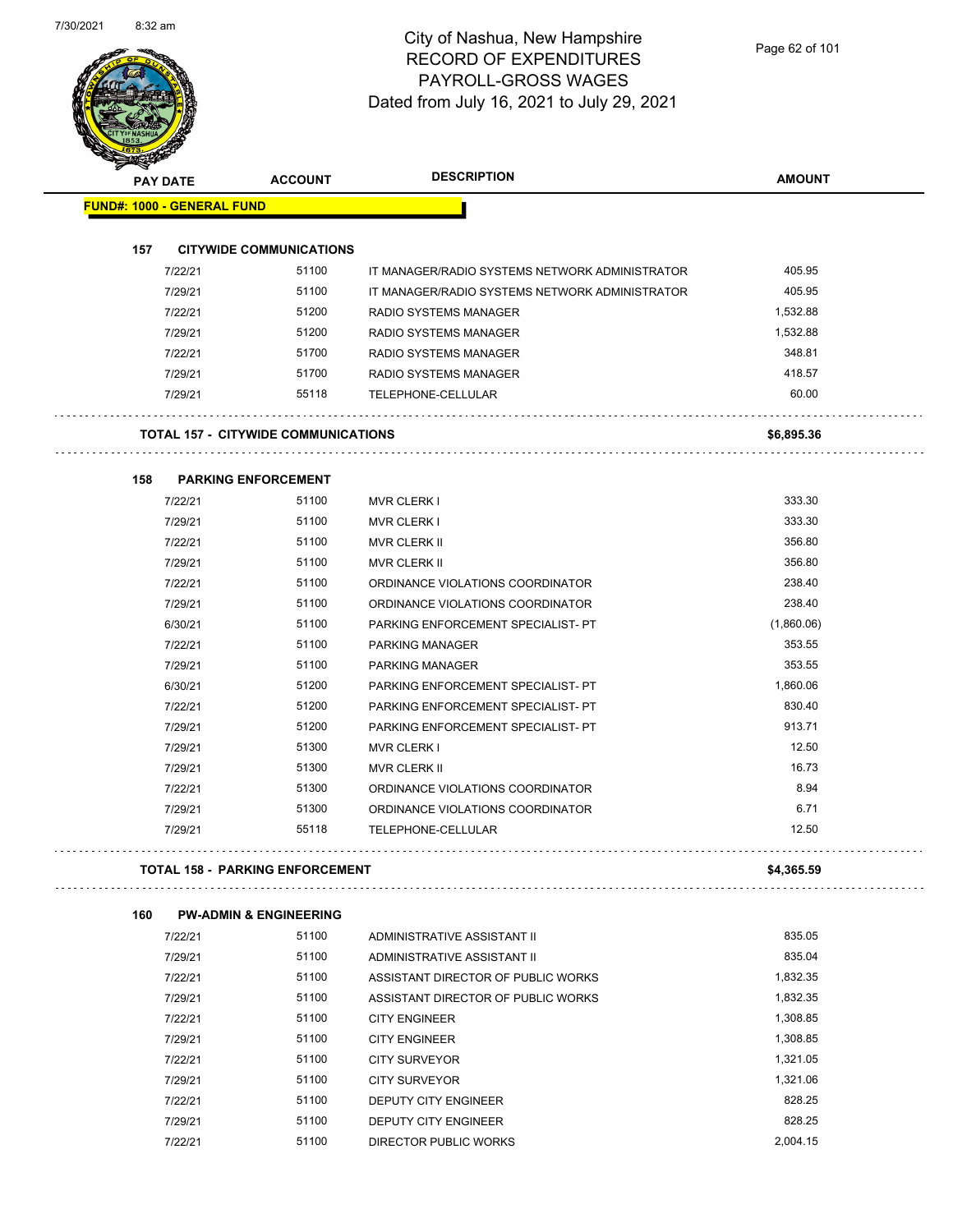$\sim$ 

## City of Nashua, New Hampshire RECORD OF EXPENDITURES PAYROLL-GROSS WAGES Dated from July 16, 2021 to July 29, 2021

Page 62 of 101

| <b>PAY DATE</b> |                                   | <b>ACCOUNT</b>                             | <b>DESCRIPTION</b>                             | <b>AMOUNT</b> |
|-----------------|-----------------------------------|--------------------------------------------|------------------------------------------------|---------------|
|                 | <b>FUND#: 1000 - GENERAL FUND</b> |                                            |                                                |               |
| 157             |                                   | <b>CITYWIDE COMMUNICATIONS</b>             |                                                |               |
|                 | 7/22/21                           | 51100                                      | IT MANAGER/RADIO SYSTEMS NETWORK ADMINISTRATOR | 405.95        |
|                 | 7/29/21                           | 51100                                      | IT MANAGER/RADIO SYSTEMS NETWORK ADMINISTRATOR | 405.95        |
|                 | 7/22/21                           | 51200                                      | <b>RADIO SYSTEMS MANAGER</b>                   | 1,532.88      |
|                 | 7/29/21                           | 51200                                      | RADIO SYSTEMS MANAGER                          | 1,532.88      |
|                 | 7/22/21                           | 51700                                      | RADIO SYSTEMS MANAGER                          | 348.81        |
|                 | 7/29/21                           | 51700                                      | <b>RADIO SYSTEMS MANAGER</b>                   | 418.57        |
|                 | 7/29/21                           | 55118                                      | <b>TELEPHONE-CELLULAR</b>                      | 60.00         |
|                 |                                   | <b>TOTAL 157 - CITYWIDE COMMUNICATIONS</b> |                                                | \$6,895.36    |
| 158             |                                   | <b>PARKING ENFORCEMENT</b>                 |                                                |               |
|                 | 7/22/21                           | 51100                                      | <b>MVR CLERK I</b>                             | 333.30        |
|                 | 7/29/21                           | 51100                                      | <b>MVR CLERK I</b>                             | 333.30        |
|                 | 7/22/21                           | 51100                                      | <b>MVR CLERK II</b>                            | 356.80        |
|                 | 7/29/21                           | 51100                                      | <b>MVR CLERK II</b>                            | 356.80        |
|                 | 7/22/21                           | 51100                                      | ORDINANCE VIOLATIONS COORDINATOR               | 238.40        |
|                 | 7/29/21                           | 51100                                      | ORDINANCE VIOLATIONS COORDINATOR               | 238.40        |
|                 | 6/30/21                           | 51100                                      | PARKING ENFORCEMENT SPECIALIST- PT             | (1,860.06)    |
|                 | 7/22/21                           | 51100                                      | PARKING MANAGER                                | 353.55        |
|                 | 7/29/21                           | 51100                                      | <b>PARKING MANAGER</b>                         | 353.55        |
|                 | 6/30/21                           | 51200                                      | PARKING ENFORCEMENT SPECIALIST- PT             | 1,860.06      |
|                 | 7/22/21                           | 51200                                      | PARKING ENFORCEMENT SPECIALIST- PT             | 830.40        |
|                 | 7/29/21                           | 51200                                      | PARKING ENFORCEMENT SPECIALIST- PT             | 913.71        |
|                 | 7/29/21                           | 51300                                      | <b>MVR CLERK I</b>                             | 12.50         |
|                 | 7/29/21                           | 51300                                      | <b>MVR CLERK II</b>                            | 16.73         |
|                 | 7/22/21                           | 51300                                      | ORDINANCE VIOLATIONS COORDINATOR               | 8.94          |
|                 | 7/29/21                           | 51300                                      | ORDINANCE VIOLATIONS COORDINATOR               | 6.71          |
|                 | 7/29/21                           | 55118                                      | TELEPHONE-CELLULAR                             | 12.50         |
|                 |                                   | <b>TOTAL 158 - PARKING ENFORCEMENT</b>     |                                                | \$4,365.59    |

| 7/22/21 | 51100 | ADMINISTRATIVE ASSISTANT II        | 835.05   |
|---------|-------|------------------------------------|----------|
| 7/29/21 | 51100 | ADMINISTRATIVE ASSISTANT II        | 835.04   |
| 7/22/21 | 51100 | ASSISTANT DIRECTOR OF PUBLIC WORKS | 1.832.35 |
| 7/29/21 | 51100 | ASSISTANT DIRECTOR OF PUBLIC WORKS | 1.832.35 |
| 7/22/21 | 51100 | <b>CITY ENGINEER</b>               | 1,308.85 |
| 7/29/21 | 51100 | <b>CITY ENGINEER</b>               | 1.308.85 |
| 7/22/21 | 51100 | <b>CITY SURVEYOR</b>               | 1.321.05 |
| 7/29/21 | 51100 | <b>CITY SURVEYOR</b>               | 1.321.06 |
| 7/22/21 | 51100 | <b>DEPUTY CITY ENGINEER</b>        | 828.25   |
| 7/29/21 | 51100 | <b>DEPUTY CITY ENGINEER</b>        | 828.25   |
| 7/22/21 | 51100 | DIRECTOR PUBLIC WORKS              | 2.004.15 |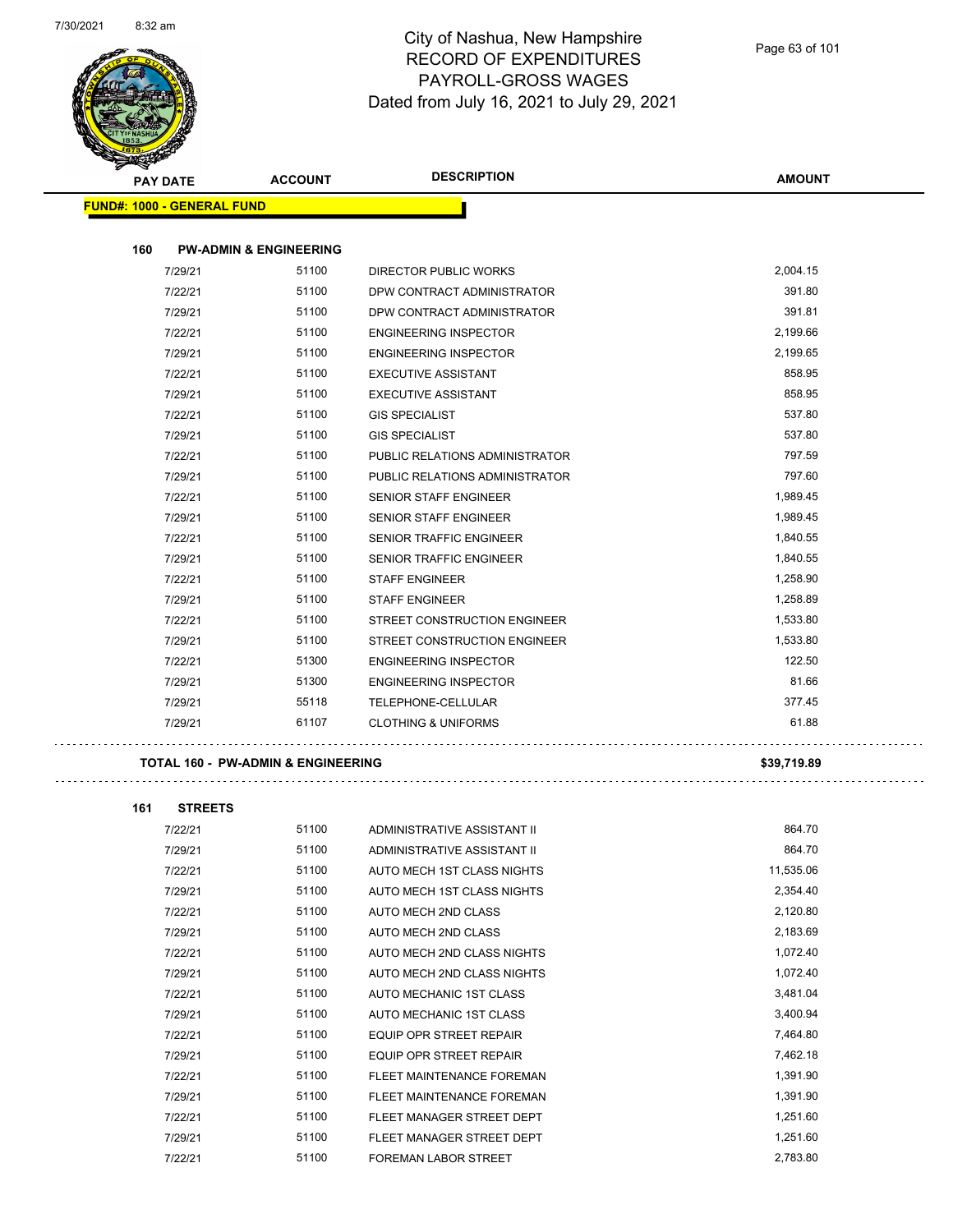

| <b>STATERS</b> |                                   |                | <b>DESCRIPTION</b>             |               |
|----------------|-----------------------------------|----------------|--------------------------------|---------------|
|                | <b>PAY DATE</b>                   | <b>ACCOUNT</b> |                                | <b>AMOUNT</b> |
|                | <b>FUND#: 1000 - GENERAL FUND</b> |                |                                |               |
|                |                                   |                |                                |               |
| 160            | <b>PW-ADMIN &amp; ENGINEERING</b> |                |                                |               |
|                | 7/29/21                           | 51100          | DIRECTOR PUBLIC WORKS          | 2,004.15      |
|                | 7/22/21                           | 51100          | DPW CONTRACT ADMINISTRATOR     | 391.80        |
|                | 7/29/21                           | 51100          | DPW CONTRACT ADMINISTRATOR     | 391.81        |
|                | 7/22/21                           | 51100          | <b>ENGINEERING INSPECTOR</b>   | 2,199.66      |
|                | 7/29/21                           | 51100          | <b>ENGINEERING INSPECTOR</b>   | 2,199.65      |
|                | 7/22/21                           | 51100          | <b>EXECUTIVE ASSISTANT</b>     | 858.95        |
|                | 7/29/21                           | 51100          | <b>EXECUTIVE ASSISTANT</b>     | 858.95        |
|                | 7/22/21                           | 51100          | <b>GIS SPECIALIST</b>          | 537.80        |
|                | 7/29/21                           | 51100          | <b>GIS SPECIALIST</b>          | 537.80        |
|                | 7/22/21                           | 51100          | PUBLIC RELATIONS ADMINISTRATOR | 797.59        |
|                | 7/29/21                           | 51100          | PUBLIC RELATIONS ADMINISTRATOR | 797.60        |
|                | 7/22/21                           | 51100          | <b>SENIOR STAFF ENGINEER</b>   | 1,989.45      |
|                | 7/29/21                           | 51100          | <b>SENIOR STAFF ENGINEER</b>   | 1,989.45      |
|                | 7/22/21                           | 51100          | <b>SENIOR TRAFFIC ENGINEER</b> | 1,840.55      |
|                | 7/29/21                           | 51100          | SENIOR TRAFFIC ENGINEER        | 1,840.55      |
|                | 7/22/21                           | 51100          | <b>STAFF ENGINEER</b>          | 1,258.90      |
|                | 7/29/21                           | 51100          | <b>STAFF ENGINEER</b>          | 1,258.89      |
|                | 7/22/21                           | 51100          | STREET CONSTRUCTION ENGINEER   | 1,533.80      |
|                | 7/29/21                           | 51100          | STREET CONSTRUCTION ENGINEER   | 1,533.80      |
|                | 7/22/21                           | 51300          | <b>ENGINEERING INSPECTOR</b>   | 122.50        |
|                | 7/29/21                           | 51300          | <b>ENGINEERING INSPECTOR</b>   | 81.66         |
|                | 7/29/21                           | 55118          | TELEPHONE-CELLULAR             | 377.45        |
|                | 7/29/21                           | 61107          | <b>CLOTHING &amp; UNIFORMS</b> | 61.88         |
|                |                                   |                |                                |               |

#### **TOTAL 160 - PW-ADMIN & ENGINEERING \$39,719.89**

| 161 | <b>STREETS</b> |       |                                |           |
|-----|----------------|-------|--------------------------------|-----------|
|     | 7/22/21        | 51100 | ADMINISTRATIVE ASSISTANT II    | 864.70    |
|     | 7/29/21        | 51100 | ADMINISTRATIVE ASSISTANT II    | 864.70    |
|     | 7/22/21        | 51100 | AUTO MECH 1ST CLASS NIGHTS     | 11,535.06 |
|     | 7/29/21        | 51100 | AUTO MECH 1ST CLASS NIGHTS     | 2,354.40  |
|     | 7/22/21        | 51100 | AUTO MECH 2ND CLASS            | 2,120.80  |
|     | 7/29/21        | 51100 | AUTO MECH 2ND CLASS            | 2,183.69  |
|     | 7/22/21        | 51100 | AUTO MECH 2ND CLASS NIGHTS     | 1,072.40  |
|     | 7/29/21        | 51100 | AUTO MECH 2ND CLASS NIGHTS     | 1,072.40  |
|     | 7/22/21        | 51100 | AUTO MECHANIC 1ST CLASS        | 3,481.04  |
|     | 7/29/21        | 51100 | AUTO MECHANIC 1ST CLASS        | 3,400.94  |
|     | 7/22/21        | 51100 | <b>EQUIP OPR STREET REPAIR</b> | 7,464.80  |
|     | 7/29/21        | 51100 | <b>EQUIP OPR STREET REPAIR</b> | 7,462.18  |
|     | 7/22/21        | 51100 | FLEET MAINTENANCE FOREMAN      | 1,391.90  |
|     | 7/29/21        | 51100 | FLEET MAINTENANCE FOREMAN      | 1,391.90  |
|     | 7/22/21        | 51100 | FLEET MANAGER STREET DEPT      | 1,251.60  |
|     | 7/29/21        | 51100 | FLEET MANAGER STREET DEPT      | 1,251.60  |
|     | 7/22/21        | 51100 | <b>FOREMAN LABOR STREET</b>    | 2,783.80  |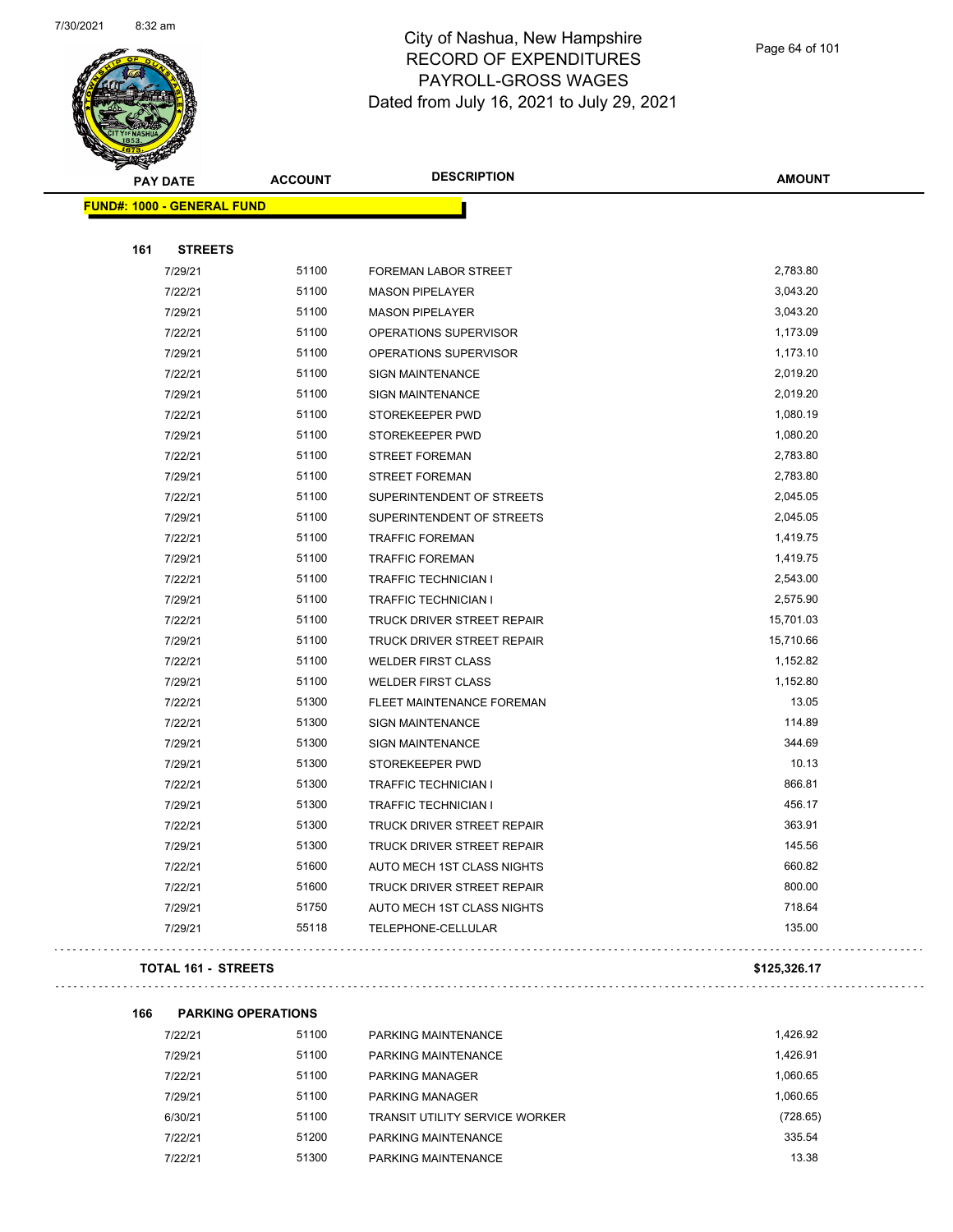

Page 64 of 101

| <b>STARTING</b>                   |                | <b>DESCRIPTION</b>          |               |
|-----------------------------------|----------------|-----------------------------|---------------|
| <b>PAY DATE</b>                   | <b>ACCOUNT</b> |                             | <b>AMOUNT</b> |
| <b>FUND#: 1000 - GENERAL FUND</b> |                |                             |               |
|                                   |                |                             |               |
| 161<br><b>STREETS</b>             |                |                             |               |
| 7/29/21                           | 51100          | FOREMAN LABOR STREET        | 2,783.80      |
| 7/22/21                           | 51100          | <b>MASON PIPELAYER</b>      | 3,043.20      |
| 7/29/21                           | 51100          | <b>MASON PIPELAYER</b>      | 3,043.20      |
| 7/22/21                           | 51100          | OPERATIONS SUPERVISOR       | 1,173.09      |
| 7/29/21                           | 51100          | OPERATIONS SUPERVISOR       | 1,173.10      |
| 7/22/21                           | 51100          | <b>SIGN MAINTENANCE</b>     | 2,019.20      |
| 7/29/21                           | 51100          | SIGN MAINTENANCE            | 2,019.20      |
| 7/22/21                           | 51100          | STOREKEEPER PWD             | 1,080.19      |
| 7/29/21                           | 51100          | STOREKEEPER PWD             | 1,080.20      |
| 7/22/21                           | 51100          | <b>STREET FOREMAN</b>       | 2,783.80      |
| 7/29/21                           | 51100          | <b>STREET FOREMAN</b>       | 2,783.80      |
| 7/22/21                           | 51100          | SUPERINTENDENT OF STREETS   | 2,045.05      |
| 7/29/21                           | 51100          | SUPERINTENDENT OF STREETS   | 2,045.05      |
| 7/22/21                           | 51100          | <b>TRAFFIC FOREMAN</b>      | 1,419.75      |
| 7/29/21                           | 51100          | <b>TRAFFIC FOREMAN</b>      | 1,419.75      |
| 7/22/21                           | 51100          | <b>TRAFFIC TECHNICIAN I</b> | 2,543.00      |
| 7/29/21                           | 51100          | <b>TRAFFIC TECHNICIAN I</b> | 2,575.90      |
| 7/22/21                           | 51100          | TRUCK DRIVER STREET REPAIR  | 15,701.03     |
| 7/29/21                           | 51100          | TRUCK DRIVER STREET REPAIR  | 15,710.66     |
| 7/22/21                           | 51100          | <b>WELDER FIRST CLASS</b>   | 1,152.82      |
| 7/29/21                           | 51100          | <b>WELDER FIRST CLASS</b>   | 1,152.80      |
| 7/22/21                           | 51300          | FLEET MAINTENANCE FOREMAN   | 13.05         |
| 7/22/21                           | 51300          | <b>SIGN MAINTENANCE</b>     | 114.89        |
| 7/29/21                           | 51300          | <b>SIGN MAINTENANCE</b>     | 344.69        |
| 7/29/21                           | 51300          | STOREKEEPER PWD             | 10.13         |
| 7/22/21                           | 51300          | TRAFFIC TECHNICIAN I        | 866.81        |
| 7/29/21                           | 51300          | <b>TRAFFIC TECHNICIAN I</b> | 456.17        |
| 7/22/21                           | 51300          | TRUCK DRIVER STREET REPAIR  | 363.91        |
| 7/29/21                           | 51300          | TRUCK DRIVER STREET REPAIR  | 145.56        |
| 7/22/21                           | 51600          | AUTO MECH 1ST CLASS NIGHTS  | 660.82        |
| 7/22/21                           | 51600          | TRUCK DRIVER STREET REPAIR  | 800.00        |
| 7/29/21                           | 51750          | AUTO MECH 1ST CLASS NIGHTS  | 718.64        |
| 7/29/21                           | 55118          | TELEPHONE-CELLULAR          | 135.00        |
|                                   |                |                             |               |

#### **TOTAL 161 - STREETS \$125,326.17**

|  | . |  |
|--|---|--|
|  |   |  |

| 166 | <b>PARKING OPERATIONS</b> |       |                                       |          |
|-----|---------------------------|-------|---------------------------------------|----------|
|     | 7/22/21                   | 51100 | PARKING MAINTENANCE                   | 1.426.92 |
|     | 7/29/21                   | 51100 | PARKING MAINTENANCE                   | 1.426.91 |
|     | 7/22/21                   | 51100 | <b>PARKING MANAGER</b>                | 1.060.65 |
|     | 7/29/21                   | 51100 | <b>PARKING MANAGER</b>                | 1.060.65 |
|     | 6/30/21                   | 51100 | <b>TRANSIT UTILITY SERVICE WORKER</b> | (728.65) |
|     | 7/22/21                   | 51200 | PARKING MAINTFNANCE                   | 335.54   |
|     | 7/22/21                   | 51300 | PARKING MAINTENANCE                   | 13.38    |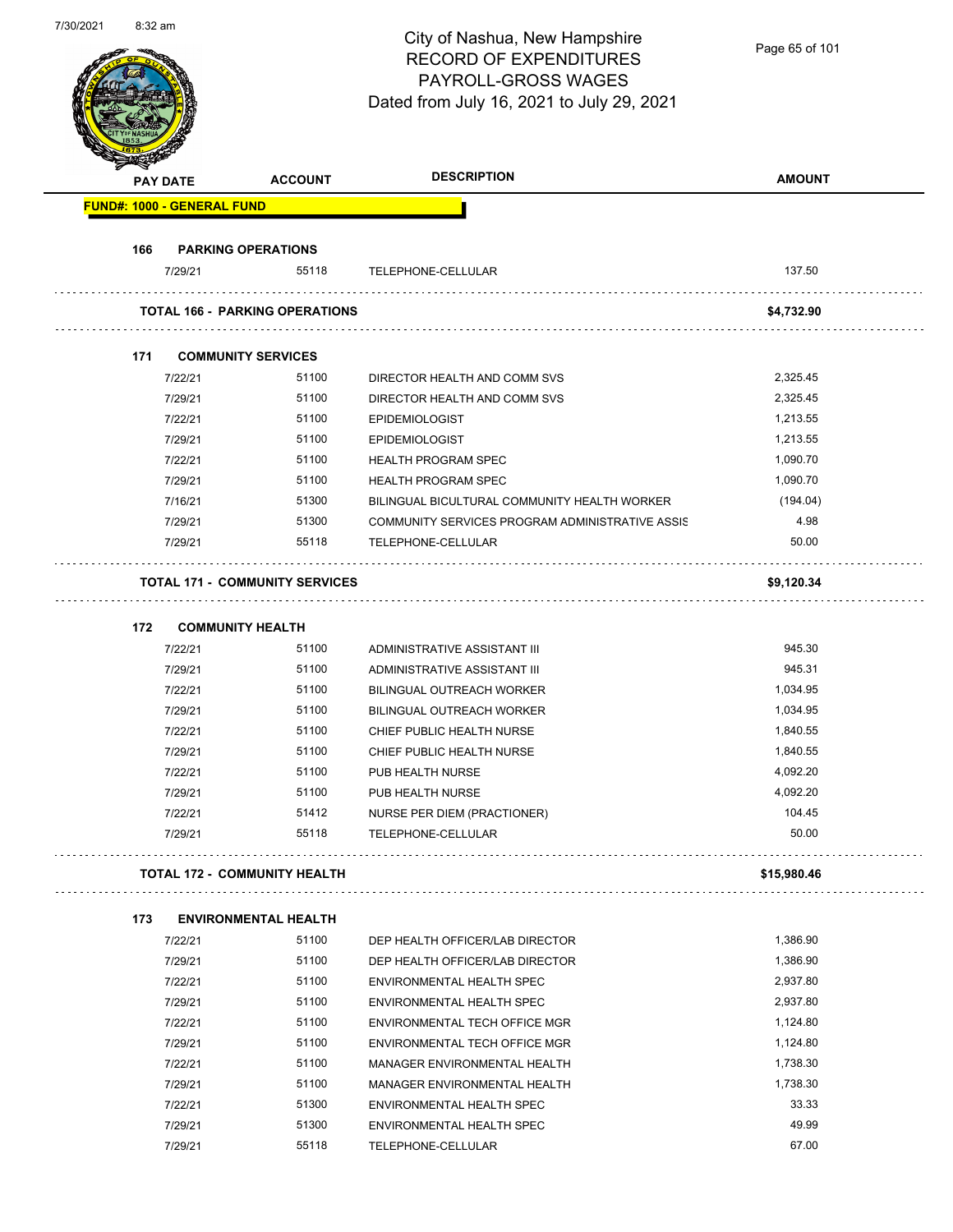| 7/30/2021 | 8:3∠ am |                                   |                                       | City of Nashua, New Hampshire<br><b>RECORD OF EXPENDITURES</b><br>PAYROLL-GROSS WAGES<br>Dated from July 16, 2021 to July 29, 2021 | Page 65 of 101 |
|-----------|---------|-----------------------------------|---------------------------------------|------------------------------------------------------------------------------------------------------------------------------------|----------------|
|           |         | <b>PAY DATE</b>                   | <b>ACCOUNT</b>                        | <b>DESCRIPTION</b>                                                                                                                 | <b>AMOUNT</b>  |
|           |         | <b>FUND#: 1000 - GENERAL FUND</b> |                                       |                                                                                                                                    |                |
|           | 166     |                                   | <b>PARKING OPERATIONS</b>             |                                                                                                                                    |                |
|           |         | 7/29/21                           | 55118                                 | TELEPHONE-CELLULAR                                                                                                                 | 137.50         |
|           |         |                                   | <b>TOTAL 166 - PARKING OPERATIONS</b> |                                                                                                                                    | \$4,732.90     |
|           | 171     |                                   | <b>COMMUNITY SERVICES</b>             |                                                                                                                                    |                |
|           |         | 7/22/21                           | 51100                                 | DIRECTOR HEALTH AND COMM SVS                                                                                                       | 2,325.45       |
|           |         | 7/29/21                           | 51100                                 | DIRECTOR HEALTH AND COMM SVS                                                                                                       | 2,325.45       |
|           |         | 7/22/21                           | 51100                                 | <b>EPIDEMIOLOGIST</b>                                                                                                              | 1,213.55       |
|           |         | 7/29/21                           | 51100                                 | <b>EPIDEMIOLOGIST</b>                                                                                                              | 1,213.55       |
|           |         | 7/22/21                           | 51100                                 | <b>HEALTH PROGRAM SPEC</b>                                                                                                         | 1,090.70       |
|           |         | 7/29/21                           | 51100                                 | <b>HEALTH PROGRAM SPEC</b>                                                                                                         | 1,090.70       |
|           |         | 7/16/21                           | 51300                                 | BILINGUAL BICULTURAL COMMUNITY HEALTH WORKER                                                                                       | (194.04)       |
|           |         | 7/29/21                           | 51300                                 | COMMUNITY SERVICES PROGRAM ADMINISTRATIVE ASSIS                                                                                    | 4.98           |
|           |         | 7/29/21                           | 55118                                 | TELEPHONE-CELLULAR                                                                                                                 | 50.00          |
|           |         |                                   | <b>TOTAL 171 - COMMUNITY SERVICES</b> |                                                                                                                                    | \$9,120.34     |
|           | 172     |                                   | <b>COMMUNITY HEALTH</b>               |                                                                                                                                    |                |
|           |         | 7/22/21                           | 51100                                 | ADMINISTRATIVE ASSISTANT III                                                                                                       | 945.30         |
|           |         | 7/29/21                           | 51100                                 | ADMINISTRATIVE ASSISTANT III                                                                                                       | 945.31         |
|           |         | 7/22/21                           | 51100                                 | <b>BILINGUAL OUTREACH WORKER</b>                                                                                                   | 1,034.95       |
|           |         | 7/29/21                           | 51100                                 | <b>BILINGUAL OUTREACH WORKER</b>                                                                                                   | 1,034.95       |
|           |         | 7/22/21                           | 51100                                 | CHIEF PUBLIC HEALTH NURSE                                                                                                          | 1,840.55       |
|           |         | 7/29/21                           | 51100                                 | CHIEF PUBLIC HEALTH NURSE                                                                                                          | 1,840.55       |
|           |         | 7/22/21                           | 51100                                 | PUB HEALTH NURSE                                                                                                                   | 4,092.20       |
|           |         | 7/29/21                           | 51100                                 | PUB HEALTH NURSE                                                                                                                   | 4,092.20       |
|           |         | 7/22/21                           | 51412                                 | NURSE PER DIEM (PRACTIONER)                                                                                                        | 104.45         |
|           |         | 7/29/21                           | 55118                                 | TELEPHONE-CELLULAR                                                                                                                 | 50.00          |
|           |         |                                   | <b>TOTAL 172 - COMMUNITY HEALTH</b>   |                                                                                                                                    | \$15,980.46    |
|           | 173     |                                   | <b>ENVIRONMENTAL HEALTH</b>           |                                                                                                                                    |                |
|           |         | 7/22/21                           | 51100                                 | DEP HEALTH OFFICER/LAB DIRECTOR                                                                                                    | 1,386.90       |
|           |         | 7/29/21                           | 51100                                 | DEP HEALTH OFFICER/LAB DIRECTOR                                                                                                    | 1,386.90       |
|           |         | 7/22/21                           | 51100                                 | ENVIRONMENTAL HEALTH SPEC                                                                                                          | 2,937.80       |
|           |         | 7/29/21                           | 51100                                 | ENVIRONMENTAL HEALTH SPEC                                                                                                          | 2,937.80       |
|           |         | 7/22/21                           | 51100                                 | ENVIRONMENTAL TECH OFFICE MGR                                                                                                      | 1,124.80       |
|           |         | 7/29/21                           | 51100                                 | ENVIRONMENTAL TECH OFFICE MGR                                                                                                      | 1,124.80       |
|           |         | 7/22/21                           | 51100                                 | MANAGER ENVIRONMENTAL HEALTH                                                                                                       | 1,738.30       |
|           |         | 7/29/21                           | 51100                                 | MANAGER ENVIRONMENTAL HEALTH                                                                                                       | 1,738.30       |
|           |         | 7/22/21                           | 51300                                 | ENVIRONMENTAL HEALTH SPEC                                                                                                          | 33.33          |
|           |         | 7/29/21                           | 51300                                 | ENVIRONMENTAL HEALTH SPEC                                                                                                          | 49.99          |
|           |         | 7/29/21                           | 55118                                 | TELEPHONE-CELLULAR                                                                                                                 | 67.00          |

7/30/2021 8:32 am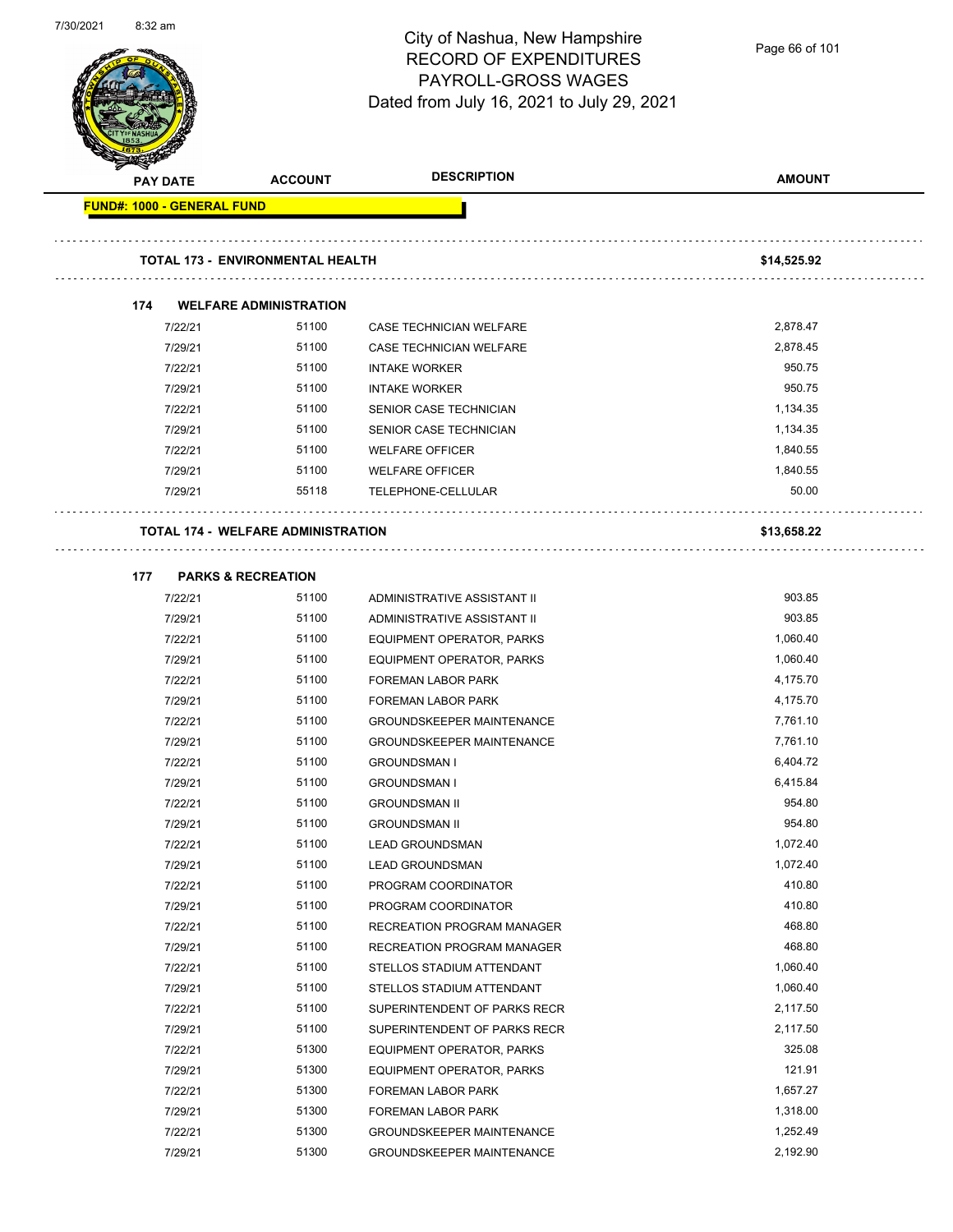

Page 66 of 101

|                                   |                                           | <b>DESCRIPTION</b>               |                      |
|-----------------------------------|-------------------------------------------|----------------------------------|----------------------|
| <b>PAY DATE</b>                   | <b>ACCOUNT</b>                            |                                  | <b>AMOUNT</b>        |
| <b>FUND#: 1000 - GENERAL FUND</b> |                                           |                                  |                      |
|                                   |                                           |                                  |                      |
|                                   | <b>TOTAL 173 - ENVIRONMENTAL HEALTH</b>   |                                  | \$14,525.92          |
| 174                               | <b>WELFARE ADMINISTRATION</b>             |                                  |                      |
| 7/22/21                           | 51100                                     | CASE TECHNICIAN WELFARE          | 2,878.47             |
| 7/29/21                           | 51100                                     | <b>CASE TECHNICIAN WELFARE</b>   | 2,878.45             |
| 7/22/21                           | 51100                                     | <b>INTAKE WORKER</b>             | 950.75               |
| 7/29/21                           | 51100                                     | <b>INTAKE WORKER</b>             | 950.75               |
| 7/22/21                           | 51100                                     | SENIOR CASE TECHNICIAN           | 1,134.35             |
| 7/29/21                           | 51100                                     | SENIOR CASE TECHNICIAN           | 1,134.35             |
| 7/22/21                           | 51100                                     | <b>WELFARE OFFICER</b>           | 1,840.55             |
| 7/29/21                           | 51100                                     | <b>WELFARE OFFICER</b>           | 1,840.55             |
| 7/29/21                           | 55118                                     | TELEPHONE-CELLULAR               | 50.00                |
|                                   |                                           |                                  |                      |
|                                   | <b>TOTAL 174 - WELFARE ADMINISTRATION</b> |                                  | \$13,658.22          |
|                                   |                                           |                                  |                      |
| 177                               | <b>PARKS &amp; RECREATION</b>             |                                  |                      |
| 7/22/21                           | 51100                                     | ADMINISTRATIVE ASSISTANT II      | 903.85               |
| 7/29/21                           | 51100                                     | ADMINISTRATIVE ASSISTANT II      | 903.85               |
| 7/22/21                           | 51100                                     | EQUIPMENT OPERATOR, PARKS        | 1,060.40             |
| 7/29/21                           | 51100                                     | EQUIPMENT OPERATOR, PARKS        | 1,060.40             |
| 7/22/21                           | 51100                                     | <b>FOREMAN LABOR PARK</b>        | 4,175.70             |
| 7/29/21                           | 51100                                     | <b>FOREMAN LABOR PARK</b>        | 4,175.70             |
| 7/22/21                           | 51100                                     | <b>GROUNDSKEEPER MAINTENANCE</b> | 7,761.10             |
| 7/29/21                           | 51100                                     | <b>GROUNDSKEEPER MAINTENANCE</b> | 7,761.10             |
| 7/22/21                           | 51100                                     | <b>GROUNDSMAN I</b>              | 6,404.72             |
| 7/29/21                           | 51100                                     | <b>GROUNDSMAN I</b>              | 6,415.84             |
| 7/22/21                           | 51100                                     | <b>GROUNDSMAN II</b>             | 954.80               |
| 7/29/21                           | 51100                                     | <b>GROUNDSMAN II</b>             | 954.80               |
| 7/22/21                           | 51100                                     | <b>LEAD GROUNDSMAN</b>           | 1,072.40             |
| 7/29/21                           | 51100                                     | <b>LEAD GROUNDSMAN</b>           | 1,072.40             |
| 7/22/21                           | 51100                                     | PROGRAM COORDINATOR              | 410.80               |
| 7/29/21                           | 51100                                     | PROGRAM COORDINATOR              | 410.80<br>468.80     |
| 7/22/21                           | 51100                                     | RECREATION PROGRAM MANAGER       |                      |
| 7/29/21                           | 51100                                     | RECREATION PROGRAM MANAGER       | 468.80<br>1,060.40   |
| 7/22/21                           | 51100                                     | STELLOS STADIUM ATTENDANT        | 1,060.40             |
| 7/29/21                           | 51100                                     | STELLOS STADIUM ATTENDANT        |                      |
| 7/22/21                           | 51100                                     | SUPERINTENDENT OF PARKS RECR     | 2,117.50<br>2,117.50 |
| 7/29/21                           | 51100                                     | SUPERINTENDENT OF PARKS RECR     |                      |
| 7/22/21                           | 51300                                     | <b>EQUIPMENT OPERATOR, PARKS</b> | 325.08               |
| 7/29/21                           | 51300                                     | EQUIPMENT OPERATOR, PARKS        | 121.91               |
| 7/22/21                           | 51300                                     | <b>FOREMAN LABOR PARK</b>        | 1,657.27             |
| 7/29/21                           | 51300                                     | <b>FOREMAN LABOR PARK</b>        | 1,318.00             |
| 7/22/21                           | 51300                                     | <b>GROUNDSKEEPER MAINTENANCE</b> | 1,252.49             |
| 7/29/21                           | 51300                                     | GROUNDSKEEPER MAINTENANCE        | 2,192.90             |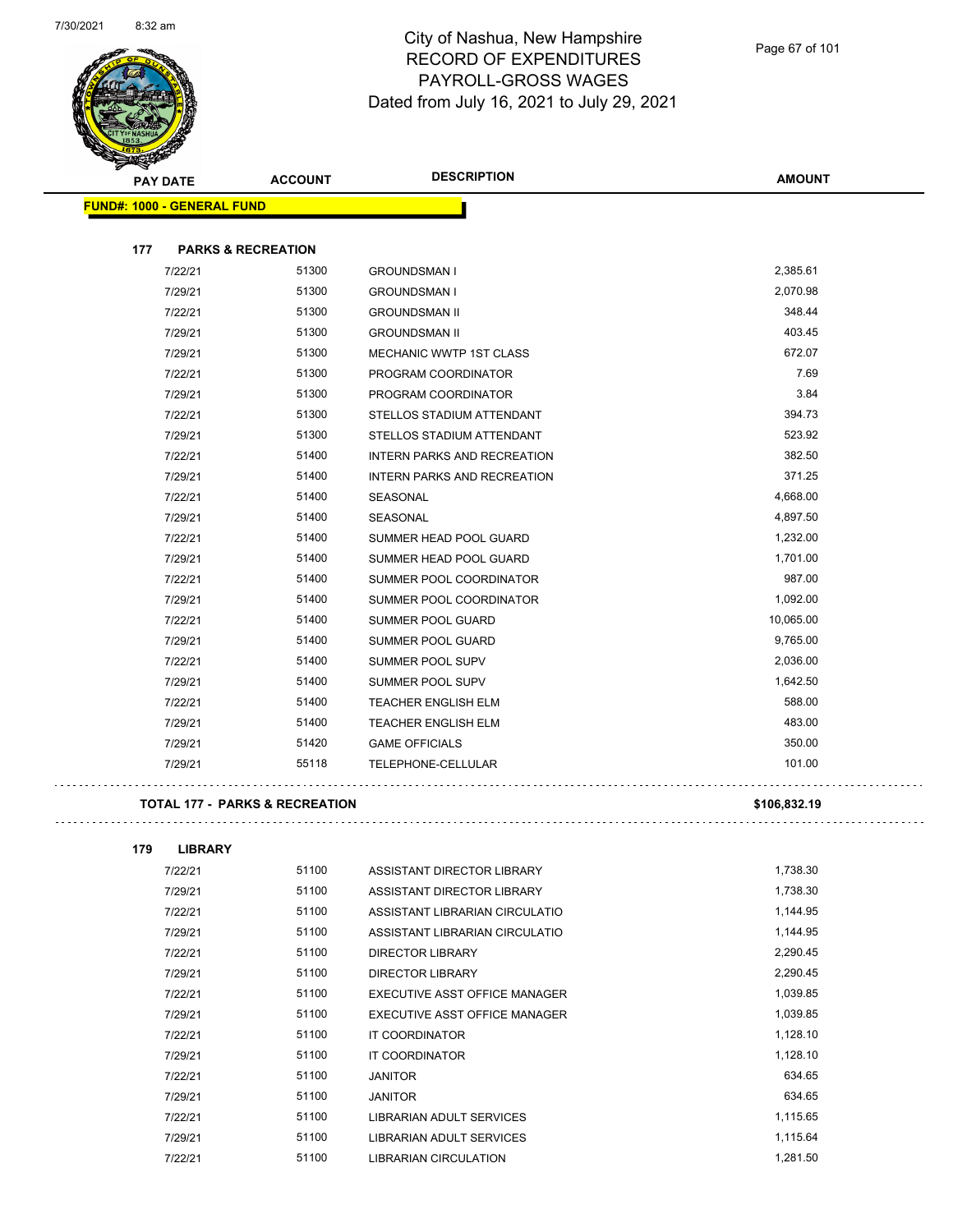

| <b>PAY DATE</b>                   | <b>ACCOUNT</b>                            | <b>DESCRIPTION</b>                 | <b>AMOUNT</b> |
|-----------------------------------|-------------------------------------------|------------------------------------|---------------|
| <b>FUND#: 1000 - GENERAL FUND</b> |                                           |                                    |               |
|                                   |                                           |                                    |               |
| 177                               | <b>PARKS &amp; RECREATION</b>             |                                    |               |
| 7/22/21                           | 51300                                     | <b>GROUNDSMAN I</b>                | 2,385.61      |
| 7/29/21                           | 51300                                     | <b>GROUNDSMAN I</b>                | 2,070.98      |
| 7/22/21                           | 51300                                     | <b>GROUNDSMAN II</b>               | 348.44        |
| 7/29/21                           | 51300                                     | <b>GROUNDSMAN II</b>               | 403.45        |
| 7/29/21                           | 51300                                     | MECHANIC WWTP 1ST CLASS            | 672.07        |
| 7/22/21                           | 51300                                     | PROGRAM COORDINATOR                | 7.69          |
| 7/29/21                           | 51300                                     | PROGRAM COORDINATOR                | 3.84          |
| 7/22/21                           | 51300                                     | STELLOS STADIUM ATTENDANT          | 394.73        |
| 7/29/21                           | 51300                                     | STELLOS STADIUM ATTENDANT          | 523.92        |
| 7/22/21                           | 51400                                     | <b>INTERN PARKS AND RECREATION</b> | 382.50        |
| 7/29/21                           | 51400                                     | <b>INTERN PARKS AND RECREATION</b> | 371.25        |
| 7/22/21                           | 51400                                     | <b>SEASONAL</b>                    | 4,668.00      |
| 7/29/21                           | 51400                                     | <b>SEASONAL</b>                    | 4,897.50      |
| 7/22/21                           | 51400                                     | SUMMER HEAD POOL GUARD             | 1,232.00      |
| 7/29/21                           | 51400                                     | SUMMER HEAD POOL GUARD             | 1,701.00      |
| 7/22/21                           | 51400                                     | SUMMER POOL COORDINATOR            | 987.00        |
| 7/29/21                           | 51400                                     | SUMMER POOL COORDINATOR            | 1,092.00      |
| 7/22/21                           | 51400                                     | SUMMER POOL GUARD                  | 10,065.00     |
| 7/29/21                           | 51400                                     | SUMMER POOL GUARD                  | 9,765.00      |
| 7/22/21                           | 51400                                     | SUMMER POOL SUPV                   | 2,036.00      |
| 7/29/21                           | 51400                                     | <b>SUMMER POOL SUPV</b>            | 1,642.50      |
| 7/22/21                           | 51400                                     | TEACHER ENGLISH ELM                | 588.00        |
| 7/29/21                           | 51400                                     | <b>TEACHER ENGLISH ELM</b>         | 483.00        |
| 7/29/21                           | 51420                                     | <b>GAME OFFICIALS</b>              | 350.00        |
| 7/29/21                           | 55118                                     | TELEPHONE-CELLULAR                 | 101.00        |
|                                   | <b>TOTAL 177 - PARKS &amp; RECREATION</b> |                                    | \$106,832.19  |

| 179 | <b>LIBRARY</b> |       |                                 |          |
|-----|----------------|-------|---------------------------------|----------|
|     | 7/22/21        | 51100 | ASSISTANT DIRECTOR LIBRARY      | 1,738.30 |
|     | 7/29/21        | 51100 | ASSISTANT DIRECTOR LIBRARY      | 1,738.30 |
|     | 7/22/21        | 51100 | ASSISTANT LIBRARIAN CIRCULATIO  | 1,144.95 |
|     | 7/29/21        | 51100 | ASSISTANT LIBRARIAN CIRCULATIO  | 1,144.95 |
|     | 7/22/21        | 51100 | <b>DIRECTOR LIBRARY</b>         | 2,290.45 |
|     | 7/29/21        | 51100 | <b>DIRECTOR LIBRARY</b>         | 2,290.45 |
|     | 7/22/21        | 51100 | EXECUTIVE ASST OFFICE MANAGER   | 1,039.85 |
|     | 7/29/21        | 51100 | EXECUTIVE ASST OFFICE MANAGER   | 1,039.85 |
|     | 7/22/21        | 51100 | <b>IT COORDINATOR</b>           | 1,128.10 |
|     | 7/29/21        | 51100 | <b>IT COORDINATOR</b>           | 1,128.10 |
|     | 7/22/21        | 51100 | <b>JANITOR</b>                  | 634.65   |
|     | 7/29/21        | 51100 | <b>JANITOR</b>                  | 634.65   |
|     | 7/22/21        | 51100 | <b>LIBRARIAN ADULT SERVICES</b> | 1,115.65 |
|     | 7/29/21        | 51100 | <b>LIBRARIAN ADULT SERVICES</b> | 1,115.64 |
|     | 7/22/21        | 51100 | <b>LIBRARIAN CIRCULATION</b>    | 1,281.50 |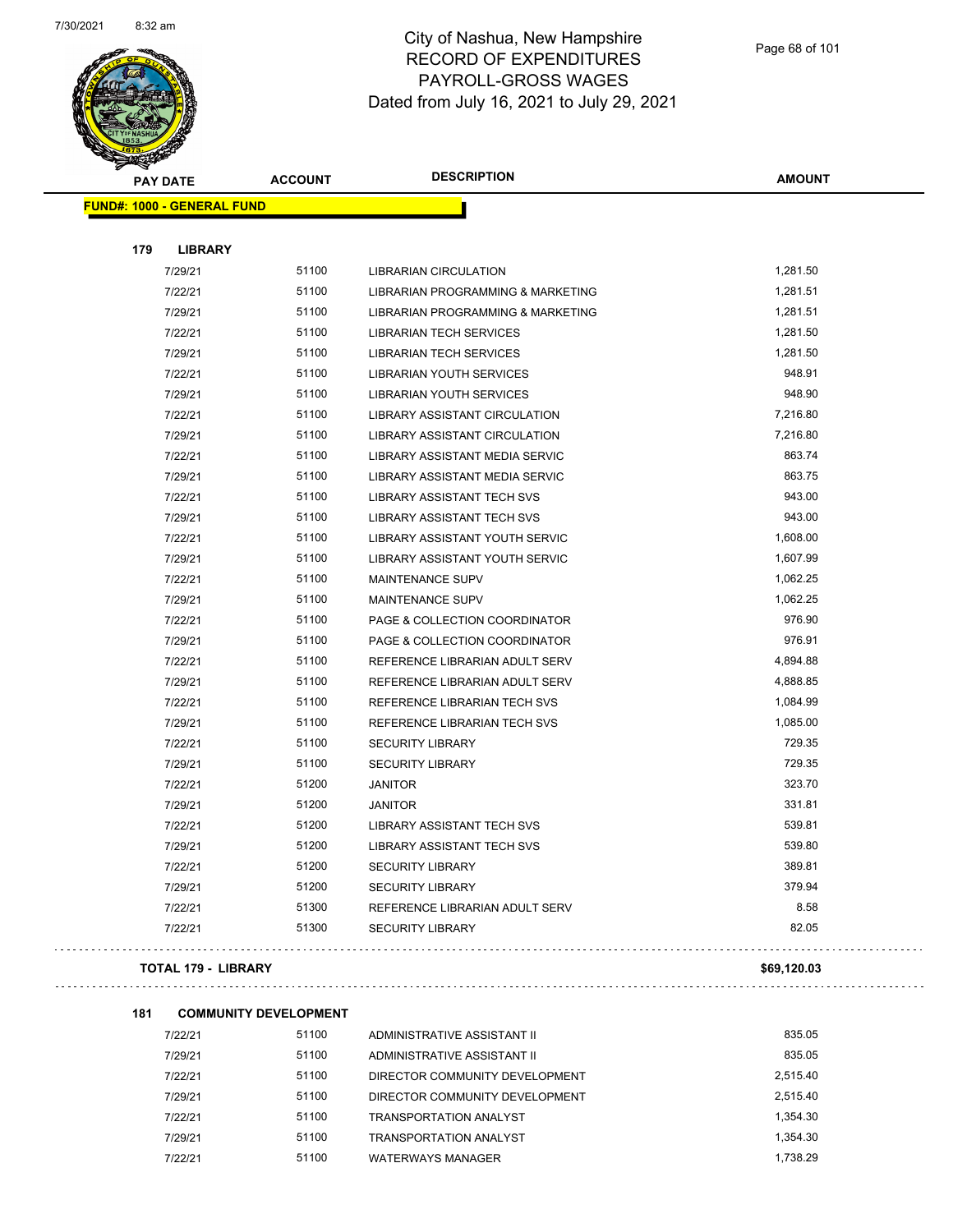

| <b>PAY DATE</b>                   | <b>ACCOUNT</b> | <b>DESCRIPTION</b>                           | <b>AMOUNT</b> |
|-----------------------------------|----------------|----------------------------------------------|---------------|
| <b>FUND#: 1000 - GENERAL FUND</b> |                |                                              |               |
|                                   |                |                                              |               |
| 179<br><b>LIBRARY</b>             |                |                                              |               |
| 7/29/21                           | 51100          | <b>LIBRARIAN CIRCULATION</b>                 | 1,281.50      |
| 7/22/21                           | 51100          | <b>LIBRARIAN PROGRAMMING &amp; MARKETING</b> | 1,281.51      |
| 7/29/21                           | 51100          | LIBRARIAN PROGRAMMING & MARKETING            | 1,281.51      |
| 7/22/21                           | 51100          | <b>LIBRARIAN TECH SERVICES</b>               | 1,281.50      |
| 7/29/21                           | 51100          | <b>LIBRARIAN TECH SERVICES</b>               | 1,281.50      |
| 7/22/21                           | 51100          | <b>LIBRARIAN YOUTH SERVICES</b>              | 948.91        |
| 7/29/21                           | 51100          | <b>LIBRARIAN YOUTH SERVICES</b>              | 948.90        |
| 7/22/21                           | 51100          | <b>LIBRARY ASSISTANT CIRCULATION</b>         | 7,216.80      |
| 7/29/21                           | 51100          | <b>LIBRARY ASSISTANT CIRCULATION</b>         | 7,216.80      |
| 7/22/21                           | 51100          | LIBRARY ASSISTANT MEDIA SERVIC               | 863.74        |
| 7/29/21                           | 51100          | LIBRARY ASSISTANT MEDIA SERVIC               | 863.75        |
| 7/22/21                           | 51100          | <b>LIBRARY ASSISTANT TECH SVS</b>            | 943.00        |
| 7/29/21                           | 51100          | <b>LIBRARY ASSISTANT TECH SVS</b>            | 943.00        |
| 7/22/21                           | 51100          | LIBRARY ASSISTANT YOUTH SERVIC               | 1,608.00      |
| 7/29/21                           | 51100          | LIBRARY ASSISTANT YOUTH SERVIC               | 1,607.99      |
| 7/22/21                           | 51100          | MAINTENANCE SUPV                             | 1,062.25      |
| 7/29/21                           | 51100          | MAINTENANCE SUPV                             | 1,062.25      |
| 7/22/21                           | 51100          | PAGE & COLLECTION COORDINATOR                | 976.90        |
| 7/29/21                           | 51100          | PAGE & COLLECTION COORDINATOR                | 976.91        |
| 7/22/21                           | 51100          | REFERENCE LIBRARIAN ADULT SERV               | 4,894.88      |
| 7/29/21                           | 51100          | REFERENCE LIBRARIAN ADULT SERV               | 4,888.85      |
| 7/22/21                           | 51100          | REFERENCE LIBRARIAN TECH SVS                 | 1,084.99      |
| 7/29/21                           | 51100          | REFERENCE LIBRARIAN TECH SVS                 | 1,085.00      |
| 7/22/21                           | 51100          | SECURITY LIBRARY                             | 729.35        |
| 7/29/21                           | 51100          | <b>SECURITY LIBRARY</b>                      | 729.35        |
| 7/22/21                           | 51200          | <b>JANITOR</b>                               | 323.70        |
| 7/29/21                           | 51200          | <b>JANITOR</b>                               | 331.81        |
| 7/22/21                           | 51200          | <b>LIBRARY ASSISTANT TECH SVS</b>            | 539.81        |
| 7/29/21                           | 51200          | <b>LIBRARY ASSISTANT TECH SVS</b>            | 539.80        |
| 7/22/21                           | 51200          | <b>SECURITY LIBRARY</b>                      | 389.81        |
| 7/29/21                           | 51200          | <b>SECURITY LIBRARY</b>                      | 379.94        |
| 7/22/21                           | 51300          | REFERENCE LIBRARIAN ADULT SERV               | 8.58          |
| 7/22/21                           | 51300          | <b>SECURITY LIBRARY</b>                      | 82.05         |

#### **TOTAL 179 - LIBRARY \$69,120.03**

#### **181 COMMUNITY DEVELOPMENT**

| 7/22/21 | 51100 | ADMINISTRATIVE ASSISTANT II    | 835.05   |
|---------|-------|--------------------------------|----------|
| 7/29/21 | 51100 | ADMINISTRATIVE ASSISTANT II    | 835.05   |
| 7/22/21 | 51100 | DIRECTOR COMMUNITY DEVELOPMENT | 2.515.40 |
| 7/29/21 | 51100 | DIRECTOR COMMUNITY DEVELOPMENT | 2.515.40 |
| 7/22/21 | 51100 | TRANSPORTATION ANALYST         | 1.354.30 |
| 7/29/21 | 51100 | TRANSPORTATION ANALYST         | 1.354.30 |
| 7/22/21 | 51100 | <b>WATERWAYS MANAGER</b>       | 1.738.29 |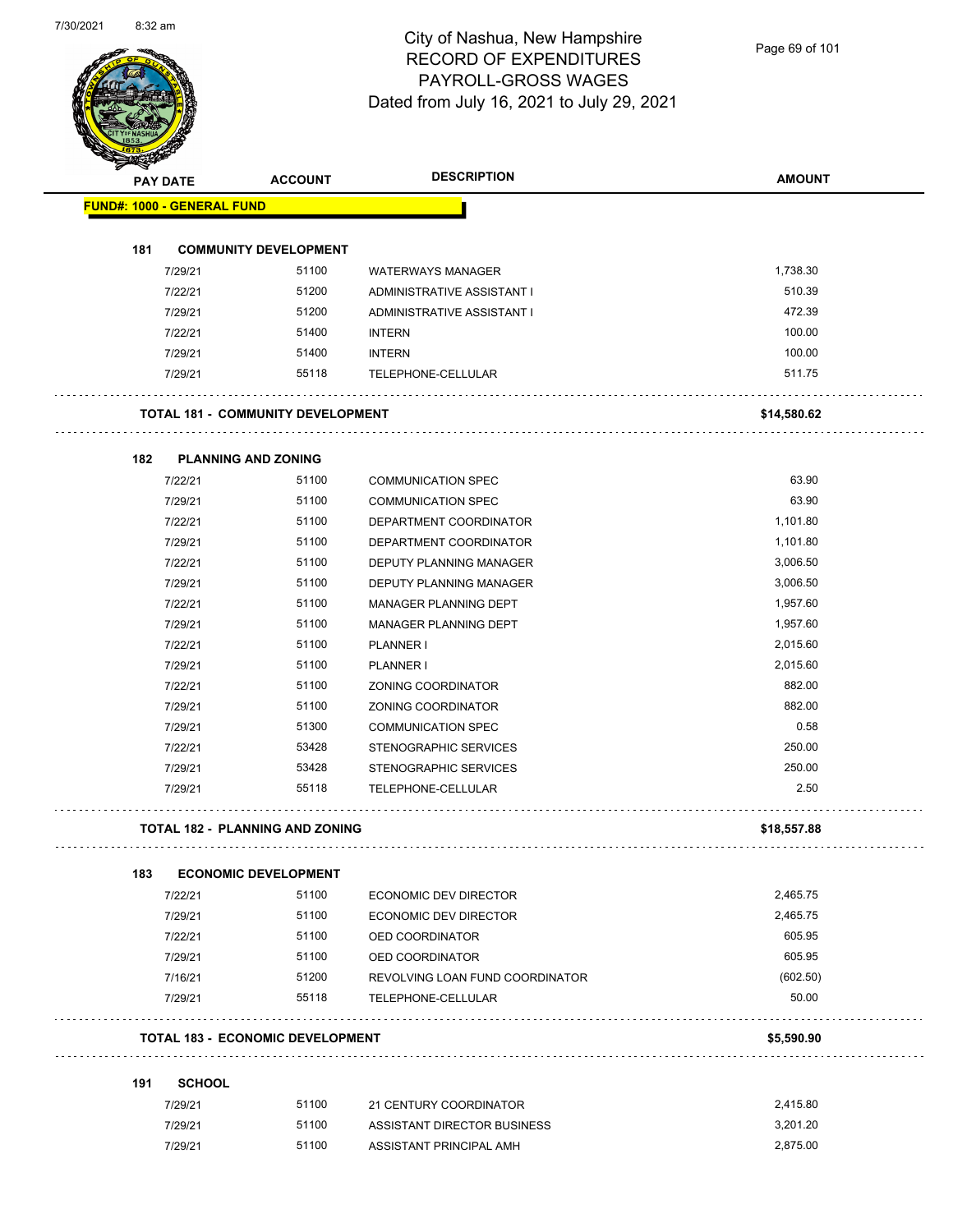

Page 69 of 101

|     | <b>PAY DATE</b>                   | <b>ACCOUNT</b>                           | <b>DESCRIPTION</b>              | <b>AMOUNT</b> |
|-----|-----------------------------------|------------------------------------------|---------------------------------|---------------|
|     | <b>FUND#: 1000 - GENERAL FUND</b> |                                          |                                 |               |
| 181 |                                   | <b>COMMUNITY DEVELOPMENT</b>             |                                 |               |
|     | 7/29/21                           | 51100                                    | <b>WATERWAYS MANAGER</b>        | 1,738.30      |
|     | 7/22/21                           | 51200                                    | ADMINISTRATIVE ASSISTANT I      | 510.39        |
|     | 7/29/21                           | 51200                                    | ADMINISTRATIVE ASSISTANT I      | 472.39        |
|     | 7/22/21                           | 51400                                    | <b>INTERN</b>                   | 100.00        |
|     | 7/29/21                           | 51400                                    | <b>INTERN</b>                   | 100.00        |
|     | 7/29/21                           | 55118                                    | TELEPHONE-CELLULAR              | 511.75        |
|     |                                   | <b>TOTAL 181 - COMMUNITY DEVELOPMENT</b> |                                 | \$14,580.62   |
|     |                                   |                                          |                                 |               |
| 182 | <b>PLANNING AND ZONING</b>        |                                          |                                 |               |
|     | 7/22/21                           | 51100                                    | <b>COMMUNICATION SPEC</b>       | 63.90         |
|     | 7/29/21                           | 51100                                    | <b>COMMUNICATION SPEC</b>       | 63.90         |
|     | 7/22/21                           | 51100                                    | DEPARTMENT COORDINATOR          | 1,101.80      |
|     | 7/29/21                           | 51100                                    | DEPARTMENT COORDINATOR          | 1,101.80      |
|     | 7/22/21                           | 51100                                    | DEPUTY PLANNING MANAGER         | 3,006.50      |
|     | 7/29/21                           | 51100                                    | DEPUTY PLANNING MANAGER         | 3,006.50      |
|     | 7/22/21                           | 51100                                    | <b>MANAGER PLANNING DEPT</b>    | 1,957.60      |
|     | 7/29/21                           | 51100                                    | MANAGER PLANNING DEPT           | 1,957.60      |
|     | 7/22/21                           | 51100                                    | <b>PLANNER I</b>                | 2,015.60      |
|     | 7/29/21                           | 51100                                    | <b>PLANNER I</b>                | 2,015.60      |
|     | 7/22/21                           | 51100                                    | ZONING COORDINATOR              | 882.00        |
|     | 7/29/21                           | 51100                                    | ZONING COORDINATOR              | 882.00        |
|     | 7/29/21                           | 51300                                    | <b>COMMUNICATION SPEC</b>       | 0.58          |
|     | 7/22/21                           | 53428                                    | <b>STENOGRAPHIC SERVICES</b>    | 250.00        |
|     | 7/29/21                           | 53428                                    | <b>STENOGRAPHIC SERVICES</b>    | 250.00        |
|     | 7/29/21                           | 55118                                    | TELEPHONE-CELLULAR              | 2.50          |
|     |                                   | <b>TOTAL 182 - PLANNING AND ZONING</b>   |                                 | \$18,557.88   |
| 183 |                                   | <b>ECONOMIC DEVELOPMENT</b>              |                                 |               |
|     | 7/22/21                           | 51100                                    | <b>ECONOMIC DEV DIRECTOR</b>    | 2,465.75      |
|     | 7/29/21                           | 51100                                    | ECONOMIC DEV DIRECTOR           | 2,465.75      |
|     | 7/22/21                           | 51100                                    | OED COORDINATOR                 | 605.95        |
|     | 7/29/21                           | 51100                                    | OED COORDINATOR                 | 605.95        |
|     | 7/16/21                           | 51200                                    | REVOLVING LOAN FUND COORDINATOR | (602.50)      |
|     | 7/29/21                           | 55118                                    | TELEPHONE-CELLULAR              | 50.00         |
|     |                                   | <b>TOTAL 183 - ECONOMIC DEVELOPMENT</b>  |                                 | \$5,590.90    |
| 191 | <b>SCHOOL</b>                     |                                          |                                 |               |
|     | 7/29/21                           | 51100                                    | 21 CENTURY COORDINATOR          | 2,415.80      |
|     | 7/29/21                           | 51100                                    | ASSISTANT DIRECTOR BUSINESS     | 3,201.20      |
|     | 7/29/21                           | 51100                                    | ASSISTANT PRINCIPAL AMH         | 2,875.00      |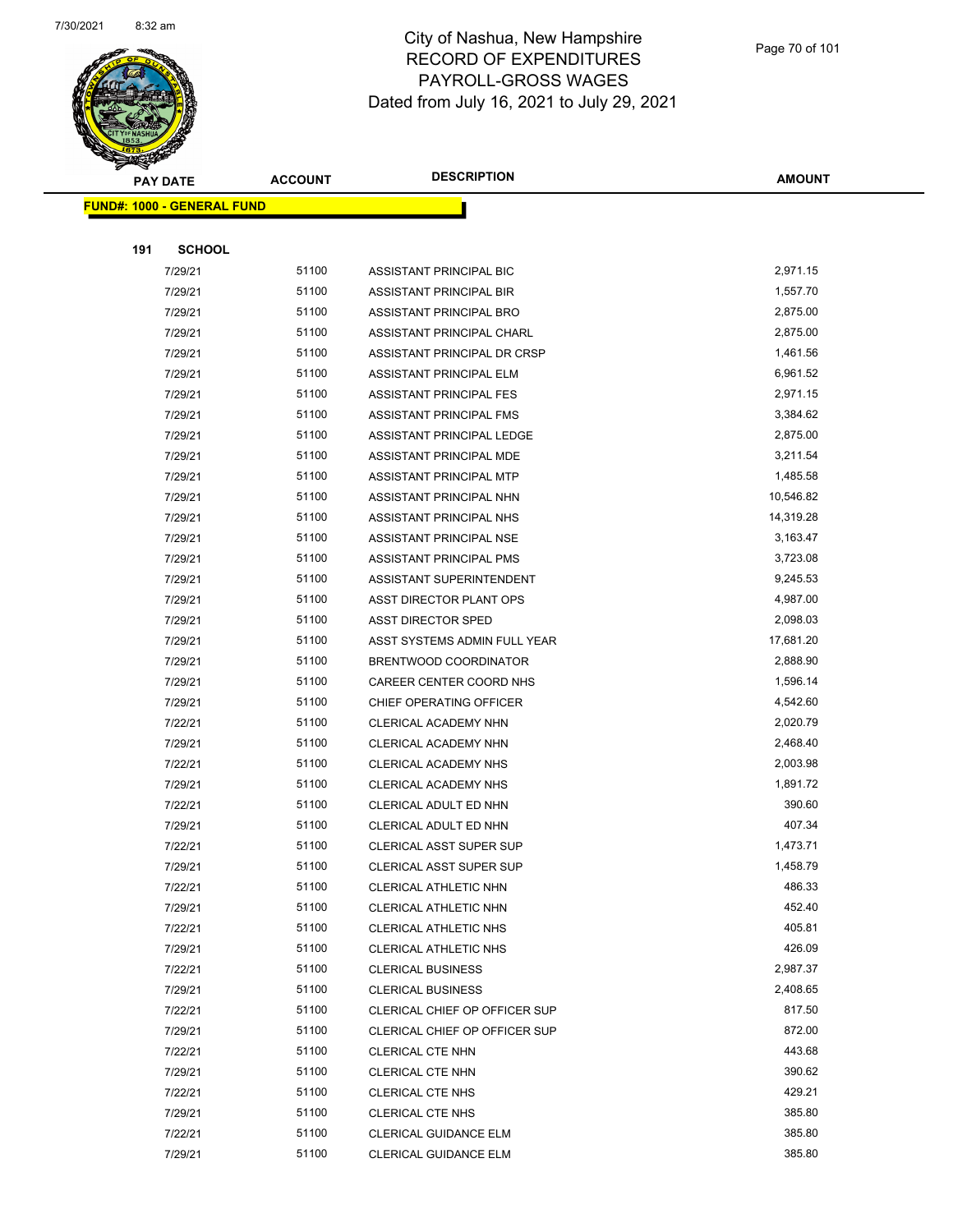

Page 70 of 101

| <b>STARTING</b> |                                    |                |                                      |               |
|-----------------|------------------------------------|----------------|--------------------------------------|---------------|
|                 | <b>PAY DATE</b>                    | <b>ACCOUNT</b> | <b>DESCRIPTION</b>                   | <b>AMOUNT</b> |
|                 | <u> FUND#: 1000 - GENERAL FUND</u> |                |                                      |               |
|                 |                                    |                |                                      |               |
| 191             | <b>SCHOOL</b>                      |                |                                      |               |
|                 | 7/29/21                            | 51100          | ASSISTANT PRINCIPAL BIC              | 2,971.15      |
|                 | 7/29/21                            | 51100          | ASSISTANT PRINCIPAL BIR              | 1,557.70      |
|                 | 7/29/21                            | 51100          | ASSISTANT PRINCIPAL BRO              | 2,875.00      |
|                 | 7/29/21                            | 51100          | ASSISTANT PRINCIPAL CHARL            | 2,875.00      |
|                 | 7/29/21                            | 51100          | ASSISTANT PRINCIPAL DR CRSP          | 1,461.56      |
|                 | 7/29/21                            | 51100          | <b>ASSISTANT PRINCIPAL ELM</b>       | 6,961.52      |
|                 | 7/29/21                            | 51100          | <b>ASSISTANT PRINCIPAL FES</b>       | 2,971.15      |
|                 | 7/29/21                            | 51100          | ASSISTANT PRINCIPAL FMS              | 3,384.62      |
|                 | 7/29/21                            | 51100          | ASSISTANT PRINCIPAL LEDGE            | 2,875.00      |
|                 | 7/29/21                            | 51100          | ASSISTANT PRINCIPAL MDE              | 3,211.54      |
|                 | 7/29/21                            | 51100          | <b>ASSISTANT PRINCIPAL MTP</b>       | 1,485.58      |
|                 | 7/29/21                            | 51100          | ASSISTANT PRINCIPAL NHN              | 10,546.82     |
|                 | 7/29/21                            | 51100          | ASSISTANT PRINCIPAL NHS              | 14,319.28     |
|                 | 7/29/21                            | 51100          | ASSISTANT PRINCIPAL NSE              | 3,163.47      |
|                 | 7/29/21                            | 51100          | <b>ASSISTANT PRINCIPAL PMS</b>       | 3,723.08      |
|                 | 7/29/21                            | 51100          | ASSISTANT SUPERINTENDENT             | 9,245.53      |
|                 | 7/29/21                            | 51100          | ASST DIRECTOR PLANT OPS              | 4,987.00      |
|                 | 7/29/21                            | 51100          | <b>ASST DIRECTOR SPED</b>            | 2,098.03      |
|                 | 7/29/21                            | 51100          | ASST SYSTEMS ADMIN FULL YEAR         | 17,681.20     |
|                 | 7/29/21                            | 51100          | BRENTWOOD COORDINATOR                | 2,888.90      |
|                 | 7/29/21                            | 51100          | CAREER CENTER COORD NHS              | 1,596.14      |
|                 | 7/29/21                            | 51100          | CHIEF OPERATING OFFICER              | 4,542.60      |
|                 | 7/22/21                            | 51100          | CLERICAL ACADEMY NHN                 | 2,020.79      |
|                 | 7/29/21                            | 51100          | CLERICAL ACADEMY NHN                 | 2,468.40      |
|                 | 7/22/21                            | 51100          | CLERICAL ACADEMY NHS                 | 2,003.98      |
|                 | 7/29/21                            | 51100          | <b>CLERICAL ACADEMY NHS</b>          | 1,891.72      |
|                 | 7/22/21                            | 51100          | CLERICAL ADULT ED NHN                | 390.60        |
|                 | 7/29/21                            | 51100          | CLERICAL ADULT ED NHN                | 407.34        |
|                 | 7/22/21                            | 51100          | <b>CLERICAL ASST SUPER SUP</b>       | 1,473.71      |
|                 | 7/29/21                            | 51100          | <b>CLERICAL ASST SUPER SUP</b>       | 1,458.79      |
|                 | 7/22/21                            | 51100          | CLERICAL ATHLETIC NHN                | 486.33        |
|                 | 7/29/21                            | 51100          | CLERICAL ATHLETIC NHN                | 452.40        |
|                 | 7/22/21                            | 51100          | CLERICAL ATHLETIC NHS                | 405.81        |
|                 | 7/29/21                            | 51100          | CLERICAL ATHLETIC NHS                | 426.09        |
|                 | 7/22/21                            | 51100          | <b>CLERICAL BUSINESS</b>             | 2,987.37      |
|                 | 7/29/21                            | 51100          | <b>CLERICAL BUSINESS</b>             | 2,408.65      |
|                 | 7/22/21                            | 51100          | <b>CLERICAL CHIEF OP OFFICER SUP</b> | 817.50        |
|                 | 7/29/21                            | 51100          | CLERICAL CHIEF OP OFFICER SUP        | 872.00        |
|                 | 7/22/21                            | 51100          | <b>CLERICAL CTE NHN</b>              | 443.68        |
|                 | 7/29/21                            | 51100          | <b>CLERICAL CTE NHN</b>              | 390.62        |
|                 | 7/22/21                            | 51100          | <b>CLERICAL CTE NHS</b>              | 429.21        |
|                 | 7/29/21                            | 51100          | <b>CLERICAL CTE NHS</b>              | 385.80        |
|                 | 7/22/21                            | 51100          | <b>CLERICAL GUIDANCE ELM</b>         | 385.80        |
|                 | 7/29/21                            | 51100          | <b>CLERICAL GUIDANCE ELM</b>         | 385.80        |
|                 |                                    |                |                                      |               |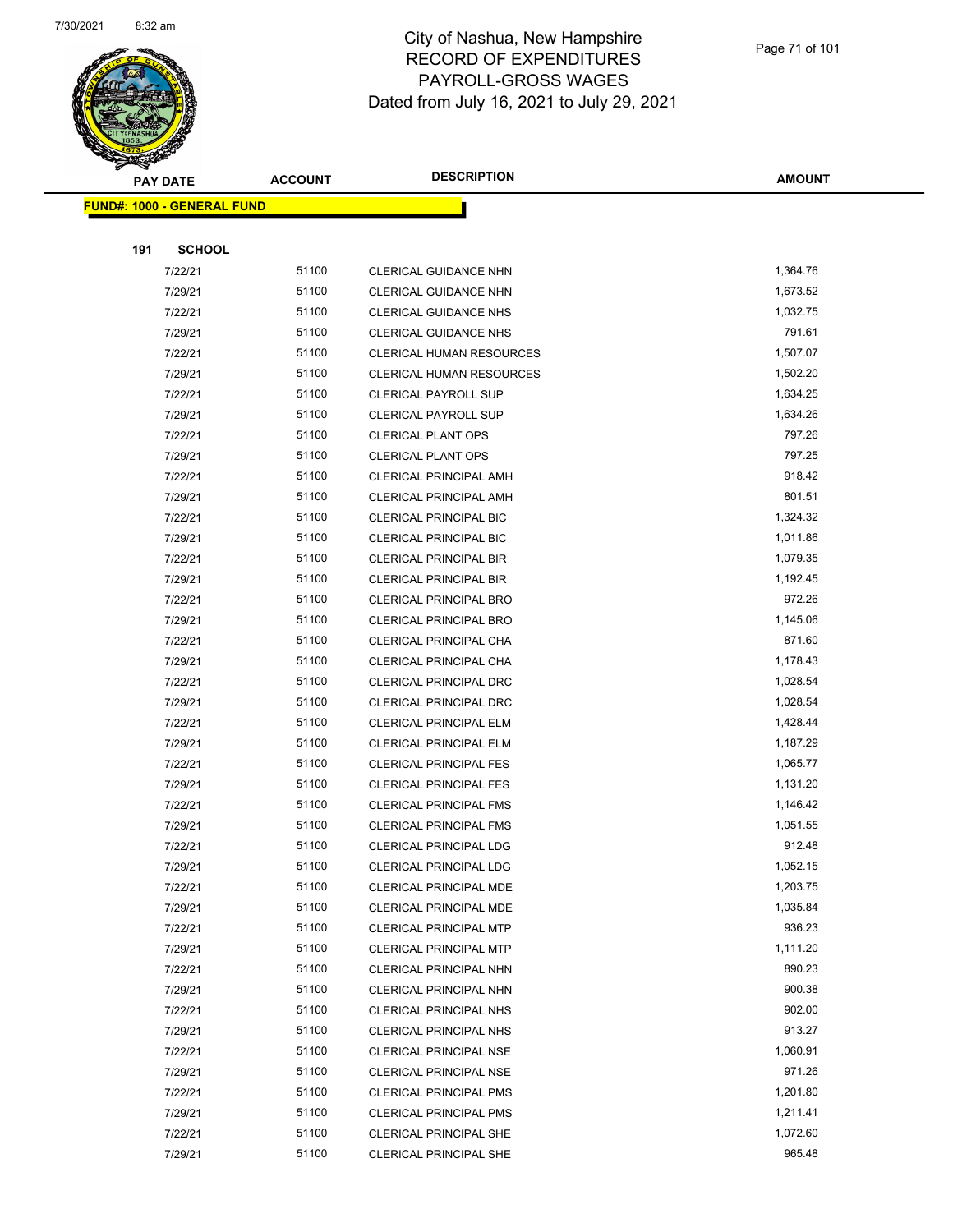

|     | A.<br><b>PAY DATE</b>             | <b>ACCOUNT</b> | <b>DESCRIPTION</b>              | <b>AMOUNT</b> |
|-----|-----------------------------------|----------------|---------------------------------|---------------|
|     | <b>FUND#: 1000 - GENERAL FUND</b> |                |                                 |               |
|     |                                   |                |                                 |               |
| 191 | <b>SCHOOL</b>                     |                |                                 |               |
|     | 7/22/21                           | 51100          | <b>CLERICAL GUIDANCE NHN</b>    | 1,364.76      |
|     | 7/29/21                           | 51100          | CLERICAL GUIDANCE NHN           | 1,673.52      |
|     | 7/22/21                           | 51100          | <b>CLERICAL GUIDANCE NHS</b>    | 1,032.75      |
|     | 7/29/21                           | 51100          | <b>CLERICAL GUIDANCE NHS</b>    | 791.61        |
|     | 7/22/21                           | 51100          | <b>CLERICAL HUMAN RESOURCES</b> | 1,507.07      |
|     | 7/29/21                           | 51100          | <b>CLERICAL HUMAN RESOURCES</b> | 1,502.20      |
|     | 7/22/21                           | 51100          | <b>CLERICAL PAYROLL SUP</b>     | 1,634.25      |
|     | 7/29/21                           | 51100          | <b>CLERICAL PAYROLL SUP</b>     | 1,634.26      |
|     | 7/22/21                           | 51100          | <b>CLERICAL PLANT OPS</b>       | 797.26        |
|     | 7/29/21                           | 51100          | <b>CLERICAL PLANT OPS</b>       | 797.25        |
|     | 7/22/21                           | 51100          | <b>CLERICAL PRINCIPAL AMH</b>   | 918.42        |
|     | 7/29/21                           | 51100          | <b>CLERICAL PRINCIPAL AMH</b>   | 801.51        |
|     | 7/22/21                           | 51100          | <b>CLERICAL PRINCIPAL BIC</b>   | 1,324.32      |
|     | 7/29/21                           | 51100          | <b>CLERICAL PRINCIPAL BIC</b>   | 1,011.86      |
|     | 7/22/21                           | 51100          | CLERICAL PRINCIPAL BIR          | 1,079.35      |
|     | 7/29/21                           | 51100          | CLERICAL PRINCIPAL BIR          | 1,192.45      |
|     | 7/22/21                           | 51100          | CLERICAL PRINCIPAL BRO          | 972.26        |
|     | 7/29/21                           | 51100          | CLERICAL PRINCIPAL BRO          | 1,145.06      |
|     | 7/22/21                           | 51100          | CLERICAL PRINCIPAL CHA          | 871.60        |
|     | 7/29/21                           | 51100          | CLERICAL PRINCIPAL CHA          | 1,178.43      |
|     | 7/22/21                           | 51100          | CLERICAL PRINCIPAL DRC          | 1,028.54      |
|     | 7/29/21                           | 51100          | CLERICAL PRINCIPAL DRC          | 1,028.54      |
|     | 7/22/21                           | 51100          | <b>CLERICAL PRINCIPAL ELM</b>   | 1,428.44      |
|     | 7/29/21                           | 51100          | <b>CLERICAL PRINCIPAL ELM</b>   | 1,187.29      |
|     | 7/22/21                           | 51100          | <b>CLERICAL PRINCIPAL FES</b>   | 1,065.77      |
|     | 7/29/21                           | 51100          | <b>CLERICAL PRINCIPAL FES</b>   | 1,131.20      |
|     | 7/22/21                           | 51100          | <b>CLERICAL PRINCIPAL FMS</b>   | 1,146.42      |
|     | 7/29/21                           | 51100          | <b>CLERICAL PRINCIPAL FMS</b>   | 1,051.55      |
|     | 7/22/21                           | 51100          | CLERICAL PRINCIPAL LDG          | 912.48        |
|     | 7/29/21                           | 51100          | CLERICAL PRINCIPAL LDG          | 1,052.15      |
|     | 7/22/21                           | 51100          | CLERICAL PRINCIPAL MDE          | 1,203.75      |
|     | 7/29/21                           | 51100          | CLERICAL PRINCIPAL MDE          | 1,035.84      |
|     | 7/22/21                           | 51100          | <b>CLERICAL PRINCIPAL MTP</b>   | 936.23        |
|     | 7/29/21                           | 51100          | <b>CLERICAL PRINCIPAL MTP</b>   | 1,111.20      |
|     | 7/22/21                           | 51100          | <b>CLERICAL PRINCIPAL NHN</b>   | 890.23        |
|     | 7/29/21                           | 51100          | CLERICAL PRINCIPAL NHN          | 900.38        |
|     | 7/22/21                           | 51100          | <b>CLERICAL PRINCIPAL NHS</b>   | 902.00        |
|     | 7/29/21                           | 51100          | <b>CLERICAL PRINCIPAL NHS</b>   | 913.27        |
|     | 7/22/21                           | 51100          | <b>CLERICAL PRINCIPAL NSE</b>   | 1,060.91      |
|     | 7/29/21                           | 51100          | CLERICAL PRINCIPAL NSE          | 971.26        |
|     | 7/22/21                           | 51100          | <b>CLERICAL PRINCIPAL PMS</b>   | 1,201.80      |
|     | 7/29/21                           | 51100          | <b>CLERICAL PRINCIPAL PMS</b>   | 1,211.41      |
|     | 7/22/21                           | 51100          | <b>CLERICAL PRINCIPAL SHE</b>   | 1,072.60      |
|     | 7/29/21                           | 51100          | <b>CLERICAL PRINCIPAL SHE</b>   | 965.48        |
|     |                                   |                |                                 |               |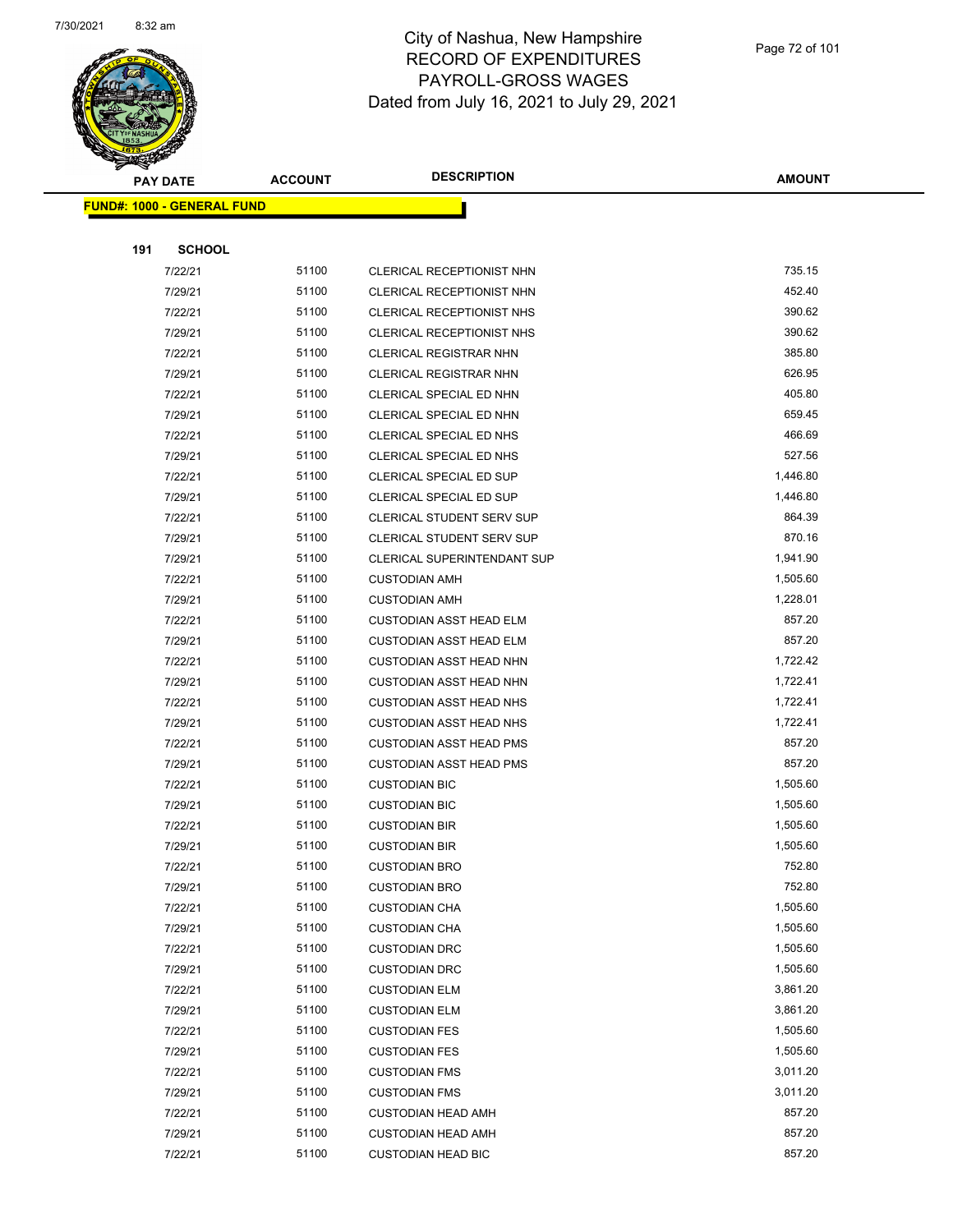

|     | <b>PAY DATE</b>                    | <b>ACCOUNT</b> | <b>DESCRIPTION</b>             | <b>AMOUNT</b> |
|-----|------------------------------------|----------------|--------------------------------|---------------|
|     | <u> FUND#: 1000 - GENERAL FUND</u> |                |                                |               |
|     |                                    |                |                                |               |
| 191 | <b>SCHOOL</b>                      |                |                                |               |
|     | 7/22/21                            | 51100          | CLERICAL RECEPTIONIST NHN      | 735.15        |
|     | 7/29/21                            | 51100          | CLERICAL RECEPTIONIST NHN      | 452.40        |
|     | 7/22/21                            | 51100          | CLERICAL RECEPTIONIST NHS      | 390.62        |
|     | 7/29/21                            | 51100          | CLERICAL RECEPTIONIST NHS      | 390.62        |
|     | 7/22/21                            | 51100          | <b>CLERICAL REGISTRAR NHN</b>  | 385.80        |
|     | 7/29/21                            | 51100          | <b>CLERICAL REGISTRAR NHN</b>  | 626.95        |
|     | 7/22/21                            | 51100          | CLERICAL SPECIAL ED NHN        | 405.80        |
|     | 7/29/21                            | 51100          | CLERICAL SPECIAL ED NHN        | 659.45        |
|     | 7/22/21                            | 51100          | CLERICAL SPECIAL ED NHS        | 466.69        |
|     | 7/29/21                            | 51100          | CLERICAL SPECIAL ED NHS        | 527.56        |
|     | 7/22/21                            | 51100          | <b>CLERICAL SPECIAL ED SUP</b> | 1,446.80      |
|     | 7/29/21                            | 51100          | CLERICAL SPECIAL ED SUP        | 1,446.80      |
|     | 7/22/21                            | 51100          | CLERICAL STUDENT SERV SUP      | 864.39        |
|     | 7/29/21                            | 51100          | CLERICAL STUDENT SERV SUP      | 870.16        |
|     | 7/29/21                            | 51100          | CLERICAL SUPERINTENDANT SUP    | 1,941.90      |
|     | 7/22/21                            | 51100          | <b>CUSTODIAN AMH</b>           | 1,505.60      |
|     | 7/29/21                            | 51100          | <b>CUSTODIAN AMH</b>           | 1,228.01      |
|     | 7/22/21                            | 51100          | <b>CUSTODIAN ASST HEAD ELM</b> | 857.20        |
|     | 7/29/21                            | 51100          | <b>CUSTODIAN ASST HEAD ELM</b> | 857.20        |
|     | 7/22/21                            | 51100          | <b>CUSTODIAN ASST HEAD NHN</b> | 1,722.42      |
|     | 7/29/21                            | 51100          | <b>CUSTODIAN ASST HEAD NHN</b> | 1,722.41      |
|     | 7/22/21                            | 51100          | <b>CUSTODIAN ASST HEAD NHS</b> | 1,722.41      |
|     | 7/29/21                            | 51100          | <b>CUSTODIAN ASST HEAD NHS</b> | 1,722.41      |
|     | 7/22/21                            | 51100          | <b>CUSTODIAN ASST HEAD PMS</b> | 857.20        |
|     | 7/29/21                            | 51100          | <b>CUSTODIAN ASST HEAD PMS</b> | 857.20        |
|     | 7/22/21                            | 51100          | <b>CUSTODIAN BIC</b>           | 1,505.60      |
|     | 7/29/21                            | 51100          | <b>CUSTODIAN BIC</b>           | 1,505.60      |
|     | 7/22/21                            | 51100          | <b>CUSTODIAN BIR</b>           | 1,505.60      |
|     | 7/29/21                            | 51100          | <b>CUSTODIAN BIR</b>           | 1,505.60      |
|     | 7/22/21                            | 51100          | <b>CUSTODIAN BRO</b>           | 752.80        |
|     | 7/29/21                            | 51100          | <b>CUSTODIAN BRO</b>           | 752.80        |
|     | 7/22/21                            | 51100          | <b>CUSTODIAN CHA</b>           | 1,505.60      |
|     | 7/29/21                            | 51100          | <b>CUSTODIAN CHA</b>           | 1,505.60      |
|     | 7/22/21                            | 51100          | <b>CUSTODIAN DRC</b>           | 1,505.60      |
|     | 7/29/21                            | 51100          | <b>CUSTODIAN DRC</b>           | 1,505.60      |
|     | 7/22/21                            | 51100          | <b>CUSTODIAN ELM</b>           | 3,861.20      |
|     | 7/29/21                            | 51100          | <b>CUSTODIAN ELM</b>           | 3,861.20      |
|     | 7/22/21                            | 51100          | <b>CUSTODIAN FES</b>           | 1,505.60      |
|     | 7/29/21                            | 51100          | <b>CUSTODIAN FES</b>           | 1,505.60      |
|     | 7/22/21                            | 51100          | <b>CUSTODIAN FMS</b>           | 3,011.20      |
|     | 7/29/21                            | 51100          | <b>CUSTODIAN FMS</b>           | 3,011.20      |
|     | 7/22/21                            | 51100          | <b>CUSTODIAN HEAD AMH</b>      | 857.20        |
|     | 7/29/21                            | 51100          | <b>CUSTODIAN HEAD AMH</b>      | 857.20        |
|     | 7/22/21                            | 51100          | <b>CUSTODIAN HEAD BIC</b>      | 857.20        |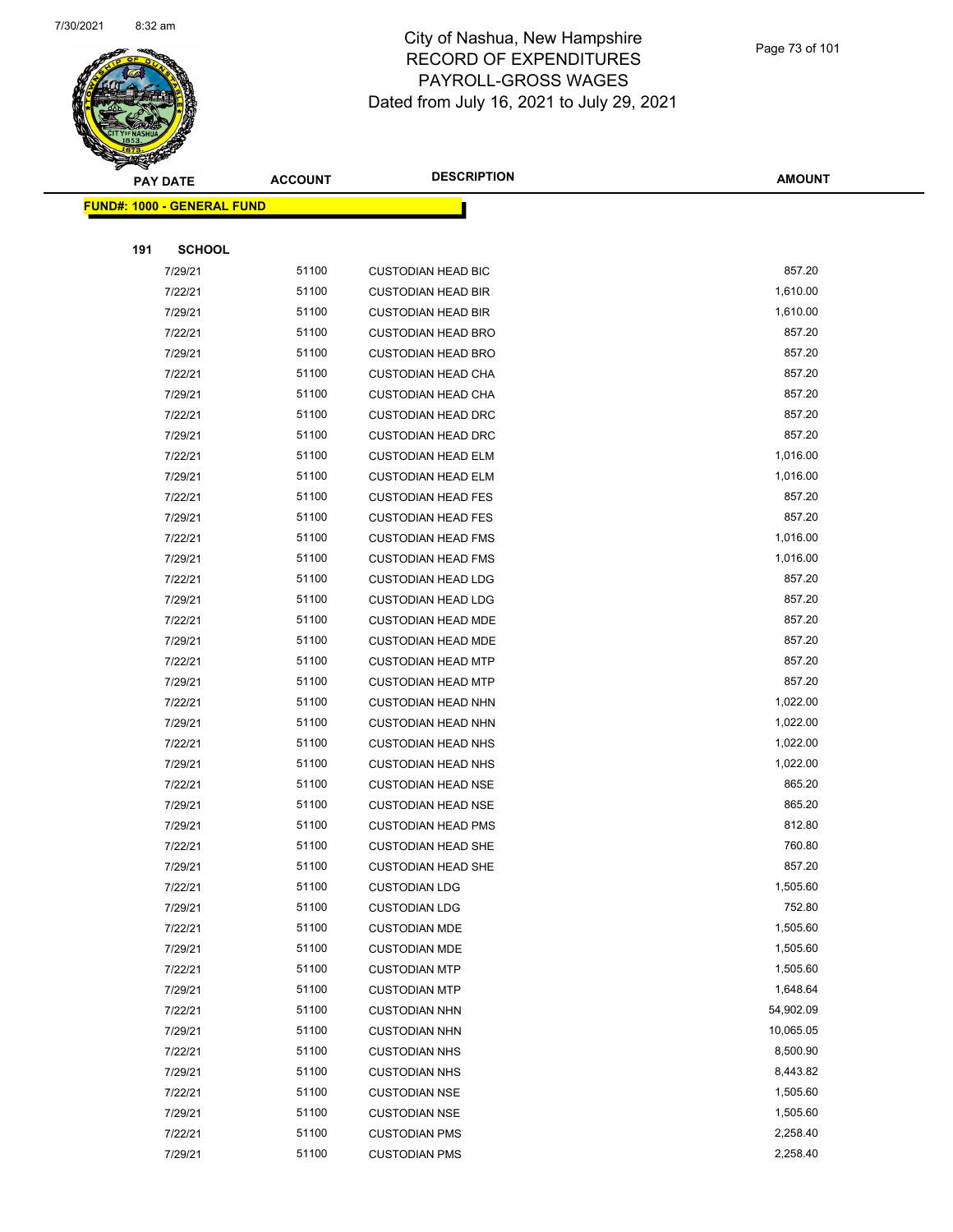

|     | <b>PAY DATE</b>                    | <b>ACCOUNT</b> | <b>DESCRIPTION</b>        | <b>AMOUNT</b> |
|-----|------------------------------------|----------------|---------------------------|---------------|
|     | <u> FUND#: 1000 - GENERAL FUND</u> |                |                           |               |
|     |                                    |                |                           |               |
| 191 | <b>SCHOOL</b>                      |                |                           |               |
|     | 7/29/21                            | 51100          | <b>CUSTODIAN HEAD BIC</b> | 857.20        |
|     | 7/22/21                            | 51100          | <b>CUSTODIAN HEAD BIR</b> | 1,610.00      |
|     | 7/29/21                            | 51100          | <b>CUSTODIAN HEAD BIR</b> | 1,610.00      |
|     | 7/22/21                            | 51100          | <b>CUSTODIAN HEAD BRO</b> | 857.20        |
|     | 7/29/21                            | 51100          | <b>CUSTODIAN HEAD BRO</b> | 857.20        |
|     | 7/22/21                            | 51100          | <b>CUSTODIAN HEAD CHA</b> | 857.20        |
|     | 7/29/21                            | 51100          | <b>CUSTODIAN HEAD CHA</b> | 857.20        |
|     | 7/22/21                            | 51100          | <b>CUSTODIAN HEAD DRC</b> | 857.20        |
|     | 7/29/21                            | 51100          | <b>CUSTODIAN HEAD DRC</b> | 857.20        |
|     | 7/22/21                            | 51100          | <b>CUSTODIAN HEAD ELM</b> | 1,016.00      |
|     | 7/29/21                            | 51100          | <b>CUSTODIAN HEAD ELM</b> | 1,016.00      |
|     | 7/22/21                            | 51100          | <b>CUSTODIAN HEAD FES</b> | 857.20        |
|     | 7/29/21                            | 51100          | <b>CUSTODIAN HEAD FES</b> | 857.20        |
|     | 7/22/21                            | 51100          | <b>CUSTODIAN HEAD FMS</b> | 1,016.00      |
|     | 7/29/21                            | 51100          | <b>CUSTODIAN HEAD FMS</b> | 1,016.00      |
|     | 7/22/21                            | 51100          | <b>CUSTODIAN HEAD LDG</b> | 857.20        |
|     | 7/29/21                            | 51100          | <b>CUSTODIAN HEAD LDG</b> | 857.20        |
|     | 7/22/21                            | 51100          | <b>CUSTODIAN HEAD MDE</b> | 857.20        |
|     | 7/29/21                            | 51100          | <b>CUSTODIAN HEAD MDE</b> | 857.20        |
|     | 7/22/21                            | 51100          | <b>CUSTODIAN HEAD MTP</b> | 857.20        |
|     | 7/29/21                            | 51100          | <b>CUSTODIAN HEAD MTP</b> | 857.20        |
|     | 7/22/21                            | 51100          | <b>CUSTODIAN HEAD NHN</b> | 1,022.00      |
|     | 7/29/21                            | 51100          | <b>CUSTODIAN HEAD NHN</b> | 1,022.00      |
|     | 7/22/21                            | 51100          | <b>CUSTODIAN HEAD NHS</b> | 1,022.00      |
|     | 7/29/21                            | 51100          | <b>CUSTODIAN HEAD NHS</b> | 1,022.00      |
|     | 7/22/21                            | 51100          | <b>CUSTODIAN HEAD NSE</b> | 865.20        |
|     | 7/29/21                            | 51100          | <b>CUSTODIAN HEAD NSE</b> | 865.20        |
|     | 7/29/21                            | 51100          | <b>CUSTODIAN HEAD PMS</b> | 812.80        |
|     | 7/22/21                            | 51100          | <b>CUSTODIAN HEAD SHE</b> | 760.80        |
|     | 7/29/21                            | 51100          | <b>CUSTODIAN HEAD SHE</b> | 857.20        |
|     | 7/22/21                            | 51100          | <b>CUSTODIAN LDG</b>      | 1,505.60      |
|     | 7/29/21                            | 51100          | <b>CUSTODIAN LDG</b>      | 752.80        |
|     | 7/22/21                            | 51100          | <b>CUSTODIAN MDE</b>      | 1,505.60      |
|     | 7/29/21                            | 51100          | <b>CUSTODIAN MDE</b>      | 1,505.60      |
|     | 7/22/21                            | 51100          | <b>CUSTODIAN MTP</b>      | 1,505.60      |
|     | 7/29/21                            | 51100          | <b>CUSTODIAN MTP</b>      | 1,648.64      |
|     | 7/22/21                            | 51100          | <b>CUSTODIAN NHN</b>      | 54,902.09     |
|     | 7/29/21                            | 51100          | <b>CUSTODIAN NHN</b>      | 10,065.05     |
|     | 7/22/21                            | 51100          | <b>CUSTODIAN NHS</b>      | 8,500.90      |
|     | 7/29/21                            | 51100          | <b>CUSTODIAN NHS</b>      | 8,443.82      |
|     | 7/22/21                            | 51100          | <b>CUSTODIAN NSE</b>      | 1,505.60      |
|     | 7/29/21                            | 51100          | <b>CUSTODIAN NSE</b>      | 1,505.60      |
|     | 7/22/21                            | 51100          | <b>CUSTODIAN PMS</b>      | 2,258.40      |
|     | 7/29/21                            | 51100          | <b>CUSTODIAN PMS</b>      | 2,258.40      |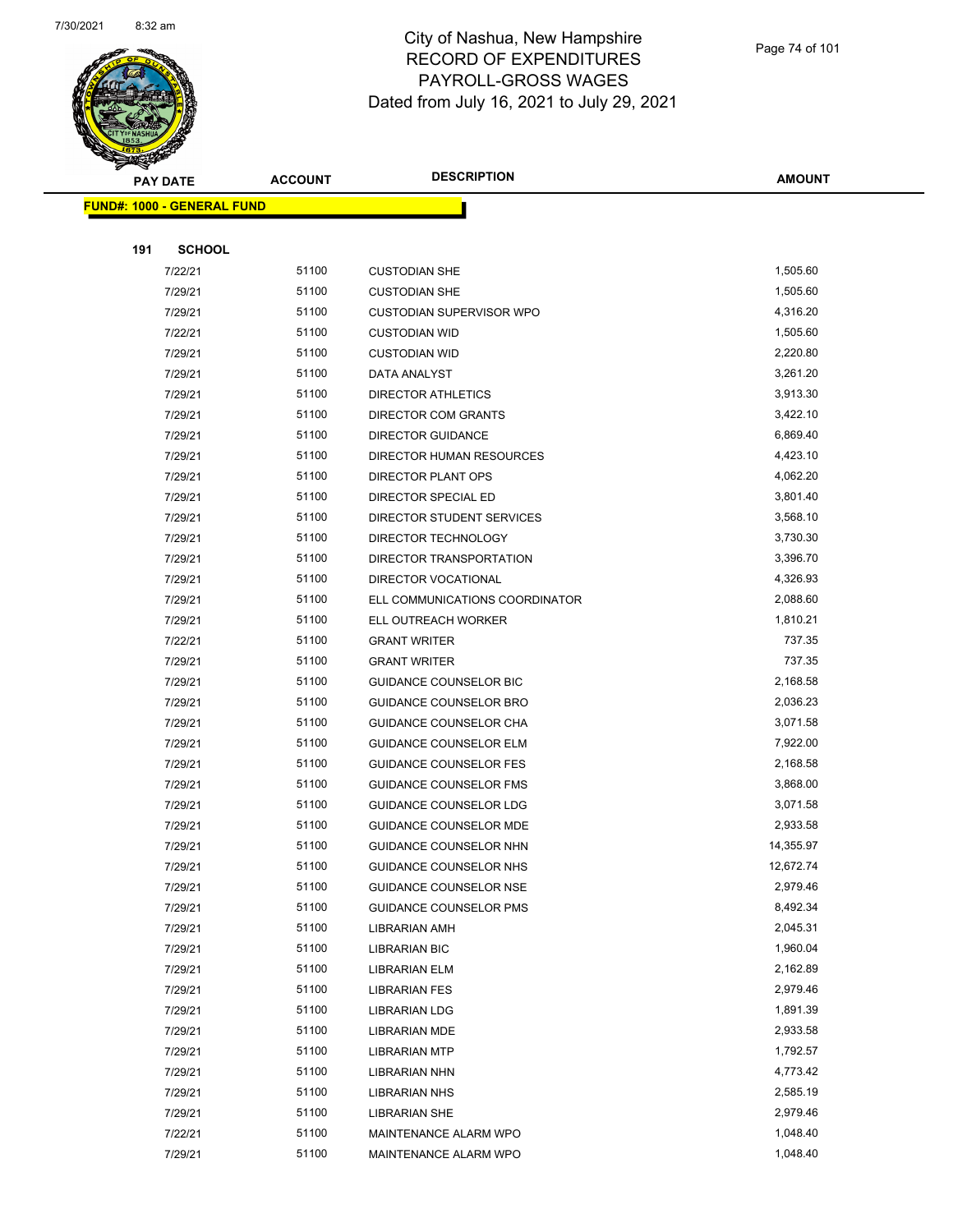

| <b>Anthon</b> |                            |                | <b>DESCRIPTION</b>              |               |
|---------------|----------------------------|----------------|---------------------------------|---------------|
|               | <b>PAY DATE</b>            | <b>ACCOUNT</b> |                                 | <b>AMOUNT</b> |
|               | FUND#: 1000 - GENERAL FUND |                |                                 |               |
|               |                            |                |                                 |               |
| 191           | <b>SCHOOL</b>              |                |                                 |               |
|               | 7/22/21                    | 51100          | <b>CUSTODIAN SHE</b>            | 1,505.60      |
|               | 7/29/21                    | 51100          | <b>CUSTODIAN SHE</b>            | 1,505.60      |
|               | 7/29/21                    | 51100          | <b>CUSTODIAN SUPERVISOR WPO</b> | 4,316.20      |
|               | 7/22/21                    | 51100          | <b>CUSTODIAN WID</b>            | 1,505.60      |
|               | 7/29/21                    | 51100          | <b>CUSTODIAN WID</b>            | 2,220.80      |
|               | 7/29/21                    | 51100          | DATA ANALYST                    | 3,261.20      |
|               | 7/29/21                    | 51100          | DIRECTOR ATHLETICS              | 3,913.30      |
|               | 7/29/21                    | 51100          | DIRECTOR COM GRANTS             | 3,422.10      |
|               | 7/29/21                    | 51100          | <b>DIRECTOR GUIDANCE</b>        | 6,869.40      |
|               | 7/29/21                    | 51100          | DIRECTOR HUMAN RESOURCES        | 4,423.10      |
|               | 7/29/21                    | 51100          | DIRECTOR PLANT OPS              | 4,062.20      |
|               | 7/29/21                    | 51100          | <b>DIRECTOR SPECIAL ED</b>      | 3,801.40      |
|               | 7/29/21                    | 51100          | DIRECTOR STUDENT SERVICES       | 3,568.10      |
|               | 7/29/21                    | 51100          | DIRECTOR TECHNOLOGY             | 3,730.30      |
|               | 7/29/21                    | 51100          | DIRECTOR TRANSPORTATION         | 3,396.70      |
|               | 7/29/21                    | 51100          | DIRECTOR VOCATIONAL             | 4,326.93      |
|               | 7/29/21                    | 51100          | ELL COMMUNICATIONS COORDINATOR  | 2,088.60      |
|               | 7/29/21                    | 51100          | ELL OUTREACH WORKER             | 1,810.21      |
|               | 7/22/21                    | 51100          | <b>GRANT WRITER</b>             | 737.35        |
|               | 7/29/21                    | 51100          | <b>GRANT WRITER</b>             | 737.35        |
|               | 7/29/21                    | 51100          | <b>GUIDANCE COUNSELOR BIC</b>   | 2,168.58      |
|               | 7/29/21                    | 51100          | GUIDANCE COUNSELOR BRO          | 2,036.23      |
|               | 7/29/21                    | 51100          | GUIDANCE COUNSELOR CHA          | 3,071.58      |
|               | 7/29/21                    | 51100          | GUIDANCE COUNSELOR ELM          | 7,922.00      |
|               | 7/29/21                    | 51100          | GUIDANCE COUNSELOR FES          | 2,168.58      |
|               | 7/29/21                    | 51100          | <b>GUIDANCE COUNSELOR FMS</b>   | 3,868.00      |
|               | 7/29/21                    | 51100          | <b>GUIDANCE COUNSELOR LDG</b>   | 3,071.58      |
|               | 7/29/21                    | 51100          | <b>GUIDANCE COUNSELOR MDE</b>   | 2,933.58      |
|               | 7/29/21                    | 51100          | GUIDANCE COUNSELOR NHN          | 14,355.97     |
|               | 7/29/21                    | 51100          | GUIDANCE COUNSELOR NHS          | 12,672.74     |
|               | 7/29/21                    | 51100          | <b>GUIDANCE COUNSELOR NSE</b>   | 2,979.46      |
|               | 7/29/21                    | 51100          | <b>GUIDANCE COUNSELOR PMS</b>   | 8,492.34      |
|               | 7/29/21                    | 51100          | <b>LIBRARIAN AMH</b>            | 2,045.31      |
|               | 7/29/21                    | 51100          | <b>LIBRARIAN BIC</b>            | 1,960.04      |
|               | 7/29/21                    | 51100          | LIBRARIAN ELM                   | 2,162.89      |
|               | 7/29/21                    | 51100          | <b>LIBRARIAN FES</b>            | 2,979.46      |
|               | 7/29/21                    | 51100          | <b>LIBRARIAN LDG</b>            | 1,891.39      |
|               | 7/29/21                    | 51100          | <b>LIBRARIAN MDE</b>            | 2,933.58      |
|               | 7/29/21                    | 51100          | <b>LIBRARIAN MTP</b>            | 1,792.57      |
|               | 7/29/21                    | 51100          | <b>LIBRARIAN NHN</b>            | 4,773.42      |
|               | 7/29/21                    | 51100          | <b>LIBRARIAN NHS</b>            | 2,585.19      |
|               | 7/29/21                    | 51100          | <b>LIBRARIAN SHE</b>            | 2,979.46      |
|               | 7/22/21                    | 51100          | MAINTENANCE ALARM WPO           | 1,048.40      |
|               | 7/29/21                    | 51100          | MAINTENANCE ALARM WPO           | 1,048.40      |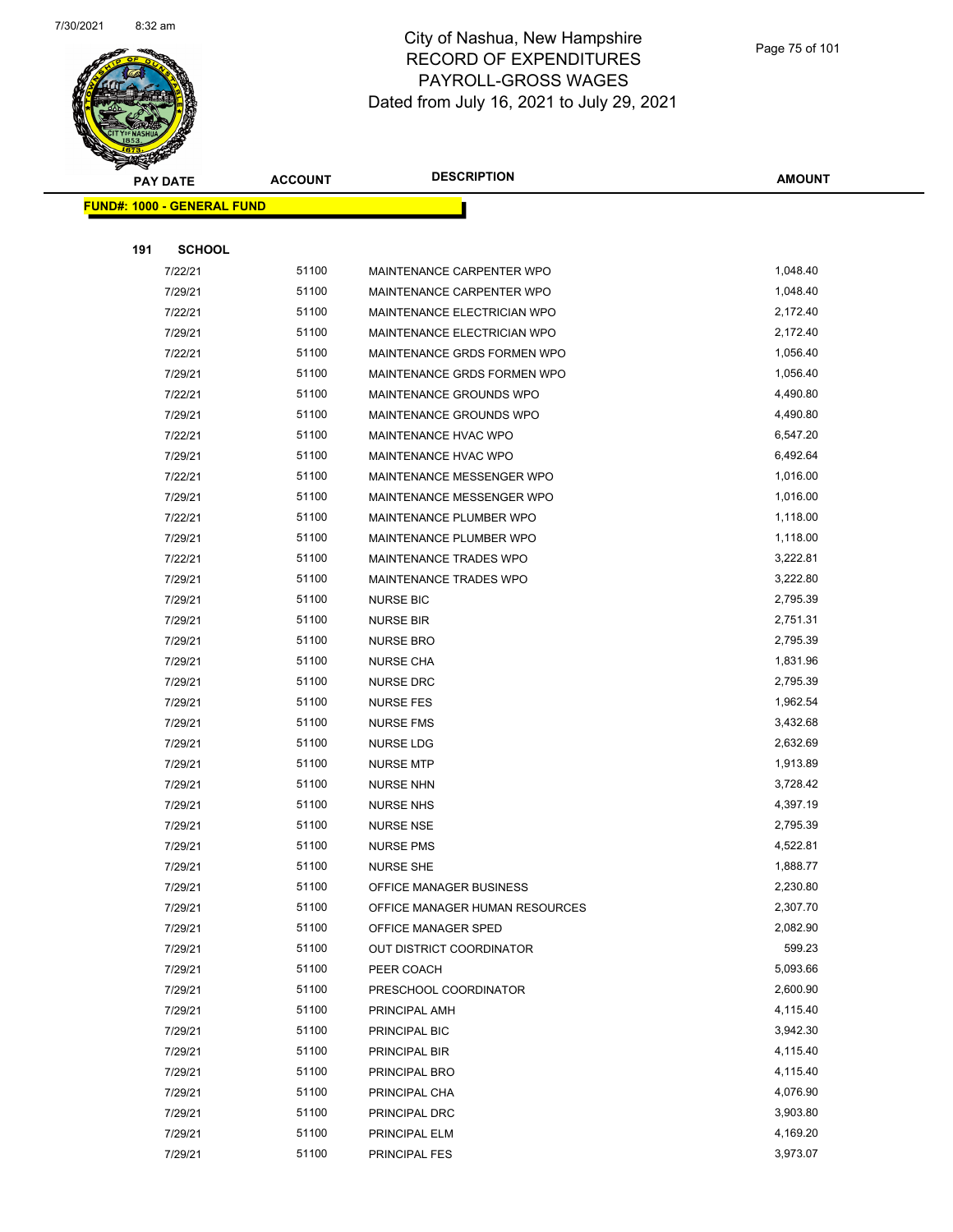

|     | <b>PAY DATE</b>                    | <b>ACCOUNT</b> | <b>DESCRIPTION</b>             | <b>AMOUNT</b> |
|-----|------------------------------------|----------------|--------------------------------|---------------|
|     | <u> FUND#: 1000 - GENERAL FUND</u> |                |                                |               |
|     |                                    |                |                                |               |
| 191 | <b>SCHOOL</b>                      |                |                                |               |
|     | 7/22/21                            | 51100          | MAINTENANCE CARPENTER WPO      | 1,048.40      |
|     | 7/29/21                            | 51100          | MAINTENANCE CARPENTER WPO      | 1,048.40      |
|     | 7/22/21                            | 51100          | MAINTENANCE ELECTRICIAN WPO    | 2,172.40      |
|     | 7/29/21                            | 51100          | MAINTENANCE ELECTRICIAN WPO    | 2,172.40      |
|     | 7/22/21                            | 51100          | MAINTENANCE GRDS FORMEN WPO    | 1,056.40      |
|     | 7/29/21                            | 51100          | MAINTENANCE GRDS FORMEN WPO    | 1,056.40      |
|     | 7/22/21                            | 51100          | MAINTENANCE GROUNDS WPO        | 4,490.80      |
|     | 7/29/21                            | 51100          | MAINTENANCE GROUNDS WPO        | 4,490.80      |
|     | 7/22/21                            | 51100          | MAINTENANCE HVAC WPO           | 6,547.20      |
|     | 7/29/21                            | 51100          | MAINTENANCE HVAC WPO           | 6,492.64      |
|     | 7/22/21                            | 51100          | MAINTENANCE MESSENGER WPO      | 1,016.00      |
|     | 7/29/21                            | 51100          | MAINTENANCE MESSENGER WPO      | 1,016.00      |
|     | 7/22/21                            | 51100          | MAINTENANCE PLUMBER WPO        | 1,118.00      |
|     | 7/29/21                            | 51100          | MAINTENANCE PLUMBER WPO        | 1,118.00      |
|     | 7/22/21                            | 51100          | MAINTENANCE TRADES WPO         | 3,222.81      |
|     | 7/29/21                            | 51100          | MAINTENANCE TRADES WPO         | 3,222.80      |
|     | 7/29/21                            | 51100          | <b>NURSE BIC</b>               | 2,795.39      |
|     | 7/29/21                            | 51100          | <b>NURSE BIR</b>               | 2,751.31      |
|     | 7/29/21                            | 51100          | <b>NURSE BRO</b>               | 2,795.39      |
|     | 7/29/21                            | 51100          | <b>NURSE CHA</b>               | 1,831.96      |
|     | 7/29/21                            | 51100          | <b>NURSE DRC</b>               | 2,795.39      |
|     | 7/29/21                            | 51100          | <b>NURSE FES</b>               | 1,962.54      |
|     | 7/29/21                            | 51100          | <b>NURSE FMS</b>               | 3,432.68      |
|     | 7/29/21                            | 51100          | NURSE LDG                      | 2,632.69      |
|     | 7/29/21                            | 51100          | <b>NURSE MTP</b>               | 1,913.89      |
|     | 7/29/21                            | 51100          | <b>NURSE NHN</b>               | 3,728.42      |
|     | 7/29/21                            | 51100          | <b>NURSE NHS</b>               | 4,397.19      |
|     | 7/29/21                            | 51100          | <b>NURSE NSE</b>               | 2,795.39      |
|     | 7/29/21                            | 51100          | <b>NURSE PMS</b>               | 4,522.81      |
|     | 7/29/21                            | 51100          | <b>NURSE SHE</b>               | 1,888.77      |
|     | 7/29/21                            | 51100          | OFFICE MANAGER BUSINESS        | 2,230.80      |
|     | 7/29/21                            | 51100          | OFFICE MANAGER HUMAN RESOURCES | 2,307.70      |
|     | 7/29/21                            | 51100          | OFFICE MANAGER SPED            | 2,082.90      |
|     | 7/29/21                            | 51100          | OUT DISTRICT COORDINATOR       | 599.23        |
|     | 7/29/21                            | 51100          | PEER COACH                     | 5,093.66      |
|     | 7/29/21                            | 51100          | PRESCHOOL COORDINATOR          | 2,600.90      |
|     | 7/29/21                            | 51100          | PRINCIPAL AMH                  | 4,115.40      |
|     | 7/29/21                            | 51100          | PRINCIPAL BIC                  | 3,942.30      |
|     | 7/29/21                            | 51100          | PRINCIPAL BIR                  | 4,115.40      |
|     | 7/29/21                            | 51100          | PRINCIPAL BRO                  | 4,115.40      |
|     | 7/29/21                            | 51100          | PRINCIPAL CHA                  | 4,076.90      |
|     | 7/29/21                            | 51100          | PRINCIPAL DRC                  | 3,903.80      |
|     | 7/29/21                            | 51100          | PRINCIPAL ELM                  | 4,169.20      |
|     | 7/29/21                            | 51100          | PRINCIPAL FES                  | 3,973.07      |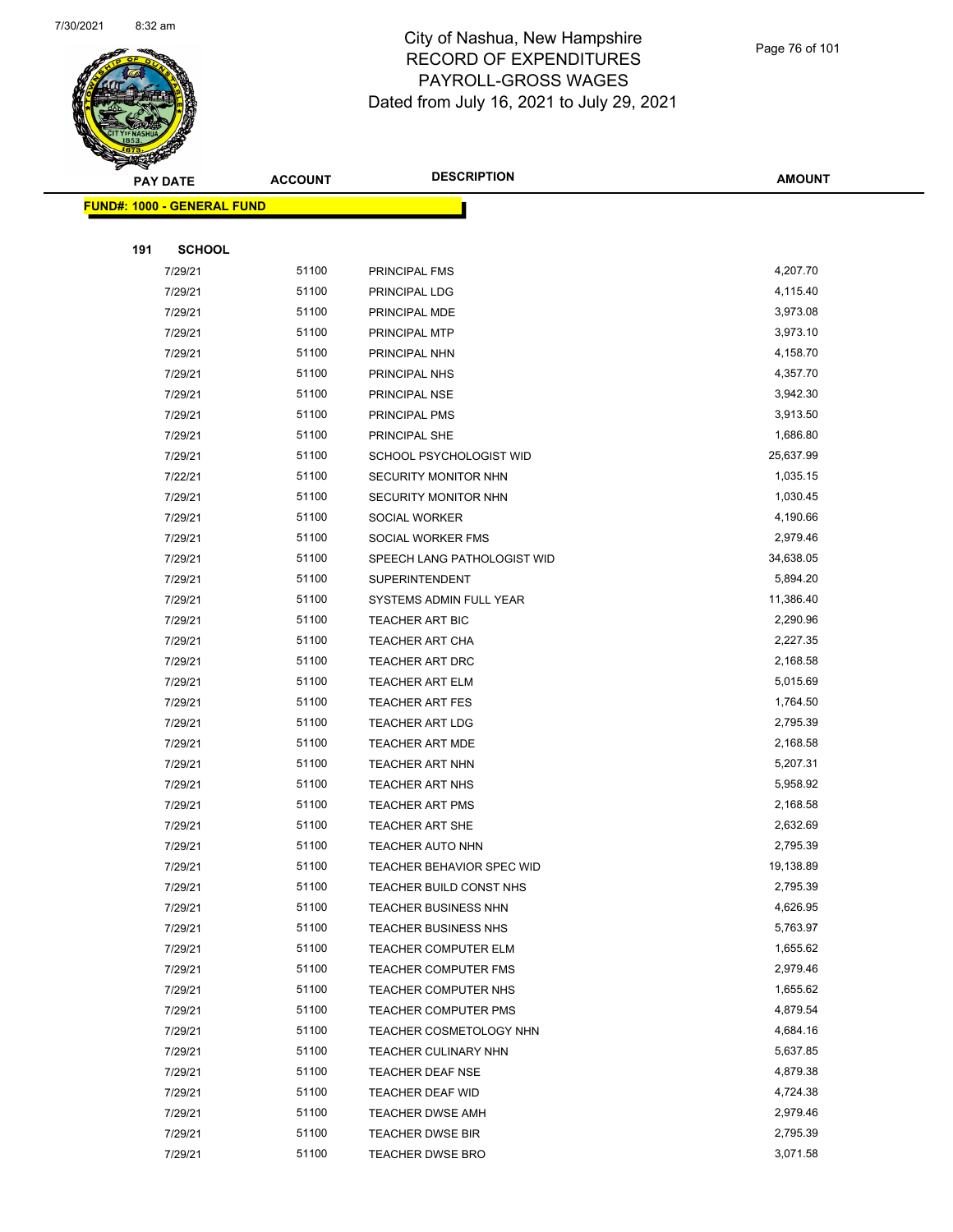

Page 76 of 101

|     | <b>PAY DATE</b>                   | <b>ACCOUNT</b> | <b>DESCRIPTION</b>          | <b>AMOUNT</b> |
|-----|-----------------------------------|----------------|-----------------------------|---------------|
|     | <b>FUND#: 1000 - GENERAL FUND</b> |                |                             |               |
|     |                                   |                |                             |               |
| 191 | <b>SCHOOL</b>                     |                |                             |               |
|     | 7/29/21                           | 51100          | PRINCIPAL FMS               | 4,207.70      |
|     | 7/29/21                           | 51100          | PRINCIPAL LDG               | 4,115.40      |
|     | 7/29/21                           | 51100          | PRINCIPAL MDE               | 3,973.08      |
|     | 7/29/21                           | 51100          | PRINCIPAL MTP               | 3,973.10      |
|     | 7/29/21                           | 51100          | PRINCIPAL NHN               | 4,158.70      |
|     | 7/29/21                           | 51100          | PRINCIPAL NHS               | 4,357.70      |
|     | 7/29/21                           | 51100          | PRINCIPAL NSE               | 3,942.30      |
|     | 7/29/21                           | 51100          | PRINCIPAL PMS               | 3,913.50      |
|     | 7/29/21                           | 51100          | PRINCIPAL SHE               | 1,686.80      |
|     | 7/29/21                           | 51100          | SCHOOL PSYCHOLOGIST WID     | 25,637.99     |
|     | 7/22/21                           | 51100          | SECURITY MONITOR NHN        | 1,035.15      |
|     | 7/29/21                           | 51100          | SECURITY MONITOR NHN        | 1,030.45      |
|     | 7/29/21                           | 51100          | SOCIAL WORKER               | 4,190.66      |
|     | 7/29/21                           | 51100          | SOCIAL WORKER FMS           | 2,979.46      |
|     | 7/29/21                           | 51100          | SPEECH LANG PATHOLOGIST WID | 34,638.05     |
|     | 7/29/21                           | 51100          | <b>SUPERINTENDENT</b>       | 5,894.20      |
|     | 7/29/21                           | 51100          | SYSTEMS ADMIN FULL YEAR     | 11,386.40     |
|     | 7/29/21                           | 51100          | <b>TEACHER ART BIC</b>      | 2,290.96      |
|     | 7/29/21                           | 51100          | <b>TEACHER ART CHA</b>      | 2,227.35      |
|     | 7/29/21                           | 51100          | TEACHER ART DRC             | 2,168.58      |
|     | 7/29/21                           | 51100          | <b>TEACHER ART ELM</b>      | 5,015.69      |
|     | 7/29/21                           | 51100          | <b>TEACHER ART FES</b>      | 1,764.50      |
|     | 7/29/21                           | 51100          | <b>TEACHER ART LDG</b>      | 2,795.39      |
|     | 7/29/21                           | 51100          | <b>TEACHER ART MDE</b>      | 2,168.58      |
|     | 7/29/21                           | 51100          | <b>TEACHER ART NHN</b>      | 5,207.31      |
|     | 7/29/21                           | 51100          | <b>TEACHER ART NHS</b>      | 5,958.92      |
|     | 7/29/21                           | 51100          | <b>TEACHER ART PMS</b>      | 2,168.58      |
|     | 7/29/21                           | 51100          | <b>TEACHER ART SHE</b>      | 2,632.69      |
|     | 7/29/21                           | 51100          | <b>TEACHER AUTO NHN</b>     | 2,795.39      |
|     | 7/29/21                           | 51100          | TEACHER BEHAVIOR SPEC WID   | 19,138.89     |
|     | 7/29/21                           | 51100          | TEACHER BUILD CONST NHS     | 2,795.39      |
|     | 7/29/21                           | 51100          | TEACHER BUSINESS NHN        | 4,626.95      |
|     | 7/29/21                           | 51100          | <b>TEACHER BUSINESS NHS</b> | 5,763.97      |
|     | 7/29/21                           | 51100          | <b>TEACHER COMPUTER ELM</b> | 1,655.62      |
|     | 7/29/21                           | 51100          | <b>TEACHER COMPUTER FMS</b> | 2,979.46      |
|     | 7/29/21                           | 51100          | TEACHER COMPUTER NHS        | 1,655.62      |
|     | 7/29/21                           | 51100          | <b>TEACHER COMPUTER PMS</b> | 4,879.54      |
|     | 7/29/21                           | 51100          | TEACHER COSMETOLOGY NHN     | 4,684.16      |
|     | 7/29/21                           | 51100          | TEACHER CULINARY NHN        | 5,637.85      |
|     | 7/29/21                           | 51100          | <b>TEACHER DEAF NSE</b>     | 4,879.38      |
|     | 7/29/21                           | 51100          | TEACHER DEAF WID            | 4,724.38      |
|     | 7/29/21                           | 51100          | <b>TEACHER DWSE AMH</b>     | 2,979.46      |
|     | 7/29/21                           | 51100          | <b>TEACHER DWSE BIR</b>     | 2,795.39      |
|     | 7/29/21                           | 51100          | <b>TEACHER DWSE BRO</b>     | 3,071.58      |
|     |                                   |                |                             |               |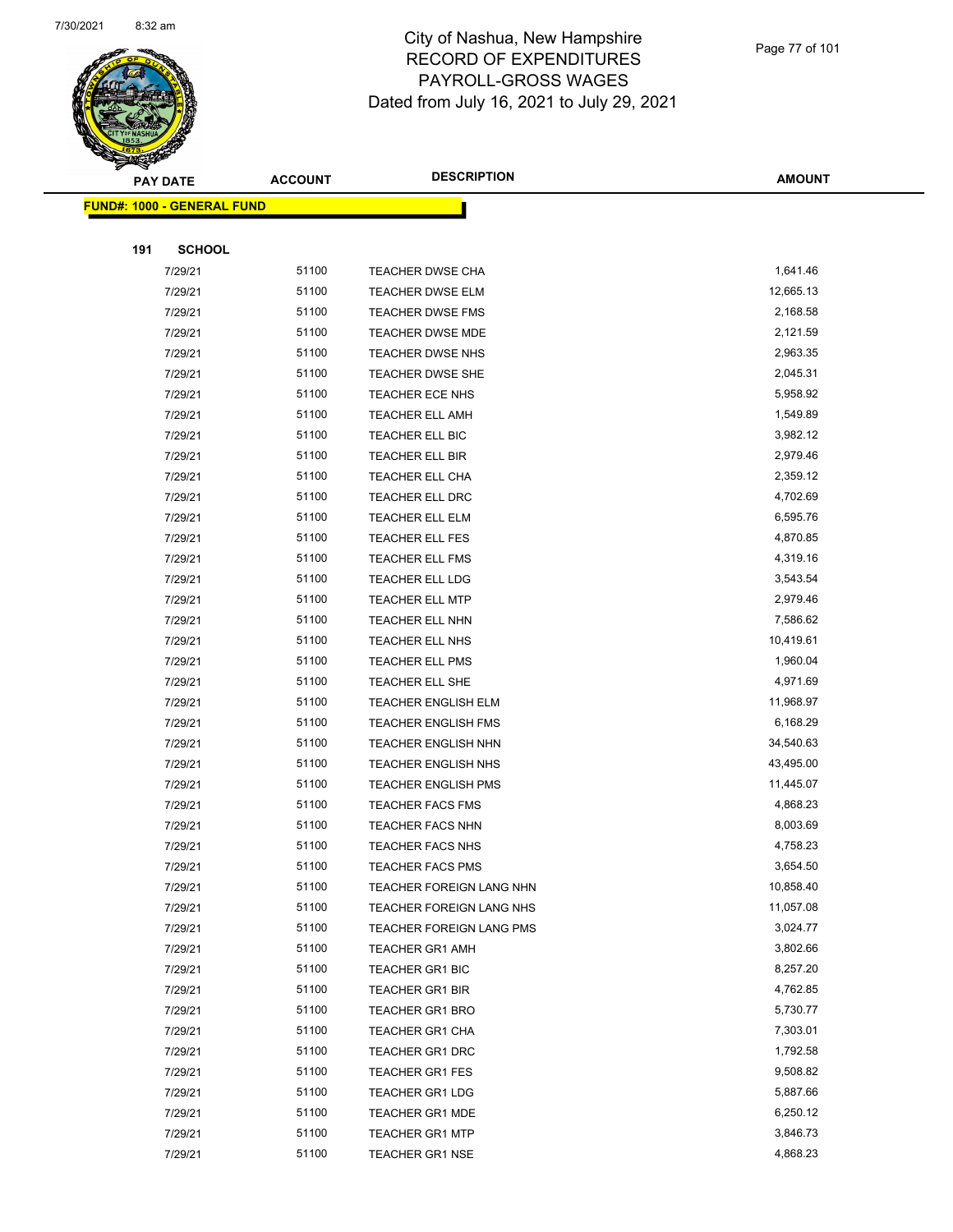

|     | <b>PAY DATE</b>                    | <b>ACCOUNT</b> | <b>DESCRIPTION</b>         | <b>AMOUNT</b> |
|-----|------------------------------------|----------------|----------------------------|---------------|
|     | <u> FUND#: 1000 - GENERAL FUND</u> |                |                            |               |
|     |                                    |                |                            |               |
| 191 | <b>SCHOOL</b>                      |                |                            |               |
|     | 7/29/21                            | 51100          | TEACHER DWSE CHA           | 1,641.46      |
|     | 7/29/21                            | 51100          | <b>TEACHER DWSE ELM</b>    | 12,665.13     |
|     | 7/29/21                            | 51100          | <b>TEACHER DWSE FMS</b>    | 2,168.58      |
|     | 7/29/21                            | 51100          | <b>TEACHER DWSE MDE</b>    | 2,121.59      |
|     | 7/29/21                            | 51100          | <b>TEACHER DWSE NHS</b>    | 2,963.35      |
|     | 7/29/21                            | 51100          | <b>TEACHER DWSE SHE</b>    | 2,045.31      |
|     | 7/29/21                            | 51100          | TEACHER ECE NHS            | 5,958.92      |
|     | 7/29/21                            | 51100          | <b>TEACHER ELL AMH</b>     | 1,549.89      |
|     | 7/29/21                            | 51100          | TEACHER ELL BIC            | 3,982.12      |
|     | 7/29/21                            | 51100          | TEACHER ELL BIR            | 2,979.46      |
|     | 7/29/21                            | 51100          | TEACHER ELL CHA            | 2,359.12      |
|     | 7/29/21                            | 51100          | TEACHER ELL DRC            | 4,702.69      |
|     | 7/29/21                            | 51100          | TEACHER ELL ELM            | 6,595.76      |
|     | 7/29/21                            | 51100          | TEACHER ELL FES            | 4,870.85      |
|     | 7/29/21                            | 51100          | <b>TEACHER ELL FMS</b>     | 4,319.16      |
|     | 7/29/21                            | 51100          | TEACHER ELL LDG            | 3,543.54      |
|     | 7/29/21                            | 51100          | TEACHER ELL MTP            | 2,979.46      |
|     | 7/29/21                            | 51100          | TEACHER ELL NHN            | 7,586.62      |
|     | 7/29/21                            | 51100          | TEACHER ELL NHS            | 10,419.61     |
|     | 7/29/21                            | 51100          | TEACHER ELL PMS            | 1,960.04      |
|     | 7/29/21                            | 51100          | TEACHER ELL SHE            | 4,971.69      |
|     | 7/29/21                            | 51100          | <b>TEACHER ENGLISH ELM</b> | 11,968.97     |
|     | 7/29/21                            | 51100          | <b>TEACHER ENGLISH FMS</b> | 6,168.29      |
|     | 7/29/21                            | 51100          | <b>TEACHER ENGLISH NHN</b> | 34,540.63     |
|     | 7/29/21                            | 51100          | <b>TEACHER ENGLISH NHS</b> | 43,495.00     |
|     | 7/29/21                            | 51100          | <b>TEACHER ENGLISH PMS</b> | 11,445.07     |
|     | 7/29/21                            | 51100          | <b>TEACHER FACS FMS</b>    | 4,868.23      |
|     | 7/29/21                            | 51100          | <b>TEACHER FACS NHN</b>    | 8,003.69      |
|     | 7/29/21                            | 51100          | TEACHER FACS NHS           | 4,758.23      |
|     | 7/29/21                            | 51100          | <b>TEACHER FACS PMS</b>    | 3,654.50      |
|     | 7/29/21                            | 51100          | TEACHER FOREIGN LANG NHN   | 10,858.40     |
|     | 7/29/21                            | 51100          | TEACHER FOREIGN LANG NHS   | 11,057.08     |
|     | 7/29/21                            | 51100          | TEACHER FOREIGN LANG PMS   | 3,024.77      |
|     | 7/29/21                            | 51100          | <b>TEACHER GR1 AMH</b>     | 3,802.66      |
|     | 7/29/21                            | 51100          | <b>TEACHER GR1 BIC</b>     | 8,257.20      |
|     | 7/29/21                            | 51100          | <b>TEACHER GR1 BIR</b>     | 4,762.85      |
|     | 7/29/21                            | 51100          | <b>TEACHER GR1 BRO</b>     | 5,730.77      |
|     | 7/29/21                            | 51100          | <b>TEACHER GR1 CHA</b>     | 7,303.01      |
|     | 7/29/21                            | 51100          | <b>TEACHER GR1 DRC</b>     | 1,792.58      |
|     | 7/29/21                            | 51100          | <b>TEACHER GR1 FES</b>     | 9,508.82      |
|     | 7/29/21                            | 51100          | <b>TEACHER GR1 LDG</b>     | 5,887.66      |
|     | 7/29/21                            | 51100          | <b>TEACHER GR1 MDE</b>     | 6,250.12      |
|     | 7/29/21                            | 51100          | <b>TEACHER GR1 MTP</b>     | 3,846.73      |
|     | 7/29/21                            | 51100          | <b>TEACHER GR1 NSE</b>     | 4,868.23      |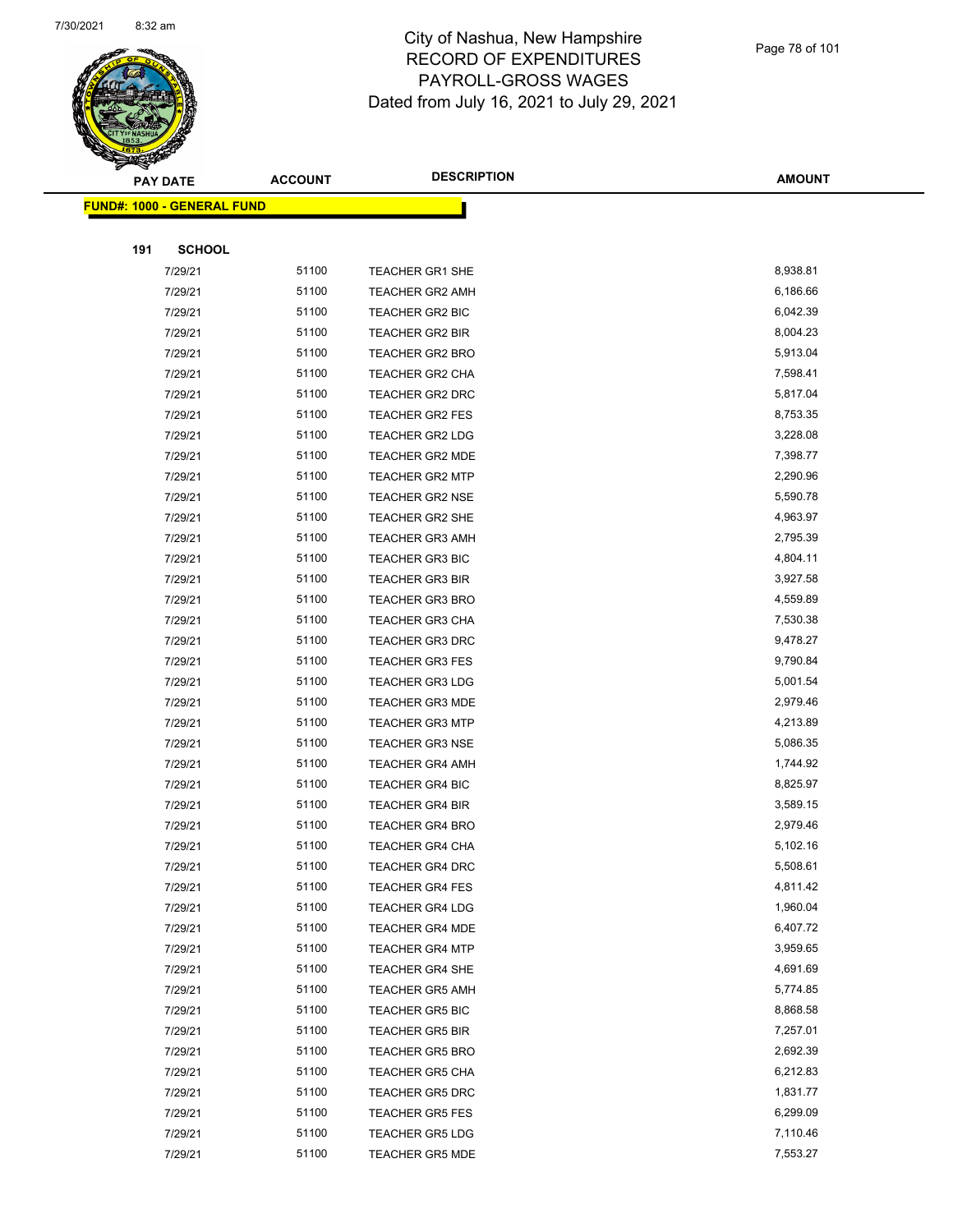

|     | <b>PAY DATE</b>                    | <b>ACCOUNT</b> | <b>DESCRIPTION</b>     | <b>AMOUNT</b> |
|-----|------------------------------------|----------------|------------------------|---------------|
|     | <u> FUND#: 1000 - GENERAL FUND</u> |                |                        |               |
|     |                                    |                |                        |               |
| 191 | <b>SCHOOL</b>                      |                |                        |               |
|     | 7/29/21                            | 51100          | <b>TEACHER GR1 SHE</b> | 8,938.81      |
|     | 7/29/21                            | 51100          | TEACHER GR2 AMH        | 6,186.66      |
|     | 7/29/21                            | 51100          | <b>TEACHER GR2 BIC</b> | 6,042.39      |
|     | 7/29/21                            | 51100          | <b>TEACHER GR2 BIR</b> | 8,004.23      |
|     | 7/29/21                            | 51100          | <b>TEACHER GR2 BRO</b> | 5,913.04      |
|     | 7/29/21                            | 51100          | TEACHER GR2 CHA        | 7,598.41      |
|     | 7/29/21                            | 51100          | <b>TEACHER GR2 DRC</b> | 5,817.04      |
|     | 7/29/21                            | 51100          | <b>TEACHER GR2 FES</b> | 8,753.35      |
|     | 7/29/21                            | 51100          | <b>TEACHER GR2 LDG</b> | 3,228.08      |
|     | 7/29/21                            | 51100          | <b>TEACHER GR2 MDE</b> | 7,398.77      |
|     | 7/29/21                            | 51100          | <b>TEACHER GR2 MTP</b> | 2,290.96      |
|     | 7/29/21                            | 51100          | <b>TEACHER GR2 NSE</b> | 5,590.78      |
|     | 7/29/21                            | 51100          | <b>TEACHER GR2 SHE</b> | 4,963.97      |
|     | 7/29/21                            | 51100          | <b>TEACHER GR3 AMH</b> | 2,795.39      |
|     | 7/29/21                            | 51100          | <b>TEACHER GR3 BIC</b> | 4,804.11      |
|     | 7/29/21                            | 51100          | <b>TEACHER GR3 BIR</b> | 3,927.58      |
|     | 7/29/21                            | 51100          | <b>TEACHER GR3 BRO</b> | 4,559.89      |
|     | 7/29/21                            | 51100          | <b>TEACHER GR3 CHA</b> | 7,530.38      |
|     | 7/29/21                            | 51100          | <b>TEACHER GR3 DRC</b> | 9,478.27      |
|     | 7/29/21                            | 51100          | <b>TEACHER GR3 FES</b> | 9,790.84      |
|     | 7/29/21                            | 51100          | <b>TEACHER GR3 LDG</b> | 5,001.54      |
|     | 7/29/21                            | 51100          | <b>TEACHER GR3 MDE</b> | 2,979.46      |
|     | 7/29/21                            | 51100          | <b>TEACHER GR3 MTP</b> | 4,213.89      |
|     | 7/29/21                            | 51100          | <b>TEACHER GR3 NSE</b> | 5,086.35      |
|     | 7/29/21                            | 51100          | <b>TEACHER GR4 AMH</b> | 1,744.92      |
|     | 7/29/21                            | 51100          | <b>TEACHER GR4 BIC</b> | 8,825.97      |
|     | 7/29/21                            | 51100          | <b>TEACHER GR4 BIR</b> | 3,589.15      |
|     | 7/29/21                            | 51100          | <b>TEACHER GR4 BRO</b> | 2,979.46      |
|     | 7/29/21                            | 51100          | <b>TEACHER GR4 CHA</b> | 5,102.16      |
|     | 7/29/21                            | 51100          | <b>TEACHER GR4 DRC</b> | 5,508.61      |
|     | 7/29/21                            | 51100          | <b>TEACHER GR4 FES</b> | 4,811.42      |
|     | 7/29/21                            | 51100          | TEACHER GR4 LDG        | 1,960.04      |
|     | 7/29/21                            | 51100          | <b>TEACHER GR4 MDE</b> | 6,407.72      |
|     | 7/29/21                            | 51100          | TEACHER GR4 MTP        | 3,959.65      |
|     | 7/29/21                            | 51100          | <b>TEACHER GR4 SHE</b> | 4,691.69      |
|     | 7/29/21                            | 51100          | <b>TEACHER GR5 AMH</b> | 5,774.85      |
|     | 7/29/21                            | 51100          | TEACHER GR5 BIC        | 8,868.58      |
|     | 7/29/21                            | 51100          | <b>TEACHER GR5 BIR</b> | 7,257.01      |
|     | 7/29/21                            | 51100          | TEACHER GR5 BRO        | 2,692.39      |
|     | 7/29/21                            | 51100          | <b>TEACHER GR5 CHA</b> | 6,212.83      |
|     | 7/29/21                            | 51100          | <b>TEACHER GR5 DRC</b> | 1,831.77      |
|     | 7/29/21                            | 51100          | <b>TEACHER GR5 FES</b> | 6,299.09      |
|     | 7/29/21                            | 51100          | <b>TEACHER GR5 LDG</b> | 7,110.46      |
|     | 7/29/21                            | 51100          | <b>TEACHER GR5 MDE</b> | 7,553.27      |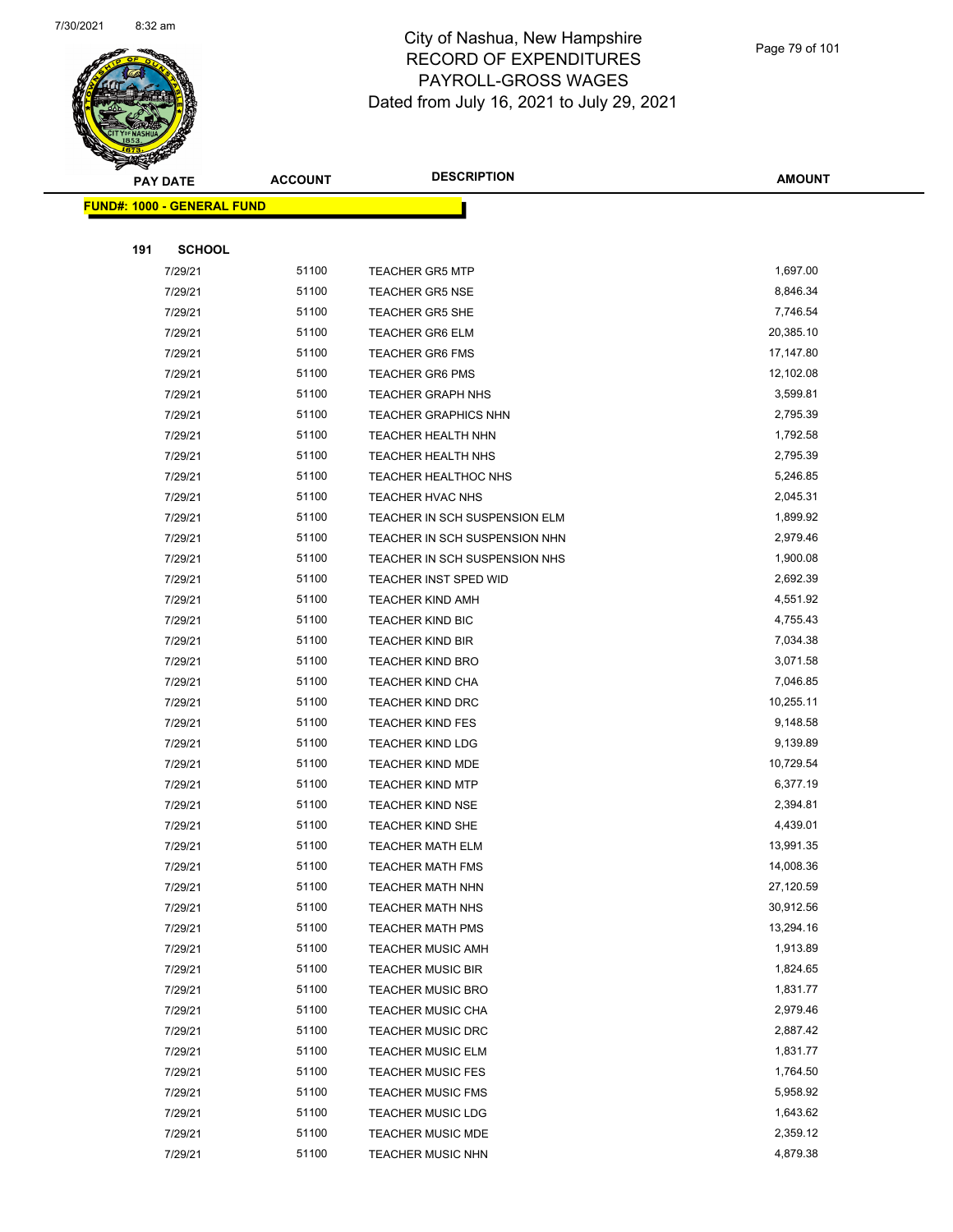

|     | <b>PAY DATE</b>                    | <b>ACCOUNT</b> | <b>DESCRIPTION</b>            | <b>AMOUNT</b>        |
|-----|------------------------------------|----------------|-------------------------------|----------------------|
|     | <u> FUND#: 1000 - GENERAL FUND</u> |                |                               |                      |
|     |                                    |                |                               |                      |
| 191 | <b>SCHOOL</b>                      |                |                               |                      |
|     | 7/29/21                            | 51100          | <b>TEACHER GR5 MTP</b>        | 1,697.00             |
|     | 7/29/21                            | 51100          | <b>TEACHER GR5 NSE</b>        | 8,846.34             |
|     | 7/29/21                            | 51100          | <b>TEACHER GR5 SHE</b>        | 7,746.54             |
|     | 7/29/21                            | 51100          | <b>TEACHER GR6 ELM</b>        | 20,385.10            |
|     | 7/29/21                            | 51100          | <b>TEACHER GR6 FMS</b>        | 17,147.80            |
|     | 7/29/21                            | 51100          | <b>TEACHER GR6 PMS</b>        | 12,102.08            |
|     | 7/29/21                            | 51100          | <b>TEACHER GRAPH NHS</b>      | 3,599.81             |
|     | 7/29/21                            | 51100          | <b>TEACHER GRAPHICS NHN</b>   | 2,795.39             |
|     | 7/29/21                            | 51100          | TEACHER HEALTH NHN            | 1,792.58             |
|     | 7/29/21                            | 51100          | TEACHER HEALTH NHS            | 2,795.39             |
|     | 7/29/21                            | 51100          | <b>TEACHER HEALTHOC NHS</b>   | 5,246.85             |
|     | 7/29/21                            | 51100          | <b>TEACHER HVAC NHS</b>       | 2,045.31             |
|     | 7/29/21                            | 51100          | TEACHER IN SCH SUSPENSION ELM | 1,899.92             |
|     | 7/29/21                            | 51100          | TEACHER IN SCH SUSPENSION NHN | 2,979.46             |
|     | 7/29/21                            | 51100          | TEACHER IN SCH SUSPENSION NHS | 1,900.08             |
|     | 7/29/21                            | 51100          | TEACHER INST SPED WID         | 2,692.39             |
|     | 7/29/21                            | 51100          | <b>TEACHER KIND AMH</b>       | 4,551.92             |
|     | 7/29/21                            | 51100          | <b>TEACHER KIND BIC</b>       | 4,755.43             |
|     | 7/29/21                            | 51100          | <b>TEACHER KIND BIR</b>       | 7,034.38             |
|     | 7/29/21                            | 51100          | <b>TEACHER KIND BRO</b>       | 3,071.58             |
|     | 7/29/21                            | 51100          | <b>TEACHER KIND CHA</b>       | 7,046.85             |
|     | 7/29/21                            | 51100          | <b>TEACHER KIND DRC</b>       | 10,255.11            |
|     | 7/29/21                            | 51100          | <b>TEACHER KIND FES</b>       | 9,148.58             |
|     | 7/29/21                            | 51100          | <b>TEACHER KIND LDG</b>       | 9,139.89             |
|     | 7/29/21                            | 51100          | <b>TEACHER KIND MDE</b>       | 10,729.54            |
|     | 7/29/21                            | 51100          | <b>TEACHER KIND MTP</b>       | 6,377.19             |
|     | 7/29/21                            | 51100          | <b>TEACHER KIND NSE</b>       | 2,394.81             |
|     | 7/29/21                            | 51100          | <b>TEACHER KIND SHE</b>       | 4,439.01             |
|     | 7/29/21                            | 51100          | <b>TEACHER MATH ELM</b>       | 13,991.35            |
|     | 7/29/21                            | 51100          | TEACHER MATH FMS              | 14,008.36            |
|     | 7/29/21                            | 51100          | <b>TEACHER MATH NHN</b>       | 27,120.59            |
|     | 7/29/21                            | 51100          | <b>TEACHER MATH NHS</b>       | 30,912.56            |
|     | 7/29/21                            | 51100          | <b>TEACHER MATH PMS</b>       | 13,294.16            |
|     | 7/29/21                            | 51100          | <b>TEACHER MUSIC AMH</b>      | 1,913.89             |
|     | 7/29/21                            | 51100          | <b>TEACHER MUSIC BIR</b>      | 1,824.65             |
|     | 7/29/21                            | 51100          | <b>TEACHER MUSIC BRO</b>      | 1,831.77             |
|     | 7/29/21                            | 51100          | <b>TEACHER MUSIC CHA</b>      | 2,979.46             |
|     | 7/29/21                            | 51100          | <b>TEACHER MUSIC DRC</b>      | 2,887.42             |
|     | 7/29/21                            | 51100          | TEACHER MUSIC ELM             | 1,831.77             |
|     | 7/29/21                            | 51100          | <b>TEACHER MUSIC FES</b>      | 1,764.50             |
|     | 7/29/21                            | 51100          | <b>TEACHER MUSIC FMS</b>      | 5,958.92             |
|     | 7/29/21                            | 51100          | <b>TEACHER MUSIC LDG</b>      | 1,643.62             |
|     | 7/29/21                            | 51100          | <b>TEACHER MUSIC MDE</b>      | 2,359.12<br>4,879.38 |
|     | 7/29/21                            | 51100          | TEACHER MUSIC NHN             |                      |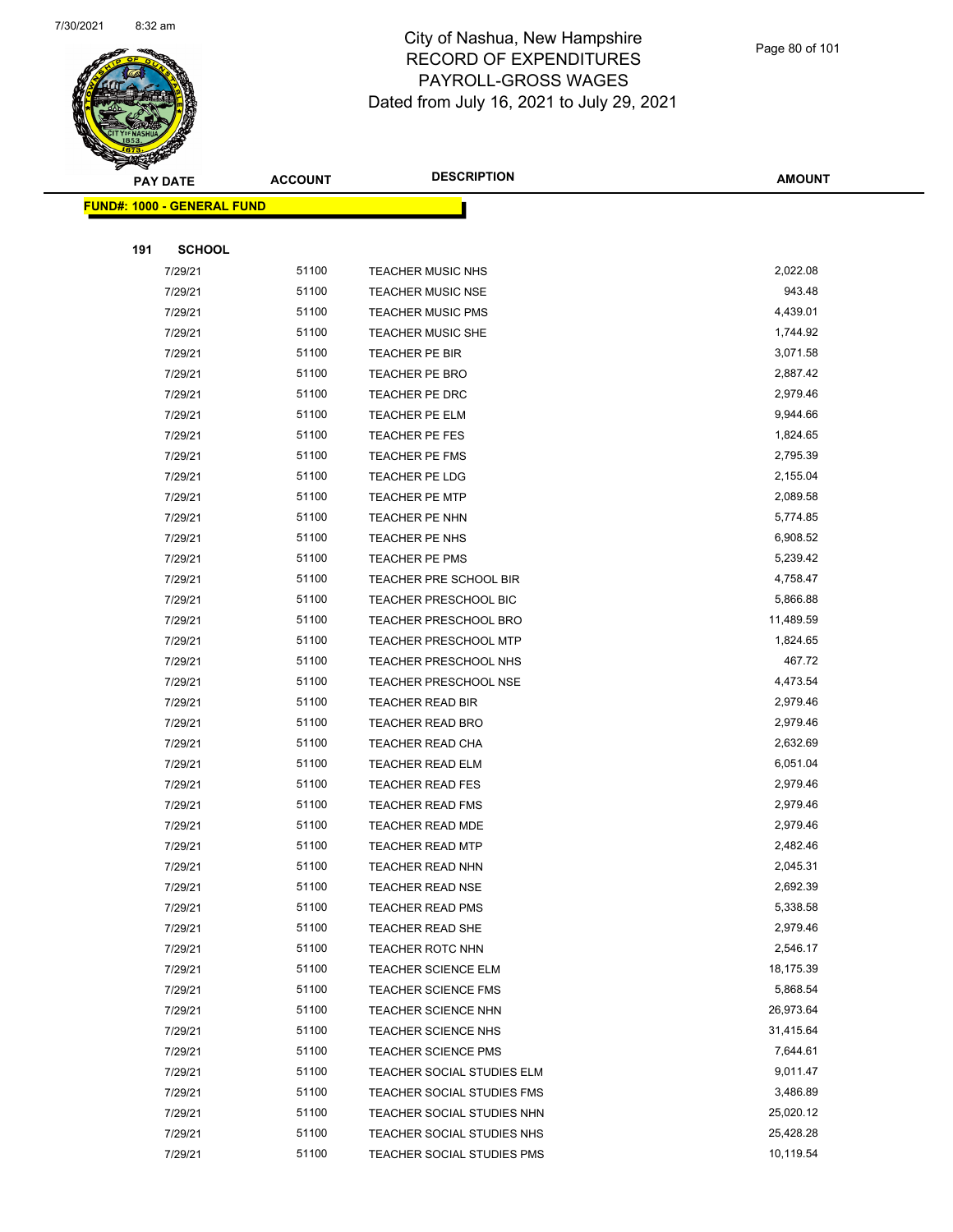

Page 80 of 101

| A.<br><b>PAY DATE</b>             | <b>ACCOUNT</b> | <b>DESCRIPTION</b>                                       | <b>AMOUNT</b>          |
|-----------------------------------|----------------|----------------------------------------------------------|------------------------|
| <b>FUND#: 1000 - GENERAL FUND</b> |                |                                                          |                        |
|                                   |                |                                                          |                        |
| 191<br><b>SCHOOL</b>              |                |                                                          |                        |
| 7/29/21                           | 51100          | <b>TEACHER MUSIC NHS</b>                                 | 2,022.08               |
| 7/29/21                           | 51100          | <b>TEACHER MUSIC NSE</b>                                 | 943.48                 |
| 7/29/21                           | 51100          | <b>TEACHER MUSIC PMS</b>                                 | 4,439.01               |
| 7/29/21                           | 51100          | <b>TEACHER MUSIC SHE</b>                                 | 1,744.92               |
| 7/29/21                           | 51100          | TEACHER PE BIR                                           | 3,071.58               |
| 7/29/21                           | 51100          | TEACHER PE BRO                                           | 2,887.42               |
| 7/29/21                           | 51100          | TEACHER PE DRC                                           | 2,979.46               |
| 7/29/21                           | 51100          | <b>TEACHER PE ELM</b>                                    | 9,944.66               |
| 7/29/21                           | 51100          | TEACHER PE FES                                           | 1,824.65               |
| 7/29/21                           | 51100          | <b>TEACHER PE FMS</b>                                    | 2,795.39               |
| 7/29/21                           | 51100          | TEACHER PE LDG                                           | 2,155.04               |
| 7/29/21                           | 51100          | <b>TEACHER PE MTP</b>                                    | 2,089.58               |
| 7/29/21                           | 51100          | TEACHER PE NHN                                           | 5,774.85               |
| 7/29/21                           | 51100          | TEACHER PE NHS                                           | 6,908.52               |
| 7/29/21                           | 51100          | TEACHER PE PMS                                           | 5,239.42               |
| 7/29/21                           | 51100          | TEACHER PRE SCHOOL BIR                                   | 4,758.47               |
| 7/29/21                           | 51100          | <b>TEACHER PRESCHOOL BIC</b>                             | 5,866.88               |
| 7/29/21                           | 51100          | <b>TEACHER PRESCHOOL BRO</b>                             | 11,489.59              |
| 7/29/21                           | 51100          | <b>TEACHER PRESCHOOL MTP</b>                             | 1,824.65               |
| 7/29/21                           | 51100          | TEACHER PRESCHOOL NHS                                    | 467.72                 |
| 7/29/21                           | 51100          | <b>TEACHER PRESCHOOL NSE</b>                             | 4,473.54               |
| 7/29/21                           | 51100          | TEACHER READ BIR                                         | 2,979.46               |
| 7/29/21                           | 51100          | <b>TEACHER READ BRO</b>                                  | 2,979.46               |
| 7/29/21                           | 51100          | TEACHER READ CHA                                         | 2,632.69               |
| 7/29/21                           | 51100          | <b>TEACHER READ ELM</b>                                  | 6,051.04               |
| 7/29/21                           | 51100          | <b>TEACHER READ FES</b>                                  | 2,979.46               |
| 7/29/21                           | 51100          | <b>TEACHER READ FMS</b>                                  | 2,979.46               |
| 7/29/21                           | 51100          | <b>TEACHER READ MDE</b>                                  | 2,979.46               |
| 7/29/21                           | 51100          | <b>TEACHER READ MTP</b>                                  | 2,482.46               |
| 7/29/21                           | 51100          | TEACHER READ NHN                                         | 2,045.31               |
| 7/29/21                           | 51100          | <b>TEACHER READ NSE</b>                                  | 2,692.39               |
| 7/29/21                           | 51100          | <b>TEACHER READ PMS</b>                                  | 5,338.58               |
| 7/29/21                           | 51100          | <b>TEACHER READ SHE</b>                                  | 2,979.46               |
| 7/29/21                           | 51100          | <b>TEACHER ROTC NHN</b>                                  | 2,546.17               |
| 7/29/21                           | 51100          | TEACHER SCIENCE ELM                                      | 18,175.39              |
| 7/29/21                           | 51100          | TEACHER SCIENCE FMS                                      | 5,868.54               |
| 7/29/21                           | 51100          | <b>TEACHER SCIENCE NHN</b>                               | 26,973.64              |
| 7/29/21                           | 51100          | <b>TEACHER SCIENCE NHS</b>                               | 31,415.64              |
| 7/29/21                           | 51100          | <b>TEACHER SCIENCE PMS</b>                               | 7,644.61               |
| 7/29/21                           | 51100<br>51100 | TEACHER SOCIAL STUDIES ELM                               | 9,011.47               |
| 7/29/21                           | 51100          | TEACHER SOCIAL STUDIES FMS                               | 3,486.89               |
| 7/29/21                           | 51100          | TEACHER SOCIAL STUDIES NHN                               | 25,020.12              |
| 7/29/21<br>7/29/21                | 51100          | TEACHER SOCIAL STUDIES NHS<br>TEACHER SOCIAL STUDIES PMS | 25,428.28<br>10,119.54 |
|                                   |                |                                                          |                        |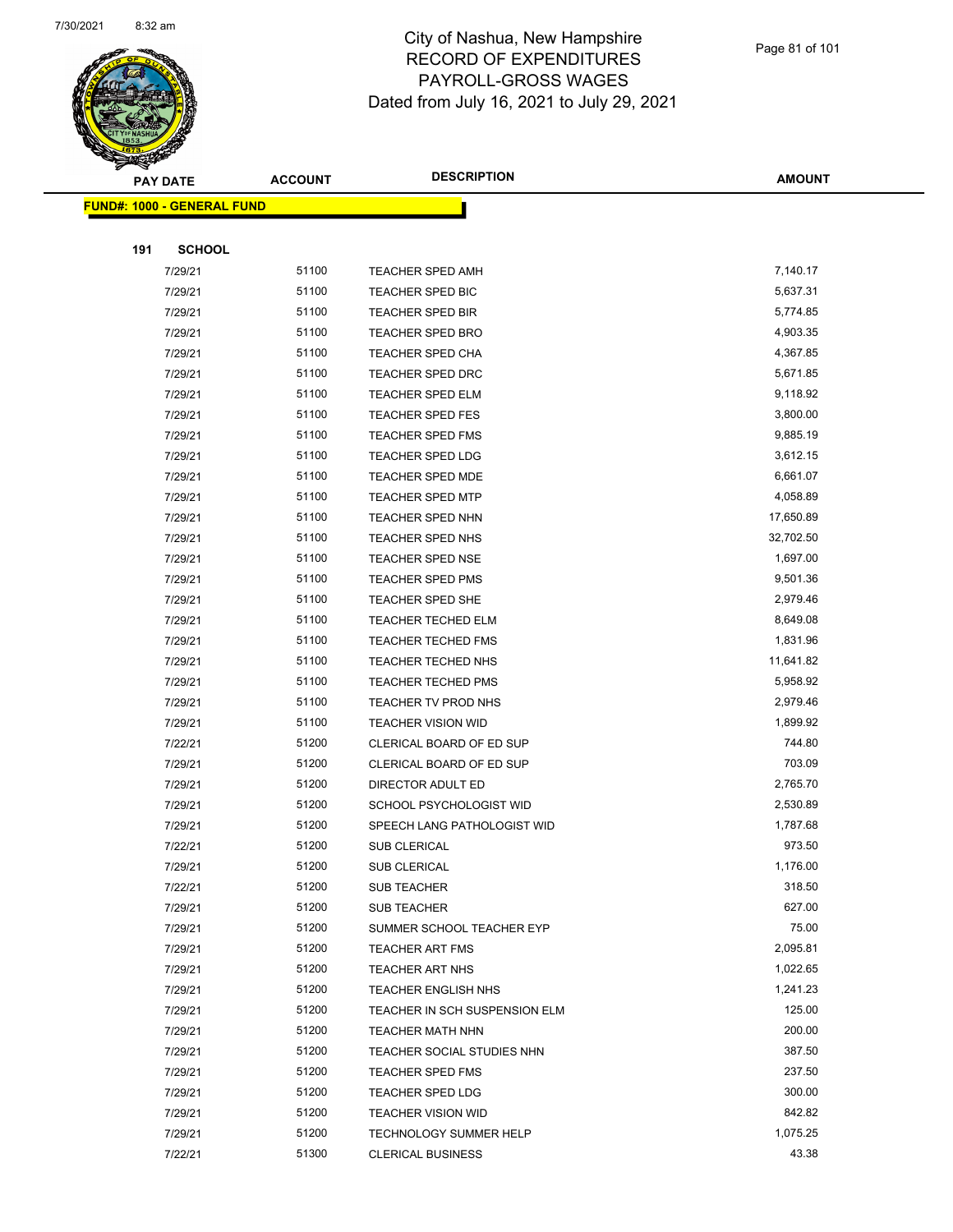

Page 81 of 101

| B.<br><b>PAY DATE</b>             | <b>ACCOUNT</b> | <b>DESCRIPTION</b>                                    | <b>AMOUNT</b>    |
|-----------------------------------|----------------|-------------------------------------------------------|------------------|
| <b>FUND#: 1000 - GENERAL FUND</b> |                |                                                       |                  |
|                                   |                |                                                       |                  |
| 191<br><b>SCHOOL</b>              |                |                                                       |                  |
| 7/29/21                           | 51100          | TEACHER SPED AMH                                      | 7,140.17         |
| 7/29/21                           | 51100          | TEACHER SPED BIC                                      | 5,637.31         |
| 7/29/21                           | 51100          | <b>TEACHER SPED BIR</b>                               | 5,774.85         |
| 7/29/21                           | 51100          | <b>TEACHER SPED BRO</b>                               | 4,903.35         |
| 7/29/21                           | 51100          | TEACHER SPED CHA                                      | 4,367.85         |
| 7/29/21                           | 51100          | <b>TEACHER SPED DRC</b>                               | 5,671.85         |
| 7/29/21                           | 51100          | <b>TEACHER SPED ELM</b>                               | 9,118.92         |
| 7/29/21                           | 51100          | <b>TEACHER SPED FES</b>                               | 3,800.00         |
| 7/29/21                           | 51100          | <b>TEACHER SPED FMS</b>                               | 9,885.19         |
| 7/29/21                           | 51100          | TEACHER SPED LDG                                      | 3,612.15         |
| 7/29/21                           | 51100          | TEACHER SPED MDE                                      | 6,661.07         |
| 7/29/21                           | 51100          | <b>TEACHER SPED MTP</b>                               | 4,058.89         |
| 7/29/21                           | 51100          | TEACHER SPED NHN                                      | 17,650.89        |
| 7/29/21                           | 51100          | <b>TEACHER SPED NHS</b>                               | 32,702.50        |
| 7/29/21                           | 51100          | TEACHER SPED NSE                                      | 1,697.00         |
| 7/29/21                           | 51100          | <b>TEACHER SPED PMS</b>                               | 9,501.36         |
| 7/29/21                           | 51100          | TEACHER SPED SHE                                      | 2,979.46         |
| 7/29/21                           | 51100          | <b>TEACHER TECHED ELM</b>                             | 8,649.08         |
| 7/29/21                           | 51100          | <b>TEACHER TECHED FMS</b>                             | 1,831.96         |
| 7/29/21                           | 51100          | TEACHER TECHED NHS                                    | 11,641.82        |
| 7/29/21                           | 51100          | <b>TEACHER TECHED PMS</b>                             | 5,958.92         |
| 7/29/21                           | 51100          | TEACHER TV PROD NHS                                   | 2,979.46         |
| 7/29/21                           | 51100          | <b>TEACHER VISION WID</b>                             | 1,899.92         |
| 7/22/21                           | 51200          | CLERICAL BOARD OF ED SUP                              | 744.80           |
| 7/29/21                           | 51200          | CLERICAL BOARD OF ED SUP                              | 703.09           |
| 7/29/21                           | 51200          | DIRECTOR ADULT ED                                     | 2,765.70         |
| 7/29/21                           | 51200          | SCHOOL PSYCHOLOGIST WID                               | 2,530.89         |
| 7/29/21                           | 51200          | SPEECH LANG PATHOLOGIST WID                           | 1,787.68         |
| 7/22/21                           | 51200          | SUB CLERICAL                                          | 973.50           |
| 7/29/21                           | 51200          | SUB CLERICAL                                          | 1,176.00         |
| 7/22/21                           | 51200          | <b>SUB TEACHER</b>                                    | 318.50           |
| 7/29/21                           | 51200          | <b>SUB TEACHER</b>                                    | 627.00           |
| 7/29/21                           | 51200          | SUMMER SCHOOL TEACHER EYP                             | 75.00            |
| 7/29/21                           | 51200          | <b>TEACHER ART FMS</b>                                | 2,095.81         |
| 7/29/21                           | 51200          | <b>TEACHER ART NHS</b>                                | 1,022.65         |
| 7/29/21                           | 51200          | <b>TEACHER ENGLISH NHS</b>                            | 1,241.23         |
| 7/29/21                           | 51200          | TEACHER IN SCH SUSPENSION ELM                         | 125.00           |
| 7/29/21                           | 51200          | <b>TEACHER MATH NHN</b><br>TEACHER SOCIAL STUDIES NHN | 200.00           |
| 7/29/21                           | 51200          |                                                       | 387.50           |
| 7/29/21                           | 51200<br>51200 | <b>TEACHER SPED FMS</b>                               | 237.50<br>300.00 |
| 7/29/21<br>7/29/21                | 51200          | <b>TEACHER SPED LDG</b><br><b>TEACHER VISION WID</b>  | 842.82           |
| 7/29/21                           | 51200          | TECHNOLOGY SUMMER HELP                                | 1,075.25         |
| 7/22/21                           | 51300          | <b>CLERICAL BUSINESS</b>                              | 43.38            |
|                                   |                |                                                       |                  |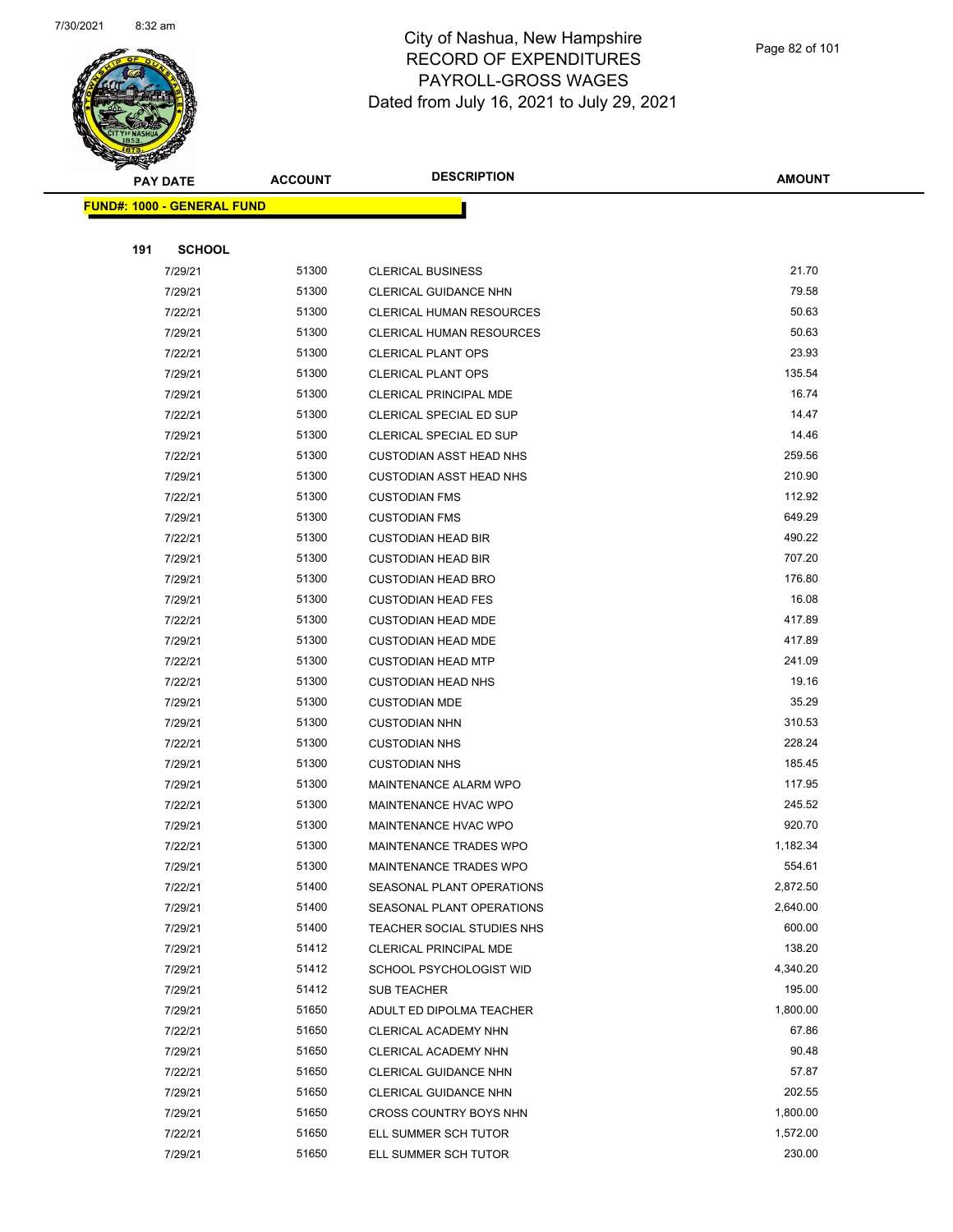

Page 82 of 101

|     | <b>PAY DATE</b>                   | <b>ACCOUNT</b> | <b>DESCRIPTION</b>              | <b>AMOUNT</b> |
|-----|-----------------------------------|----------------|---------------------------------|---------------|
|     | <b>FUND#: 1000 - GENERAL FUND</b> |                |                                 |               |
|     |                                   |                |                                 |               |
| 191 | <b>SCHOOL</b>                     |                |                                 |               |
|     | 7/29/21                           | 51300          | <b>CLERICAL BUSINESS</b>        | 21.70         |
|     | 7/29/21                           | 51300          | CLERICAL GUIDANCE NHN           | 79.58         |
|     | 7/22/21                           | 51300          | <b>CLERICAL HUMAN RESOURCES</b> | 50.63         |
|     | 7/29/21                           | 51300          | <b>CLERICAL HUMAN RESOURCES</b> | 50.63         |
|     | 7/22/21                           | 51300          | <b>CLERICAL PLANT OPS</b>       | 23.93         |
|     | 7/29/21                           | 51300          | <b>CLERICAL PLANT OPS</b>       | 135.54        |
|     | 7/29/21                           | 51300          | CLERICAL PRINCIPAL MDE          | 16.74         |
|     | 7/22/21                           | 51300          | CLERICAL SPECIAL ED SUP         | 14.47         |
|     | 7/29/21                           | 51300          | CLERICAL SPECIAL ED SUP         | 14.46         |
|     | 7/22/21                           | 51300          | <b>CUSTODIAN ASST HEAD NHS</b>  | 259.56        |
|     | 7/29/21                           | 51300          | <b>CUSTODIAN ASST HEAD NHS</b>  | 210.90        |
|     | 7/22/21                           | 51300          | <b>CUSTODIAN FMS</b>            | 112.92        |
|     | 7/29/21                           | 51300          | <b>CUSTODIAN FMS</b>            | 649.29        |
|     | 7/22/21                           | 51300          | <b>CUSTODIAN HEAD BIR</b>       | 490.22        |
|     | 7/29/21                           | 51300          | <b>CUSTODIAN HEAD BIR</b>       | 707.20        |
|     | 7/29/21                           | 51300          | <b>CUSTODIAN HEAD BRO</b>       | 176.80        |
|     | 7/29/21                           | 51300          | <b>CUSTODIAN HEAD FES</b>       | 16.08         |
|     | 7/22/21                           | 51300          | <b>CUSTODIAN HEAD MDE</b>       | 417.89        |
|     | 7/29/21                           | 51300          | <b>CUSTODIAN HEAD MDE</b>       | 417.89        |
|     | 7/22/21                           | 51300          | <b>CUSTODIAN HEAD MTP</b>       | 241.09        |
|     | 7/22/21                           | 51300          | <b>CUSTODIAN HEAD NHS</b>       | 19.16         |
|     | 7/29/21                           | 51300          | <b>CUSTODIAN MDE</b>            | 35.29         |
|     | 7/29/21                           | 51300          | <b>CUSTODIAN NHN</b>            | 310.53        |
|     | 7/22/21                           | 51300          | <b>CUSTODIAN NHS</b>            | 228.24        |
|     | 7/29/21                           | 51300          | <b>CUSTODIAN NHS</b>            | 185.45        |
|     | 7/29/21                           | 51300          | MAINTENANCE ALARM WPO           | 117.95        |
|     | 7/22/21                           | 51300          | MAINTENANCE HVAC WPO            | 245.52        |
|     | 7/29/21                           | 51300          | MAINTENANCE HVAC WPO            | 920.70        |
|     | 7/22/21                           | 51300          | MAINTENANCE TRADES WPO          | 1,182.34      |
|     | 7/29/21                           | 51300          | MAINTENANCE TRADES WPO          | 554.61        |
|     | 7/22/21                           | 51400          | SEASONAL PLANT OPERATIONS       | 2,872.50      |
|     | 7/29/21                           | 51400          | SEASONAL PLANT OPERATIONS       | 2,640.00      |
|     | 7/29/21                           | 51400          | TEACHER SOCIAL STUDIES NHS      | 600.00        |
|     | 7/29/21                           | 51412          | CLERICAL PRINCIPAL MDE          | 138.20        |
|     | 7/29/21                           | 51412          | SCHOOL PSYCHOLOGIST WID         | 4,340.20      |
|     | 7/29/21                           | 51412          | <b>SUB TEACHER</b>              | 195.00        |
|     | 7/29/21                           | 51650          | ADULT ED DIPOLMA TEACHER        | 1,800.00      |
|     | 7/22/21                           | 51650          | CLERICAL ACADEMY NHN            | 67.86         |
|     | 7/29/21                           | 51650          | CLERICAL ACADEMY NHN            | 90.48         |
|     | 7/22/21                           | 51650          | CLERICAL GUIDANCE NHN           | 57.87         |
|     | 7/29/21                           | 51650          | CLERICAL GUIDANCE NHN           | 202.55        |
|     | 7/29/21                           | 51650          | CROSS COUNTRY BOYS NHN          | 1,800.00      |
|     | 7/22/21                           | 51650          | ELL SUMMER SCH TUTOR            | 1,572.00      |
|     | 7/29/21                           | 51650          | ELL SUMMER SCH TUTOR            | 230.00        |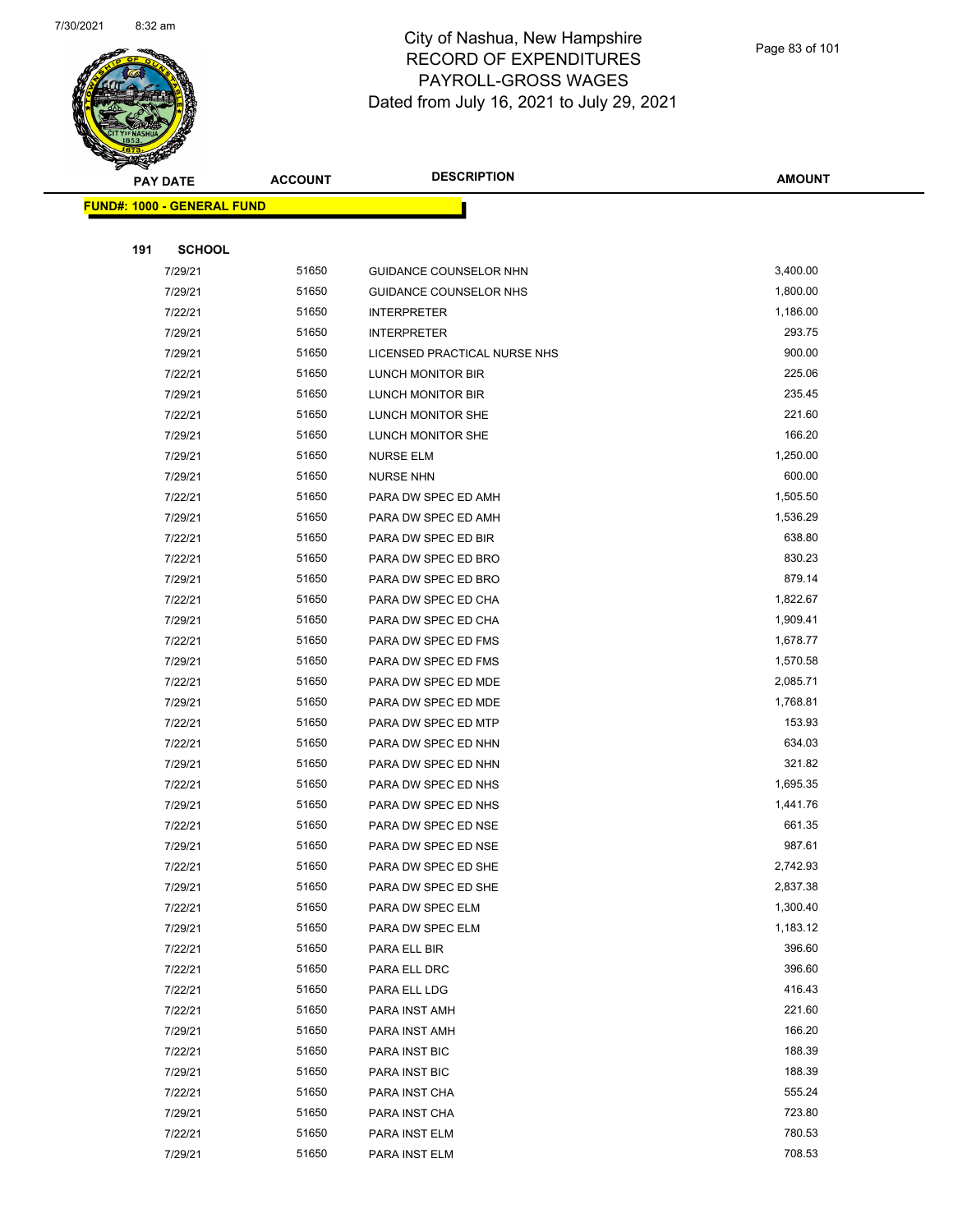

Page 83 of 101

|     | <b>PAY DATE</b>                    | <b>ACCOUNT</b> | <b>DESCRIPTION</b>             | <b>AMOUNT</b>    |
|-----|------------------------------------|----------------|--------------------------------|------------------|
|     | <u> FUND#: 1000 - GENERAL FUND</u> |                |                                |                  |
|     |                                    |                |                                |                  |
| 191 | <b>SCHOOL</b>                      |                |                                |                  |
|     | 7/29/21                            | 51650          | GUIDANCE COUNSELOR NHN         | 3,400.00         |
|     | 7/29/21                            | 51650          | GUIDANCE COUNSELOR NHS         | 1,800.00         |
|     | 7/22/21                            | 51650          | <b>INTERPRETER</b>             | 1,186.00         |
|     | 7/29/21                            | 51650          | <b>INTERPRETER</b>             | 293.75           |
|     | 7/29/21                            | 51650          | LICENSED PRACTICAL NURSE NHS   | 900.00           |
|     | 7/22/21                            | 51650          | LUNCH MONITOR BIR              | 225.06           |
|     | 7/29/21                            | 51650          | LUNCH MONITOR BIR              | 235.45           |
|     | 7/22/21                            | 51650          | LUNCH MONITOR SHE              | 221.60           |
|     | 7/29/21                            | 51650          | LUNCH MONITOR SHE              | 166.20           |
|     | 7/29/21                            | 51650          | <b>NURSE ELM</b>               | 1,250.00         |
|     | 7/29/21                            | 51650          | <b>NURSE NHN</b>               | 600.00           |
|     | 7/22/21                            | 51650          | PARA DW SPEC ED AMH            | 1,505.50         |
|     | 7/29/21                            | 51650          | PARA DW SPEC ED AMH            | 1,536.29         |
|     | 7/22/21                            | 51650          | PARA DW SPEC ED BIR            | 638.80           |
|     | 7/22/21                            | 51650          | PARA DW SPEC ED BRO            | 830.23           |
|     | 7/29/21                            | 51650          | PARA DW SPEC ED BRO            | 879.14           |
|     | 7/22/21                            | 51650          | PARA DW SPEC ED CHA            | 1,822.67         |
|     | 7/29/21                            | 51650          | PARA DW SPEC ED CHA            | 1,909.41         |
|     | 7/22/21                            | 51650          | PARA DW SPEC ED FMS            | 1,678.77         |
|     | 7/29/21                            | 51650          | PARA DW SPEC ED FMS            | 1,570.58         |
|     | 7/22/21                            | 51650          | PARA DW SPEC ED MDE            | 2,085.71         |
|     | 7/29/21                            | 51650          | PARA DW SPEC ED MDE            | 1,768.81         |
|     | 7/22/21                            | 51650          | PARA DW SPEC ED MTP            | 153.93           |
|     | 7/22/21                            | 51650          | PARA DW SPEC ED NHN            | 634.03           |
|     | 7/29/21                            | 51650          | PARA DW SPEC ED NHN            | 321.82           |
|     | 7/22/21                            | 51650          | PARA DW SPEC ED NHS            | 1,695.35         |
|     | 7/29/21                            | 51650          | PARA DW SPEC ED NHS            | 1,441.76         |
|     | 7/22/21                            | 51650          | PARA DW SPEC ED NSE            | 661.35           |
|     | 7/29/21                            | 51650          | PARA DW SPEC ED NSE            | 987.61           |
|     | 7/22/21                            | 51650          | PARA DW SPEC ED SHE            | 2,742.93         |
|     | 7/29/21                            | 51650          | PARA DW SPEC ED SHE            | 2,837.38         |
|     | 7/22/21                            | 51650          | PARA DW SPEC ELM               | 1,300.40         |
|     | 7/29/21                            | 51650          | PARA DW SPEC ELM               | 1,183.12         |
|     | 7/22/21                            | 51650          | PARA ELL BIR                   | 396.60           |
|     | 7/22/21                            | 51650          | PARA ELL DRC                   | 396.60           |
|     | 7/22/21                            | 51650          | PARA ELL LDG                   | 416.43           |
|     | 7/22/21                            | 51650          | PARA INST AMH                  | 221.60           |
|     | 7/29/21                            | 51650          | PARA INST AMH                  | 166.20           |
|     | 7/22/21                            | 51650          | PARA INST BIC                  | 188.39           |
|     | 7/29/21                            | 51650          | PARA INST BIC                  | 188.39           |
|     | 7/22/21                            | 51650          | PARA INST CHA                  | 555.24           |
|     | 7/29/21                            | 51650          | PARA INST CHA                  | 723.80<br>780.53 |
|     | 7/22/21<br>7/29/21                 | 51650<br>51650 | PARA INST ELM<br>PARA INST ELM | 708.53           |
|     |                                    |                |                                |                  |
|     |                                    |                |                                |                  |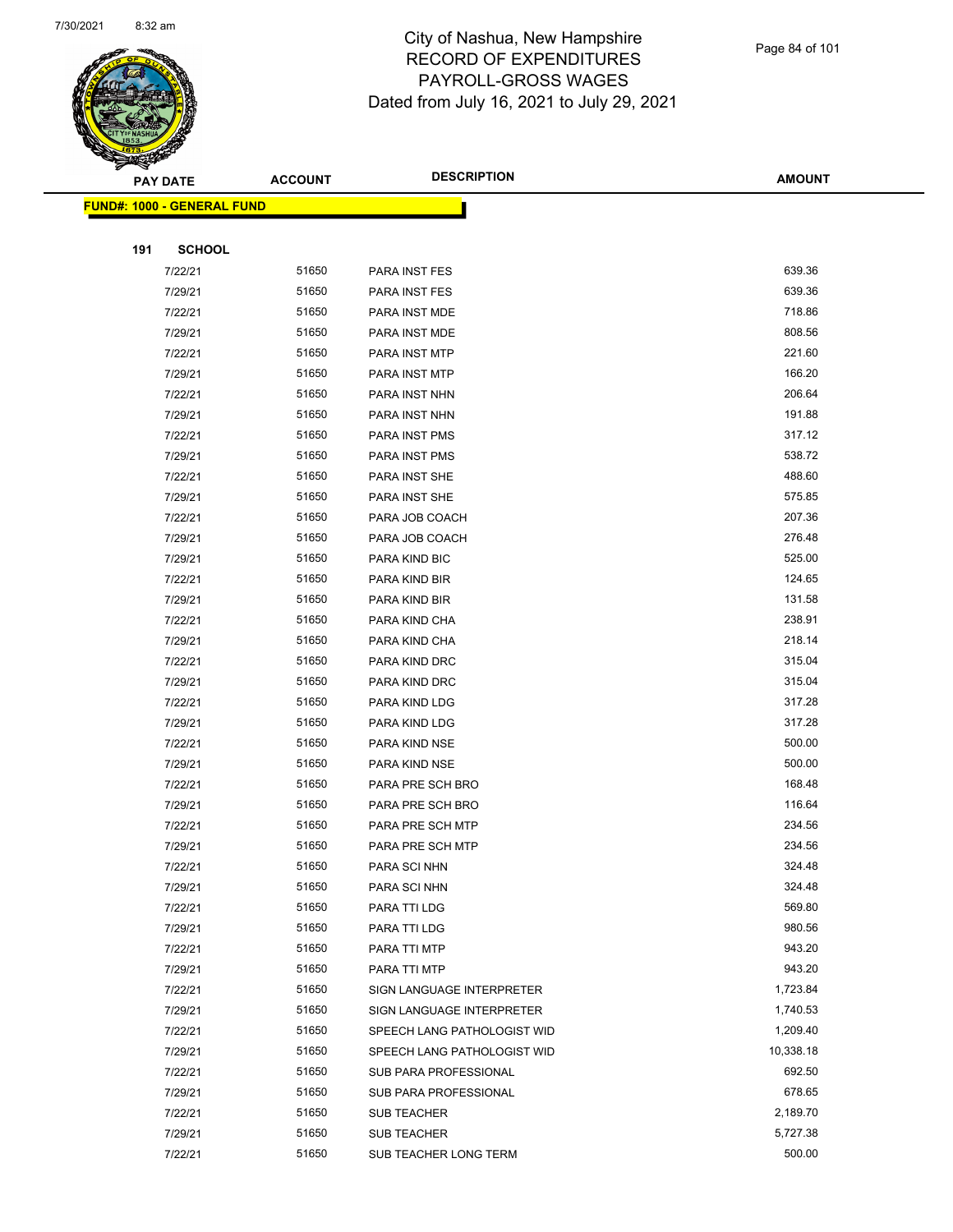

|     | <b>PAY DATE</b>                   | <b>ACCOUNT</b> | <b>DESCRIPTION</b>           | <b>AMOUNT</b>    |  |
|-----|-----------------------------------|----------------|------------------------------|------------------|--|
|     | <b>FUND#: 1000 - GENERAL FUND</b> |                |                              |                  |  |
|     |                                   |                |                              |                  |  |
| 191 | <b>SCHOOL</b>                     |                |                              |                  |  |
|     | 7/22/21                           | 51650          | PARA INST FES                | 639.36           |  |
|     | 7/29/21                           | 51650          | PARA INST FES                | 639.36           |  |
|     | 7/22/21                           | 51650          | PARA INST MDE                | 718.86           |  |
|     | 7/29/21                           | 51650          | PARA INST MDE                | 808.56           |  |
|     | 7/22/21                           | 51650          | PARA INST MTP                | 221.60           |  |
|     | 7/29/21                           | 51650          | PARA INST MTP                | 166.20           |  |
|     | 7/22/21                           | 51650          | PARA INST NHN                | 206.64           |  |
|     | 7/29/21                           | 51650          | PARA INST NHN                | 191.88           |  |
|     | 7/22/21                           | 51650          | PARA INST PMS                | 317.12           |  |
|     | 7/29/21                           | 51650          | PARA INST PMS                | 538.72           |  |
|     | 7/22/21                           | 51650          | PARA INST SHE                | 488.60           |  |
|     | 7/29/21                           | 51650          | PARA INST SHE                | 575.85           |  |
|     | 7/22/21                           | 51650          | PARA JOB COACH               | 207.36           |  |
|     | 7/29/21                           | 51650          | PARA JOB COACH               | 276.48           |  |
|     | 7/29/21                           | 51650          | PARA KIND BIC                | 525.00           |  |
|     | 7/22/21                           | 51650          | PARA KIND BIR                | 124.65           |  |
|     | 7/29/21                           | 51650          | PARA KIND BIR                | 131.58           |  |
|     | 7/22/21                           | 51650          | PARA KIND CHA                | 238.91           |  |
|     | 7/29/21                           | 51650          | PARA KIND CHA                | 218.14           |  |
|     | 7/22/21                           | 51650          | PARA KIND DRC                | 315.04           |  |
|     | 7/29/21                           | 51650          | PARA KIND DRC                | 315.04           |  |
|     | 7/22/21                           | 51650          | PARA KIND LDG                | 317.28           |  |
|     | 7/29/21                           | 51650          | PARA KIND LDG                | 317.28           |  |
|     | 7/22/21                           | 51650          | PARA KIND NSE                | 500.00           |  |
|     | 7/29/21                           | 51650          | PARA KIND NSE                | 500.00           |  |
|     | 7/22/21                           | 51650          | PARA PRE SCH BRO             | 168.48           |  |
|     | 7/29/21                           | 51650          | PARA PRE SCH BRO             | 116.64           |  |
|     | 7/22/21                           | 51650          | PARA PRE SCH MTP             | 234.56           |  |
|     | 7/29/21                           | 51650          | PARA PRE SCH MTP             | 234.56           |  |
|     | 7/22/21                           | 51650          | PARA SCI NHN                 | 324.48           |  |
|     | 7/29/21                           | 51650          | PARA SCI NHN                 | 324.48<br>569.80 |  |
|     | 7/22/21                           | 51650<br>51650 | PARA TTI LDG                 | 980.56           |  |
|     | 7/29/21<br>7/22/21                | 51650          | PARA TTI LDG<br>PARA TTI MTP | 943.20           |  |
|     | 7/29/21                           | 51650          | PARA TTI MTP                 | 943.20           |  |
|     | 7/22/21                           | 51650          | SIGN LANGUAGE INTERPRETER    | 1,723.84         |  |
|     | 7/29/21                           | 51650          | SIGN LANGUAGE INTERPRETER    | 1,740.53         |  |
|     | 7/22/21                           | 51650          | SPEECH LANG PATHOLOGIST WID  | 1,209.40         |  |
|     | 7/29/21                           | 51650          | SPEECH LANG PATHOLOGIST WID  | 10,338.18        |  |
|     | 7/22/21                           | 51650          | SUB PARA PROFESSIONAL        | 692.50           |  |
|     | 7/29/21                           | 51650          | SUB PARA PROFESSIONAL        | 678.65           |  |
|     | 7/22/21                           | 51650          | SUB TEACHER                  | 2,189.70         |  |
|     | 7/29/21                           | 51650          | <b>SUB TEACHER</b>           | 5,727.38         |  |
|     | 7/22/21                           | 51650          | SUB TEACHER LONG TERM        | 500.00           |  |
|     |                                   |                |                              |                  |  |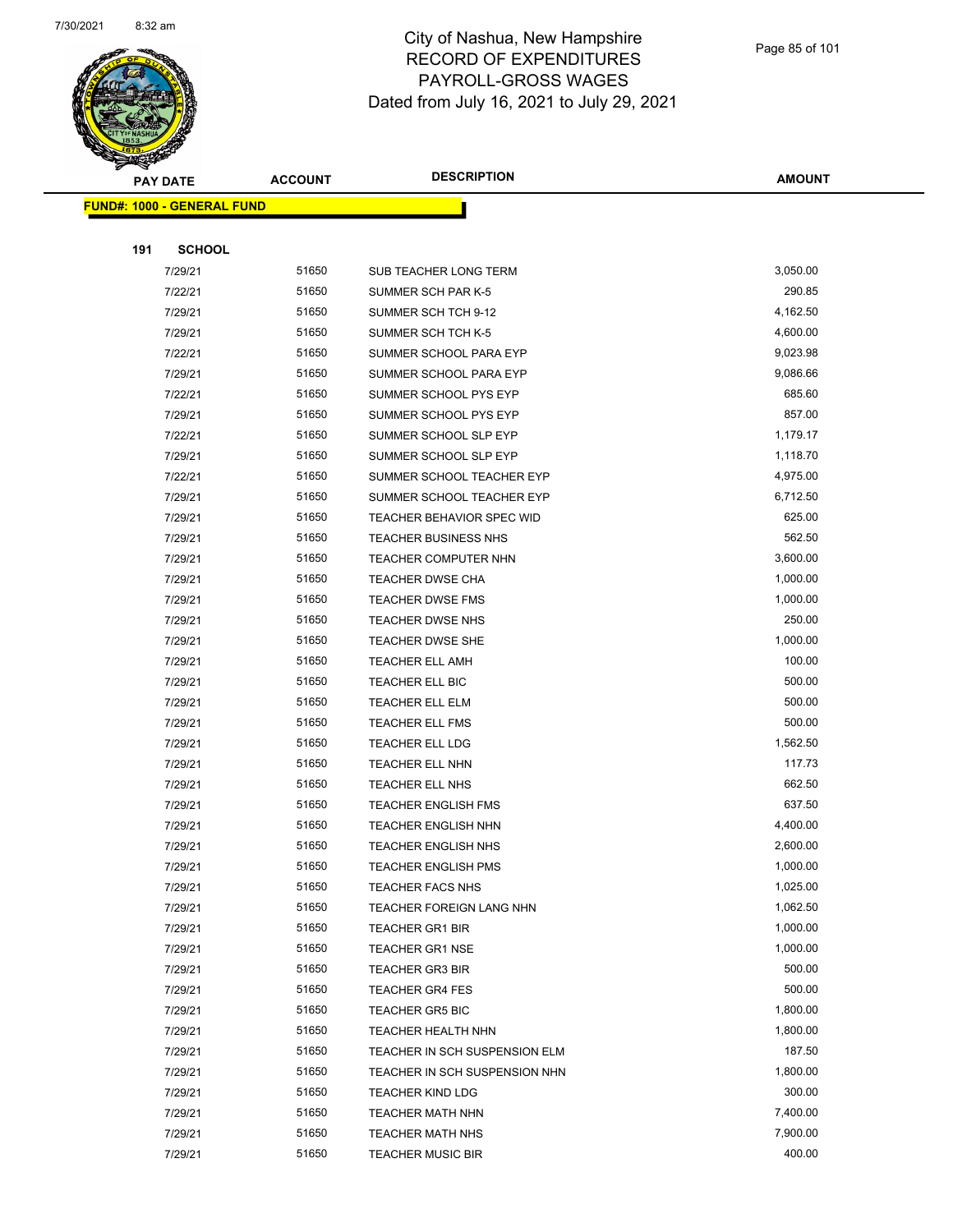

Page 85 of 101

| rille de la compagne de la compagne de la compagne de la compagne de la compagne de la compagne de la compagne<br>La compagne de la compagne de la compagne de la compagne de la compagne de la compagne de la compagne de la co |                                         | <b>ACCOUNT</b> | <b>DESCRIPTION</b>            | <b>AMOUNT</b> |
|----------------------------------------------------------------------------------------------------------------------------------------------------------------------------------------------------------------------------------|-----------------------------------------|----------------|-------------------------------|---------------|
|                                                                                                                                                                                                                                  | <b>PAY DATE</b>                         |                |                               |               |
|                                                                                                                                                                                                                                  | <mark>FUND#: 1000 - GENERAL FUND</mark> |                |                               |               |
|                                                                                                                                                                                                                                  |                                         |                |                               |               |
| 191                                                                                                                                                                                                                              | <b>SCHOOL</b>                           |                |                               |               |
|                                                                                                                                                                                                                                  | 7/29/21                                 | 51650          | SUB TEACHER LONG TERM         | 3,050.00      |
|                                                                                                                                                                                                                                  | 7/22/21                                 | 51650          | SUMMER SCH PAR K-5            | 290.85        |
|                                                                                                                                                                                                                                  | 7/29/21                                 | 51650          | SUMMER SCH TCH 9-12           | 4,162.50      |
|                                                                                                                                                                                                                                  | 7/29/21                                 | 51650          | SUMMER SCH TCH K-5            | 4,600.00      |
|                                                                                                                                                                                                                                  | 7/22/21                                 | 51650          | SUMMER SCHOOL PARA EYP        | 9,023.98      |
|                                                                                                                                                                                                                                  | 7/29/21                                 | 51650          | SUMMER SCHOOL PARA EYP        | 9,086.66      |
|                                                                                                                                                                                                                                  | 7/22/21                                 | 51650          | SUMMER SCHOOL PYS EYP         | 685.60        |
|                                                                                                                                                                                                                                  | 7/29/21                                 | 51650          | SUMMER SCHOOL PYS EYP         | 857.00        |
|                                                                                                                                                                                                                                  | 7/22/21                                 | 51650          | SUMMER SCHOOL SLP EYP         | 1,179.17      |
|                                                                                                                                                                                                                                  | 7/29/21                                 | 51650          | SUMMER SCHOOL SLP EYP         | 1,118.70      |
|                                                                                                                                                                                                                                  | 7/22/21                                 | 51650          | SUMMER SCHOOL TEACHER EYP     | 4,975.00      |
|                                                                                                                                                                                                                                  | 7/29/21                                 | 51650          | SUMMER SCHOOL TEACHER EYP     | 6,712.50      |
|                                                                                                                                                                                                                                  | 7/29/21                                 | 51650          | TEACHER BEHAVIOR SPEC WID     | 625.00        |
|                                                                                                                                                                                                                                  | 7/29/21                                 | 51650          | <b>TEACHER BUSINESS NHS</b>   | 562.50        |
|                                                                                                                                                                                                                                  | 7/29/21                                 | 51650          | TEACHER COMPUTER NHN          | 3,600.00      |
|                                                                                                                                                                                                                                  | 7/29/21                                 | 51650          | <b>TEACHER DWSE CHA</b>       | 1,000.00      |
|                                                                                                                                                                                                                                  | 7/29/21                                 | 51650          | <b>TEACHER DWSE FMS</b>       | 1,000.00      |
|                                                                                                                                                                                                                                  | 7/29/21                                 | 51650          | <b>TEACHER DWSE NHS</b>       | 250.00        |
|                                                                                                                                                                                                                                  | 7/29/21                                 | 51650          | <b>TEACHER DWSE SHE</b>       | 1,000.00      |
|                                                                                                                                                                                                                                  | 7/29/21                                 | 51650          | <b>TEACHER ELL AMH</b>        | 100.00        |
|                                                                                                                                                                                                                                  | 7/29/21                                 | 51650          | TEACHER ELL BIC               | 500.00        |
|                                                                                                                                                                                                                                  | 7/29/21                                 | 51650          | TEACHER ELL ELM               | 500.00        |
|                                                                                                                                                                                                                                  | 7/29/21                                 | 51650          | <b>TEACHER ELL FMS</b>        | 500.00        |
|                                                                                                                                                                                                                                  | 7/29/21                                 | 51650          | <b>TEACHER ELL LDG</b>        | 1,562.50      |
|                                                                                                                                                                                                                                  | 7/29/21                                 | 51650          | TEACHER ELL NHN               | 117.73        |
|                                                                                                                                                                                                                                  | 7/29/21                                 | 51650          | TEACHER ELL NHS               | 662.50        |
|                                                                                                                                                                                                                                  | 7/29/21                                 | 51650          | <b>TEACHER ENGLISH FMS</b>    | 637.50        |
|                                                                                                                                                                                                                                  | 7/29/21                                 | 51650          | <b>TEACHER ENGLISH NHN</b>    | 4,400.00      |
|                                                                                                                                                                                                                                  | 7/29/21                                 | 51650          | <b>TEACHER ENGLISH NHS</b>    | 2,600.00      |
|                                                                                                                                                                                                                                  | 7/29/21                                 | 51650          | <b>TEACHER ENGLISH PMS</b>    | 1,000.00      |
|                                                                                                                                                                                                                                  | 7/29/21                                 | 51650          | <b>TEACHER FACS NHS</b>       | 1,025.00      |
|                                                                                                                                                                                                                                  | 7/29/21                                 | 51650          | TEACHER FOREIGN LANG NHN      | 1,062.50      |
|                                                                                                                                                                                                                                  | 7/29/21                                 | 51650          | <b>TEACHER GR1 BIR</b>        | 1,000.00      |
|                                                                                                                                                                                                                                  | 7/29/21                                 | 51650          | <b>TEACHER GR1 NSE</b>        | 1,000.00      |
|                                                                                                                                                                                                                                  | 7/29/21                                 | 51650          | <b>TEACHER GR3 BIR</b>        | 500.00        |
|                                                                                                                                                                                                                                  | 7/29/21                                 | 51650          | <b>TEACHER GR4 FES</b>        | 500.00        |
|                                                                                                                                                                                                                                  | 7/29/21                                 | 51650          | <b>TEACHER GR5 BIC</b>        | 1,800.00      |
|                                                                                                                                                                                                                                  | 7/29/21                                 | 51650          | TEACHER HEALTH NHN            | 1,800.00      |
|                                                                                                                                                                                                                                  | 7/29/21                                 | 51650          | TEACHER IN SCH SUSPENSION ELM | 187.50        |
|                                                                                                                                                                                                                                  | 7/29/21                                 | 51650          | TEACHER IN SCH SUSPENSION NHN | 1,800.00      |
|                                                                                                                                                                                                                                  | 7/29/21                                 | 51650          | <b>TEACHER KIND LDG</b>       | 300.00        |
|                                                                                                                                                                                                                                  | 7/29/21                                 | 51650          | TEACHER MATH NHN              | 7,400.00      |
|                                                                                                                                                                                                                                  | 7/29/21                                 | 51650          | <b>TEACHER MATH NHS</b>       | 7,900.00      |
|                                                                                                                                                                                                                                  | 7/29/21                                 | 51650          | <b>TEACHER MUSIC BIR</b>      | 400.00        |
|                                                                                                                                                                                                                                  |                                         |                |                               |               |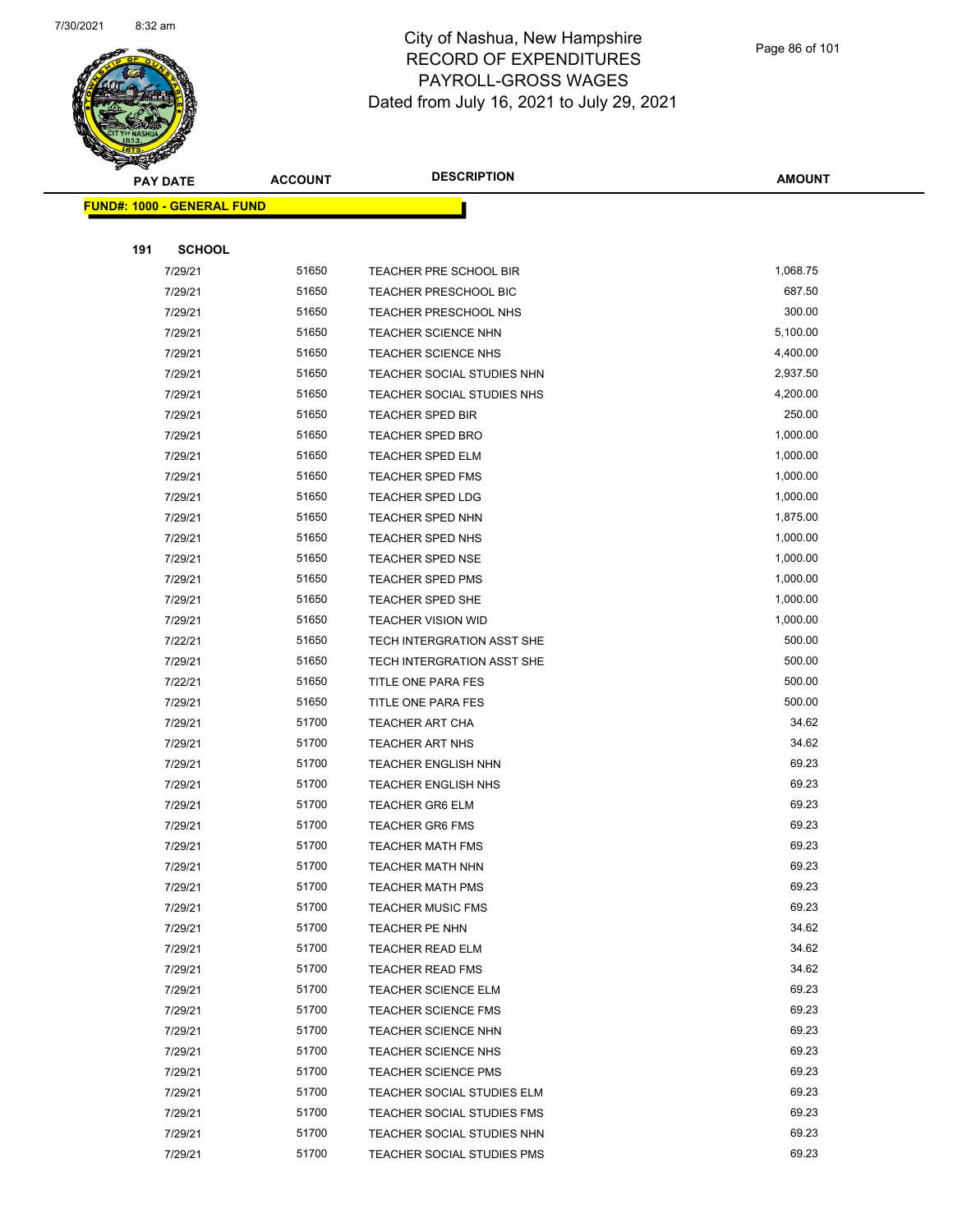

|     | <b>PAY DATE</b>                   | <b>ACCOUNT</b> | <b>DESCRIPTION</b>                        | <b>AMOUNT</b>  |
|-----|-----------------------------------|----------------|-------------------------------------------|----------------|
|     | <b>FUND#: 1000 - GENERAL FUND</b> |                |                                           |                |
|     |                                   |                |                                           |                |
| 191 | <b>SCHOOL</b>                     |                |                                           |                |
|     | 7/29/21                           | 51650          | TEACHER PRE SCHOOL BIR                    | 1,068.75       |
|     | 7/29/21                           | 51650          | <b>TEACHER PRESCHOOL BIC</b>              | 687.50         |
|     | 7/29/21                           | 51650          | <b>TEACHER PRESCHOOL NHS</b>              | 300.00         |
|     | 7/29/21                           | 51650          | <b>TEACHER SCIENCE NHN</b>                | 5,100.00       |
|     | 7/29/21                           | 51650          | TEACHER SCIENCE NHS                       | 4,400.00       |
|     | 7/29/21                           | 51650          | TEACHER SOCIAL STUDIES NHN                | 2,937.50       |
|     | 7/29/21                           | 51650          | TEACHER SOCIAL STUDIES NHS                | 4,200.00       |
|     | 7/29/21                           | 51650          | <b>TEACHER SPED BIR</b>                   | 250.00         |
|     | 7/29/21                           | 51650          | <b>TEACHER SPED BRO</b>                   | 1,000.00       |
|     | 7/29/21                           | 51650          | <b>TEACHER SPED ELM</b>                   | 1,000.00       |
|     | 7/29/21                           | 51650          | <b>TEACHER SPED FMS</b>                   | 1,000.00       |
|     | 7/29/21                           | 51650          | <b>TEACHER SPED LDG</b>                   | 1,000.00       |
|     | 7/29/21                           | 51650          | TEACHER SPED NHN                          | 1,875.00       |
|     | 7/29/21                           | 51650          | TEACHER SPED NHS                          | 1,000.00       |
|     | 7/29/21                           | 51650          | <b>TEACHER SPED NSE</b>                   | 1,000.00       |
|     | 7/29/21                           | 51650          | <b>TEACHER SPED PMS</b>                   | 1,000.00       |
|     | 7/29/21                           | 51650          | TEACHER SPED SHE                          | 1,000.00       |
|     | 7/29/21                           | 51650          | <b>TEACHER VISION WID</b>                 | 1,000.00       |
|     | 7/22/21                           | 51650          | TECH INTERGRATION ASST SHE                | 500.00         |
|     | 7/29/21                           | 51650          | TECH INTERGRATION ASST SHE                | 500.00         |
|     | 7/22/21                           | 51650          | TITLE ONE PARA FES                        | 500.00         |
|     | 7/29/21                           | 51650          | TITLE ONE PARA FES                        | 500.00         |
|     | 7/29/21                           | 51700          | <b>TEACHER ART CHA</b>                    | 34.62          |
|     | 7/29/21                           | 51700          | <b>TEACHER ART NHS</b>                    | 34.62          |
|     | 7/29/21                           | 51700          | <b>TEACHER ENGLISH NHN</b>                | 69.23          |
|     | 7/29/21                           | 51700          | <b>TEACHER ENGLISH NHS</b>                | 69.23          |
|     | 7/29/21                           | 51700          | <b>TEACHER GR6 ELM</b>                    | 69.23          |
|     | 7/29/21                           | 51700          | <b>TEACHER GR6 FMS</b>                    | 69.23          |
|     | 7/29/21                           | 51700          | <b>TEACHER MATH FMS</b>                   | 69.23          |
|     | 7/29/21                           | 51700          | TEACHER MATH NHN                          | 69.23          |
|     | 7/29/21                           | 51700          | <b>TEACHER MATH PMS</b>                   | 69.23<br>69.23 |
|     | 7/29/21                           | 51700<br>51700 | <b>TEACHER MUSIC FMS</b>                  | 34.62          |
|     | 7/29/21<br>7/29/21                | 51700          | TEACHER PE NHN<br><b>TEACHER READ ELM</b> | 34.62          |
|     | 7/29/21                           | 51700          | <b>TEACHER READ FMS</b>                   | 34.62          |
|     | 7/29/21                           | 51700          | <b>TEACHER SCIENCE ELM</b>                | 69.23          |
|     | 7/29/21                           | 51700          | <b>TEACHER SCIENCE FMS</b>                | 69.23          |
|     | 7/29/21                           | 51700          | <b>TEACHER SCIENCE NHN</b>                | 69.23          |
|     | 7/29/21                           | 51700          | <b>TEACHER SCIENCE NHS</b>                | 69.23          |
|     | 7/29/21                           | 51700          | <b>TEACHER SCIENCE PMS</b>                | 69.23          |
|     | 7/29/21                           | 51700          | TEACHER SOCIAL STUDIES ELM                | 69.23          |
|     | 7/29/21                           | 51700          | TEACHER SOCIAL STUDIES FMS                | 69.23          |
|     | 7/29/21                           | 51700          | TEACHER SOCIAL STUDIES NHN                | 69.23          |
|     | 7/29/21                           | 51700          | TEACHER SOCIAL STUDIES PMS                | 69.23          |
|     |                                   |                |                                           |                |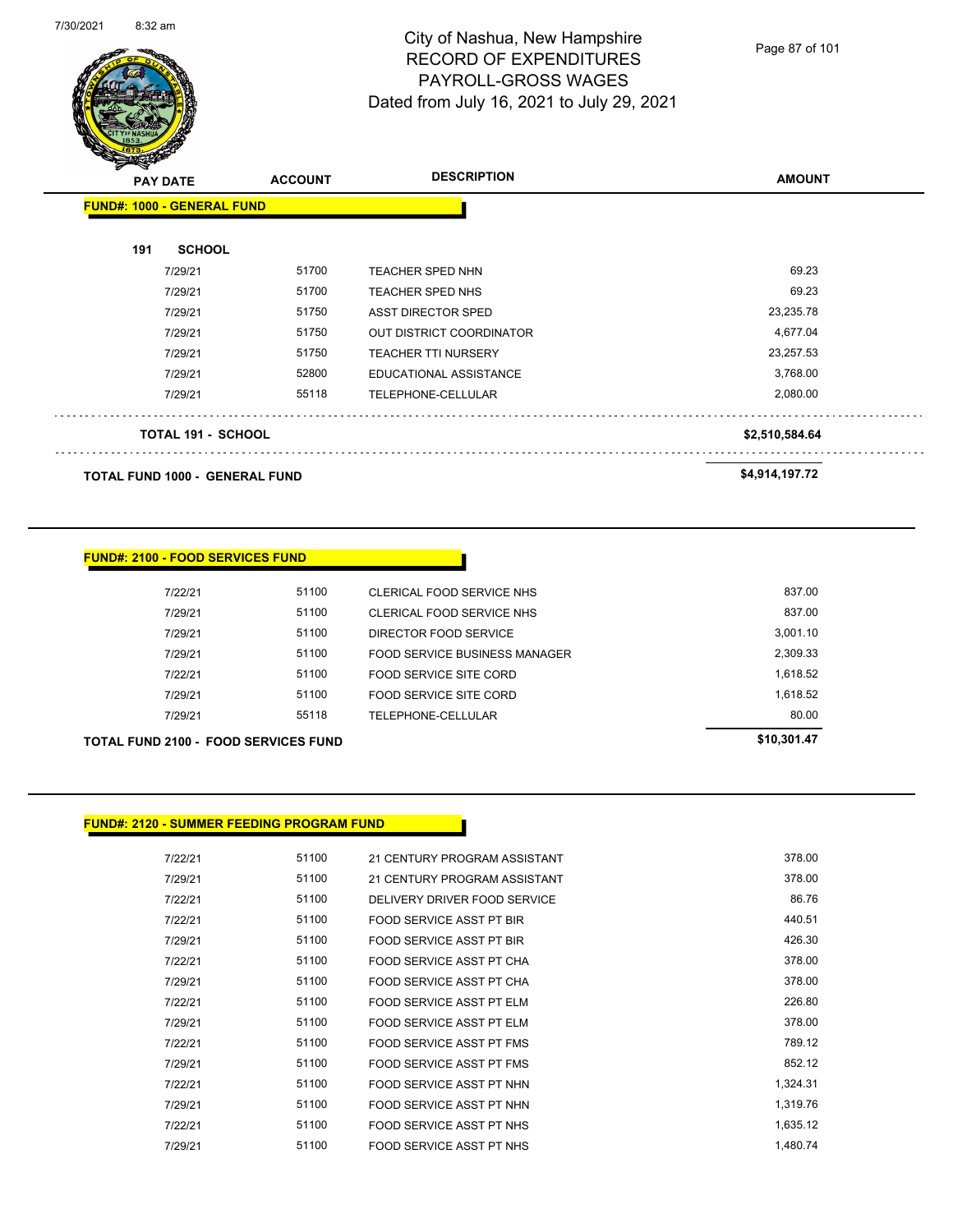

Page 87 of 101

| $\mathscr{D} \cong$<br><b>PAY DATE</b> | <b>ACCOUNT</b> | <b>DESCRIPTION</b>              | <b>AMOUNT</b>  |
|----------------------------------------|----------------|---------------------------------|----------------|
| <b>FUND#: 1000 - GENERAL FUND</b>      |                |                                 |                |
| <b>SCHOOL</b><br>191                   |                |                                 |                |
| 7/29/21                                | 51700          | TEACHER SPED NHN                | 69.23          |
| 7/29/21                                | 51700          | <b>TEACHER SPED NHS</b>         | 69.23          |
| 7/29/21                                | 51750          | <b>ASST DIRECTOR SPED</b>       | 23,235.78      |
| 7/29/21                                | 51750          | <b>OUT DISTRICT COORDINATOR</b> | 4,677.04       |
| 7/29/21                                | 51750          | <b>TEACHER TTI NURSERY</b>      | 23,257.53      |
| 7/29/21                                | 52800          | <b>EDUCATIONAL ASSISTANCE</b>   | 3,768.00       |
| 7/29/21                                | 55118          | TELEPHONE-CELLULAR              | 2,080.00       |
| <b>TOTAL 191 - SCHOOL</b>              |                |                                 | \$2,510,584.64 |
|                                        |                |                                 |                |

**TOTAL FUND 1000 - GENERAL FUND \$4,914,197.72** 

| <b>TOTAL FUND 2100 - FOOD SERVICES FUND</b> |       |                               | \$10,301.47 |
|---------------------------------------------|-------|-------------------------------|-------------|
| 7/29/21                                     | 55118 | TELEPHONE-CELLULAR            | 80.00       |
| 7/29/21                                     | 51100 | FOOD SERVICE SITE CORD        | 1,618.52    |
| 7/22/21                                     | 51100 | FOOD SERVICE SITE CORD        | 1,618.52    |
| 7/29/21                                     | 51100 | FOOD SERVICE BUSINESS MANAGER | 2.309.33    |
| 7/29/21                                     | 51100 | DIRECTOR FOOD SERVICE         | 3.001.10    |
| 7/29/21                                     | 51100 | CLERICAL FOOD SERVICE NHS     | 837.00      |
| 7/22/21                                     | 51100 | CLERICAL FOOD SERVICE NHS     | 837.00      |

## **FUND#: 2120 - SUMMER FEEDING PROGRAM FUND**

| 7/22/21 | 51100 | 21 CENTURY PROGRAM ASSISTANT    | 378.00   |
|---------|-------|---------------------------------|----------|
| 7/29/21 | 51100 | 21 CENTURY PROGRAM ASSISTANT    | 378.00   |
| 7/22/21 | 51100 | DELIVERY DRIVER FOOD SERVICE    | 86.76    |
| 7/22/21 | 51100 | <b>FOOD SERVICE ASST PT BIR</b> | 440.51   |
| 7/29/21 | 51100 | <b>FOOD SERVICE ASST PT BIR</b> | 426.30   |
| 7/22/21 | 51100 | FOOD SERVICE ASST PT CHA        | 378.00   |
| 7/29/21 | 51100 | FOOD SERVICE ASST PT CHA        | 378.00   |
| 7/22/21 | 51100 | FOOD SERVICE ASST PT ELM        | 226.80   |
| 7/29/21 | 51100 | FOOD SERVICE ASST PT ELM        | 378.00   |
| 7/22/21 | 51100 | FOOD SERVICE ASST PT FMS        | 789.12   |
| 7/29/21 | 51100 | FOOD SERVICE ASST PT FMS        | 852.12   |
| 7/22/21 | 51100 | FOOD SERVICE ASST PT NHN        | 1,324.31 |
| 7/29/21 | 51100 | FOOD SERVICE ASST PT NHN        | 1,319.76 |
| 7/22/21 | 51100 | FOOD SERVICE ASST PT NHS        | 1,635.12 |
| 7/29/21 | 51100 | FOOD SERVICE ASST PT NHS        | 1,480.74 |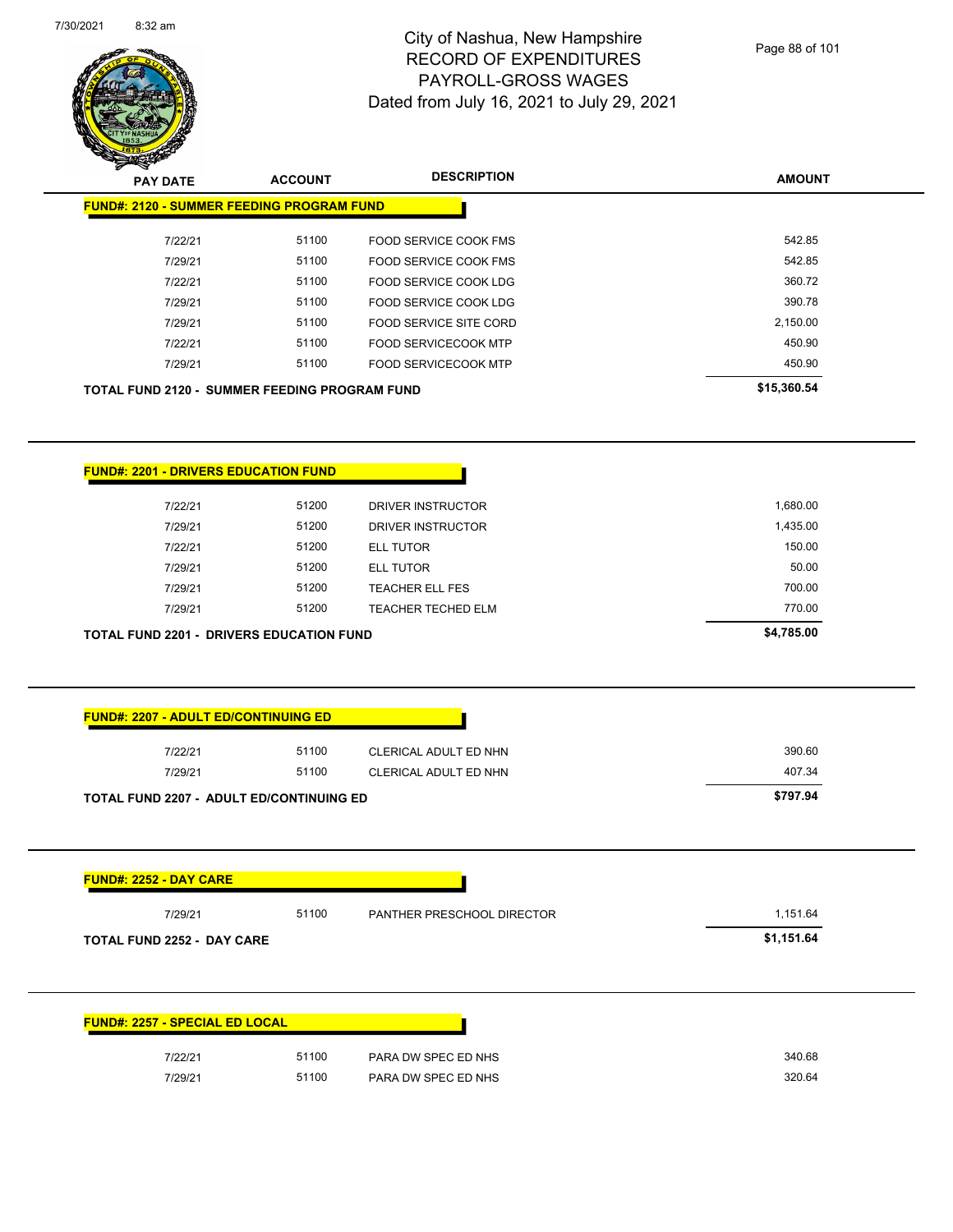

Page 88 of 101

| <b>STATES AND</b><br><b>PAY DATE</b>                                                                                                                                               | <b>ACCOUNT</b> | <b>DESCRIPTION</b>         | <b>AMOUNT</b>        |
|------------------------------------------------------------------------------------------------------------------------------------------------------------------------------------|----------------|----------------------------|----------------------|
| <b>FUND#: 2120 - SUMMER FEEDING PROGRAM FUND</b>                                                                                                                                   |                |                            |                      |
| 7/22/21                                                                                                                                                                            | 51100          | FOOD SERVICE COOK FMS      | 542.85               |
| 7/29/21                                                                                                                                                                            | 51100          | FOOD SERVICE COOK FMS      | 542.85               |
| 7/22/21                                                                                                                                                                            | 51100          | FOOD SERVICE COOK LDG      | 360.72               |
| 7/29/21                                                                                                                                                                            | 51100          | FOOD SERVICE COOK LDG      | 390.78               |
| 7/29/21                                                                                                                                                                            | 51100          | FOOD SERVICE SITE CORD     | 2,150.00             |
| 7/22/21                                                                                                                                                                            | 51100          | FOOD SERVICECOOK MTP       | 450.90               |
| 7/29/21                                                                                                                                                                            | 51100          | FOOD SERVICECOOK MTP       | 450.90               |
| <b>TOTAL FUND 2120 - SUMMER FEEDING PROGRAM FUND</b>                                                                                                                               |                |                            | \$15,360.54          |
|                                                                                                                                                                                    |                |                            |                      |
| <b>FUND#: 2201 - DRIVERS EDUCATION FUND</b>                                                                                                                                        |                |                            |                      |
| 7/22/21                                                                                                                                                                            | 51200          | DRIVER INSTRUCTOR          | 1,680.00             |
| 7/29/21                                                                                                                                                                            | 51200          | DRIVER INSTRUCTOR          | 1,435.00             |
| 7/22/21                                                                                                                                                                            | 51200          | <b>ELL TUTOR</b>           | 150.00               |
| 7/29/21                                                                                                                                                                            | 51200          | ELL TUTOR                  | 50.00                |
|                                                                                                                                                                                    |                |                            |                      |
|                                                                                                                                                                                    |                |                            |                      |
| 7/29/21                                                                                                                                                                            | 51200          | TEACHER ELL FES            | 700.00               |
| 7/29/21                                                                                                                                                                            | 51200          | <b>TEACHER TECHED ELM</b>  | 770.00<br>\$4,785.00 |
|                                                                                                                                                                                    |                |                            |                      |
|                                                                                                                                                                                    |                |                            |                      |
| 7/22/21                                                                                                                                                                            | 51100          | CLERICAL ADULT ED NHN      | 390.60               |
| 7/29/21                                                                                                                                                                            | 51100          | CLERICAL ADULT ED NHN      | 407.34               |
|                                                                                                                                                                                    |                |                            | \$797.94             |
| <b>TOTAL FUND 2201 - DRIVERS EDUCATION FUND</b><br><b>FUND#: 2207 - ADULT ED/CONTINUING ED</b><br><b>TOTAL FUND 2207 - ADULT ED/CONTINUING ED</b><br><b>FUND#: 2252 - DAY CARE</b> |                |                            |                      |
|                                                                                                                                                                                    |                |                            |                      |
| 7/29/21                                                                                                                                                                            | 51100          | PANTHER PRESCHOOL DIRECTOR | 1,151.64             |
| TOTAL FUND 2252 - DAY CARE                                                                                                                                                         |                |                            | \$1,151.64           |
| <b>FUND#: 2257 - SPECIAL ED LOCAL</b>                                                                                                                                              |                |                            |                      |
| 7/22/21                                                                                                                                                                            | 51100          | PARA DW SPEC ED NHS        | 340.68               |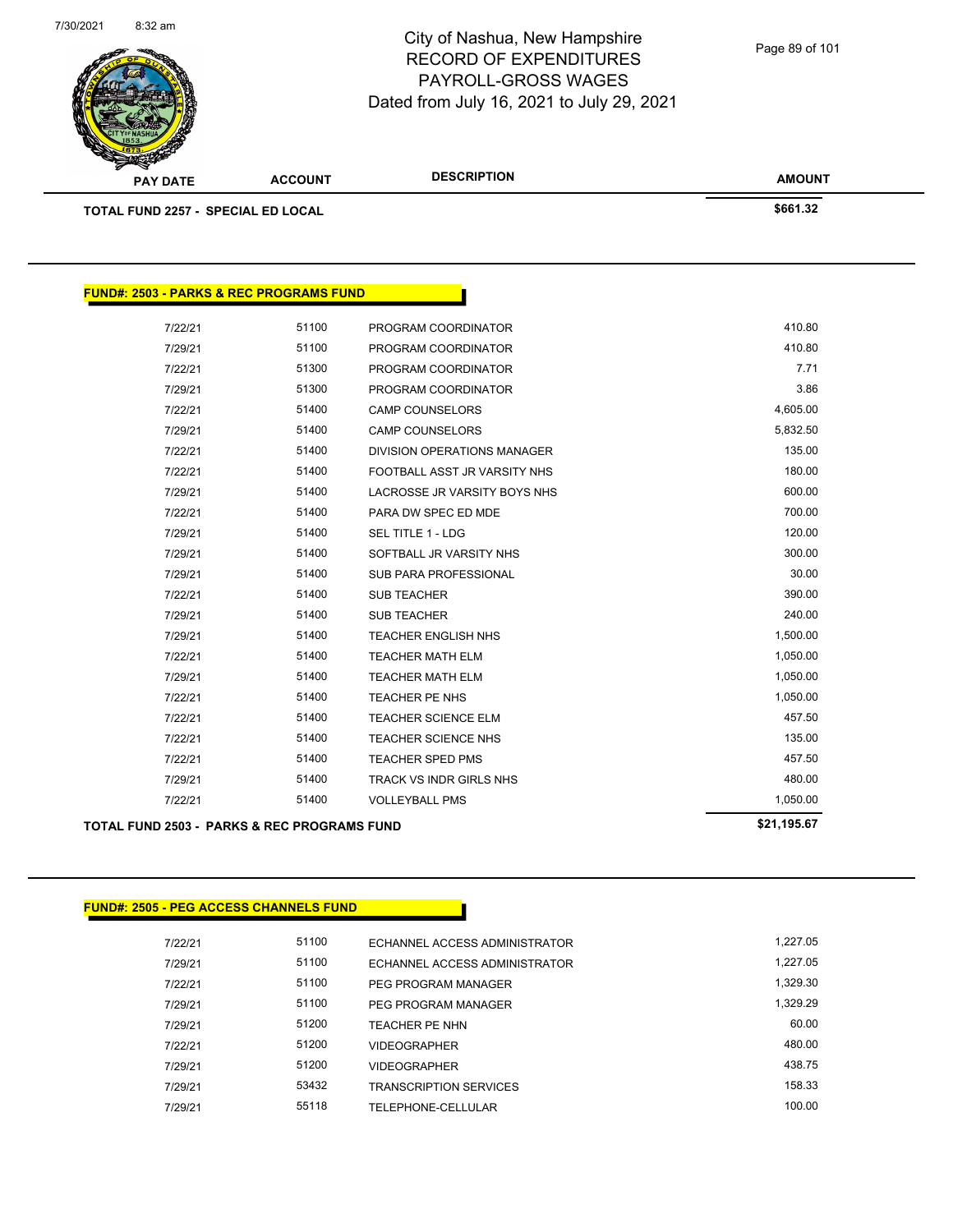

**FUND#: 2503 - PARKS & REC PROGRAMS FUND**

# City of Nashua, New Hampshire RECORD OF EXPENDITURES PAYROLL-GROSS WAGES Dated from July 16, 2021 to July 29, 2021

Page 89 of 101

| <b>PAY DATE</b>                           | <b>ACCOUNT</b> | <b>DESCRIPTION</b> | <b>AMOUNT</b> |
|-------------------------------------------|----------------|--------------------|---------------|
| <b>TOTAL FUND 2257 - SPECIAL ED LOCAL</b> |                |                    | \$661.32      |
|                                           |                |                    |               |
|                                           |                |                    |               |

|         | TOTAL FUND 2503 - PARKS & REC PROGRAMS FUND |                                    | \$21,195.67 |
|---------|---------------------------------------------|------------------------------------|-------------|
| 7/22/21 | 51400                                       | <b>VOLLEYBALL PMS</b>              | 1,050.00    |
| 7/29/21 | 51400                                       | TRACK VS INDR GIRLS NHS            | 480.00      |
| 7/22/21 | 51400                                       | <b>TEACHER SPED PMS</b>            | 457.50      |
| 7/22/21 | 51400                                       | <b>TEACHER SCIENCE NHS</b>         | 135.00      |
| 7/22/21 | 51400                                       | <b>TEACHER SCIENCE ELM</b>         | 457.50      |
| 7/22/21 | 51400                                       | TEACHER PE NHS                     | 1,050.00    |
| 7/29/21 | 51400                                       | <b>TEACHER MATH ELM</b>            | 1,050.00    |
| 7/22/21 | 51400                                       | <b>TEACHER MATH ELM</b>            | 1,050.00    |
| 7/29/21 | 51400                                       | <b>TEACHER ENGLISH NHS</b>         | 1,500.00    |
| 7/29/21 | 51400                                       | <b>SUB TEACHER</b>                 | 240.00      |
| 7/22/21 | 51400                                       | <b>SUB TEACHER</b>                 | 390.00      |
| 7/29/21 | 51400                                       | <b>SUB PARA PROFESSIONAL</b>       | 30.00       |
| 7/29/21 | 51400                                       | SOFTBALL JR VARSITY NHS            | 300.00      |
| 7/29/21 | 51400                                       | <b>SEL TITLE 1 - LDG</b>           | 120.00      |
| 7/22/21 | 51400                                       | PARA DW SPEC ED MDE                | 700.00      |
| 7/29/21 | 51400                                       | LACROSSE JR VARSITY BOYS NHS       | 600.00      |
| 7/22/21 | 51400                                       | FOOTBALL ASST JR VARSITY NHS       | 180.00      |
| 7/22/21 | 51400                                       | <b>DIVISION OPERATIONS MANAGER</b> | 135.00      |
| 7/29/21 | 51400                                       | <b>CAMP COUNSELORS</b>             | 5,832.50    |
| 7/22/21 | 51400                                       | <b>CAMP COUNSELORS</b>             | 4,605.00    |
| 7/29/21 | 51300                                       | PROGRAM COORDINATOR                | 3.86        |
| 7/22/21 | 51300                                       | PROGRAM COORDINATOR                | 7.71        |
| 7/29/21 | 51100                                       | PROGRAM COORDINATOR                | 410.80      |
| 7/22/21 | 51100                                       | PROGRAM COORDINATOR                | 410.80      |

### **FUND#: 2505 - PEG ACCESS CHANNELS FUND**

| 7/22/21 | 51100 | ECHANNEL ACCESS ADMINISTRATOR | 1.227.05 |
|---------|-------|-------------------------------|----------|
| 7/29/21 | 51100 | ECHANNEL ACCESS ADMINISTRATOR | 1.227.05 |
| 7/22/21 | 51100 | PEG PROGRAM MANAGER           | 1.329.30 |
| 7/29/21 | 51100 | PEG PROGRAM MANAGER           | 1.329.29 |
| 7/29/21 | 51200 | TFACHER PF NHN                | 60.00    |
| 7/22/21 | 51200 | <b>VIDEOGRAPHER</b>           | 480.00   |
| 7/29/21 | 51200 | <b>VIDEOGRAPHER</b>           | 438.75   |
| 7/29/21 | 53432 | <b>TRANSCRIPTION SERVICES</b> | 158.33   |
| 7/29/21 | 55118 | TELEPHONE-CELLULAR            | 100.00   |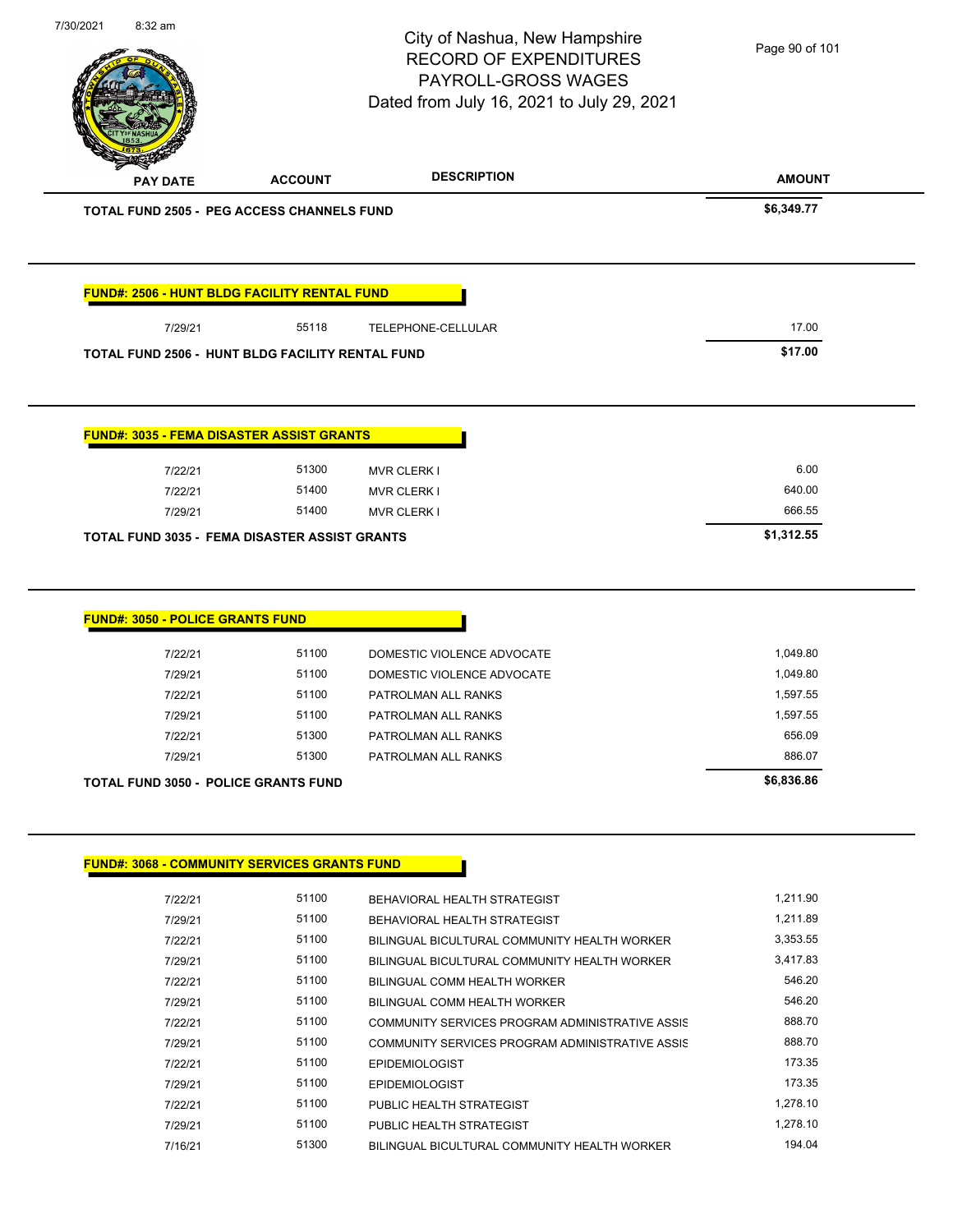|                                                                                                                          |                | City of Nashua, New Hampshire<br><b>RECORD OF EXPENDITURES</b><br>PAYROLL-GROSS WAGES | Page 90 of 101     |
|--------------------------------------------------------------------------------------------------------------------------|----------------|---------------------------------------------------------------------------------------|--------------------|
|                                                                                                                          |                | Dated from July 16, 2021 to July 29, 2021                                             |                    |
| <b>PAY DATE</b>                                                                                                          | <b>ACCOUNT</b> | <b>DESCRIPTION</b>                                                                    | <b>AMOUNT</b>      |
| <b>TOTAL FUND 2505 - PEG ACCESS CHANNELS FUND</b>                                                                        |                |                                                                                       | \$6,349.77         |
| FUND#: 2506 - HUNT BLDG FACILITY RENTAL FUND                                                                             |                |                                                                                       |                    |
| 7/29/21                                                                                                                  | 55118          | TELEPHONE-CELLULAR                                                                    | 17.00              |
| TOTAL FUND 2506 - HUNT BLDG FACILITY RENTAL FUND                                                                         |                |                                                                                       | \$17.00            |
| <b>FUND#: 3035 - FEMA DISASTER ASSIST GRANTS</b>                                                                         |                |                                                                                       |                    |
| 7/22/21                                                                                                                  | 51300          | <b>MVR CLERK I</b>                                                                    | 6.00               |
| 7/22/21                                                                                                                  | 51400          | <b>MVR CLERK I</b>                                                                    | 640.00             |
| 7/29/21                                                                                                                  | 51400          | <b>MVR CLERK I</b>                                                                    | 666.55             |
|                                                                                                                          |                |                                                                                       |                    |
|                                                                                                                          |                |                                                                                       |                    |
| 7/22/21                                                                                                                  | 51100          | DOMESTIC VIOLENCE ADVOCATE                                                            | 1,049.80           |
| 7/29/21                                                                                                                  | 51100          | DOMESTIC VIOLENCE ADVOCATE                                                            | 1,049.80           |
| 7/22/21                                                                                                                  | 51100          | PATROLMAN ALL RANKS                                                                   | 1,597.55           |
| 7/29/21                                                                                                                  | 51100          | PATROLMAN ALL RANKS                                                                   | 1,597.55           |
| 7/22/21                                                                                                                  | 51300          | PATROLMAN ALL RANKS                                                                   | 656.09             |
| <b>FUND#: 3050 - POLICE GRANTS FUND</b><br>7/29/21                                                                       | 51300          | PATROLMAN ALL RANKS                                                                   | 886.07             |
|                                                                                                                          |                |                                                                                       | \$6,836.86         |
|                                                                                                                          |                |                                                                                       |                    |
| 7/22/21                                                                                                                  | 51100          | BEHAVIORAL HEALTH STRATEGIST                                                          | 1,211.90           |
| 7/29/21                                                                                                                  | 51100          | BEHAVIORAL HEALTH STRATEGIST                                                          | 1,211.89           |
| 7/22/21                                                                                                                  | 51100          | BILINGUAL BICULTURAL COMMUNITY HEALTH WORKER                                          | 3,353.55           |
| 7/29/21                                                                                                                  | 51100          | BILINGUAL BICULTURAL COMMUNITY HEALTH WORKER                                          | 3,417.83           |
| 7/22/21                                                                                                                  | 51100          | BILINGUAL COMM HEALTH WORKER                                                          | 546.20             |
| 7/29/21                                                                                                                  | 51100          | BILINGUAL COMM HEALTH WORKER                                                          | 546.20             |
| 7/22/21                                                                                                                  | 51100          | COMMUNITY SERVICES PROGRAM ADMINISTRATIVE ASSIS                                       | 888.70             |
| 7/29/21                                                                                                                  | 51100          | COMMUNITY SERVICES PROGRAM ADMINISTRATIVE ASSIS                                       | 888.70             |
| 7/22/21                                                                                                                  | 51100          | <b>EPIDEMIOLOGIST</b>                                                                 | 173.35             |
| <b>TOTAL FUND 3050 - POLICE GRANTS FUND</b><br><b>FUND#: 3068 - COMMUNITY SERVICES GRANTS FUND</b><br>7/29/21<br>7/22/21 | 51100<br>51100 | <b>EPIDEMIOLOGIST</b><br>PUBLIC HEALTH STRATEGIST                                     | 173.35<br>1,278.10 |

7/16/21 51300 BILINGUAL BICULTURAL COMMUNITY HEALTH WORKER 194.04

7/30/2021 8:32 am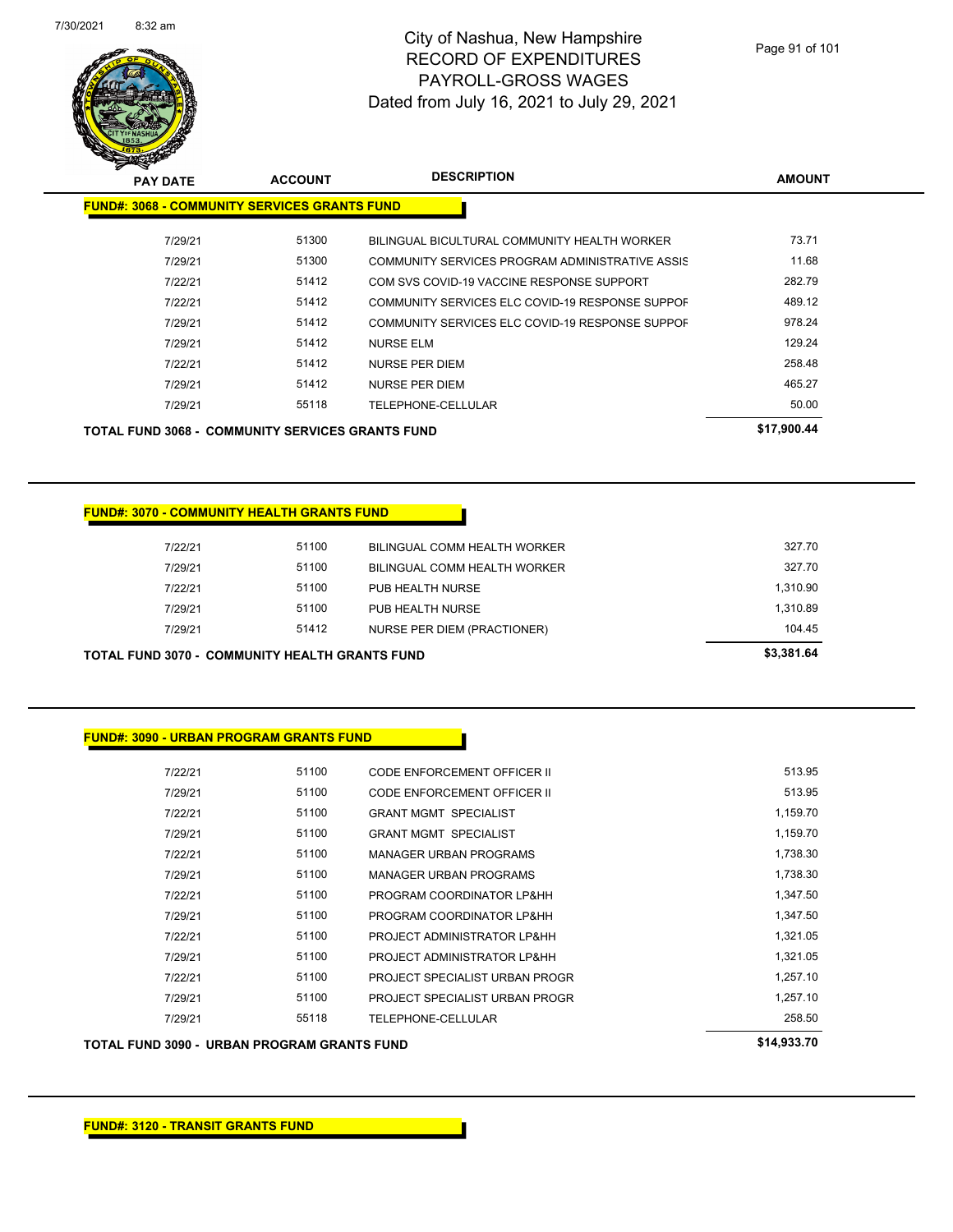

| <b>PAY DATE</b>                                         | <b>ACCOUNT</b> | <b>DESCRIPTION</b>                              | <b>AMOUNT</b> |
|---------------------------------------------------------|----------------|-------------------------------------------------|---------------|
| <b>FUND#: 3068 - COMMUNITY SERVICES GRANTS FUND</b>     |                |                                                 |               |
| 7/29/21                                                 | 51300          | BILINGUAL BICULTURAL COMMUNITY HEALTH WORKER    | 73.71         |
| 7/29/21                                                 | 51300          | COMMUNITY SERVICES PROGRAM ADMINISTRATIVE ASSIS | 11.68         |
| 7/22/21                                                 | 51412          | COM SVS COVID-19 VACCINE RESPONSE SUPPORT       | 282.79        |
| 7/22/21                                                 | 51412          | COMMUNITY SERVICES ELC COVID-19 RESPONSE SUPPOF | 489.12        |
| 7/29/21                                                 | 51412          | COMMUNITY SERVICES ELC COVID-19 RESPONSE SUPPOF | 978.24        |
| 7/29/21                                                 | 51412          | <b>NURSE ELM</b>                                | 129.24        |
| 7/22/21                                                 | 51412          | <b>NURSE PER DIEM</b>                           | 258.48        |
| 7/29/21                                                 | 51412          | NURSE PER DIEM                                  | 465.27        |
| 7/29/21                                                 | 55118          | TELEPHONE-CELLULAR                              | 50.00         |
| <b>TOTAL FUND 3068 - COMMUNITY SERVICES GRANTS FUND</b> |                |                                                 | \$17.900.44   |

### **FUND#: 3070 - COMMUNITY HEALTH GRANTS FUND**

| TAI_FIIND 3070 - COMMIINITY HEAI TH GRANTS FIIND. |       |                              | \$3,381.64 |
|---------------------------------------------------|-------|------------------------------|------------|
| 7/29/21                                           | 51412 | NURSE PER DIEM (PRACTIONER)  | 104.45     |
| 7/29/21                                           | 51100 | PUB HEALTH NURSE             | 1,310.89   |
| 7/22/21                                           | 51100 | PUB HEALTH NURSE             | 1,310.90   |
| 7/29/21                                           | 51100 | BILINGUAL COMM HEALTH WORKER | 327.70     |
| 7/22/21                                           | 51100 | BILINGUAL COMM HEALTH WORKER | 327.70     |
|                                                   |       |                              |            |

| 7/29/21                                               | 1,310.89   |
|-------------------------------------------------------|------------|
| 7/29/21                                               | 104.45     |
| <b>TOTAL FUND 3070 - COMMUNITY HEALTH GRANTS FUND</b> | \$3,381.64 |

### **FUND#: 3090 - URBAN PROGRAM GRANTS FUND**

| 7/22/21 | 51100 | CODE ENFORCEMENT OFFICER II    | 513.95   |
|---------|-------|--------------------------------|----------|
| 7/29/21 | 51100 | CODE ENFORCEMENT OFFICER II    | 513.95   |
| 7/22/21 | 51100 | <b>GRANT MGMT SPECIALIST</b>   | 1,159.70 |
| 7/29/21 | 51100 | <b>GRANT MGMT SPECIALIST</b>   | 1,159.70 |
| 7/22/21 | 51100 | <b>MANAGER URBAN PROGRAMS</b>  | 1.738.30 |
| 7/29/21 | 51100 | <b>MANAGER URBAN PROGRAMS</b>  | 1.738.30 |
| 7/22/21 | 51100 | PROGRAM COORDINATOR LP&HH      | 1.347.50 |
| 7/29/21 | 51100 | PROGRAM COORDINATOR LP&HH      | 1,347.50 |
| 7/22/21 | 51100 | PROJECT ADMINISTRATOR LP&HH    | 1,321.05 |
| 7/29/21 | 51100 | PROJECT ADMINISTRATOR LP&HH    | 1,321.05 |
| 7/22/21 | 51100 | PROJECT SPECIALIST URBAN PROGR | 1.257.10 |
| 7/29/21 | 51100 | PROJECT SPECIALIST URBAN PROGR | 1.257.10 |
| 7/29/21 | 55118 | TELEPHONE-CELLULAR             | 258.50   |
|         |       |                                |          |

# **TOTAL FUND 3090 - URBAN PROGRAM GRANTS FUND \$14,933.70**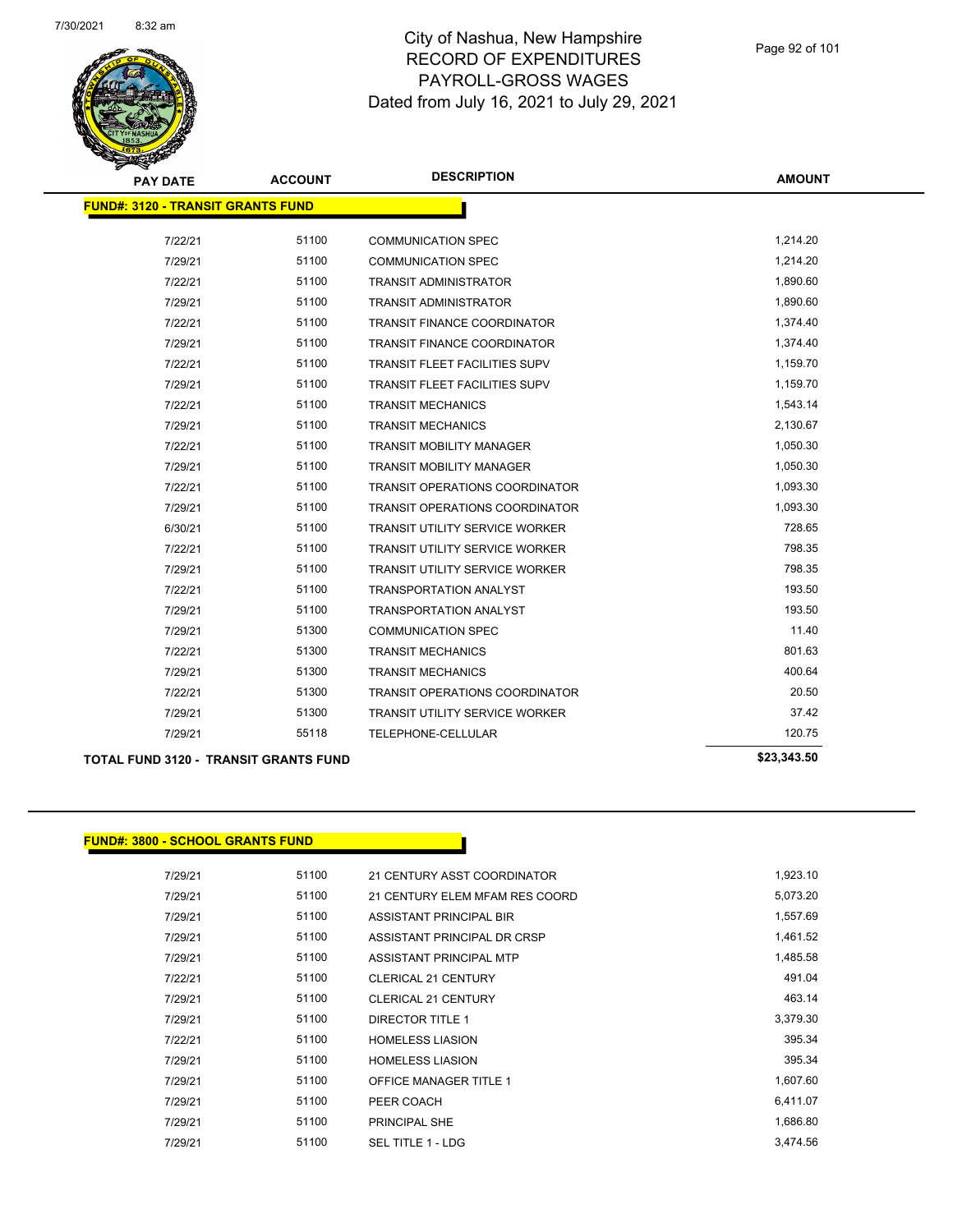

| <b>PAY DATE</b>                          | <b>ACCOUNT</b> | <b>DESCRIPTION</b>                    | <b>AMOUNT</b> |
|------------------------------------------|----------------|---------------------------------------|---------------|
| <b>FUND#: 3120 - TRANSIT GRANTS FUND</b> |                |                                       |               |
| 7/22/21                                  | 51100          | <b>COMMUNICATION SPEC</b>             | 1,214.20      |
| 7/29/21                                  | 51100          | <b>COMMUNICATION SPEC</b>             | 1,214.20      |
| 7/22/21                                  | 51100          | <b>TRANSIT ADMINISTRATOR</b>          | 1,890.60      |
| 7/29/21                                  | 51100          | <b>TRANSIT ADMINISTRATOR</b>          | 1,890.60      |
| 7/22/21                                  | 51100          | <b>TRANSIT FINANCE COORDINATOR</b>    | 1,374.40      |
| 7/29/21                                  | 51100          | <b>TRANSIT FINANCE COORDINATOR</b>    | 1,374.40      |
| 7/22/21                                  | 51100          | <b>TRANSIT FLEET FACILITIES SUPV</b>  | 1,159.70      |
| 7/29/21                                  | 51100          | <b>TRANSIT FLEET FACILITIES SUPV</b>  | 1,159.70      |
| 7/22/21                                  | 51100          | <b>TRANSIT MECHANICS</b>              | 1,543.14      |
| 7/29/21                                  | 51100          | <b>TRANSIT MECHANICS</b>              | 2,130.67      |
| 7/22/21                                  | 51100          | <b>TRANSIT MOBILITY MANAGER</b>       | 1,050.30      |
| 7/29/21                                  | 51100          | <b>TRANSIT MOBILITY MANAGER</b>       | 1,050.30      |
| 7/22/21                                  | 51100          | TRANSIT OPERATIONS COORDINATOR        | 1,093.30      |
| 7/29/21                                  | 51100          | <b>TRANSIT OPERATIONS COORDINATOR</b> | 1,093.30      |
| 6/30/21                                  | 51100          | <b>TRANSIT UTILITY SERVICE WORKER</b> | 728.65        |
| 7/22/21                                  | 51100          | <b>TRANSIT UTILITY SERVICE WORKER</b> | 798.35        |
| 7/29/21                                  | 51100          | <b>TRANSIT UTILITY SERVICE WORKER</b> | 798.35        |
| 7/22/21                                  | 51100          | <b>TRANSPORTATION ANALYST</b>         | 193.50        |
| 7/29/21                                  | 51100          | <b>TRANSPORTATION ANALYST</b>         | 193.50        |
| 7/29/21                                  | 51300          | <b>COMMUNICATION SPEC</b>             | 11.40         |
| 7/22/21                                  | 51300          | <b>TRANSIT MECHANICS</b>              | 801.63        |
| 7/29/21                                  | 51300          | <b>TRANSIT MECHANICS</b>              | 400.64        |
| 7/22/21                                  | 51300          | <b>TRANSIT OPERATIONS COORDINATOR</b> | 20.50         |
| 7/29/21                                  | 51300          | <b>TRANSIT UTILITY SERVICE WORKER</b> | 37.42         |
| 7/29/21                                  | 55118          | TELEPHONE-CELLULAR                    | 120.75        |
|                                          |                |                                       |               |

**TOTAL FUND 3120 - TRANSIT GRANTS FUND \$23,343.50** 

### **FUND#: 3800 - SCHOOL GRANTS FUND**

| 7/29/21 | 51100 | 21 CENTURY ASST COORDINATOR    | 1,923.10 |
|---------|-------|--------------------------------|----------|
| 7/29/21 | 51100 | 21 CENTURY ELEM MFAM RES COORD | 5,073.20 |
| 7/29/21 | 51100 | ASSISTANT PRINCIPAL BIR        | 1,557.69 |
| 7/29/21 | 51100 | ASSISTANT PRINCIPAL DR CRSP    | 1,461.52 |
| 7/29/21 | 51100 | ASSISTANT PRINCIPAL MTP        | 1,485.58 |
| 7/22/21 | 51100 | CLERICAL 21 CENTURY            | 491.04   |
| 7/29/21 | 51100 | CLERICAL 21 CENTURY            | 463.14   |
| 7/29/21 | 51100 | <b>DIRECTOR TITLE 1</b>        | 3,379.30 |
| 7/22/21 | 51100 | <b>HOMELESS LIASION</b>        | 395.34   |
| 7/29/21 | 51100 | <b>HOMELESS LIASION</b>        | 395.34   |
| 7/29/21 | 51100 | <b>OFFICE MANAGER TITLE 1</b>  | 1,607.60 |
| 7/29/21 | 51100 | PEER COACH                     | 6,411.07 |
| 7/29/21 | 51100 | PRINCIPAL SHE                  | 1,686.80 |
| 7/29/21 | 51100 | SEL TITLE 1 - LDG              | 3.474.56 |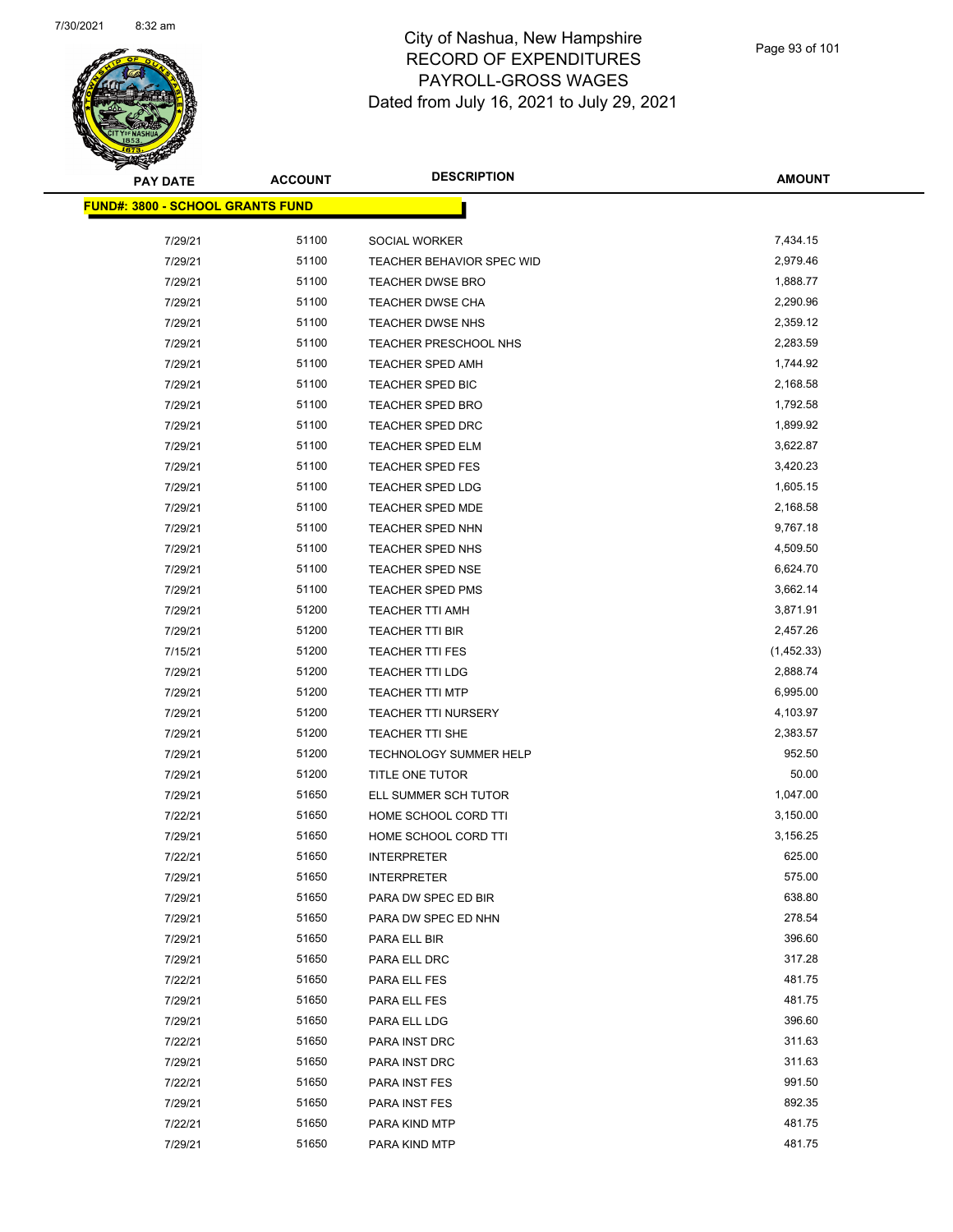

| <b>PAY DATE</b>                         | <b>ACCOUNT</b> | <b>DESCRIPTION</b>            | <b>AMOUNT</b> |
|-----------------------------------------|----------------|-------------------------------|---------------|
| <b>FUND#: 3800 - SCHOOL GRANTS FUND</b> |                |                               |               |
| 7/29/21                                 | 51100          | SOCIAL WORKER                 | 7,434.15      |
| 7/29/21                                 | 51100          | TEACHER BEHAVIOR SPEC WID     | 2,979.46      |
| 7/29/21                                 | 51100          | <b>TEACHER DWSE BRO</b>       | 1,888.77      |
| 7/29/21                                 | 51100          | <b>TEACHER DWSE CHA</b>       | 2,290.96      |
| 7/29/21                                 | 51100          | <b>TEACHER DWSE NHS</b>       | 2,359.12      |
| 7/29/21                                 | 51100          | TEACHER PRESCHOOL NHS         | 2,283.59      |
| 7/29/21                                 | 51100          | <b>TEACHER SPED AMH</b>       | 1,744.92      |
| 7/29/21                                 | 51100          | TEACHER SPED BIC              | 2,168.58      |
| 7/29/21                                 | 51100          | <b>TEACHER SPED BRO</b>       | 1,792.58      |
| 7/29/21                                 | 51100          | TEACHER SPED DRC              | 1,899.92      |
| 7/29/21                                 | 51100          | <b>TEACHER SPED ELM</b>       | 3,622.87      |
| 7/29/21                                 | 51100          | <b>TEACHER SPED FES</b>       | 3,420.23      |
| 7/29/21                                 | 51100          | <b>TEACHER SPED LDG</b>       | 1,605.15      |
| 7/29/21                                 | 51100          | TEACHER SPED MDE              | 2,168.58      |
| 7/29/21                                 | 51100          | TEACHER SPED NHN              | 9,767.18      |
| 7/29/21                                 | 51100          | <b>TEACHER SPED NHS</b>       | 4,509.50      |
| 7/29/21                                 | 51100          | <b>TEACHER SPED NSE</b>       | 6,624.70      |
| 7/29/21                                 | 51100          | <b>TEACHER SPED PMS</b>       | 3,662.14      |
| 7/29/21                                 | 51200          | <b>TEACHER TTI AMH</b>        | 3,871.91      |
| 7/29/21                                 | 51200          | <b>TEACHER TTI BIR</b>        | 2,457.26      |
| 7/15/21                                 | 51200          | <b>TEACHER TTI FES</b>        | (1,452.33)    |
| 7/29/21                                 | 51200          | <b>TEACHER TTI LDG</b>        | 2,888.74      |
| 7/29/21                                 | 51200          | <b>TEACHER TTI MTP</b>        | 6,995.00      |
| 7/29/21                                 | 51200          | <b>TEACHER TTI NURSERY</b>    | 4,103.97      |
| 7/29/21                                 | 51200          | TEACHER TTI SHE               | 2,383.57      |
| 7/29/21                                 | 51200          | <b>TECHNOLOGY SUMMER HELP</b> | 952.50        |
| 7/29/21                                 | 51200          | TITLE ONE TUTOR               | 50.00         |
| 7/29/21                                 | 51650          | ELL SUMMER SCH TUTOR          | 1,047.00      |
| 7/22/21                                 | 51650          | HOME SCHOOL CORD TTI          | 3,150.00      |
| 7/29/21                                 | 51650          | HOME SCHOOL CORD TTI          | 3,156.25      |
| 7/22/21                                 | 51650          | <b>INTERPRETER</b>            | 625.00        |
| 7/29/21                                 | 51650          | <b>INTERPRETER</b>            | 575.00        |
| 7/29/21                                 | 51650          | PARA DW SPEC ED BIR           | 638.80        |
| 7/29/21                                 | 51650          | PARA DW SPEC ED NHN           | 278.54        |
| 7/29/21                                 | 51650          | PARA ELL BIR                  | 396.60        |
| 7/29/21                                 | 51650          | PARA ELL DRC                  | 317.28        |
| 7/22/21                                 | 51650          | PARA ELL FES                  | 481.75        |
| 7/29/21                                 | 51650          | PARA ELL FES                  | 481.75        |
| 7/29/21                                 | 51650          | PARA ELL LDG                  | 396.60        |
| 7/22/21                                 | 51650          | PARA INST DRC                 | 311.63        |
| 7/29/21                                 | 51650          | PARA INST DRC                 | 311.63        |
| 7/22/21                                 | 51650          | PARA INST FES                 | 991.50        |
| 7/29/21                                 | 51650          | PARA INST FES                 | 892.35        |
| 7/22/21                                 | 51650          | PARA KIND MTP                 | 481.75        |
| 7/29/21                                 | 51650          | PARA KIND MTP                 | 481.75        |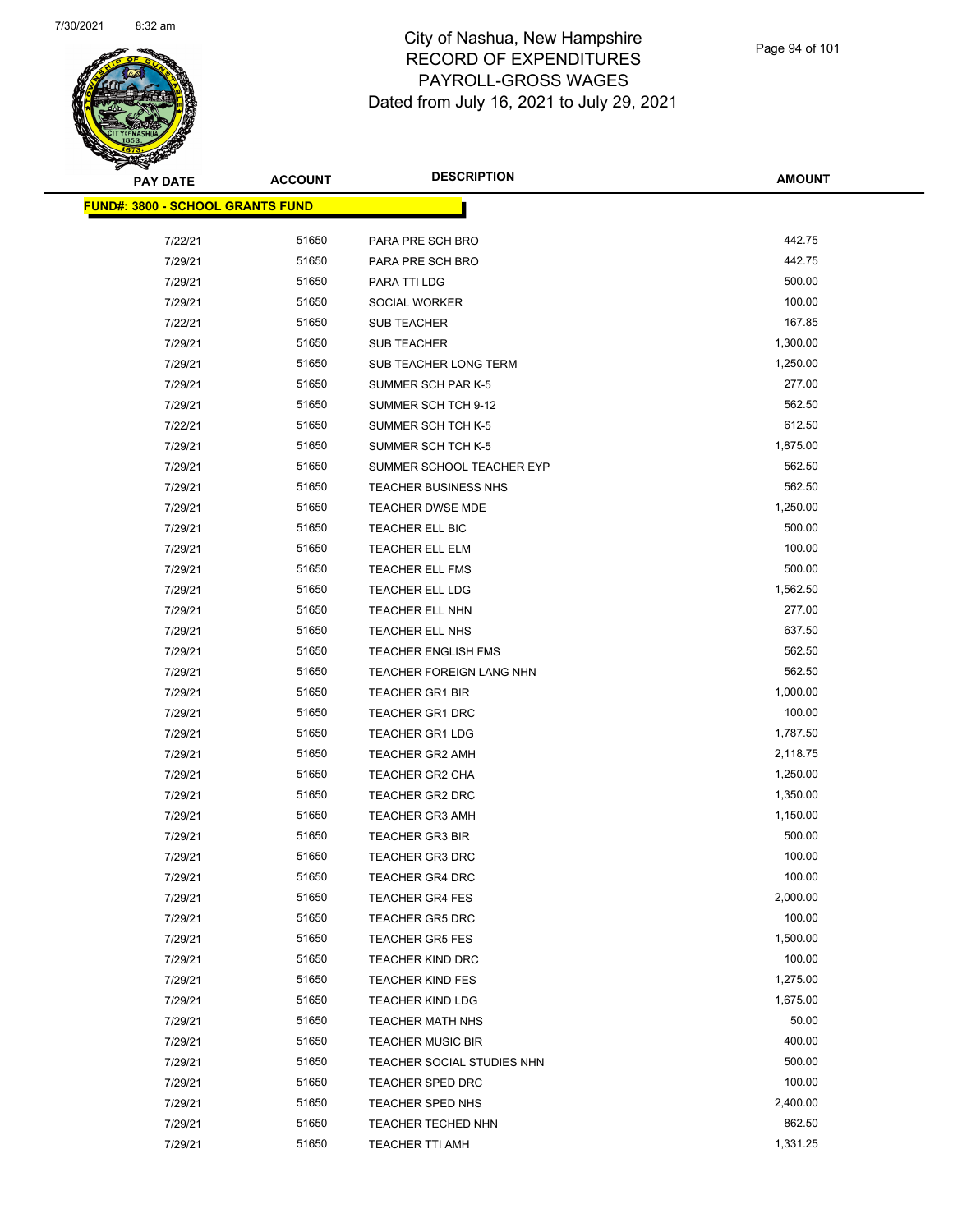

| <b>PAY DATE</b>                         | <b>ACCOUNT</b> | <b>DESCRIPTION</b>          | <b>AMOUNT</b> |
|-----------------------------------------|----------------|-----------------------------|---------------|
| <b>FUND#: 3800 - SCHOOL GRANTS FUND</b> |                |                             |               |
| 7/22/21                                 | 51650          | PARA PRE SCH BRO            | 442.75        |
| 7/29/21                                 | 51650          | PARA PRE SCH BRO            | 442.75        |
| 7/29/21                                 | 51650          | PARA TTI LDG                | 500.00        |
| 7/29/21                                 | 51650          | SOCIAL WORKER               | 100.00        |
| 7/22/21                                 | 51650          | <b>SUB TEACHER</b>          | 167.85        |
| 7/29/21                                 | 51650          | SUB TEACHER                 | 1,300.00      |
| 7/29/21                                 | 51650          | SUB TEACHER LONG TERM       | 1,250.00      |
| 7/29/21                                 | 51650          | SUMMER SCH PAR K-5          | 277.00        |
| 7/29/21                                 | 51650          | SUMMER SCH TCH 9-12         | 562.50        |
| 7/22/21                                 | 51650          | SUMMER SCH TCH K-5          | 612.50        |
| 7/29/21                                 | 51650          | SUMMER SCH TCH K-5          | 1,875.00      |
| 7/29/21                                 | 51650          | SUMMER SCHOOL TEACHER EYP   | 562.50        |
| 7/29/21                                 | 51650          | <b>TEACHER BUSINESS NHS</b> | 562.50        |
| 7/29/21                                 | 51650          | <b>TEACHER DWSE MDE</b>     | 1,250.00      |
| 7/29/21                                 | 51650          | TEACHER ELL BIC             | 500.00        |
| 7/29/21                                 | 51650          | TEACHER ELL ELM             | 100.00        |
| 7/29/21                                 | 51650          | <b>TEACHER ELL FMS</b>      | 500.00        |
| 7/29/21                                 | 51650          | TEACHER ELL LDG             | 1,562.50      |
| 7/29/21                                 | 51650          | TEACHER ELL NHN             | 277.00        |
| 7/29/21                                 | 51650          | TEACHER ELL NHS             | 637.50        |
| 7/29/21                                 | 51650          | <b>TEACHER ENGLISH FMS</b>  | 562.50        |
| 7/29/21                                 | 51650          | TEACHER FOREIGN LANG NHN    | 562.50        |
| 7/29/21                                 | 51650          | <b>TEACHER GR1 BIR</b>      | 1,000.00      |
| 7/29/21                                 | 51650          | <b>TEACHER GR1 DRC</b>      | 100.00        |
| 7/29/21                                 | 51650          | <b>TEACHER GR1 LDG</b>      | 1,787.50      |
| 7/29/21                                 | 51650          | <b>TEACHER GR2 AMH</b>      | 2,118.75      |
| 7/29/21                                 | 51650          | <b>TEACHER GR2 CHA</b>      | 1,250.00      |
| 7/29/21                                 | 51650          | <b>TEACHER GR2 DRC</b>      | 1,350.00      |
| 7/29/21                                 | 51650          | <b>TEACHER GR3 AMH</b>      | 1,150.00      |
| 7/29/21                                 | 51650          | <b>TEACHER GR3 BIR</b>      | 500.00        |
| 7/29/21                                 | 51650          | <b>TEACHER GR3 DRC</b>      | 100.00        |
| 7/29/21                                 | 51650          | <b>TEACHER GR4 DRC</b>      | 100.00        |
| 7/29/21                                 | 51650          | <b>TEACHER GR4 FES</b>      | 2,000.00      |
| 7/29/21                                 | 51650          | <b>TEACHER GR5 DRC</b>      | 100.00        |
| 7/29/21                                 | 51650          | <b>TEACHER GR5 FES</b>      | 1,500.00      |
| 7/29/21                                 | 51650          | <b>TEACHER KIND DRC</b>     | 100.00        |
| 7/29/21                                 | 51650          | <b>TEACHER KIND FES</b>     | 1,275.00      |
| 7/29/21                                 | 51650          | <b>TEACHER KIND LDG</b>     | 1,675.00      |
| 7/29/21                                 | 51650          | <b>TEACHER MATH NHS</b>     | 50.00         |
| 7/29/21                                 | 51650          | <b>TEACHER MUSIC BIR</b>    | 400.00        |
| 7/29/21                                 | 51650          | TEACHER SOCIAL STUDIES NHN  | 500.00        |
| 7/29/21                                 | 51650          | TEACHER SPED DRC            | 100.00        |
| 7/29/21                                 | 51650          | TEACHER SPED NHS            | 2,400.00      |
| 7/29/21                                 | 51650          | TEACHER TECHED NHN          | 862.50        |
| 7/29/21                                 | 51650          | TEACHER TTI AMH             | 1,331.25      |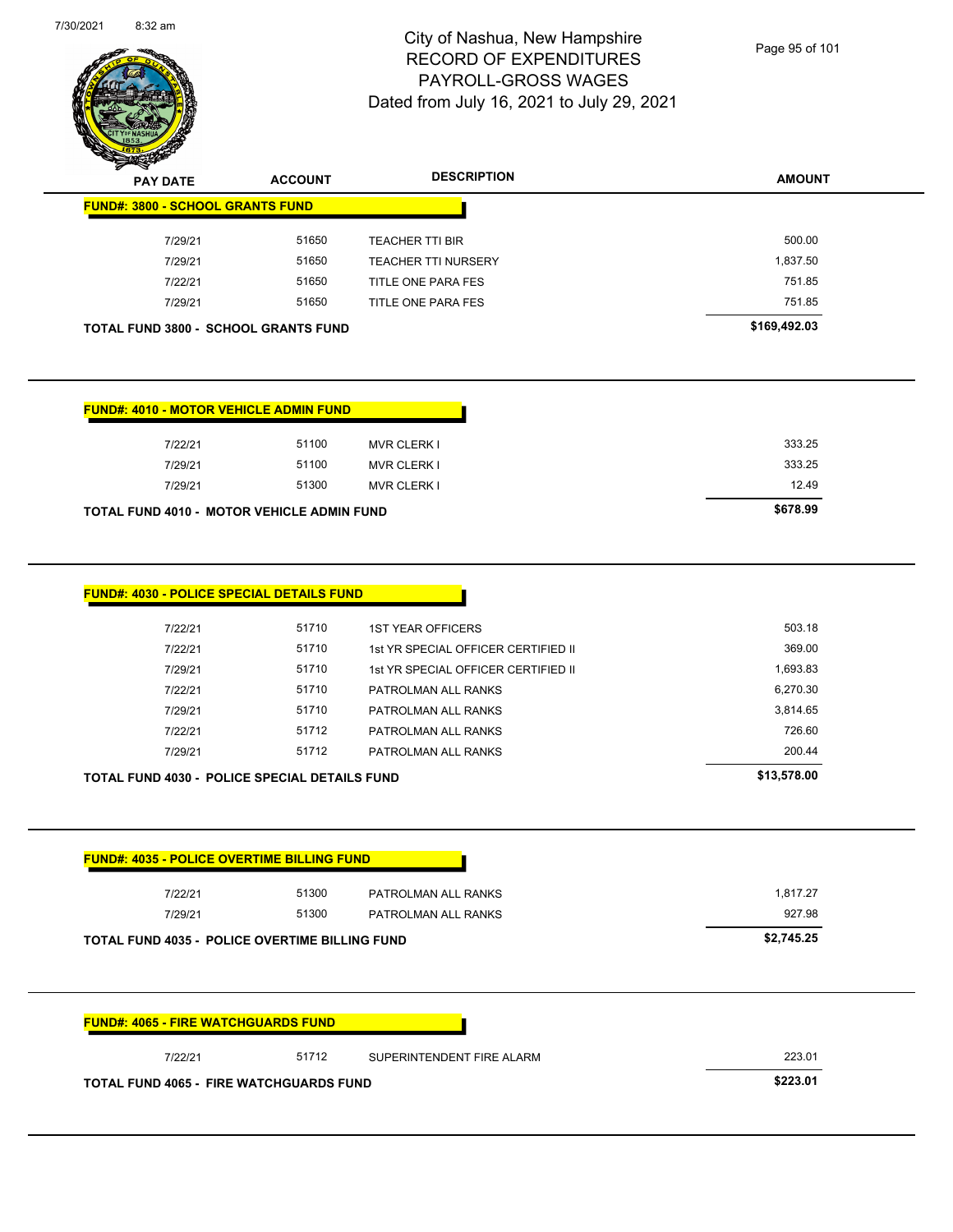

**FUND#: 3800 - SCHOOL GRANTS FUND**

# City of Nashua, New Hampshire RECORD OF EXPENDITURES PAYROLL-GROSS WAGES Dated from July 16, 2021 to July 29, 2021

Page 95 of 101

**AMOUNT**

| <b>FUND#: 4010 - MOTOR VEHICLE ADMIN FUND</b><br>7/22/21<br>51100<br><b>MVR CLERK I</b><br>7/29/21<br>51100<br><b>MVR CLERK I</b><br>51300<br>7/29/21<br><b>MVR CLERK I</b><br><b>TOTAL FUND 4010 - MOTOR VEHICLE ADMIN FUND</b><br>FUND#: 4030 - POLICE SPECIAL DETAILS FUND<br>51710<br>7/22/21<br><b>1ST YEAR OFFICERS</b><br>51710<br>7/22/21<br>1st YR SPECIAL OFFICER CERTIFIED II<br>7/29/21<br>51710<br>1st YR SPECIAL OFFICER CERTIFIED II<br>7/22/21<br>51710<br>PATROLMAN ALL RANKS<br>51710<br>7/29/21<br>PATROLMAN ALL RANKS<br>51712<br>7/22/21<br>PATROLMAN ALL RANKS<br>51712<br>7/29/21<br>PATROLMAN ALL RANKS<br>TOTAL FUND 4030 - POLICE SPECIAL DETAILS FUND | 333.25<br>333.25<br>12.49<br>\$678.99<br>503.18<br>369.00<br>1,693.83<br>6,270.30<br>3,814.65<br>726.60 |
|----------------------------------------------------------------------------------------------------------------------------------------------------------------------------------------------------------------------------------------------------------------------------------------------------------------------------------------------------------------------------------------------------------------------------------------------------------------------------------------------------------------------------------------------------------------------------------------------------------------------------------------------------------------------------------|---------------------------------------------------------------------------------------------------------|
|                                                                                                                                                                                                                                                                                                                                                                                                                                                                                                                                                                                                                                                                                  |                                                                                                         |
|                                                                                                                                                                                                                                                                                                                                                                                                                                                                                                                                                                                                                                                                                  |                                                                                                         |
|                                                                                                                                                                                                                                                                                                                                                                                                                                                                                                                                                                                                                                                                                  |                                                                                                         |
|                                                                                                                                                                                                                                                                                                                                                                                                                                                                                                                                                                                                                                                                                  |                                                                                                         |
|                                                                                                                                                                                                                                                                                                                                                                                                                                                                                                                                                                                                                                                                                  |                                                                                                         |
|                                                                                                                                                                                                                                                                                                                                                                                                                                                                                                                                                                                                                                                                                  |                                                                                                         |
|                                                                                                                                                                                                                                                                                                                                                                                                                                                                                                                                                                                                                                                                                  |                                                                                                         |
|                                                                                                                                                                                                                                                                                                                                                                                                                                                                                                                                                                                                                                                                                  |                                                                                                         |
|                                                                                                                                                                                                                                                                                                                                                                                                                                                                                                                                                                                                                                                                                  |                                                                                                         |
|                                                                                                                                                                                                                                                                                                                                                                                                                                                                                                                                                                                                                                                                                  |                                                                                                         |
|                                                                                                                                                                                                                                                                                                                                                                                                                                                                                                                                                                                                                                                                                  |                                                                                                         |
|                                                                                                                                                                                                                                                                                                                                                                                                                                                                                                                                                                                                                                                                                  |                                                                                                         |
|                                                                                                                                                                                                                                                                                                                                                                                                                                                                                                                                                                                                                                                                                  | 200.44                                                                                                  |
|                                                                                                                                                                                                                                                                                                                                                                                                                                                                                                                                                                                                                                                                                  | \$13,578.00                                                                                             |
| <b>FUND#: 4035 - POLICE OVERTIME BILLING FUND</b>                                                                                                                                                                                                                                                                                                                                                                                                                                                                                                                                                                                                                                |                                                                                                         |
| 51300<br>7/22/21<br>PATROLMAN ALL RANKS                                                                                                                                                                                                                                                                                                                                                                                                                                                                                                                                                                                                                                          | 1,817.27                                                                                                |
| 7/29/21<br>51300<br>PATROLMAN ALL RANKS                                                                                                                                                                                                                                                                                                                                                                                                                                                                                                                                                                                                                                          |                                                                                                         |
| TOTAL FUND 4035 - POLICE OVERTIME BILLING FUND                                                                                                                                                                                                                                                                                                                                                                                                                                                                                                                                                                                                                                   | 927.98                                                                                                  |
|                                                                                                                                                                                                                                                                                                                                                                                                                                                                                                                                                                                                                                                                                  | \$2,745.25                                                                                              |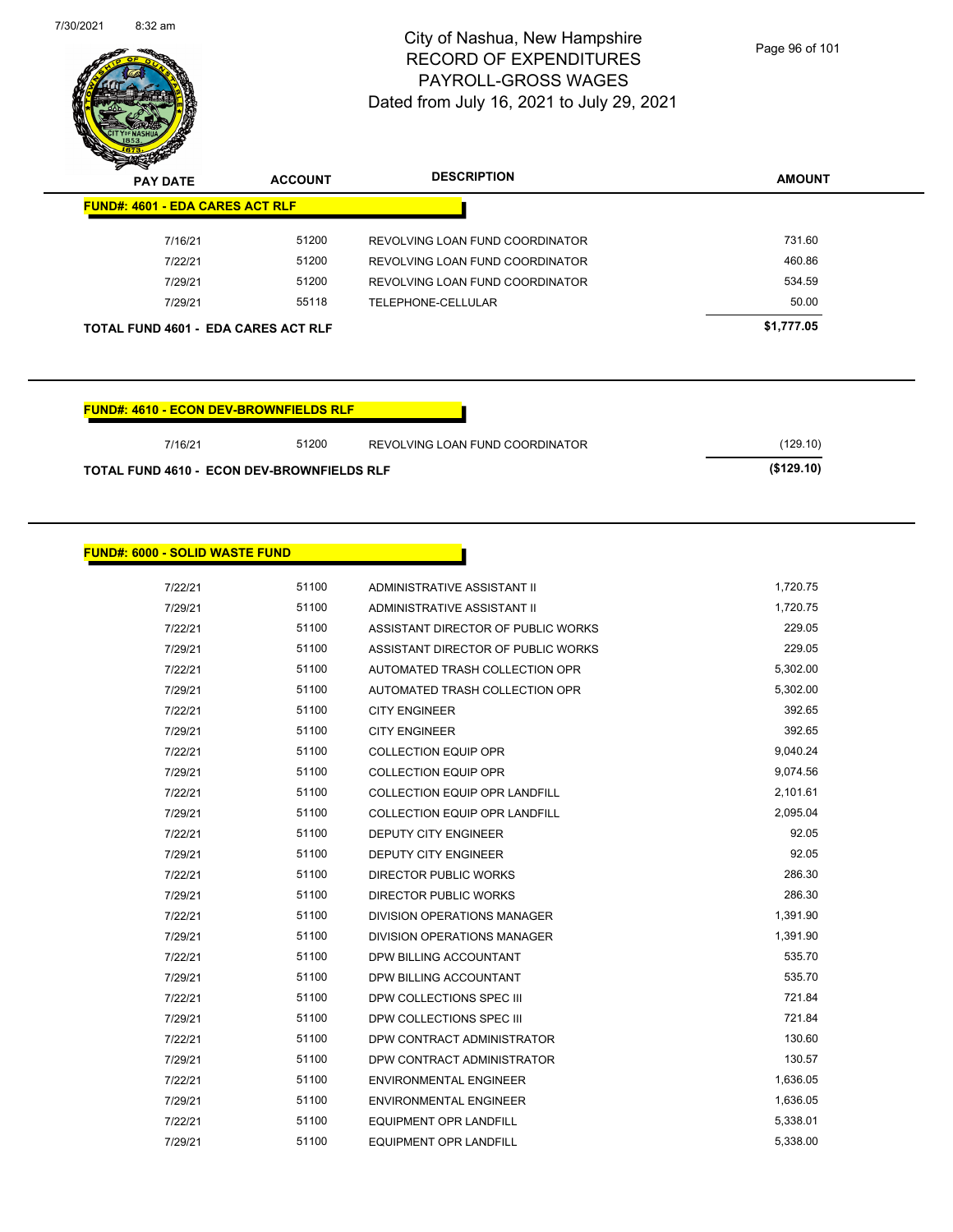

| <b>PAY DATE</b>                            | <b>ACCOUNT</b> | <b>DESCRIPTION</b>              | <b>AMOUNT</b> |
|--------------------------------------------|----------------|---------------------------------|---------------|
| <b>FUND#: 4601 - EDA CARES ACT RLF</b>     |                |                                 |               |
| 7/16/21                                    | 51200          | REVOLVING LOAN FUND COORDINATOR | 731.60        |
| 7/22/21                                    | 51200          | REVOLVING LOAN FUND COORDINATOR | 460.86        |
| 7/29/21                                    | 51200          | REVOLVING LOAN FUND COORDINATOR | 534.59        |
| 7/29/21                                    | 55118          | TELEPHONE-CELLULAR              | 50.00         |
| <b>TOTAL FUND 4601 - EDA CARES ACT RLF</b> |                |                                 | \$1,777.05    |

| <b>FUND#: 4610 - ECON DEV-BROWNFIELDS RLF</b> |
|-----------------------------------------------|
|-----------------------------------------------|

| 7/16/21                                           | (129.10)   |
|---------------------------------------------------|------------|
| <b>TOTAL FUND 4610 - ECON DEV-BROWNFIELDS RLF</b> | (\$129.10) |

## **FUND#: 6000 - SOLID WASTE FUND**

| 7/22/21 | 51100 | ADMINISTRATIVE ASSISTANT II          | 1,720.75 |
|---------|-------|--------------------------------------|----------|
| 7/29/21 | 51100 | ADMINISTRATIVE ASSISTANT II          | 1.720.75 |
| 7/22/21 | 51100 | ASSISTANT DIRECTOR OF PUBLIC WORKS   | 229.05   |
| 7/29/21 | 51100 | ASSISTANT DIRECTOR OF PUBLIC WORKS   | 229.05   |
| 7/22/21 | 51100 | AUTOMATED TRASH COLLECTION OPR       | 5,302.00 |
| 7/29/21 | 51100 | AUTOMATED TRASH COLLECTION OPR       | 5,302.00 |
| 7/22/21 | 51100 | <b>CITY ENGINEER</b>                 | 392.65   |
| 7/29/21 | 51100 | <b>CITY ENGINEER</b>                 | 392.65   |
| 7/22/21 | 51100 | <b>COLLECTION EQUIP OPR</b>          | 9,040.24 |
| 7/29/21 | 51100 | <b>COLLECTION EQUIP OPR</b>          | 9,074.56 |
| 7/22/21 | 51100 | <b>COLLECTION EQUIP OPR LANDFILL</b> | 2,101.61 |
| 7/29/21 | 51100 | <b>COLLECTION EQUIP OPR LANDFILL</b> | 2,095.04 |
| 7/22/21 | 51100 | <b>DEPUTY CITY ENGINEER</b>          | 92.05    |
| 7/29/21 | 51100 | <b>DEPUTY CITY ENGINEER</b>          | 92.05    |
| 7/22/21 | 51100 | <b>DIRECTOR PUBLIC WORKS</b>         | 286.30   |
| 7/29/21 | 51100 | <b>DIRECTOR PUBLIC WORKS</b>         | 286.30   |
| 7/22/21 | 51100 | DIVISION OPERATIONS MANAGER          | 1,391.90 |
| 7/29/21 | 51100 | <b>DIVISION OPERATIONS MANAGER</b>   | 1,391.90 |
| 7/22/21 | 51100 | DPW BILLING ACCOUNTANT               | 535.70   |
| 7/29/21 | 51100 | DPW BILLING ACCOUNTANT               | 535.70   |
| 7/22/21 | 51100 | DPW COLLECTIONS SPEC III             | 721.84   |
| 7/29/21 | 51100 | DPW COLLECTIONS SPEC III             | 721.84   |
| 7/22/21 | 51100 | DPW CONTRACT ADMINISTRATOR           | 130.60   |
| 7/29/21 | 51100 | DPW CONTRACT ADMINISTRATOR           | 130.57   |
| 7/22/21 | 51100 | <b>ENVIRONMENTAL ENGINEER</b>        | 1,636.05 |
| 7/29/21 | 51100 | <b>ENVIRONMENTAL ENGINEER</b>        | 1,636.05 |
| 7/22/21 | 51100 | <b>EQUIPMENT OPR LANDFILL</b>        | 5,338.01 |
| 7/29/21 | 51100 | <b>EQUIPMENT OPR LANDFILL</b>        | 5,338.00 |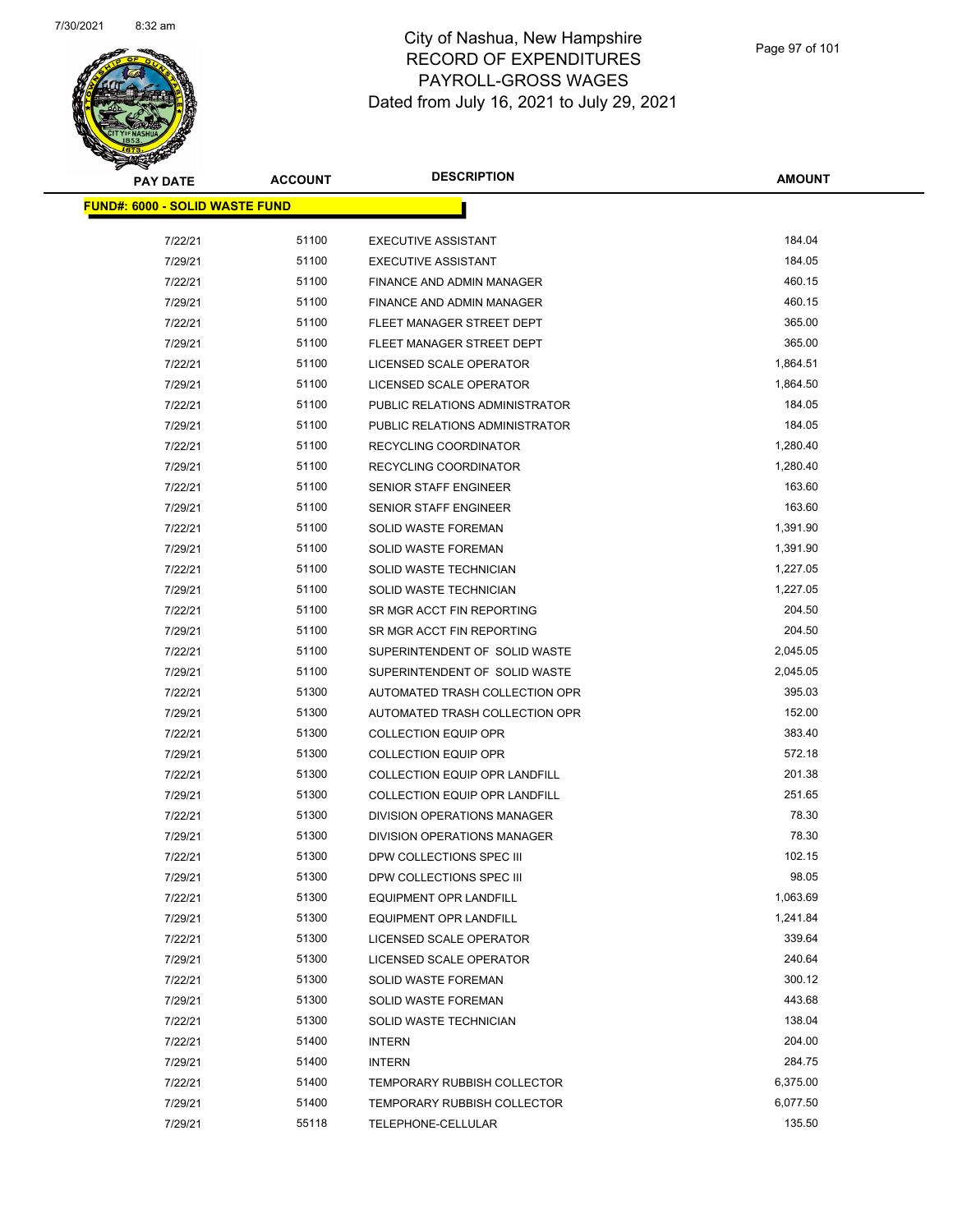

| <b>PAY DATE</b>                       | <b>ACCOUNT</b> | <b>DESCRIPTION</b>                   | AMOUNT   |
|---------------------------------------|----------------|--------------------------------------|----------|
| <b>FUND#: 6000 - SOLID WASTE FUND</b> |                |                                      |          |
| 7/22/21                               | 51100          | <b>EXECUTIVE ASSISTANT</b>           | 184.04   |
| 7/29/21                               | 51100          | <b>EXECUTIVE ASSISTANT</b>           | 184.05   |
| 7/22/21                               | 51100          | FINANCE AND ADMIN MANAGER            | 460.15   |
| 7/29/21                               | 51100          | FINANCE AND ADMIN MANAGER            | 460.15   |
| 7/22/21                               | 51100          | FLEET MANAGER STREET DEPT            | 365.00   |
| 7/29/21                               | 51100          | FLEET MANAGER STREET DEPT            | 365.00   |
| 7/22/21                               | 51100          | LICENSED SCALE OPERATOR              | 1,864.51 |
| 7/29/21                               | 51100          | LICENSED SCALE OPERATOR              | 1,864.50 |
| 7/22/21                               | 51100          | PUBLIC RELATIONS ADMINISTRATOR       | 184.05   |
| 7/29/21                               | 51100          | PUBLIC RELATIONS ADMINISTRATOR       | 184.05   |
| 7/22/21                               | 51100          | RECYCLING COORDINATOR                | 1,280.40 |
| 7/29/21                               | 51100          | RECYCLING COORDINATOR                | 1,280.40 |
| 7/22/21                               | 51100          | SENIOR STAFF ENGINEER                | 163.60   |
| 7/29/21                               | 51100          | <b>SENIOR STAFF ENGINEER</b>         | 163.60   |
| 7/22/21                               | 51100          | SOLID WASTE FOREMAN                  | 1,391.90 |
| 7/29/21                               | 51100          | <b>SOLID WASTE FOREMAN</b>           | 1,391.90 |
| 7/22/21                               | 51100          | <b>SOLID WASTE TECHNICIAN</b>        | 1,227.05 |
| 7/29/21                               | 51100          | SOLID WASTE TECHNICIAN               | 1,227.05 |
| 7/22/21                               | 51100          | SR MGR ACCT FIN REPORTING            | 204.50   |
| 7/29/21                               | 51100          | SR MGR ACCT FIN REPORTING            | 204.50   |
| 7/22/21                               | 51100          | SUPERINTENDENT OF SOLID WASTE        | 2,045.05 |
| 7/29/21                               | 51100          | SUPERINTENDENT OF SOLID WASTE        | 2,045.05 |
| 7/22/21                               | 51300          | AUTOMATED TRASH COLLECTION OPR       | 395.03   |
| 7/29/21                               | 51300          | AUTOMATED TRASH COLLECTION OPR       | 152.00   |
| 7/22/21                               | 51300          | <b>COLLECTION EQUIP OPR</b>          | 383.40   |
| 7/29/21                               | 51300          | <b>COLLECTION EQUIP OPR</b>          | 572.18   |
| 7/22/21                               | 51300          | <b>COLLECTION EQUIP OPR LANDFILL</b> | 201.38   |
| 7/29/21                               | 51300          | <b>COLLECTION EQUIP OPR LANDFILL</b> | 251.65   |
| 7/22/21                               | 51300          | <b>DIVISION OPERATIONS MANAGER</b>   | 78.30    |
| 7/29/21                               | 51300          | DIVISION OPERATIONS MANAGER          | 78.30    |
| 7/22/21                               | 51300          | DPW COLLECTIONS SPEC III             | 102.15   |
| 7/29/21                               | 51300          | DPW COLLECTIONS SPEC III             | 98.05    |
| 7/22/21                               | 51300          | <b>EQUIPMENT OPR LANDFILL</b>        | 1,063.69 |
| 7/29/21                               | 51300          | <b>EQUIPMENT OPR LANDFILL</b>        | 1,241.84 |
| 7/22/21                               | 51300          | LICENSED SCALE OPERATOR              | 339.64   |
| 7/29/21                               | 51300          | LICENSED SCALE OPERATOR              | 240.64   |
| 7/22/21                               | 51300          | <b>SOLID WASTE FOREMAN</b>           | 300.12   |
| 7/29/21                               | 51300          | <b>SOLID WASTE FOREMAN</b>           | 443.68   |
| 7/22/21                               | 51300          | SOLID WASTE TECHNICIAN               | 138.04   |
| 7/22/21                               | 51400          | <b>INTERN</b>                        | 204.00   |
| 7/29/21                               | 51400          | <b>INTERN</b>                        | 284.75   |
| 7/22/21                               | 51400          | <b>TEMPORARY RUBBISH COLLECTOR</b>   | 6,375.00 |
| 7/29/21                               | 51400          | <b>TEMPORARY RUBBISH COLLECTOR</b>   | 6,077.50 |
| 7/29/21                               | 55118          | TELEPHONE-CELLULAR                   | 135.50   |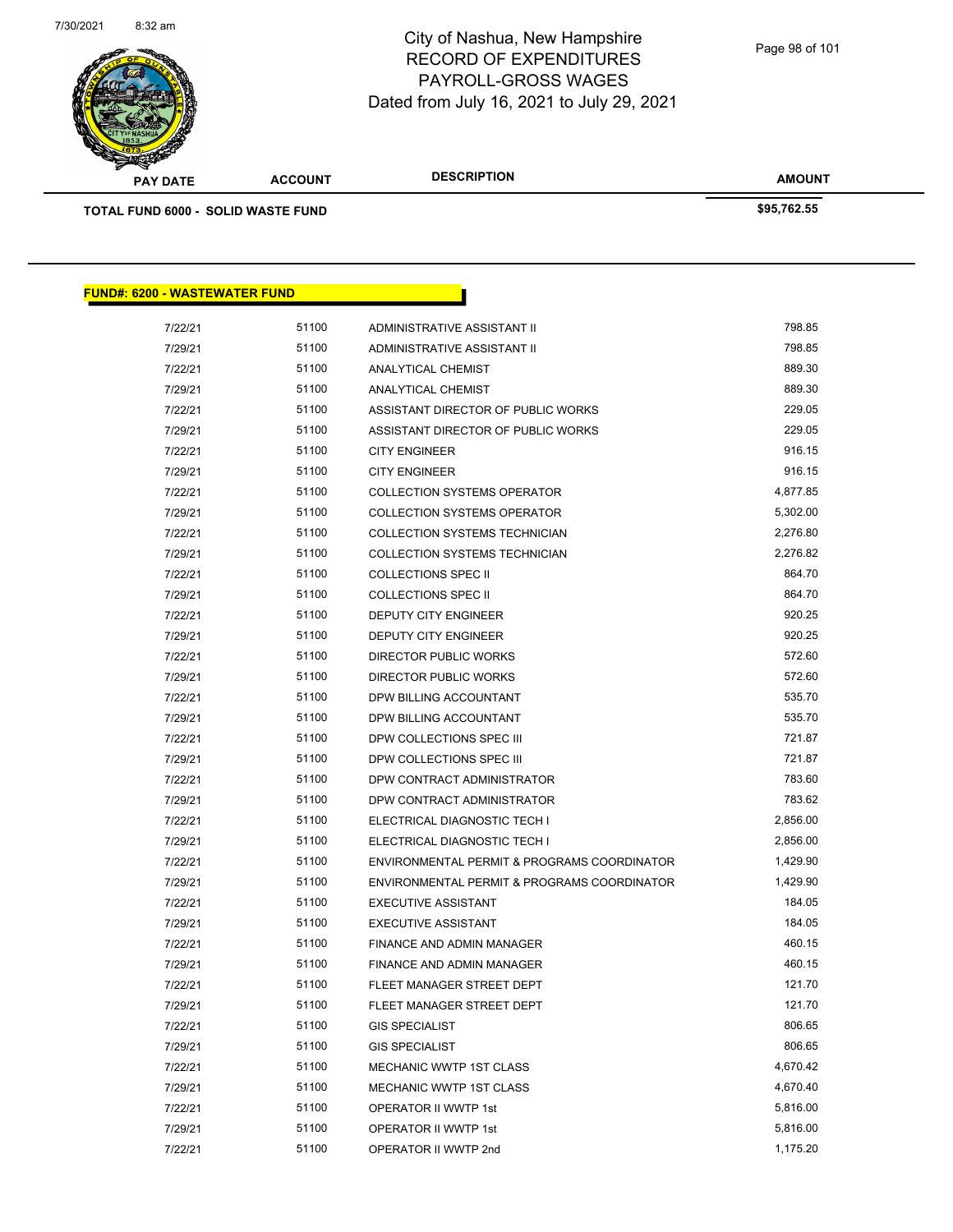

Page 98 of 101

**AMOUNT**

| TOTAL FUND 6000 - SOLID WASTE FUND   |       |                                             | \$95,762.55 |
|--------------------------------------|-------|---------------------------------------------|-------------|
|                                      |       |                                             |             |
| <b>FUND#: 6200 - WASTEWATER FUND</b> |       |                                             |             |
| 7/22/21                              | 51100 | ADMINISTRATIVE ASSISTANT II                 | 798.85      |
| 7/29/21                              | 51100 | ADMINISTRATIVE ASSISTANT II                 | 798.85      |
| 7/22/21                              | 51100 | ANALYTICAL CHEMIST                          | 889.30      |
| 7/29/21                              | 51100 | <b>ANALYTICAL CHEMIST</b>                   | 889.30      |
| 7/22/21                              | 51100 | ASSISTANT DIRECTOR OF PUBLIC WORKS          | 229.05      |
| 7/29/21                              | 51100 | ASSISTANT DIRECTOR OF PUBLIC WORKS          | 229.05      |
| 7/22/21                              | 51100 | <b>CITY ENGINEER</b>                        | 916.15      |
| 7/29/21                              | 51100 | <b>CITY ENGINEER</b>                        | 916.15      |
| 7/22/21                              | 51100 | <b>COLLECTION SYSTEMS OPERATOR</b>          | 4,877.85    |
| 7/29/21                              | 51100 | <b>COLLECTION SYSTEMS OPERATOR</b>          | 5,302.00    |
| 7/22/21                              | 51100 | COLLECTION SYSTEMS TECHNICIAN               | 2,276.80    |
| 7/29/21                              | 51100 | COLLECTION SYSTEMS TECHNICIAN               | 2,276.82    |
| 7/22/21                              | 51100 | <b>COLLECTIONS SPEC II</b>                  | 864.70      |
| 7/29/21                              | 51100 | <b>COLLECTIONS SPEC II</b>                  | 864.70      |
| 7/22/21                              | 51100 | DEPUTY CITY ENGINEER                        | 920.25      |
| 7/29/21                              | 51100 | <b>DEPUTY CITY ENGINEER</b>                 | 920.25      |
| 7/22/21                              | 51100 | DIRECTOR PUBLIC WORKS                       | 572.60      |
| 7/29/21                              | 51100 | DIRECTOR PUBLIC WORKS                       | 572.60      |
| 7/22/21                              | 51100 | DPW BILLING ACCOUNTANT                      | 535.70      |
| 7/29/21                              | 51100 | DPW BILLING ACCOUNTANT                      | 535.70      |
| 7/22/21                              | 51100 | DPW COLLECTIONS SPEC III                    | 721.87      |
| 7/29/21                              | 51100 | DPW COLLECTIONS SPEC III                    | 721.87      |
| 7/22/21                              | 51100 | DPW CONTRACT ADMINISTRATOR                  | 783.60      |
| 7/29/21                              | 51100 | DPW CONTRACT ADMINISTRATOR                  | 783.62      |
| 7/22/21                              | 51100 | ELECTRICAL DIAGNOSTIC TECH I                | 2,856.00    |
| 7/29/21                              | 51100 | ELECTRICAL DIAGNOSTIC TECH I                | 2,856.00    |
| 7/22/21                              | 51100 | ENVIRONMENTAL PERMIT & PROGRAMS COORDINATOR | 1,429.90    |
| 7/29/21                              | 51100 | ENVIRONMENTAL PERMIT & PROGRAMS COORDINATOR | 1,429.90    |
| 7/22/21                              | 51100 | EXECUTIVE ASSISTANT                         | 184.05      |
| 7/29/21                              | 51100 | <b>EXECUTIVE ASSISTANT</b>                  | 184.05      |
| 7/22/21                              | 51100 | FINANCE AND ADMIN MANAGER                   | 460.15      |
| 7/29/21                              | 51100 | FINANCE AND ADMIN MANAGER                   | 460.15      |
| 7/22/21                              | 51100 | FLEET MANAGER STREET DEPT                   | 121.70      |
| 7/29/21                              | 51100 | FLEET MANAGER STREET DEPT                   | 121.70      |
| 7/22/21                              | 51100 | <b>GIS SPECIALIST</b>                       | 806.65      |
| 7/29/21                              | 51100 | <b>GIS SPECIALIST</b>                       | 806.65      |
| 7/22/21                              | 51100 | MECHANIC WWTP 1ST CLASS                     | 4,670.42    |
| 7/29/21                              | 51100 | MECHANIC WWTP 1ST CLASS                     | 4,670.40    |
| 7/22/21                              | 51100 | OPERATOR II WWTP 1st                        | 5,816.00    |
| 7/29/21                              | 51100 | OPERATOR II WWTP 1st                        | 5,816.00    |
|                                      |       |                                             |             |

7/22/21 51100 OPERATOR II WWTP 2nd 1,175.20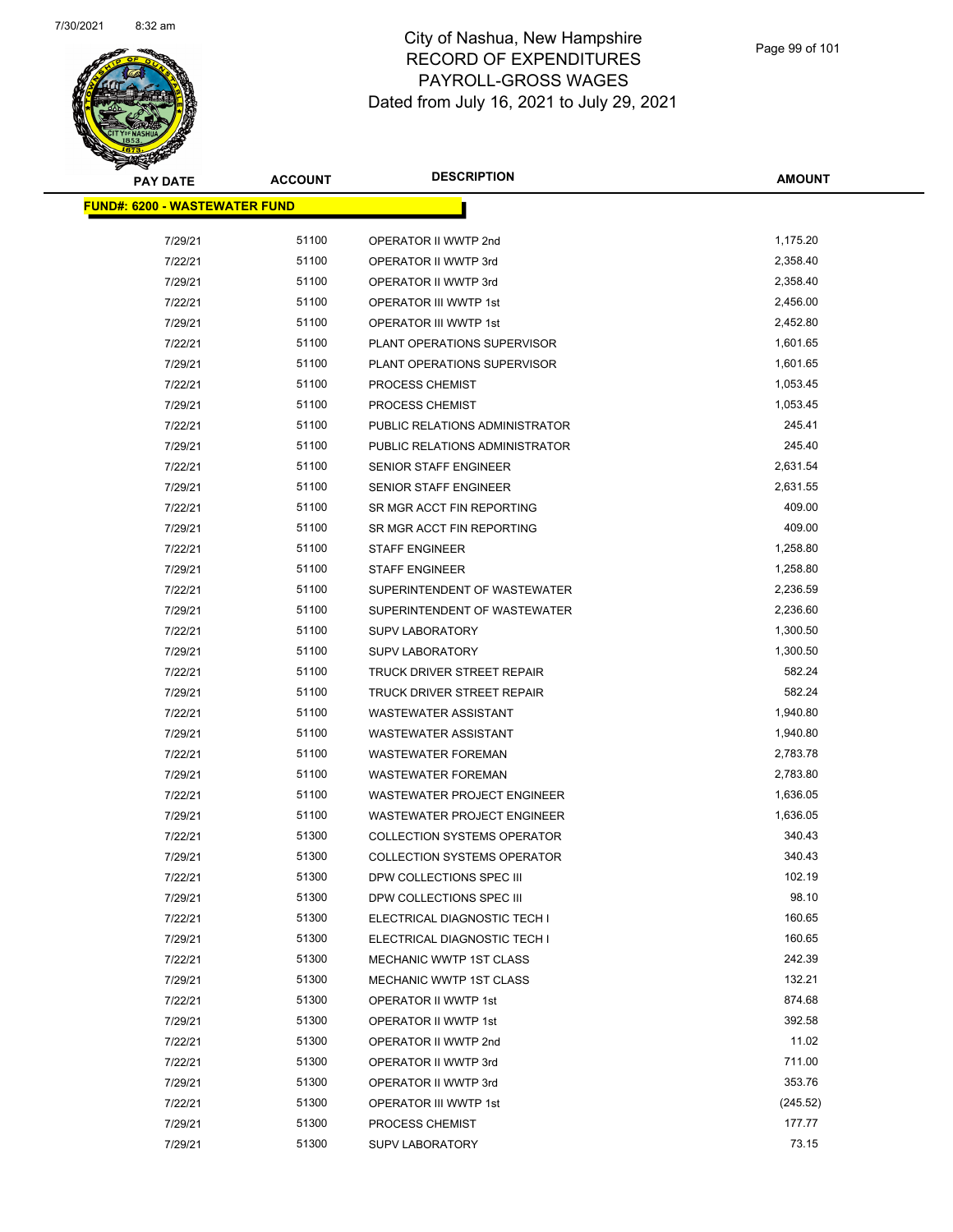

| <b>PAY DATE</b>                       | <b>ACCOUNT</b> | <b>DESCRIPTION</b>                 | <b>AMOUNT</b> |
|---------------------------------------|----------------|------------------------------------|---------------|
| <u> FUND#: 6200 - WASTEWATER FUND</u> |                |                                    |               |
|                                       |                |                                    |               |
| 7/29/21                               | 51100          | OPERATOR II WWTP 2nd               | 1,175.20      |
| 7/22/21                               | 51100          | OPERATOR II WWTP 3rd               | 2,358.40      |
| 7/29/21                               | 51100          | OPERATOR II WWTP 3rd               | 2,358.40      |
| 7/22/21                               | 51100          | OPERATOR III WWTP 1st              | 2,456.00      |
| 7/29/21                               | 51100          | OPERATOR III WWTP 1st              | 2,452.80      |
| 7/22/21                               | 51100          | PLANT OPERATIONS SUPERVISOR        | 1,601.65      |
| 7/29/21                               | 51100          | PLANT OPERATIONS SUPERVISOR        | 1,601.65      |
| 7/22/21                               | 51100          | PROCESS CHEMIST                    | 1,053.45      |
| 7/29/21                               | 51100          | PROCESS CHEMIST                    | 1,053.45      |
| 7/22/21                               | 51100          | PUBLIC RELATIONS ADMINISTRATOR     | 245.41        |
| 7/29/21                               | 51100          | PUBLIC RELATIONS ADMINISTRATOR     | 245.40        |
| 7/22/21                               | 51100          | SENIOR STAFF ENGINEER              | 2,631.54      |
| 7/29/21                               | 51100          | SENIOR STAFF ENGINEER              | 2,631.55      |
| 7/22/21                               | 51100          | SR MGR ACCT FIN REPORTING          | 409.00        |
| 7/29/21                               | 51100          | SR MGR ACCT FIN REPORTING          | 409.00        |
| 7/22/21                               | 51100          | <b>STAFF ENGINEER</b>              | 1,258.80      |
| 7/29/21                               | 51100          | <b>STAFF ENGINEER</b>              | 1,258.80      |
| 7/22/21                               | 51100          | SUPERINTENDENT OF WASTEWATER       | 2,236.59      |
| 7/29/21                               | 51100          | SUPERINTENDENT OF WASTEWATER       | 2,236.60      |
| 7/22/21                               | 51100          | <b>SUPV LABORATORY</b>             | 1,300.50      |
| 7/29/21                               | 51100          | <b>SUPV LABORATORY</b>             | 1,300.50      |
| 7/22/21                               | 51100          | TRUCK DRIVER STREET REPAIR         | 582.24        |
| 7/29/21                               | 51100          | TRUCK DRIVER STREET REPAIR         | 582.24        |
| 7/22/21                               | 51100          | <b>WASTEWATER ASSISTANT</b>        | 1,940.80      |
| 7/29/21                               | 51100          | <b>WASTEWATER ASSISTANT</b>        | 1,940.80      |
| 7/22/21                               | 51100          | <b>WASTEWATER FOREMAN</b>          | 2,783.78      |
| 7/29/21                               | 51100          | <b>WASTEWATER FOREMAN</b>          | 2,783.80      |
| 7/22/21                               | 51100          | <b>WASTEWATER PROJECT ENGINEER</b> | 1,636.05      |
| 7/29/21                               | 51100          | WASTEWATER PROJECT ENGINEER        | 1,636.05      |
| 7/22/21                               | 51300          | <b>COLLECTION SYSTEMS OPERATOR</b> | 340.43        |
| 7/29/21                               | 51300          | <b>COLLECTION SYSTEMS OPERATOR</b> | 340.43        |
| 7/22/21                               | 51300          | DPW COLLECTIONS SPEC III           | 102.19        |
| 7/29/21                               | 51300          | DPW COLLECTIONS SPEC III           | 98.10         |
| 7/22/21                               | 51300          | ELECTRICAL DIAGNOSTIC TECH I       | 160.65        |
| 7/29/21                               | 51300          | ELECTRICAL DIAGNOSTIC TECH I       | 160.65        |
| 7/22/21                               | 51300          | MECHANIC WWTP 1ST CLASS            | 242.39        |
| 7/29/21                               | 51300          | MECHANIC WWTP 1ST CLASS            | 132.21        |
| 7/22/21                               | 51300          | OPERATOR II WWTP 1st               | 874.68        |
| 7/29/21                               | 51300          | OPERATOR II WWTP 1st               | 392.58        |
| 7/22/21                               | 51300          | OPERATOR II WWTP 2nd               | 11.02         |
| 7/22/21                               | 51300          | OPERATOR II WWTP 3rd               | 711.00        |
| 7/29/21                               | 51300          | OPERATOR II WWTP 3rd               | 353.76        |
| 7/22/21                               | 51300          | OPERATOR III WWTP 1st              | (245.52)      |
| 7/29/21                               | 51300          | PROCESS CHEMIST                    | 177.77        |
| 7/29/21                               | 51300          | <b>SUPV LABORATORY</b>             | 73.15         |
|                                       |                |                                    |               |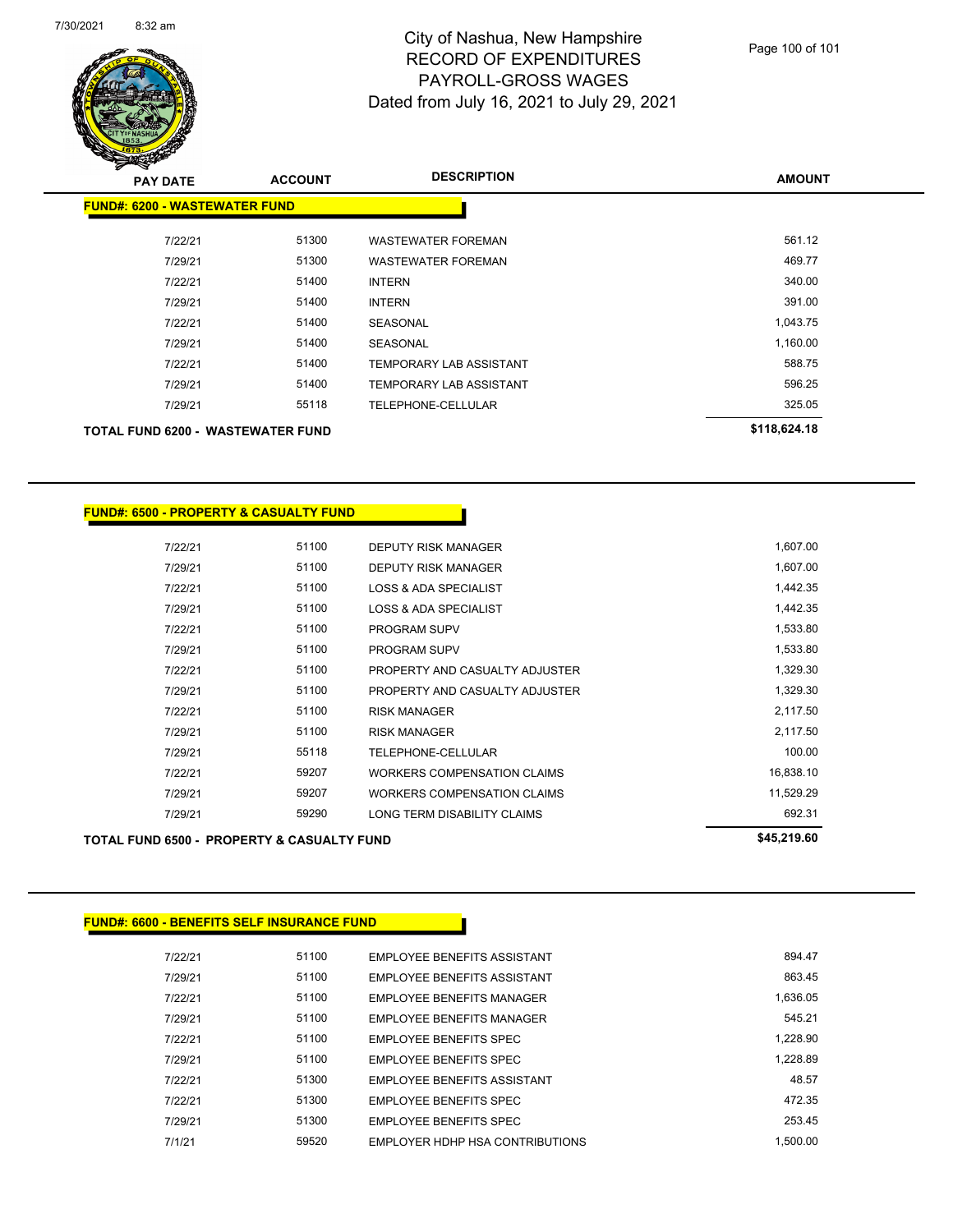

| $\mathbf{z}$<br><b>PAY DATE</b>          | <b>ACCOUNT</b> | <b>DESCRIPTION</b>        | <b>AMOUNT</b> |
|------------------------------------------|----------------|---------------------------|---------------|
| <b>FUND#: 6200 - WASTEWATER FUND</b>     |                |                           |               |
| 7/22/21                                  | 51300          | <b>WASTEWATER FOREMAN</b> | 561.12        |
| 7/29/21                                  | 51300          | <b>WASTEWATER FOREMAN</b> | 469.77        |
| 7/22/21                                  | 51400          | <b>INTERN</b>             | 340.00        |
| 7/29/21                                  | 51400          | <b>INTERN</b>             | 391.00        |
| 7/22/21                                  | 51400          | <b>SEASONAL</b>           | 1,043.75      |
| 7/29/21                                  | 51400          | <b>SEASONAL</b>           | 1,160.00      |
| 7/22/21                                  | 51400          | TEMPORARY LAB ASSISTANT   | 588.75        |
| 7/29/21                                  | 51400          | TEMPORARY LAB ASSISTANT   | 596.25        |
| 7/29/21                                  | 55118          | TELEPHONE-CELLULAR        | 325.05        |
| <b>TOTAL FUND 6200 - WASTEWATER FUND</b> |                |                           | \$118,624.18  |

| <u> FUND#: 6500 - PROPERTY &amp; CASUALTY FUND</u> |       |                                    |             |
|----------------------------------------------------|-------|------------------------------------|-------------|
|                                                    |       |                                    |             |
| 7/22/21                                            | 51100 | <b>DEPUTY RISK MANAGER</b>         | 1,607.00    |
| 7/29/21                                            | 51100 | <b>DEPUTY RISK MANAGER</b>         | 1,607.00    |
| 7/22/21                                            | 51100 | <b>LOSS &amp; ADA SPECIALIST</b>   | 1,442.35    |
| 7/29/21                                            | 51100 | <b>LOSS &amp; ADA SPECIALIST</b>   | 1,442.35    |
| 7/22/21                                            | 51100 | <b>PROGRAM SUPV</b>                | 1,533.80    |
| 7/29/21                                            | 51100 | <b>PROGRAM SUPV</b>                | 1,533.80    |
| 7/22/21                                            | 51100 | PROPERTY AND CASUALTY ADJUSTER     | 1,329.30    |
| 7/29/21                                            | 51100 | PROPERTY AND CASUALTY ADJUSTER     | 1,329.30    |
| 7/22/21                                            | 51100 | <b>RISK MANAGER</b>                | 2,117.50    |
| 7/29/21                                            | 51100 | <b>RISK MANAGER</b>                | 2,117.50    |
| 7/29/21                                            | 55118 | <b>TELEPHONE-CELLULAR</b>          | 100.00      |
| 7/22/21                                            | 59207 | <b>WORKERS COMPENSATION CLAIMS</b> | 16,838.10   |
| 7/29/21                                            | 59207 | <b>WORKERS COMPENSATION CLAIMS</b> | 11,529.29   |
| 7/29/21                                            | 59290 | LONG TERM DISABILITY CLAIMS        | 692.31      |
| TOTAL FUND 6500 - PROPERTY & CASUALTY FUND         |       |                                    | \$45,219.60 |
|                                                    |       |                                    |             |

| 894.47   | <b>EMPLOYEE BENEFITS ASSISTANT</b> | 51100 | 7/22/21 |
|----------|------------------------------------|-------|---------|
| 863.45   | EMPLOYEE BENEFITS ASSISTANT        | 51100 | 7/29/21 |
| 1.636.05 | <b>EMPLOYEE BENEFITS MANAGER</b>   | 51100 | 7/22/21 |
| 545.21   | <b>EMPLOYEE BENEEITS MANAGER</b>   | 51100 | 7/29/21 |
| 1.228.90 | EMPLOYEE BENEFITS SPEC             | 51100 | 7/22/21 |
| 1.228.89 | EMPLOYEE BENEFITS SPEC             | 51100 | 7/29/21 |
| 48.57    | <b>FMPLOYEE BENEEITS ASSISTANT</b> | 51300 | 7/22/21 |
| 472.35   | <b>EMPLOYEE BENEEITS SPEC</b>      | 51300 | 7/22/21 |
| 253.45   | EMPLOYEE BENEFITS SPEC             | 51300 | 7/29/21 |
| 1.500.00 | EMPLOYER HDHP HSA CONTRIBUTIONS    | 59520 | 7/1/21  |